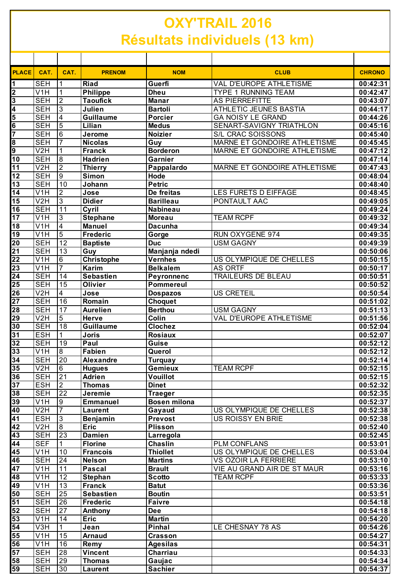## **OXY'TRAIL 2016 Résultats individuels (13 km)**

| <b>PLACE</b>                | CAT.                           | CAT.                    | <b>PRENOM</b>                    | <b>NOM</b>                            | <b>CLUB</b>                                  | <b>CHRONO</b>         |
|-----------------------------|--------------------------------|-------------------------|----------------------------------|---------------------------------------|----------------------------------------------|-----------------------|
| 1                           | <b>SEH</b>                     |                         | <b>Riad</b>                      | Guerfi                                | VAL D'EUROPE ATHLETISME                      | 00:42:31              |
|                             | V1H                            | 1                       | <b>Philippe</b>                  | <b>Dheu</b>                           | <b>TYPE 1 RUNNING TEAM</b>                   | 00:42:47              |
| $\frac{2}{3}$               | <b>SEH</b>                     | $\overline{2}$          | <b>Taoufick</b>                  | <b>Manar</b>                          | <b>AS PIERREFITTE</b>                        | 00:43:07              |
|                             | <b>SEH</b>                     | 3                       | Julien                           | <b>Bartoli</b>                        | ATHLETIC JEUNES BASTIA                       | 00:44:17              |
| $\frac{4}{5}$ $\frac{6}{7}$ | <b>SEH</b>                     | $\overline{4}$          | <b>Guillaume</b>                 | <b>Porcier</b>                        | <b>GA NOISY LE GRAND</b>                     | 00:44:26              |
|                             | <b>SEH</b>                     | $\overline{5}$          | Lilian                           | <b>Medus</b>                          | SENART-SAVIGNY TRIATHLON                     | 00:45:16              |
|                             | <b>SEH</b>                     | $\overline{6}$          | Jerome                           | <b>Noizier</b>                        | S/L CRAC SOISSONS                            | 00:45:40              |
| 8                           | <b>SEH</b>                     | $\overline{7}$          | <b>Nicolas</b>                   | Guy                                   | MARNE ET GONDOIRE ATHLETISME                 | 00:45:45              |
| 9                           | V2H                            | 1                       | <b>Franck</b>                    | <b>Borderon</b>                       | MARNE ET GONDOIRE ATHLETISME                 | 00:47:12              |
| $\overline{10}$             | <b>SEH</b>                     | 8                       | <b>Hadrien</b>                   | Garnier                               |                                              | 00:47:14              |
| 11                          | V <sub>2</sub> H               | $\overline{2}$          | <b>Thierry</b>                   | Pappalardo                            | MARNE ET GONDOIRE ATHLETISME                 | 00:47:43              |
| $\overline{12}$             | <b>SEH</b>                     | $\overline{9}$          | <b>Simon</b>                     | Hode                                  |                                              | 00:48:04              |
| 13                          | <b>SEH</b>                     | 10                      | Johann                           | <b>Petric</b>                         |                                              | 00:48:40              |
| 14                          | $\overline{V1H}$               | $\overline{\mathbf{c}}$ | Jose                             | De freitas                            | LES FURETS D EIFFAGE                         | 00:48:45              |
| 15                          | V2H                            | 3                       | <b>Didier</b>                    | <b>Barilleau</b>                      | PONTAULT AAC                                 | 00:49:05              |
| 16                          | <b>SEH</b>                     | $\overline{11}$         | Cyril                            | <b>Nabineau</b>                       |                                              | 00:49:24              |
| $\overline{17}$<br>18       | V <sub>1</sub> H<br>V1H        | 3<br>$\overline{4}$     | <b>Stephane</b><br><b>Manuel</b> | <b>Moreau</b><br><b>Dacunha</b>       | <b>TEAM RCPF</b>                             | 00:49:32              |
| 19                          | V1H                            | $\overline{5}$          | <b>Frederic</b>                  |                                       | RUN OXYGENE 974                              | 00:49:34<br>00:49:35  |
| $\overline{20}$             | <b>SEH</b>                     | $\overline{12}$         | <b>Baptiste</b>                  | Gorge<br><b>Duc</b>                   | <b>USM GAGNY</b>                             | 00:49:39              |
| $\overline{21}$             | <b>SEH</b>                     | $\overline{13}$         | Guy                              | Manjanja ndedi                        |                                              | 00:50:06              |
| 22                          | V <sub>1</sub> H               | 6                       | <b>Christophe</b>                | <b>Vernhes</b>                        | US OLYMPIQUE DE CHELLES                      | 00:50:15              |
| $\overline{23}$             | V1H                            | $\overline{7}$          | <b>Karim</b>                     | <b>Belkalem</b>                       | <b>AS ORTF</b>                               | 00:50:17              |
| $\overline{24}$             | <b>SEH</b>                     | 14                      | <b>Sebastien</b>                 | Peyronnenc                            | TRAILEURS DE BLEAU                           | 00:50:51              |
| 25                          | <b>SEH</b>                     | 15                      | Olivier                          | Pommereul                             |                                              | 00:50:52              |
| $\overline{26}$             | V <sub>2</sub> H               | $\overline{\mathbf{4}}$ | Jose                             | <b>Dospazos</b>                       | <b>US CRETEIL</b>                            | 00:50:54              |
| $\overline{27}$             | <b>SEH</b>                     | 16                      | Romain                           | <b>Choquet</b>                        |                                              | 00:51:02              |
| $\overline{28}$             | <b>SEH</b>                     | $\overline{17}$         | <b>Aurelien</b>                  | <b>Berthou</b>                        | <b>USM GAGNY</b>                             | 00:51:13              |
| 29                          | V <sub>2</sub> H               | 5                       | <b>Herve</b>                     | Colin                                 | VAL D'EUROPE ATHLETISME                      | 00:51:56              |
| 30                          | <b>SEH</b>                     | 18                      | <b>Guillaume</b>                 | Clochez                               |                                              | 00:52:04              |
| $\overline{31}$             | <b>ESH</b>                     |                         | Joris                            | <b>Rosiaux</b>                        |                                              | 00:52:07              |
| $\overline{32}$             | <b>SEH</b>                     | 19                      | Paul                             | Guise                                 |                                              | 00:52:12              |
| $\overline{33}$             | $\overline{V}$ 1H              | 8                       | <b>Fabien</b>                    | Querol                                |                                              | 00:52:12              |
| 34                          | <b>SEH</b>                     | $\overline{20}$         | Alexandre                        | <b>Turquay</b>                        |                                              | 00:52:14              |
| $\overline{35}$             | V <sub>2</sub> H               | $\,6\,$                 | <b>Hugues</b>                    | <b>Gemieux</b>                        | <b>TEAM RCPF</b>                             | 00:52:15              |
| 36                          | <b>SEH</b>                     | $\overline{21}$         | <b>Adrien</b>                    | <b>Vouillot</b>                       |                                              | 00:52:15              |
| $\overline{37}$             | <b>ESH</b>                     | $\overline{2}$          | <b>Thomas</b>                    | <b>Dinet</b>                          |                                              | 00:52:32              |
| 38                          | <b>SEH</b><br>V <sub>1</sub> H | $\overline{22}$         | Jeremie                          | <b>Traeger</b><br><b>Bosen milona</b> |                                              | 00:52:35              |
| 39<br>$\overline{40}$       | V2H                            | 9<br>$\overline{7}$     | <b>Emmanuel</b>                  |                                       |                                              | 00:52:37              |
| $\overline{41}$             | <b>ESH</b>                     | $\sqrt{3}$              | Laurent<br><b>Benjamin</b>       | Gayaud<br><b>Prevost</b>              | US OLYMPIQUE DE CHELLES<br>US ROISSY EN BRIE | 00:52:38<br>00:52:38  |
| $\overline{42}$             | V <sub>2</sub> H               | $\infty$                | <b>Eric</b>                      | <b>Plisson</b>                        |                                              | 00:52:40              |
| $\overline{43}$             | <b>SEH</b>                     | $\overline{23}$         | <b>Damien</b>                    | Larregola                             |                                              | 00:52:45              |
| 44                          | <b>SEF</b>                     |                         | <b>Florine</b>                   | <b>Chaslin</b>                        | <b>PLM CONFLANS</b>                          | 00:53:01              |
| $\overline{45}$             | V1H                            | 10                      | <b>Francois</b>                  | <b>Thiollet</b>                       | US OLYMPIQUE DE CHELLES                      | 00:53:04              |
| 46                          | <b>SEH</b>                     | 24                      | <b>Nelson</b>                    | <b>Martins</b>                        | VS OZOIR LA FERRIERE                         | 00:53:10              |
| 47                          | V <sub>1</sub> H               | 11                      | <b>Pascal</b>                    | <b>Brault</b>                         | VIE AU GRAND AIR DE ST MAUR                  | 00:53:16              |
| 48                          | V <sub>1</sub> H               | 12                      | Stephan                          | <b>Scotto</b>                         | <b>TEAM RCPF</b>                             | 00:53:33              |
| 49                          | V <sub>1</sub> H               | 13                      | <b>Franck</b>                    | <b>Batut</b>                          |                                              | 00:53:36              |
| $\overline{50}$             | <b>SEH</b>                     | 25                      | <b>Sebastien</b>                 | <b>Boutin</b>                         |                                              | 00:53:51              |
| $\overline{51}$             | <b>SEH</b>                     | $\overline{26}$         | <b>Frederic</b>                  | <b>Faivre</b>                         |                                              | 00:54:18              |
| $\overline{52}$             | <b>SEH</b>                     | 27                      | Anthony                          | <b>Dee</b>                            |                                              | 00:54:18              |
| $\overline{53}$             | V <sub>1</sub> H               | 14                      | <b>Eric</b>                      | <b>Martin</b>                         |                                              | $\overline{00:}54:20$ |
| $\overline{54}$             | V3H                            | 1                       | Jean                             | <b>Pinhal</b>                         | LE CHESNAY 78 AS                             | 00:54:26              |
| 55                          | V <sub>1</sub> H               | 15                      | <b>Arnaud</b>                    | <b>Crasson</b>                        |                                              | 00:54:27              |
| $\overline{56}$             | V <sub>1</sub> H               | 16                      | Remy                             | <b>Agesilas</b>                       |                                              | 00:54:31              |
| $\overline{57}$             | <b>SEH</b>                     | 28                      | Vincent                          | Charriau                              |                                              | 00:54:33              |
| $\overline{58}$             | <b>SEH</b>                     | 29                      | <b>Thomas</b>                    | Gaujac                                |                                              | 00:54:34              |
| 59                          | <b>SEH</b>                     | 30                      | Laurent                          | <b>Sachier</b>                        |                                              | 00:54:37              |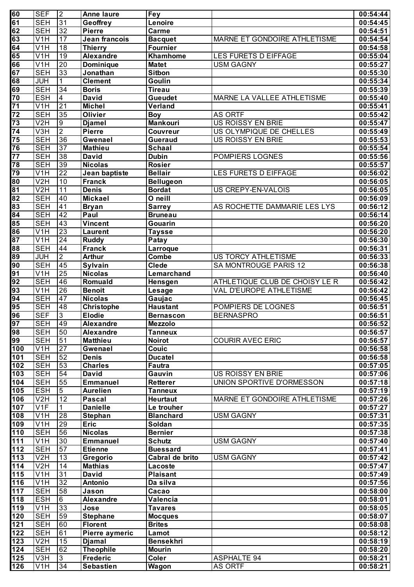| 60              | <b>SEF</b>       | $\overline{2}$  | <b>Anne laure</b> | Fey              |                                | 00:54:44 |
|-----------------|------------------|-----------------|-------------------|------------------|--------------------------------|----------|
| 61              | <b>SEH</b>       | 31              | Geoffrey          | Lenoire          |                                | 00:54:45 |
| 62              | <b>SEH</b>       | 32              | <b>Pierre</b>     | Carme            |                                | 00:54:51 |
| 63              | $\overline{V1H}$ | 17              | Jean francois     | <b>Bacquet</b>   | MARNE ET GONDOIRE ATHLETISME   | 00:54:54 |
| 64              | $\overline{V1H}$ | $\overline{18}$ | Thierry           | <b>Fournier</b>  |                                | 00:54:58 |
| 65              | V1H              | 19              | <b>Alexandre</b>  | <b>Khamhome</b>  | LES FURETS D EIFFAGE           | 00:55:04 |
| 66              | V <sub>1</sub> H | 20              | Dominique         | <b>Matet</b>     | <b>USM GAGNY</b>               | 00:55:27 |
| 67              | <b>SEH</b>       | 33              | Jonathan          | Sitbon           |                                | 00:55:30 |
| 68              | <b>JUH</b>       | 1               | <b>Clement</b>    | Goulin           |                                | 00:55:34 |
| 69              | <b>SEH</b>       | 34              | <b>Boris</b>      | <b>Tireau</b>    |                                | 00:55:39 |
| 70              | <b>ESH</b>       | $\overline{4}$  | <b>David</b>      | <b>Gueudet</b>   | MARNE LA VALLEE ATHLETISME     | 00:55:40 |
| 71              | V1H              | 21              | <b>Michel</b>     | Verland          |                                | 00:55:41 |
| 72              | <b>SEH</b>       | 35              | <b>Olivier</b>    | <b>Boy</b>       | <b>AS ORTF</b>                 | 00:55:42 |
| 73              | V2H              | $\overline{9}$  | <b>Djamel</b>     | <b>Mankouri</b>  | US ROISSY EN BRIE              | 00:55:47 |
| 74              | V3H              | $\overline{2}$  | <b>Pierre</b>     | Couvreur         | US OLYMPIQUE DE CHELLES        | 00:55:49 |
| 75              | <b>SEH</b>       | 36              | Gwenael           | <b>Gueraud</b>   | US ROISSY EN BRIE              | 00:55:53 |
| $\overline{76}$ | <b>SEH</b>       | $\overline{37}$ | <b>Mathieu</b>    | <b>Schaal</b>    |                                | 00:55:54 |
| 77              | <b>SEH</b>       | $\overline{38}$ | David             | <b>Dubin</b>     | POMPIERS LOGNES                | 00:55:56 |
| 78              | <b>SEH</b>       | 39              | <b>Nicolas</b>    | <b>Rosier</b>    |                                | 00:55:57 |
| 79              | V1H              | 22              | Jean baptiste     | <b>Bellair</b>   | LES FURETS D EIFFAGE           | 00:56:02 |
| 80              | V2H              | $\overline{10}$ | <b>Franck</b>     | <b>Bellugeon</b> |                                | 00:56:05 |
| 81              | V2H              | $\overline{11}$ | <b>Denis</b>      | <b>Bordat</b>    | US CREPY-EN-VALOIS             | 00:56:05 |
| 82              | <b>SEH</b>       | $\overline{40}$ | <b>Mickael</b>    | O neill          |                                | 00:56:09 |
| 83              | <b>SEH</b>       | $\overline{41}$ | <b>Bryan</b>      | <b>Sarrey</b>    | AS ROCHETTE DAMMARIE LES LYS   | 00:56:12 |
| 84              | <b>SEH</b>       | 42              | Paul              | <b>Bruneau</b>   |                                | 00:56:14 |
| 85              | <b>SEH</b>       | 43              | <b>Vincent</b>    | Gouarin          |                                | 00:56:20 |
| 86              | $\overline{V1H}$ | 23              | Laurent           | <b>Taysse</b>    |                                | 00:56:20 |
| 87              | $\overline{V1H}$ | $\overline{24}$ | <b>Ruddy</b>      | Patay            |                                | 00:56:30 |
| 88              | <b>SEH</b>       | 44              | <b>Franck</b>     | Larroque         |                                | 00:56:31 |
| 89              | <b>JUH</b>       | $\overline{2}$  | <b>Arthur</b>     | <b>Combe</b>     | US TORCY ATHLETISME            | 00:56:33 |
| 90              | <b>SEH</b>       | $\overline{45}$ | Sylvain           | <b>Clede</b>     | SA MONTROUGE PARIS 12          | 00:56:38 |
| 91              | V1H              | 25              | <b>Nicolas</b>    | Lemarchand       |                                | 00:56:40 |
| 92              | <b>SEH</b>       | 46              | Romuald           | Hensgen          | ATHLETIQUE CLUB DE CHOISY LE R | 00:56:42 |
| 93              | V1H              | 26              | <b>Benoit</b>     | Lesage           | VAL D'EUROPE ATHLETISME        | 00:56:42 |
| 94              | <b>SEH</b>       | 47              | <b>Nicolas</b>    | Gaujac           |                                | 00:56:45 |
| 95              | <b>SEH</b>       | 48              | <b>Christophe</b> | <b>Haustant</b>  | POMPIERS DE LOGNES             | 00:56:51 |
| 96              | <b>SEF</b>       | $\overline{3}$  | <b>Elodie</b>     | <b>Bernascon</b> | <b>BERNASPRO</b>               | 00:56:51 |
| 197             | <b>SEH</b>       | 149             | <b>Alexandre</b>  | <b>Mezzolo</b>   |                                | 00:56:52 |
| 98              | <b>SEH</b>       | 50              | <b>Alexandre</b>  | <b>Tanneux</b>   |                                | 00:56:57 |
| 99              | <b>SEH</b>       | $\overline{51}$ | <b>Matthieu</b>   | <b>Noirot</b>    | <b>COURIR AVEC ERIC</b>        | 00:56:57 |
| 100             | V1H              | 27              | Gwenael           | <b>Couic</b>     |                                | 00:56:58 |
| 101             | <b>SEH</b>       | 52              | <b>Denis</b>      | <b>Ducatel</b>   |                                | 00:56:58 |
| 102             | <b>SEH</b>       | 53              | <b>Charles</b>    | <b>Fautra</b>    |                                | 00:57:05 |
| 103             | <b>SEH</b>       | 54              | <b>David</b>      | Gauvin           | US ROISSY EN BRIE              | 00:57:06 |
| 104             | <b>SEH</b>       | 55              | <b>Emmanuel</b>   | Retterer         | UNION SPORTIVE D'ORMESSON      | 00:57:18 |
| 105             | <b>ESH</b>       | $\overline{5}$  | <b>Aurelien</b>   | <b>Tanneux</b>   |                                | 00:57:19 |
| 106             | V2H              | $\overline{12}$ | <b>Pascal</b>     | <b>Heurtaut</b>  | MARNE ET GONDOIRE ATHLETISME   | 00:57:26 |
| 107             | V1F              | 1.              | <b>Danielle</b>   | Le trouher       |                                | 00:57:27 |
| 108             | V1H              | 28              | <b>Stephan</b>    | <b>Blanchard</b> | <b>USM GAGNY</b>               | 00:57:31 |
| 109             | V1H              | 29              | <b>Eric</b>       | Soldan           |                                | 00:57:35 |
| 110             | <b>SEH</b>       | 56              | <b>Nicolas</b>    | <b>Bernier</b>   |                                | 00:57:38 |
| 1111            | V <sub>1</sub> H | 30              | <b>Emmanuel</b>   | <b>Schutz</b>    | <b>USM GAGNY</b>               | 00:57:40 |
| 112             | <b>SEH</b>       | 57              | <b>Etienne</b>    | <b>Buessard</b>  |                                | 00:57:41 |
| 113             | V2H              | 13              | Gregorio          | Cabral de brito  | <b>USM GAGNY</b>               | 00:57:42 |
| 114             | V2H              | 14              | <b>Mathias</b>    | Lacoste          |                                | 00:57:47 |
| 115             | V <sub>1</sub> H | 31              | <b>David</b>      | <b>Plaisant</b>  |                                | 00:57:49 |
| 116             | V <sub>1</sub> H | $\overline{32}$ | <b>Antonio</b>    | Da silva         |                                | 00:57:56 |
| 117             | <b>SEH</b>       | 58              | Jason             | Cacao            |                                | 00:58:00 |
| 118             | <b>ESH</b>       | 6               | <b>Alexandre</b>  | Valencia         |                                | 00:58:01 |
| 119             | V1H              | $\overline{33}$ | Jose              | <b>Tavares</b>   |                                | 00:58:05 |
| 120             | <b>SEH</b>       | 59              | <b>Stephane</b>   | <b>Mocques</b>   |                                | 00:58:07 |
| 121             | <b>SEH</b>       | 60              | <b>Florent</b>    | <b>Brites</b>    |                                | 00:58:08 |
| 122             | <b>SEH</b>       | 61              | Pierre aymeric    | Lamot            |                                | 00:58:12 |
| 123             | V2H              | 15              | <b>Djamal</b>     | <b>Bensekhri</b> |                                | 00:58:19 |
| 124             | <b>SEH</b>       | 62              | <b>Theophile</b>  | <b>Mourin</b>    |                                | 00:58:20 |
| 125             | V3H              | $\mathfrak{S}$  | <b>Frederic</b>   | <b>Coler</b>     | <b>ASPHALTE 94</b>             | 00:58:21 |
| 126             | V1H              | 34              | <b>Sebastien</b>  | Wagon            | <b>AS ORTF</b>                 | 00:58:21 |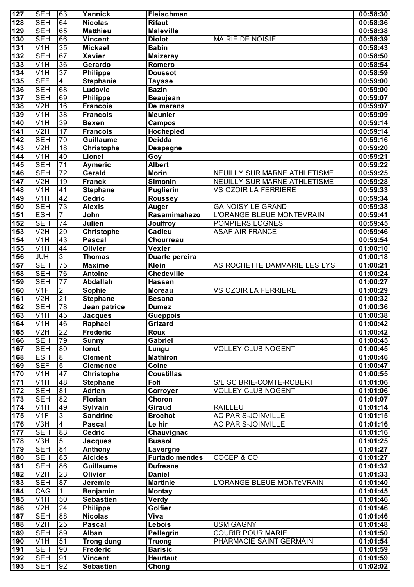| 127              | <b>SEH</b>       | 63              | Yannick                   | <b>Fleischman</b>          |                              | 00:58:30 |
|------------------|------------------|-----------------|---------------------------|----------------------------|------------------------------|----------|
| 128              | <b>SEH</b>       | 64              | <b>Nicolas</b>            | <b>Rifaut</b>              |                              | 00:58:36 |
| 129              | <b>SEH</b>       | 65              | <b>Matthieu</b>           | <b>Maleville</b>           |                              | 00:58:38 |
| 130              | <b>SEH</b>       | 66              | <b>Vincent</b>            | <b>Diolot</b>              | MAIRIE DE NOISIEL            | 00:58:39 |
| 131              | $\overline{V1H}$ | 35              | <b>Mickael</b>            | <b>Babin</b>               |                              | 00:58:43 |
| 132              | <b>SEH</b>       | 67              | <b>Xavier</b>             | <b>Maizeray</b>            |                              | 00:58:50 |
| 133              | $\overline{V1H}$ | 36              | Gerardo                   | Romero                     |                              | 00:58:54 |
| 134              | V1H              | 37              | <b>Philippe</b>           | <b>Doussot</b>             |                              | 00:58:59 |
| 135              | <b>SEF</b>       | $\overline{4}$  | <b>Stephanie</b>          | <b>Taysse</b>              |                              | 00:59:00 |
| 136              | <b>SEH</b>       | 68              | Ludovic                   | <b>Bazin</b>               |                              | 00:59:00 |
| 137              | <b>SEH</b>       | 69              | Philippe                  | <b>Beaujean</b>            |                              | 00:59:07 |
| 138              | V2H              | 16              | <b>Francois</b>           | De marans                  |                              | 00:59:07 |
| 139              | $\overline{V1H}$ | 38              | <b>Francois</b>           | <b>Meunier</b>             |                              | 00:59:09 |
| 140              | V1H              | 39              | <b>Bexen</b>              | <b>Campos</b>              |                              | 00:59:14 |
| $\overline{141}$ | V2H              | 17              | <b>Francois</b>           | Hochepied                  |                              | 00:59:14 |
| 142              | <b>SEH</b>       | $\overline{70}$ | <b>Guillaume</b>          | Deidda                     |                              | 00:59:16 |
| $\overline{143}$ | V2H              | $\overline{18}$ | Christophe                | <b>Despagne</b>            |                              | 00:59:20 |
| 144              | V1H              | 40              | Lionel                    | Goy                        |                              | 00:59:21 |
| 145              | <b>SEH</b>       | $\overline{71}$ | Aymeric                   | <b>Albert</b>              |                              | 00:59:22 |
| 146              | <b>SEH</b>       | $\overline{72}$ | Gerald                    | <b>Morin</b>               | NEUILLY SUR MARNE ATHLETISME | 00:59:25 |
| $\overline{147}$ | V2H              | $\overline{19}$ | <b>Franck</b>             | Simonin                    | NEUILLY SUR MARNE ATHLETISME | 00:59:28 |
| 148              | $\overline{V1H}$ | $\overline{41}$ | <b>Stephane</b>           | <b>Puglierin</b>           | VS OZOIR LA FERRIERE         | 00:59:33 |
| 149              | V1H              | 42              | Cedric                    | <b>Roussey</b>             |                              | 00:59:34 |
| 150              | <b>SEH</b>       | 73              | <b>Alexis</b>             | <b>Auger</b>               | <b>GA NOISY LE GRAND</b>     | 00:59:38 |
| 151              | <b>ESH</b>       | $\overline{7}$  | John                      | Rasamimahazo               | L'ORANGE BLEUE MONTEVRAIN    | 00:59:41 |
| 152              | <b>SEH</b>       | $\overline{74}$ | Julien                    | Jouffroy                   | POMPIERS LOGNES              | 00:59:45 |
| 153              | V2H              | 20              | Christophe                | Cadieu                     | <b>ASAF AIR FRANCE</b>       | 00:59:46 |
| 154              | V1H              | 43              | <b>Pascal</b>             | Chourreau                  |                              | 00:59:54 |
| 155              | V1H              | 44              | <b>Olivier</b>            | Vexler                     |                              | 01:00:10 |
| 156              | JUH              | $\overline{3}$  | Thomas                    | Duarte pereira             |                              | 01:00:18 |
| 157              | <b>SEH</b>       | $\overline{75}$ | <b>Maxime</b>             | Klein                      | AS ROCHETTE DAMMARIE LES LYS | 01:00:21 |
| 158              | <b>SEH</b>       | 76              | <b>Antoine</b>            | Chedeville                 |                              | 01:00:24 |
| 159              | <b>SEH</b>       | $\overline{77}$ | Abdallah                  | <b>Hassan</b>              |                              | 01:00:27 |
| 160              | V1F              | $\overline{2}$  | Sophie                    | <b>Moreau</b>              | VS OZOIR LA FERRIERE         | 01:00:29 |
| 161              | V2H              | 21              | <b>Stephane</b>           |                            |                              | 01:00:32 |
| 162              | <b>SEH</b>       | $\overline{78}$ | Jean patrice              | <b>Besana</b>              |                              | 01:00:36 |
| 163              | V1H              | 45              |                           | <b>Dumez</b>               |                              | 01:00:38 |
| 164              | V1H              | 46              | <b>Jacques</b><br>Raphael | <b>Gueppois</b><br>Grizard |                              | 01:00:42 |
| $\overline{165}$ | V2H              | 22              | Frederic                  | Roux                       |                              | 01:00:42 |
| 166              | <b>SEH</b>       | 79              | <b>Sunny</b>              | Gabriel                    |                              | 01:00:45 |
| 167              | <b>SEH</b>       | $\overline{80}$ | Ionut                     |                            | <b>VOLLEY CLUB NOGENT</b>    | 01:00:45 |
| 168              | <b>ESH</b>       | ø               | <b>Clement</b>            | Lungu<br><b>Mathiron</b>   |                              | 01:00:46 |
| 169              | <b>SEF</b>       | $\overline{5}$  | <b>Clemence</b>           | Colne                      |                              | 01:00:47 |
|                  |                  |                 |                           |                            |                              |          |
| 170              | V1H              | 47              | <b>Christophe</b>         | <b>Coustillas</b><br>Fofi  |                              | 01:00:55 |
| $171$            | V1H              | 48              | <b>Stephane</b>           |                            | S/L SC BRIE-COMTE-ROBERT     | 01:01:06 |
| 172              | <b>SEH</b>       | 81              | <b>Adrien</b>             | Corroyer                   | <b>VOLLEY CLUB NOGENT</b>    | 01:01:06 |
| 173              | <b>SEH</b>       | 82              | <b>Florian</b>            | Choron                     |                              | 01:01:07 |
| 174              | V1H              | 49              | <b>Sylvain</b>            | Giraud                     | <b>RAILLEU</b>               | 01:01:14 |
| 175              | V1F              | $\overline{3}$  | <b>Sandrine</b>           | <b>Brochot</b>             | <b>AC PARIS-JOINVILLE</b>    | 01:01:15 |
| 176              | V3H              | $\overline{4}$  | <b>Pascal</b>             | Le hir                     | AC PARIS-JOINVILLE           | 01:01:16 |
| 177              | <b>SEH</b>       | $\overline{83}$ | <b>Cedric</b>             | Chauvignac                 |                              | 01:01:16 |
| 178              | V3H              | $\overline{5}$  | <b>Jacques</b>            | <b>Bussol</b>              |                              | 01:01:25 |
| 179              | <b>SEH</b>       | 84              | Anthony                   | Lavergne                   |                              | 01:01:27 |
| 180              | <b>SEH</b>       | 85              | <b>Alcides</b>            | <b>Furtado mendes</b>      | COCEP & CO                   | 01:01:27 |
| 181              | <b>SEH</b>       | 86              | <b>Guillaume</b>          | <b>Dufresne</b>            |                              | 01:01:32 |
| 182              | V2H              | $\overline{23}$ | Olivier                   | <b>Daniel</b>              |                              | 01:01:33 |
| 183              | <b>SEH</b>       | 87              | Jeremie                   | <b>Martinie</b>            | L'ORANGE BLEUE MONTéVRAIN    | 01:01:40 |
| 184              | CAG              | $\mathbf 1$     | Benjamin                  | <b>Montay</b>              |                              | 01:01:45 |
| 185              | V1H              | 50              | <b>Sebastien</b>          | <b>Verdy</b>               |                              | 01:01:46 |
| 186              | V <sub>2</sub> H | $\overline{24}$ | <b>Philippe</b>           | Golfier                    |                              | 01:01:46 |
| 187              | <b>SEH</b>       | 88              | <b>Nicolas</b>            | Viva                       |                              | 01:01:46 |
| 188              | V2H              | 25              | <b>Pascal</b>             | Lebois                     | <b>USM GAGNY</b>             | 01:01:48 |
| 189              | <b>SEH</b>       | 89              | <b>Alban</b>              | Pellegrin                  | <b>COURIR POUR MARIE</b>     | 01:01:50 |
| 190              | V1H              | 51              | <b>Trong dung</b>         | <b>Truong</b>              | PHARMACIE SAINT GERMAIN      | 01:01:54 |
| 191              | <b>SEH</b>       | 90              | <b>Frederic</b>           | <b>Barisic</b>             |                              | 01:01:59 |
| 192              | <b>SEH</b>       | 91              | <b>Vincent</b>            | <b>Heurtaut</b>            |                              | 01:01:59 |
| 193              | <b>SEH</b>       | 92              | Sebastien                 | Chong                      |                              | 01:02:02 |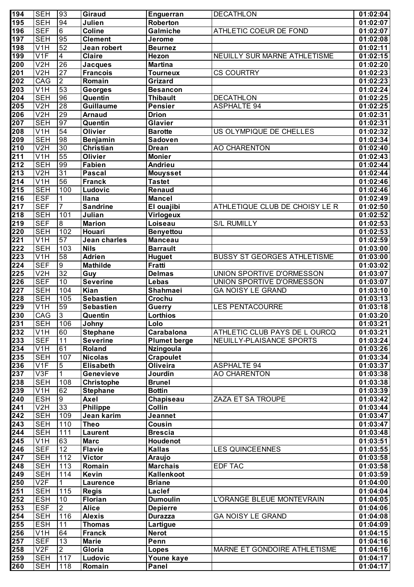| 194              | <b>SEH</b>                | 93                    | Giraud                         | <b>Enguerran</b>                   | <b>DECATHLON</b>                   | 01:02:04             |
|------------------|---------------------------|-----------------------|--------------------------------|------------------------------------|------------------------------------|----------------------|
| 195              | <b>SEH</b>                | 94                    | Julien                         | Roberton                           |                                    | 01:02:07             |
| 196              | <b>SEF</b>                | $6\overline{6}$       | Coline                         | Galmiche                           | ATHLETIC COEUR DE FOND             | 01:02:07             |
| 197              | <b>SEH</b>                | 95                    | <b>Clement</b>                 | Jerome                             |                                    | 01:02:08             |
| 198              | $\overline{\mathsf{V1H}}$ | 52                    | Jean robert                    | <b>Beurnez</b>                     |                                    | 01:02:11             |
| 199              | V1F                       | $\overline{4}$        | <b>Claire</b>                  | Hezon                              | NEUILLY SUR MARNE ATHLETISME       | 01:02:15             |
| $\overline{200}$ | V <sub>2</sub> H          | 26                    | <b>Jacques</b>                 | <b>Martina</b>                     |                                    | 01:02:20             |
| $\overline{201}$ | V <sub>2</sub> H          | 27                    | <b>Francois</b>                | <b>Tourneux</b>                    | <b>CS COURTRY</b>                  | 01:02:23             |
| 202              | CAG                       | $\overline{2}$        | Romain                         | Grizard                            |                                    | 01:02:23             |
| 203              | $\overline{\mathsf{V1H}}$ | 53                    | <b>Georges</b>                 | <b>Besancon</b>                    |                                    | 01:02:24             |
| 204              | <b>SEH</b>                | 96                    | Quentin                        | <b>Thibault</b>                    | <b>DECATHLON</b>                   | 01:02:25             |
| 205<br>206       | V2H<br>V <sub>2</sub> H   | $\overline{28}$<br>29 | <b>Guillaume</b>               | <b>Pensier</b><br><b>Drion</b>     | <b>ASPHALTE 94</b>                 | 01:02:25             |
| $\overline{207}$ | <b>SEH</b>                | 97                    | <b>Arnaud</b><br>Quentin       | Glavier                            |                                    | 01:02:31<br>01:02:31 |
| 208              | $\overline{\mathsf{V1H}}$ | 54                    | <b>Olivier</b>                 | <b>Barotte</b>                     | US OLYMPIQUE DE CHELLES            | 01:02:32             |
| 209              | <b>SEH</b>                | 98                    | <b>Benjamin</b>                | <b>Sadoven</b>                     |                                    | 01:02:34             |
| $\overline{210}$ | V2H                       | 30                    | <b>Christian</b>               | <b>Drean</b>                       | <b>AO CHARENTON</b>                | 01:02:40             |
| $\overline{211}$ | V <sub>1</sub> H          | 55                    | <b>Olivier</b>                 | <b>Monier</b>                      |                                    | 01:02:43             |
| 212              | <b>SEH</b>                | 99                    | <b>Fabien</b>                  | Andrieu                            |                                    | 01:02:44             |
| $\overline{213}$ | V2H                       | 31                    | <b>Pascal</b>                  | <b>Mouysset</b>                    |                                    | 01:02:44             |
| 214              | V <sub>1</sub> H          | 56                    | <b>Franck</b>                  | <b>Tastet</b>                      |                                    | 01:02:46             |
| 215              | <b>SEH</b>                | 100                   | Ludovic                        | <b>Renaud</b>                      |                                    | 01:02:46             |
| $\overline{216}$ | <b>ESF</b>                | 1                     | Ilana                          | <b>Mancel</b>                      |                                    | 01:02:49             |
| <u>217</u>       | <b>SEF</b>                | 7                     | <b>Sandrine</b>                | El ouajibi                         | ATHLETIQUE CLUB DE CHOISY LE R     | 01:02:50             |
| 218              | <b>SEH</b>                | 101                   | Julian                         | Virlogeux                          |                                    | 01:02:52             |
| $\overline{219}$ | <b>SEF</b>                | $\overline{8}$        | <b>Marion</b>                  | Loiseau                            | <b>S/L RUMILLY</b>                 | 01:02:53             |
| 220              | <b>SEH</b>                | 102                   | Houari                         | <b>Benyettou</b>                   |                                    | 01:02:53             |
| $\overline{221}$ | V <sub>1</sub> H          | 57                    | Jean charles                   | <b>Manceau</b>                     |                                    | 01:02:59             |
| 222              | <b>SEH</b>                | 103                   | <b>Nils</b>                    | <b>Barrault</b>                    |                                    | 01:03:00             |
| 223              | V1H                       | 58                    | <b>Adrien</b>                  | <b>Huguet</b>                      | <b>BUSSY ST GEORGES ATHLETISME</b> | 01:03:00             |
| $\overline{224}$ | <b>SEF</b>                | $\overline{9}$        | <b>Mathilde</b>                | Fratti                             |                                    | 01:03:02             |
| $\overline{225}$ | V <sub>2</sub> H          | $\overline{32}$       | Guy                            | <b>Delmas</b>                      | UNION SPORTIVE D'ORMESSON          | 01:03:07             |
| 226              | <b>SEF</b>                | 10                    | <b>Severine</b>                | Lebas                              | UNION SPORTIVE D'ORMESSON          | 01:03:07             |
| $\overline{227}$ | <b>SEH</b>                | 104                   | Kian                           | Shahmaei                           | <b>GA NOISY LE GRAND</b>           | 01:03:10             |
| 228              | <b>SEH</b>                | 105                   | <b>Sebastien</b>               | Crochu                             |                                    | 01:03:13             |
| 229              | V1H                       | 59                    | <b>Sebastien</b>               | <b>Guerry</b>                      | <b>LES PENTACOURRE</b>             | 01:03:18             |
| 230              | CAG<br><b>SEH</b>         | 3<br>106              | Quentin                        | <b>Lorthios</b><br>Lolo            |                                    | 01:03:20             |
| 231<br>232       | V1H                       | 60                    | Johny<br><b>Stephane</b>       | Carabalona                         | ATHLETIC CLUB PAYS DE L OURCQ      | 01:03:21<br>01:03:21 |
| 233              | <b>SEF</b>                | $\overline{11}$       | <b>Severine</b>                | <b>Plumet berge</b>                | NEUILLY-PLAISANCE SPORTS           | 01:03:24             |
| 234              | V <sub>1</sub> H          | 61                    | Roland                         | <b>Nzingoula</b>                   |                                    | 01:03:26             |
| 235              | <b>SEH</b>                | 107                   | <b>Nicolas</b>                 | <b>Crapoulet</b>                   |                                    | 01:03:34             |
| 236              | V1F                       | $\overline{5}$        | <b>Elisabeth</b>               | <b>Oliveira</b>                    | <b>ASPHALTE 94</b>                 | 01:03:37             |
| 237              | $\overline{\text{V3F}}$   | 1                     | Genevieve                      | Jourdin                            | <b>AO CHARENTON</b>                | 01:03:38             |
| 238              | <b>SEH</b>                | 108                   | <b>Christophe</b>              | <b>Brunel</b>                      |                                    | 01:03:38             |
| 239              | $\overline{V1H}$          | 62                    | <b>Stephane</b>                | <b>Bottin</b>                      |                                    | 01:03:39             |
| 240              | <b>ESH</b>                | $\overline{9}$        | <b>Axel</b>                    | Chapiseau                          | ZAZA ET SA TROUPE                  | 01:03:42             |
| 241              | V2H                       | $\overline{33}$       | <b>Philippe</b>                | <b>Collin</b>                      |                                    | 01:03:44             |
| 242              | <b>SEH</b>                | 109                   | Jean karim                     | Jeannet                            |                                    | 01:03:47             |
| $\overline{243}$ | <b>SEH</b>                | 110                   | <b>Theo</b>                    | Cousin                             |                                    | 01:03:47             |
| $\overline{244}$ | <b>SEH</b>                | 111                   | <b>Laurent</b>                 | <b>Brescia</b>                     |                                    | 01:03:48             |
| 245              | V <sub>1</sub> H          | 63                    | <b>Marc</b>                    | Houdenot                           |                                    | 01:03:51             |
| 246              | <b>SEF</b>                | $\overline{12}$       | <b>Flavie</b>                  | <b>Kallas</b>                      | <b>LES QUINCEENNES</b>             | 01:03:55             |
| 247              | <b>SEH</b>                | 112                   | <b>Victor</b>                  | Araujo                             |                                    | 01:03:58             |
| 248              | <b>SEH</b>                | 113                   | Romain                         | <b>Marchais</b>                    | <b>EDF TAC</b>                     | 01:03:58             |
| 249              | <b>SEH</b>                | 114                   | Kevin                          | Kallenkoot                         |                                    | 01:03:59             |
| 250              | V2F                       | 1                     | Laurence                       | <b>Briane</b>                      |                                    | 01:04:00             |
| 251              | <b>SEH</b>                | 115                   | <b>Regis</b>                   | Laclef                             |                                    | 01:04:04             |
| 252<br>253       | <b>ESH</b><br><b>ESF</b>  | 10<br>$\overline{2}$  | <b>Florian</b><br><b>Alice</b> | <b>Dumoulin</b><br><b>Depierre</b> | L'ORANGE BLEUE MONTEVRAIN          | 01:04:05<br>01:04:06 |
| 254              | <b>SEH</b>                | 116                   | <b>Alexis</b>                  | <b>Durazza</b>                     | <b>GA NOISY LE GRAND</b>           | 01:04:08             |
| 255              | <b>ESH</b>                | 11                    | <b>Thomas</b>                  | Lartigue                           |                                    | 01:04:09             |
| 256              | V <sub>1</sub> H          | 64                    | <b>Franck</b>                  | <b>Nerot</b>                       |                                    | 01:04:15             |
| 257              | <b>SEF</b>                | 13                    | <b>Marie</b>                   | Penn                               |                                    | 01:04:16             |
| 258              | V2F                       | $\overline{2}$        | Gloria                         | Lopes                              | MARNE ET GONDOIRE ATHLETISME       | 01:04:16             |
| 259              | <b>SEH</b>                | 117                   | Ludovic                        | Youne kaye                         |                                    | 01:04:17             |
| 260              | <b>SEH</b>                | 118                   | Romain                         | Panel                              |                                    | 01:04:17             |
|                  |                           |                       |                                |                                    |                                    |                      |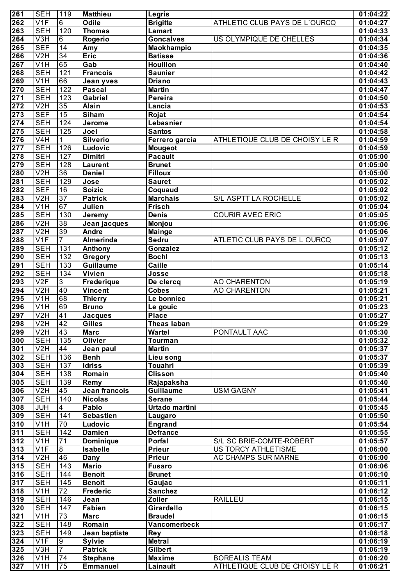| 261              | <b>SEH</b>       | 119              | <b>Matthieu</b>          | Legris                    |                                | 01:04:22 |
|------------------|------------------|------------------|--------------------------|---------------------------|--------------------------------|----------|
| $\overline{262}$ | V1F              | $\overline{6}$   | Odile                    | <b>Brigitte</b>           | ATHLETIC CLUB PAYS DE L'OURCQ  | 01:04:27 |
| 263              | <b>SEH</b>       | 120              | Thomas                   | <b>Lamart</b>             |                                | 01:04:33 |
| $\overline{264}$ | V <sub>3</sub> H | $\overline{6}$   | Rogerio                  | <b>Goncalves</b>          | US OLYMPIQUE DE CHELLES        | 01:04:34 |
| $\overline{265}$ | <b>SEF</b>       | 14               | Amy                      | Maokhampio                |                                | 01:04:35 |
| 266              | V <sub>2</sub> H | $\overline{34}$  | <b>Eric</b>              | <b>Batisse</b>            |                                | 01:04:36 |
| 267              | V <sub>1</sub> H | 65               | Gab                      | <b>Houillon</b>           |                                | 01:04:40 |
| 268              | <b>SEH</b>       | 121              | <b>Francois</b>          | <b>Saunier</b>            |                                | 01:04:42 |
| 269              | V1H              | 66               | Jean yves                | <b>Driano</b>             |                                | 01:04:43 |
| 270              | <b>SEH</b>       | $\overline{122}$ | <b>Pascal</b>            | <b>Martin</b>             |                                | 01:04:47 |
| $\overline{271}$ | <b>SEH</b>       | 123              | <b>Gabriel</b>           | Pereira                   |                                | 01:04:50 |
| $\overline{272}$ | V2H              | $\overline{35}$  | <b>Alain</b>             | Lancia                    |                                | 01:04:53 |
| $\overline{273}$ | <b>SEF</b>       | $\overline{15}$  | <b>Siham</b>             | Rojat                     |                                | 01:04:54 |
| $\overline{274}$ | <b>SEH</b>       | 124              | Jerome                   | Lebasnier                 |                                | 01:04:54 |
| 275              | <b>SEH</b>       | 125              | Joel                     | <b>Santos</b>             |                                | 01:04:58 |
| 276              | V <sub>4</sub> H | 1                | <b>Silverio</b>          | Ferrero garcia            | ATHLETIQUE CLUB DE CHOISY LE R | 01:04:59 |
| $\overline{277}$ | <b>SEH</b>       | 126              | Ludovic                  | <b>Mougeot</b>            |                                | 01:04:59 |
| $\overline{278}$ | <b>SEH</b>       | 127              | Dimitri                  | <b>Pacault</b>            |                                | 01:05:00 |
| 279              | <b>SEH</b>       | 128              | <b>Laurent</b>           | <b>Brunet</b>             |                                | 01:05:00 |
| 280              | V2H              | $\overline{36}$  | <b>Daniel</b>            | <b>Filloux</b>            |                                | 01:05:00 |
| 281              | <b>SEH</b>       | 129              | Jose                     | <b>Sauret</b>             |                                | 01:05:02 |
| 282              | <b>SEF</b>       | 16               | <b>Soizic</b>            | Coquaud                   |                                | 01:05:02 |
| 283              | V <sub>2</sub> H | $\overline{37}$  | <b>Patrick</b>           | <b>Marchais</b>           | S/L ASPTT LA ROCHELLE          | 01:05:02 |
| 284              | V <sub>1</sub> H | 67               | Julien                   | <b>Frisch</b>             |                                | 01:05:04 |
| $\overline{285}$ | <b>SEH</b>       | 130              | Jeremy                   | <b>Denis</b>              | <b>COURIR AVEC ERIC</b>        | 01:05:05 |
| 286              | V2H              | 38               | Jean jacques             | <b>Monjou</b>             |                                | 01:05:06 |
| 287              | V2H              | $ 39\rangle$     | <b>Andre</b>             | <b>Mainge</b>             |                                | 01:05:06 |
| 288              | V <sub>1F</sub>  | $\overline{7}$   | Almerinda                | Sedru                     | ATLETIC CLUB PAYS DE L OURCQ   | 01:05:07 |
| 289              | <b>SEH</b>       | 131              |                          | Gonzalez                  |                                | 01:05:12 |
| 290              | <b>SEH</b>       | $\overline{132}$ | Anthony<br>Gregory       | <b>Bochl</b>              |                                | 01:05:13 |
| $\overline{291}$ | <b>SEH</b>       | $\overline{133}$ | <b>Guillaume</b>         | <b>Caille</b>             |                                |          |
| $\overline{292}$ | <b>SEH</b>       | 134              | <b>Vivien</b>            |                           |                                | 01:05:14 |
| 293              | V2F              | $\overline{3}$   |                          | Josse                     |                                | 01:05:18 |
| 294              |                  | 40               | Frederique               | De clercq<br><b>Cobes</b> | AO CHARENTON                   | 01:05:19 |
|                  | V2H              | 68               | <b>Vincent</b>           |                           | <b>AO CHARENTON</b>            | 01:05:21 |
| 295              | V1H              | 69               | <b>Thierry</b>           | Le bonniec                |                                | 01:05:21 |
| 296<br>297       | V1H<br>V2H       |                  | <b>Bruno</b>             | Le gouic                  |                                | 01:05:23 |
|                  |                  | 41               | <b>Jacques</b><br>Gilles | <b>Place</b>              |                                | 01:05:27 |
| 298              | V2H              | 42               |                          | <b>Theas laban</b>        |                                | 01:05:29 |
| 299              | V2H              | 43               | <b>Marc</b>              | <b>Wartel</b>             | PONTAULT AAC                   | 01:05:30 |
| 300              | <b>SEH</b>       | 135              | <b>Olivier</b>           | <b>Tourman</b>            |                                | 01:05:32 |
| 301              | V2H              | 44               | Jean paul                | <b>Martin</b>             |                                | 01:05:37 |
| 302              | <b>SEH</b>       | 136              | <b>Benh</b>              | Lieu song                 |                                | 01:05:37 |
| 303              | <b>SEH</b>       | 137              | <b>Idriss</b>            | Touahri                   |                                | 01:05:39 |
| 304              | <b>SEH</b>       | 138              | Romain                   | <b>Clisson</b>            |                                | 01:05:40 |
| 305              | <b>SEH</b>       | 139              | Remy                     | Rajapaksha                |                                | 01:05:40 |
| 306              | V2H              | 45               | Jean francois            | <b>Guillaume</b>          | <b>USM GAGNY</b>               | 01:05:41 |
| 307              | <b>SEH</b>       | 140              | <b>Nicolas</b>           | <b>Serane</b>             |                                | 01:05:44 |
| 308              | <b>JUH</b>       | $\overline{4}$   | Pablo                    | Urtado martini            |                                | 01:05:45 |
| 309              | <b>SEH</b>       | 141              | <b>Sebastien</b>         | Laugaro                   |                                | 01:05:50 |
| $\overline{310}$ | V1H              | 70               | Ludovic                  | <b>Engrand</b>            |                                | 01:05:54 |
| $\overline{311}$ | <b>SEH</b>       | $\overline{142}$ | <b>Damien</b>            | <b>Defrance</b>           |                                | 01:05:55 |
| $\overline{312}$ | V1H              | $\overline{71}$  | <b>Dominique</b>         | Porfal                    | S/L SC BRIE-COMTE-ROBERT       | 01:05:57 |
| $\overline{313}$ | V1F              | $\overline{8}$   | <b>Isabelle</b>          | Prieur                    | US TORCY ATHLETISME            | 01:06:00 |
| $\overline{314}$ | V2H              | 46               | <b>Dany</b>              | Prieur                    | AC CHAMPS SUR MARNE            | 01:06:00 |
| $\overline{315}$ | <b>SEH</b>       | 143              | <b>Mario</b>             | <b>Fusaro</b>             |                                | 01:06:06 |
| 316              | <b>SEH</b>       | 144              | <b>Benoit</b>            | <b>Brunet</b>             |                                | 01:06:10 |
| $\overline{317}$ | <b>SEH</b>       | 145              | <b>Benoit</b>            | Gaujac                    |                                | 01:06:11 |
| $\overline{318}$ | V1H              | $\overline{72}$  | <b>Frederic</b>          | <b>Sanchez</b>            |                                | 01:06:12 |
| 319              | <b>SEH</b>       | 146              | Jean                     | Zoller                    | <b>RAILLEU</b>                 | 01:06:15 |
| $\overline{320}$ | <b>SEH</b>       | 147              | <b>Fabien</b>            | Girardello                |                                | 01:06:15 |
| $\overline{321}$ | V1H              | $\overline{73}$  | <b>Marc</b>              | <b>Braudel</b>            |                                | 01:06:15 |
| $\overline{322}$ | <b>SEH</b>       | 148              | Romain                   | Vancomerbeck              |                                | 01:06:17 |
| $\overline{323}$ | <b>SEH</b>       | 149              | Jean baptiste            | <b>Rey</b>                |                                | 01:06:18 |
| $\overline{324}$ | V1F              | စ                | <b>Sylvie</b>            | <b>Metral</b>             |                                | 01:06:19 |
| 325              | V3H              | $\overline{7}$   | <b>Patrick</b>           | Gilbert                   |                                | 01:06:19 |
| 326              | V1H              | 74               | <b>Stephane</b>          | <b>Maxime</b>             | <b>BOREALIS TEAM</b>           | 01:06:20 |
| $\overline{327}$ | V1H              | 75               | <b>Emmanuel</b>          | Lainault                  | ATHLETIQUE CLUB DE CHOISY LE R | 01:06:21 |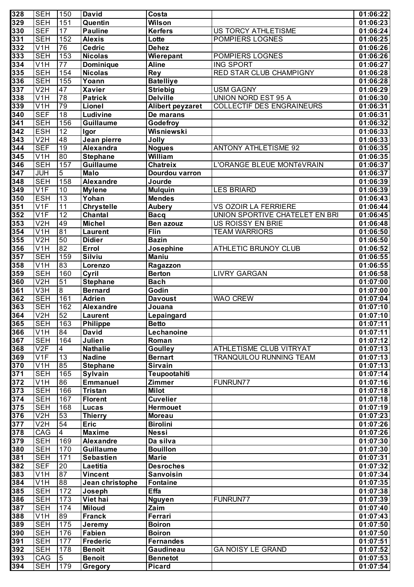| 328                                  | <b>SEH</b>                     | 150                    | <b>David</b>                 | Costa                         |                                  | 01:06:22             |
|--------------------------------------|--------------------------------|------------------------|------------------------------|-------------------------------|----------------------------------|----------------------|
| $\overline{329}$                     | <b>SEH</b>                     | 151                    | Quentin                      | <b>Wilson</b>                 |                                  | 01:06:23             |
| 330                                  | <b>SEF</b>                     | 17                     | <b>Pauline</b>               | <b>Kerfers</b>                | US TORCY ATHLETISME              | 01:06:24             |
| $\overline{331}$                     | <b>SEH</b>                     | 152                    | <b>Alexis</b>                | Lotte                         | POMPIERS LOGNES                  | 01:06:25             |
| 332                                  | V1H                            | 76                     | <b>Cedric</b>                | <b>Dehez</b>                  |                                  | 01:06:26             |
| 333                                  | <b>SEH</b>                     | 153                    | <b>Nicolas</b>               | Wierepant                     | POMPIERS LOGNES                  | 01:06:26             |
| 334                                  | V <sub>1</sub> H               | $\overline{77}$        | <b>Dominique</b>             | <b>Aline</b>                  | <b>ING SPORT</b>                 | 01:06:27             |
| $\overline{335}$                     | <b>SEH</b>                     | 154                    | <b>Nicolas</b>               | <b>Rey</b>                    | RED STAR CLUB CHAMPIGNY          | 01:06:28             |
| 336                                  | <b>SEH</b>                     | 155                    | Yoann                        | <b>Batelliye</b>              |                                  | 01:06:28             |
| $\overline{337}$                     | V2H                            | 47                     | <b>Xavier</b>                | <b>Striebig</b>               | <b>USM GAGNY</b>                 | 01:06:29             |
| 338                                  | V <sub>1</sub> H               | $\overline{78}$        | <b>Patrick</b>               | <b>Delville</b>               | <b>UNION NORD EST 95 A</b>       | 01:06:30             |
| 339                                  | V <sub>1</sub> H               | 79                     | Lionel                       | <b>Alibert peyzaret</b>       | <b>COLLECTIF DES ENGRAINEURS</b> | 01:06:31             |
| $\overline{340}$                     | <b>SEF</b>                     | 18                     | Ludivine                     | De marans                     |                                  | 01:06:31             |
| $\overline{341}$<br>$\overline{342}$ | <b>SEH</b>                     | 156                    | Guillaume                    | Godefroy                      |                                  | 01:06:32             |
| $\overline{343}$                     | <b>ESH</b><br>V <sub>2</sub> H | $\overline{12}$<br>48  | Igor<br>Jean pierre          | <b>Wisniewski</b>             |                                  | 01:06:33             |
| $\overline{344}$                     | <b>SEF</b>                     | $\overline{19}$        | Alexandra                    | Jolly<br><b>Nogues</b>        | <b>ANTONY ATHLETISME 92</b>      | 01:06:33<br>01:06:35 |
| $\overline{345}$                     | V1H                            | 80                     | <b>Stephane</b>              | William                       |                                  | 01:06:35             |
| $\overline{346}$                     | <b>SEH</b>                     | 157                    | <b>Guillaume</b>             | <b>Chatreix</b>               | L'ORANGE BLEUE MONTéVRAIN        | 01:06:37             |
| $\overline{347}$                     | <b>JUH</b>                     | $\overline{5}$         | <b>Malo</b>                  | Dourdou varron                |                                  | 01:06:37             |
| $\overline{348}$                     | <b>SEH</b>                     | 158                    | Alexandre                    | Jourde                        |                                  | 01:06:39             |
| 349                                  | V1F                            | 10                     | <b>Mylene</b>                | <b>Mulquin</b>                | <b>LES BRIARD</b>                | 01:06:39             |
| $\overline{350}$                     | <b>ESH</b>                     | $\overline{13}$        | Yohan                        | <b>Mendes</b>                 |                                  | 01:06:43             |
| $\overline{351}$                     | V1F                            | $\overline{11}$        | <b>Chrystelle</b>            | <b>Aubery</b>                 | VS OZOIR LA FERRIERE             | 01:06:44             |
| 352                                  | V1F                            | 12                     | Chantal                      | <b>Bacq</b>                   | UNION SPORTIVE CHATELET EN BRI   | 01:06:45             |
| $\overline{353}$                     | V2H                            | 49                     | <b>Michel</b>                | Ben azouz                     | US ROISSY EN BRIE                | 01:06:48             |
| 354                                  | $\overline{\mathsf{V1H}}$      | 81                     | <b>Laurent</b>               | Flin                          | <b>TEAM WARRIORS</b>             | 01:06:50             |
| 355                                  | V2H                            | 50                     | <b>Didier</b>                | <b>Bazin</b>                  |                                  | 01:06:50             |
| 356                                  | V1H                            | 82                     | Errol                        | Josephine                     | ATHLETIC BRUNOY CLUB             | 01:06:52             |
| $\overline{357}$                     | <b>SEH</b>                     | 159                    | <b>Silviu</b>                | <b>Maniu</b>                  |                                  | 01:06:55             |
| $\overline{358}$                     | $\overline{\text{V1H}}$        | 83                     | Lorenzo                      | Ragazzon                      |                                  | 01:06:55             |
| 359                                  | <b>SEH</b>                     | 160                    | Cyril                        | <b>Berton</b>                 | <b>LIVRY GARGAN</b>              | 01:06:58             |
| 360                                  | V2H                            | 51                     | <b>Stephane</b>              | <b>Bach</b>                   |                                  | 01:07:00             |
| $\overline{361}$                     | V3H                            | $\overline{8}$         | <b>Bernard</b>               | Godin                         |                                  | 01:07:00             |
| 362                                  | <b>SEH</b>                     | 161                    | <b>Adrien</b>                | <b>Davoust</b>                | <b>WAO CREW</b>                  | 01:07:04             |
| 363                                  | <b>SEH</b>                     | 162                    | <b>Alexandre</b>             | Jouana                        |                                  | 01:07:10             |
| 364                                  | V2H                            | 52                     | Laurent                      | Lepaingard                    |                                  | 01:07:10             |
| 365                                  | <b>SEH</b>                     | 163                    | Philippe                     | <b>Betto</b>                  |                                  | 01:07:11             |
| 366                                  | V1H                            | 84                     | <b>David</b>                 | Lechanoine                    |                                  | 01:07:11             |
| 367                                  | <b>SEH</b>                     | 164                    | Julien                       | Roman                         |                                  | 01:07:12             |
| 368                                  | V2F                            | 4                      | <b>Nathalie</b>              | <b>Goulley</b>                | <b>ATHLETISME CLUB VITRYAT</b>   | 01:07:13             |
| 369                                  | V1F                            | $\overline{13}$        | <b>Nadine</b>                | <b>Bernart</b>                | TRANQUILOU RUNNING TEAM          | 01:07:13             |
| 370                                  | $\overline{\text{V1H}}$        | 85                     | <b>Stephane</b>              | Sirvain                       |                                  | 01:07:13             |
| 371                                  | <b>SEH</b>                     | 165                    | <b>Sylvain</b>               | Teupootahiti                  |                                  | 01:07:14             |
| $\overline{372}$                     | V1H                            | 86                     | <b>Emmanuel</b>              | <b>Zimmer</b>                 | <b>FUNRUN77</b>                  | 01:07:16             |
| $\overline{373}$                     | <b>SEH</b>                     | 166                    | <b>Tristan</b>               | <b>Milot</b>                  |                                  | 01:07:18             |
| $\overline{374}$                     | <b>SEH</b>                     | 167                    | <b>Florent</b>               | <b>Cuvelier</b>               |                                  | 01:07:18             |
| 375                                  | <b>SEH</b>                     | 168                    | <b>Lucas</b>                 | <b>Hermouet</b>               |                                  | 01:07:19             |
| $\overline{376}$                     | V2H                            | 53                     | <b>Thierry</b>               | <b>Moreau</b>                 |                                  | 01:07:23             |
| $\overline{377}$                     | V2H                            | 54                     | <b>Eric</b>                  | <b>Birolini</b>               |                                  | 01:07:26             |
| $\overline{378}$                     | CAG                            | $\overline{4}$         | <b>Maxime</b>                | <b>Nessi</b>                  |                                  | 01:07:26             |
| $\overline{379}$                     | <b>SEH</b>                     | 169                    | <b>Alexandre</b>             | Da silva                      |                                  | 01:07:30             |
| 380                                  | <b>SEH</b>                     | 170                    | <b>Guillaume</b>             | <b>Bouillon</b>               |                                  | 01:07:30             |
| 381                                  | <b>SEH</b>                     | 171<br>$\overline{20}$ | <b>Sebastien</b><br>Laetitia | <b>Marie</b>                  |                                  | 01:07:31             |
| 382<br>383                           | <b>SEF</b><br>V <sub>1</sub> H | 87                     | <b>Vincent</b>               | <b>Desroches</b><br>Sanvoisin |                                  | 01:07:32<br>01:07:34 |
| 384                                  | V <sub>1</sub> H               | 88                     | Jean christophe              | Fontaine                      |                                  | 01:07:35             |
| 385                                  | <b>SEH</b>                     | 172                    | Joseph                       | Effa                          |                                  | 01:07:38             |
| 386                                  | <b>SEH</b>                     | 173                    | Viet hai                     | <b>Nguyen</b>                 | FUNRUN77                         | 01:07:39             |
| 387                                  | <b>SEH</b>                     | 174                    | <b>Miloud</b>                | Zaim                          |                                  | 01:07:40             |
| 388                                  | V <sub>1</sub> H               | 89                     | <b>Franck</b>                | Ferrari                       |                                  | 01:07:43             |
| 389                                  | <b>SEH</b>                     | 175                    | Jeremy                       | <b>Boiron</b>                 |                                  | 01:07:50             |
| 390                                  | <b>SEH</b>                     | 176                    | Fabien                       | <b>Boiron</b>                 |                                  | 01:07:50             |
| 391                                  | <b>SEH</b>                     | 177                    | <b>Frederic</b>              | <b>Fernandes</b>              |                                  | 01:07:51             |
| 392                                  | <b>SEH</b>                     | 178                    | <b>Benoit</b>                | Gaudineau                     | <b>GA NOISY LE GRAND</b>         | 01:07:52             |
| 393                                  | CAG                            | 5                      | <b>Benoit</b>                | <b>Bennetot</b>               |                                  | 01:07:53             |
| 394                                  | <b>SEH</b>                     | 179                    | <b>Gregory</b>               | <b>Picard</b>                 |                                  | 01:07:54             |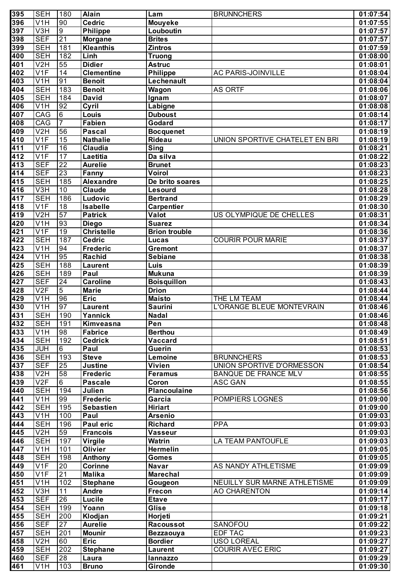| 395              | <b>SEH</b>              | 180                               | Alain                | Lam                           | <b>BRUNNCHERS</b>              | 01:07:54             |
|------------------|-------------------------|-----------------------------------|----------------------|-------------------------------|--------------------------------|----------------------|
| 396              | V <sub>1</sub> H        | 90                                | <b>Cedric</b>        | <b>Mouyeke</b>                |                                | 01:07:55             |
| 397              | V3H                     | $\overline{9}$                    | <b>Philippe</b>      | Louboutin                     |                                | 01:07:57             |
| 398              | <b>SEF</b>              | $\overline{21}$                   | <b>Morgane</b>       | <b>Brites</b>                 |                                | 01:07:57             |
| 399              | <b>SEH</b>              | 181                               | <b>Kleanthis</b>     | <b>Zintros</b>                |                                | 01:07:59             |
| 400              | <b>SEH</b>              | 182                               | Linh                 | <b>Truong</b>                 |                                | 01:08:00             |
| 401              | V2H                     | $\overline{55}$                   | <b>Didier</b>        | <b>Astruc</b>                 |                                | 01:08:01             |
| 402              | V <sub>1F</sub>         | $\overline{14}$                   | <b>Clementine</b>    | <b>Philippe</b>               | <b>AC PARIS-JOINVILLE</b>      | 01:08:04             |
| 403              | V <sub>1</sub> H        | 91                                | <b>Benoit</b>        | Lechenault                    |                                | 01:08:04             |
| 404              | <b>SEH</b>              | 183                               | <b>Benoit</b>        | Wagon                         | <b>AS ORTF</b>                 | 01:08:06             |
| 405              | <b>SEH</b>              | 184                               | <b>David</b>         | Ignam                         |                                | 01:08:07             |
| 406              | V <sub>1</sub> H        | 92                                | Cyril                | Labigne                       |                                | 01:08:08             |
| 407              | CAG                     | 6                                 | Louis                | <b>Duboust</b>                |                                | 01:08:14             |
| 408              | CAG                     | $\overline{7}$                    | <b>Fabien</b>        | Godard                        |                                | 01:08:17             |
| 409              | V2H                     | $\overline{56}$                   | <b>Pascal</b>        | <b>Bocquenet</b>              |                                | 01:08:19             |
| 410              | V <sub>1F</sub>         | $\overline{15}$                   | <b>Nathalie</b>      | <b>Rideau</b>                 | UNION SPORTIVE CHATELET EN BRI | 01:08:19             |
| 411              | V <sub>1F</sub>         | 16                                | Claudia              | <b>Sing</b>                   |                                | 01:08:21             |
| 412              | V <sub>1F</sub>         | 17                                | Laetitia             | Da silva                      |                                | 01:08:22             |
| 413              | <b>SEF</b>              | $\overline{22}$                   | <b>Aurelie</b>       | <b>Brunet</b>                 |                                | 01:08:23             |
| 414              | <b>SEF</b>              | $\overline{23}$                   | Fanny                | Voirol                        |                                | 01:08:23             |
| 415              | <b>SEH</b>              | 185                               | <b>Alexandre</b>     | De brito soares               |                                | 01:08:25             |
| 416              | V3H                     | 10                                | <b>Claude</b>        | Lesourd                       |                                | 01:08:28             |
| 417              | <b>SEH</b>              | 186                               | Ludovic              | <b>Bertrand</b>               |                                | 01:08:29             |
| 418              | V <sub>1F</sub>         | $\overline{18}$                   | <b>Isabelle</b>      | <b>Carpentier</b>             |                                | 01:08:30             |
| 419              | V <sub>2</sub> H        | 57                                | <b>Patrick</b>       | Valot                         | US OLYMPIQUE DE CHELLES        | 01:08:31             |
| 420              | V <sub>1</sub> H        | 93                                | <b>Diego</b>         | <b>Suarez</b>                 |                                | 01:08:34             |
| 421              | V <sub>1F</sub>         | $\overline{19}$                   | <b>Christelle</b>    | <b>Brion trouble</b>          |                                | 01:08:36             |
| 422              | <b>SEH</b>              | 187                               | <b>Cedric</b>        | Lucas                         | <b>COURIR POUR MARIE</b>       | 01:08:37             |
| 423              | V <sub>1</sub> H        | 94                                | <b>Frederic</b>      | <b>Gremont</b>                |                                | 01:08:37             |
| 424              | V <sub>1</sub> H        | 95                                | Rachid               | <b>Sebiane</b>                |                                | 01:08:38             |
| 425              | <b>SEH</b>              | 188                               | <b>Laurent</b>       | Luis                          |                                | 01:08:39             |
| 426              | <b>SEH</b>              | 189                               | Paul                 | <b>Mukuna</b>                 |                                | 01:08:39             |
| 427              | <b>SEF</b><br>V2F       | $\overline{24}$<br>$\overline{5}$ | <b>Caroline</b>      | <b>Boisquillon</b>            |                                | 01:08:43             |
| 428<br>429       | $\overline{\text{V1H}}$ | 96                                | <b>Marie</b><br>Eric | <b>Drion</b><br><b>Maisto</b> | THE LM TEAM                    | 01:08:44<br>01:08:44 |
| 430              | $\overline{\text{V1H}}$ | 97                                | <b>Laurent</b>       | <b>Saurini</b>                | L'ORANGE BLEUE MONTEVRAIN      | 01:08:46             |
| 431              | <b>SEH</b>              | 190                               | Yannick              | <b>Nadal</b>                  |                                | 01:08:46             |
| 432              | <b>SEH</b>              |                                   | Kimveasna            | Pen                           |                                | 01:08:48             |
| 433              | V1H                     | 191<br>$\overline{98}$            | Fabrice              | <b>Berthou</b>                |                                | 01:08:49             |
| 434              | <b>SEH</b>              | 192                               | <b>Cedrick</b>       | Vaccard                       |                                | 01:08:51             |
| 435              | <b>JUH</b>              | 6                                 | Paul                 | <b>Guerin</b>                 |                                | 01:08:53             |
| 436              | <b>SEH</b>              | 193                               | <b>Steve</b>         | Lemoine                       | <b>BRUNNCHERS</b>              | 01:08:53             |
| $\overline{437}$ | <b>SEF</b>              | $\overline{25}$                   | <b>Justine</b>       | Vivien                        | UNION SPORTIVE D'ORMESSON      | 01:08:54             |
| 438              | V2H                     | 58                                | <b>Frederic</b>      | <b>Feramus</b>                | <b>BANQUE DE FRANCE MLV</b>    | 01:08:55             |
| 439              | V2F                     | 6                                 | <b>Pascale</b>       | Coron                         | <b>ASC GAN</b>                 | 01:08:55             |
| 440              | <b>SEH</b>              | 194                               | Julien               | <b>Plancoulaine</b>           |                                | 01:08:56             |
| 441              | $\overline{\text{V1H}}$ | 99                                | <b>Frederic</b>      | Garcia                        | POMPIERS LOGNES                | 01:09:00             |
| 442              | <b>SEH</b>              | 195                               | <b>Sebastien</b>     | <b>Hiriart</b>                |                                | 01:09:00             |
| 443              | $\overline{\text{V1H}}$ | 100                               | Paul                 | <b>Arsenio</b>                |                                | 01:09:03             |
| 444              | <b>SEH</b>              | 196                               | <b>Paul eric</b>     | <b>Richard</b>                | <b>PPA</b>                     | 01:09:03             |
| 445              | V2H                     | 59                                | <b>Francois</b>      | <b>Vasseur</b>                |                                | 01:09:03             |
| 446              | <b>SEH</b>              | 197                               | <b>Virgile</b>       | Watrin                        | LA TEAM PANTOUFLE              | 01:09:03             |
| 447              | V <sub>1</sub> H        | 101                               | <b>Olivier</b>       | <b>Hermelin</b>               |                                | 01:09:05             |
| 448              | <b>SEH</b>              | 198                               | Anthony              | <b>Gomes</b>                  |                                | 01:09:05             |
| 449              | V <sub>1F</sub>         | 20                                | <b>Corinne</b>       | <b>Navar</b>                  | AS NANDY ATHLETISME            | 01:09:09             |
| 450              | V <sub>1F</sub>         | $\overline{21}$                   | <b>Malika</b>        | <b>Marechal</b>               |                                | 01:09:09             |
| 451              | V <sub>1</sub> H        | 102                               | <b>Stephane</b>      | Gougeon                       | NEUILLY SUR MARNE ATHLETISME   | 01:09:09             |
| 452              | V3H                     | 11                                | Andre                | Frecon                        | <b>AO CHARENTON</b>            | 01:09:14             |
| 453              | <b>SEF</b>              | $\overline{26}$                   | Lucile               | <b>Etave</b>                  |                                | 01:09:17             |
| 454              | <b>SEH</b>              | 199                               | Yoann                | Glise                         |                                | 01:09:18             |
| 455              | <b>SEH</b>              | 200                               | Klodjan              | Horjeti                       |                                | 01:09:21             |
| 456              | <b>SEF</b>              | 27                                | <b>Aurelie</b>       | <b>Racoussot</b>              | SANOFOU                        | 01:09:22             |
| 457              | <b>SEH</b>              | 201                               | <b>Mounir</b>        | <b>Bezzaouya</b>              | <b>EDF TAC</b>                 | 01:09:23             |
| 458              | V <sub>2</sub> H        | 60                                | <b>Eric</b>          | <b>Bordier</b>                | <b>USO LOREAL</b>              | 01:09:27             |
| 459              | <b>SEH</b>              | 202                               | <b>Stephane</b>      | Laurent                       | <b>COURIR AVEC ERIC</b>        | 01:09:27             |
| 460              | <b>SEF</b>              | 28                                | Laura                | lannazzo                      |                                | 01:09:29             |
| 461              | V <sub>1</sub> H        | 103                               | <b>Bruno</b>         | Gironde                       |                                | 01:09:30             |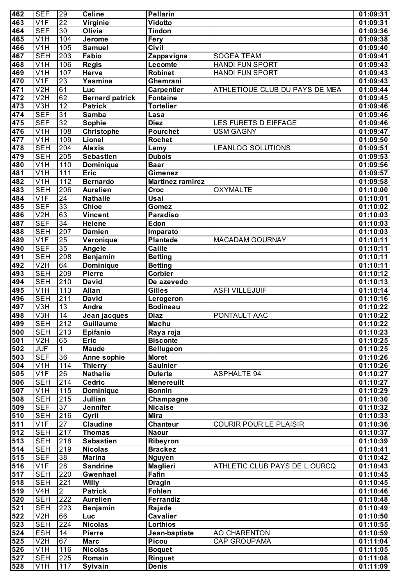| 462              | <b>SEF</b>                | 29                    | <b>Celine</b>                      | <b>Pellarin</b>              |                                | 01:09:31             |
|------------------|---------------------------|-----------------------|------------------------------------|------------------------------|--------------------------------|----------------------|
| 463              | V <sub>1F</sub>           | $\overline{22}$       | Virginie                           | Vidotto                      |                                | 01:09:31             |
| 464              | <b>SEF</b>                | 30                    | Olivia                             | Tindon                       |                                | 01:09:36             |
| 465              | V1H                       | 104                   | Jerome                             | Fery                         |                                | 01:09:38             |
| 466              | $\overline{\mathsf{V1H}}$ | 105                   | <b>Samuel</b>                      | Civil                        |                                | 01:09:40             |
| 467              | <b>SEH</b>                | 203                   | Fabio                              | Zappavigna                   | <b>SOGEA TEAM</b>              | 01:09:41             |
| 468              | V1H                       | 106                   | <b>Regis</b>                       | Lecomte                      | <b>HANDI FUN SPORT</b>         | 01:09:43             |
| 469              | V1H                       | 107                   | Herve                              | <b>Robinet</b>               | <b>HANDI FUN SPORT</b>         | 01:09:43             |
| 470              | V1F                       | 23                    | Yasmina                            | Ghemrani                     |                                | 01:09:43             |
| 471              | V2H                       | 61                    | Luc                                | <b>Carpentier</b>            | ATHLETIQUE CLUB DU PAYS DE MEA | 01:09:44             |
| 472              | V2H                       | 62                    | <b>Bernard patrick</b>             | <b>Fontaine</b>              |                                | 01:09:45             |
| 473<br>474       | V3H<br><b>SEF</b>         | $\overline{12}$<br>31 | <b>Patrick</b><br><b>Samba</b>     | <b>Tortelier</b>             |                                | 01:09:46             |
| 475              | <b>SEF</b>                | 32                    |                                    | Lasa<br><b>Diez</b>          | LES FURETS D EIFFAGE           | 01:09:46<br>01:09:46 |
| 476              | V <sub>1</sub> H          | 108                   | <b>Sophie</b><br><b>Christophe</b> | <b>Pourchet</b>              | <b>USM GAGNY</b>               | 01:09:47             |
| 477              | V1H                       | 109                   | Lionel                             | <b>Rochet</b>                |                                | 01:09:50             |
| 478              | <b>SEH</b>                | 204                   | <b>Alexis</b>                      | Lamy                         | <b>LEANLOG SOLUTIONS</b>       | 01:09:51             |
| 479              | <b>SEH</b>                | 205                   | <b>Sebastien</b>                   | <b>Dubois</b>                |                                | 01:09:53             |
| 480              | V1H                       | 110                   | <b>Dominique</b>                   | <b>Baar</b>                  |                                | 01:09:56             |
| 481              | V1H                       | $\overline{111}$      | Eric                               | Gimenez                      |                                | 01:09:57             |
| 482              | $\overline{\mathsf{V1H}}$ | 112                   | <b>Bernardo</b>                    | <b>Martinez ramirez</b>      |                                | 01:09:58             |
| 483              | <b>SEH</b>                | 206                   | <b>Aurelien</b>                    | <b>Croc</b>                  | <b>OXYMALTE</b>                | 01:10:00             |
| 484              | V1F                       | 24                    | <b>Nathalie</b>                    | Usai                         |                                | 01:10:01             |
| 485              | <b>SEF</b>                | 33                    | <b>Chloe</b>                       | Gomez                        |                                | 01:10:02             |
| 486              | V2H                       | 63                    | <b>Vincent</b>                     | <b>Paradiso</b>              |                                | 01:10:03             |
| 487              | <b>SEF</b>                | 34                    | <b>Helene</b>                      | Edon                         |                                | 01:10:03             |
| 488              | <b>SEH</b>                | 207                   | <b>Damien</b>                      | Imparato                     |                                | 01:10:03             |
| 489              | V1F                       | $\overline{25}$       | Veronique                          | <b>Plantade</b>              | MACADAM GOURNAY                | 01:10:11             |
| 490              | <b>SEF</b>                | 35                    | Angele                             | Caille                       |                                | 01:10:11             |
| 491              | <b>SEH</b>                | 208                   | <b>Benjamin</b>                    | <b>Betting</b>               |                                | 01:10:11             |
| 492              | V2H                       | 64                    | <b>Dominique</b>                   | <b>Betting</b>               |                                | 01:10:11             |
| 493              | <b>SEH</b>                | 209                   | <b>Pierre</b>                      | <b>Corbier</b>               |                                | 01:10:12             |
| 494              | <b>SEH</b>                | 210                   | <b>David</b>                       | De azevedo                   |                                | 01:10:13             |
| 495              | V1H                       | 113                   | <b>Allan</b>                       | Gilles                       | <b>ASFI VILLEJUIF</b>          | 01:10:14             |
| 496              | <b>SEH</b>                | 211                   | <b>David</b>                       | Lerogeron                    |                                | 01:10:16             |
| 497              | $\overline{\text{V3H}}$   | $\overline{13}$       | <b>Andre</b>                       | <b>Bodineau</b>              |                                | 01:10:22             |
| 498              | V3H                       | $\overline{14}$       | Jean jacques                       | <b>Diaz</b>                  | <b>PONTAULT AAC</b>            | 01:10:22             |
| 499<br>500       | <b>SEH</b><br><b>SEH</b>  | 212                   | Guillaume                          | <b>Machu</b>                 |                                | 01:10:22             |
| 501              | V2H                       | 213<br>65             | Epifanio<br><b>Eric</b>            | Raya roja<br><b>Bisconte</b> |                                | 01:10:23<br>01:10:25 |
| 502              | <b>JUF</b>                |                       | <b>Maude</b>                       | <b>Bellugeon</b>             |                                | 01:10:25             |
| 503              | <b>SEF</b>                | $\overline{36}$       | Anne sophie                        | <b>Moret</b>                 |                                | 01:10:26             |
| 504              | $\overline{\text{V1H}}$   | 114                   | <b>Thierry</b>                     | <b>Saulnier</b>              |                                | 01:10:26             |
| 505              | V1F                       | $\overline{26}$       | <b>Nathalie</b>                    | <b>Duterte</b>               | <b>ASPHALTE 94</b>             | 01:10:27             |
| 506              | <b>SEH</b>                | 214                   | <b>Cedric</b>                      | <b>Menereuilt</b>            |                                | 01:10:27             |
| 507              | V1H                       | 115                   | <b>Dominique</b>                   | <b>Bonnin</b>                |                                | 01:10:29             |
| 508              | <b>SEH</b>                | $\overline{215}$      | Jullian                            | Champagne                    |                                | 01:10:30             |
| 509              | <b>SEF</b>                | $\overline{37}$       | Jennifer                           | <b>Nicaise</b>               |                                | 01:10:32             |
| 510              | <b>SEH</b>                | 216                   | Cyril                              | <b>Mira</b>                  |                                | 01:10:33             |
| $\overline{511}$ | V1F                       | 27                    | <b>Claudine</b>                    | <b>Chanteur</b>              | <b>COURIR POUR LE PLAISIR</b>  | 01:10:36             |
| 512              | <b>SEH</b>                | 217                   | <b>Thomas</b>                      | <b>Naour</b>                 |                                | 01:10:37             |
| 513              | <b>SEH</b>                | 218                   | <b>Sebastien</b>                   | Ribeyron                     |                                | 01:10:39             |
| $\overline{514}$ | <b>SEH</b>                | 219                   | <b>Nicolas</b>                     | <b>Brackez</b>               |                                | 01:10:41             |
| 515              | <b>SEF</b>                | 38                    | <b>Marina</b>                      | Nguyen                       |                                | 01:10:42             |
| 516              | V1F                       | $\overline{28}$       | <b>Sandrine</b>                    | <b>Maglieri</b>              | ATHLETIC CLUB PAYS DE L OURCQ  | 01:10:43             |
| $\overline{517}$ | <b>SEH</b>                | 220                   | Gwenhael                           | Fafin                        |                                | 01:10:45             |
| 518              | <b>SEH</b>                | 221                   | <b>Willy</b>                       | <b>Dragin</b>                |                                | 01:10:45             |
| 519              | V <sub>4</sub> H          | $\overline{2}$        | <b>Patrick</b>                     | Fohlen                       |                                | 01:10:46             |
| 520              | <b>SEH</b>                | 222                   | <b>Aurelien</b>                    | Ferrandiz                    |                                | 01:10:48             |
| 521<br>522       | <b>SEH</b><br>V2H         | 223<br>66             | <b>Benjamin</b><br>Luc             | Rajade<br><b>Cavalier</b>    |                                | 01:10:49<br>01:10:50 |
| 523              | <b>SEH</b>                | 224                   | <b>Nicolas</b>                     | Lorthios                     |                                | 01:10:55             |
| 524              | <b>ESH</b>                | 14                    | <b>Pierre</b>                      | Jean-baptiste                | <b>AO CHARENTON</b>            | 01:10:59             |
| 525              | V2H                       | 67                    | <b>Marc</b>                        | Picou                        | <b>CAP GROUPAMA</b>            | 01:11:04             |
| 526              | V1H                       | 116                   | <b>Nicolas</b>                     | <b>Boquet</b>                |                                | 01:11:05             |
| 527              | <b>SEH</b>                | 225                   | Romain                             | Ringuet                      |                                | 01:11:08             |
| 528              | V <sub>1</sub> H          | 117                   | Sylvain                            | <b>Denis</b>                 |                                | 01:11:09             |
|                  |                           |                       |                                    |                              |                                |                      |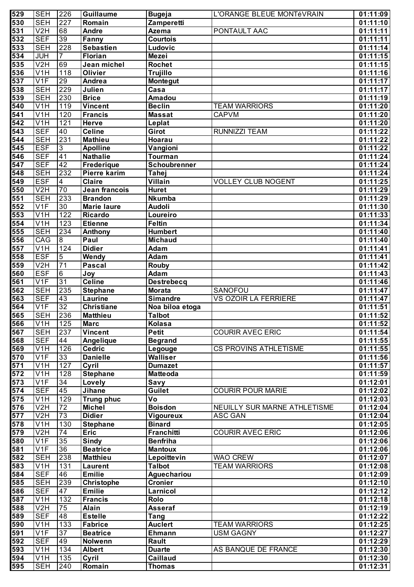| 529              | <b>SEH</b>                     | 226             | Guillaume                  | <b>Bugeja</b>                     | L'ORANGE BLEUE MONTéVRAIN    | 01:11:09             |
|------------------|--------------------------------|-----------------|----------------------------|-----------------------------------|------------------------------|----------------------|
| $\overline{530}$ | <b>SEH</b>                     | 227             | Romain                     | Zamperetti                        |                              | 01:11:10             |
| $\overline{531}$ | V2H                            | 68              | Andre                      | Azema                             | PONTAULT AAC                 | 01:11:11             |
| 532              | <b>SEF</b>                     | 39              | Fanny                      | Courtois                          |                              | 01:11:11             |
| $\overline{533}$ | <b>SEH</b>                     | 228             | <b>Sebastien</b>           | Ludovic                           |                              | 01:11:14             |
| 534              | <b>JUH</b>                     | $\overline{7}$  | <b>Florian</b>             | <b>Mezei</b>                      |                              | 01:11:15             |
| 535              | V2H                            | 69              | Jean michel                | Rochet                            |                              | 01:11:15             |
| 536              | $\overline{V1H}$               | 118             | <b>Olivier</b>             | <b>Trujillo</b>                   |                              | 01:11:16             |
| $\frac{1}{537}$  | V1F                            | 29              | Andrea                     | <b>Montegut</b>                   |                              | 01:11:17             |
| 538              | <b>SEH</b>                     | 229             | Julien                     | $\overline{\mathsf{C}}$ asa       |                              | 01:11:17             |
| 539              | <b>SEH</b>                     | 230             | <b>Brice</b>               | <b>Amadou</b>                     |                              | 01:11:19             |
| 540              | V1H                            | 119             | <b>Vincent</b>             | <b>Beclin</b>                     | <b>TEAM WARRIORS</b>         | 01:11:20             |
| 541              | $\overline{\mathsf{V1H}}$      | 120             | <b>Francis</b>             | <b>Massat</b>                     | <b>CAPVM</b>                 | 01:11:20             |
| 542              | $\overline{\mathsf{V1H}}$      | 121             | <b>Herve</b>               | Leplat                            |                              | 01:11:20             |
| 543              | <b>SEF</b>                     | 40              | <b>Celine</b>              | Girot                             | <b>RUNNIZZI TEAM</b>         | 01:11:22             |
| 544              | <b>SEH</b>                     | 231             | <b>Mathieu</b>             | Hoarau                            |                              | 01:11:22             |
| $\overline{545}$ | <b>ESF</b>                     | $\mathbf{3}$    | <b>Apolline</b>            | Vangioni                          |                              | 01:11:22             |
| $\overline{546}$ | <b>SEF</b>                     | 41              | <b>Nathalie</b>            | Tourman                           |                              | 01:11:24             |
| 547              | <b>SEF</b>                     | 42              | Frederique                 | Schoubrenner                      |                              | 01:11:24             |
| $\overline{548}$ | <b>SEH</b>                     | 232             | Pierre karim               | Tahej                             |                              | 01:11:24             |
| 549              | <b>ESF</b>                     | $\overline{4}$  | Claire                     | Villain                           | <b>VOLLEY CLUB NOGENT</b>    | 01:11:25             |
| 550              | V2H                            | 70              | Jean francois              | <b>Huret</b>                      |                              | 01:11:29             |
| $\overline{551}$ | <b>SEH</b>                     | 233             | <b>Brandon</b>             | <b>Nkumba</b>                     |                              | 01:11:29             |
| $\overline{552}$ | V1F                            | 30              | <b>Marie laure</b>         | <b>Audoli</b>                     |                              | 01:11:30             |
| 553              | V <sub>1</sub> H               | 122             | <b>Ricardo</b>             | Loureiro                          |                              | 01:11:33             |
| $\overline{554}$ | $\overline{\mathsf{V1H}}$      | 123             | Etienne                    | <b>Feltin</b>                     |                              | 01:11:34             |
| 555              | <b>SEH</b>                     | 234             | Anthony                    | <b>Humbert</b>                    |                              | 01:11:40             |
| 556              | CAG                            | $\overline{8}$  | Paul                       | <b>Michaud</b>                    |                              | 01:11:40             |
| 557              | $\overline{\mathsf{V1H}}$      | 124             | <b>Didier</b>              | Adam                              |                              | 01:11:41             |
| 558              | <b>ESF</b>                     | $5\overline{)}$ | Wendy                      | Adam                              |                              | 01:11:41             |
| 559              | V2H                            | $\overline{71}$ | <b>Pascal</b>              | <b>Rouby</b>                      |                              | 01:11:42             |
| 560              | <b>ESF</b>                     | 6               | Joy                        | <b>Adam</b>                       |                              | 01:11:43             |
| $\overline{561}$ | V1F                            | 31              | <b>Celine</b>              | <b>Destrebecq</b>                 |                              | 01:11:46             |
| 562              | <b>SEH</b>                     | 235             | <b>Stephane</b>            | <b>Morata</b>                     | SANOFOU                      | 01:11:47             |
| 563              | <b>SEF</b>                     | 43              | Laurine                    | <b>Simandre</b>                   | <b>VS OZOIR LA FERRIERE</b>  | 01:11:47             |
| 564              | V1F                            | 32              | <b>Christiane</b>          | Noa biloa etoga                   |                              | 01:11:51             |
| 565              | <b>SEH</b>                     | 236             | <b>Matthieu</b>            | <b>Talbot</b>                     |                              | 01:11:52             |
| 566              | V1H                            | $\boxed{125}$   | <b>Marc</b>                | Kolasa                            |                              | 01:11:52             |
| 567              | <b>SEH</b>                     | 237             | <b>Vincent</b>             | <b>Petit</b>                      | <b>COURIR AVEC ERIC</b>      |                      |
| 568              | <b>SEF</b>                     | 44              |                            |                                   |                              | 01:11:54<br>01:11:55 |
| 569              | V1H                            | 126             | Angelique<br><b>Cedric</b> | <b>Begrand</b>                    | <b>CS PROVINS ATHLETISME</b> | 01:11:55             |
| 570              | V1F                            | 33              | <b>Danielle</b>            | Legouge<br><b>Walliser</b>        |                              | 01:11:56             |
| $\overline{571}$ | V1H                            | 127             |                            | <b>Dumazet</b>                    |                              | 01:11:57             |
|                  |                                |                 | Cyril                      |                                   |                              |                      |
| 572<br>573       | V1H<br>V1F                     | 128             | <b>Stephane</b>            | <b>Matteoda</b>                   |                              | 01:11:59             |
|                  |                                | 34              | Lovely                     | Savy                              |                              | 01:12:01             |
| 574              | <b>SEF</b>                     | 45              | Jihane                     | Guilet                            | <b>COURIR POUR MARIE</b>     | 01:12:02             |
| 575              | V1H                            | 129             | <b>Trung phuc</b>          | $\overline{\mathsf{V}}\mathsf{o}$ |                              | 01:12:03             |
| 576              | V2H                            | $\overline{72}$ | <b>Michel</b>              | <b>Boisdon</b>                    | NEUILLY SUR MARNE ATHLETISME | 01:12:04             |
| $\overline{577}$ | V2H                            | 73              | <b>Didier</b>              | Vigoureux                         | <b>ASC GAN</b>               | 01:12:04             |
| 578              | $\overline{\text{V1H}}$        | 130             | <b>Stephane</b>            | <b>Binard</b>                     |                              | 01:12:05             |
| 579              | V2H                            | $\overline{74}$ | <b>Eric</b>                | Franchitti                        | <b>COURIR AVEC ERIC</b>      | 01:12:06             |
| 580              | V1F                            | 35              | <b>Sindy</b>               | <b>Benfriha</b>                   |                              | 01:12:06             |
| 581              | V1F                            | 36              | <b>Beatrice</b>            | <b>Mantoux</b>                    |                              | 01:12:06             |
| 582              | <b>SEH</b>                     | 238             | <b>Matthieu</b>            | Lepoittevin                       | <b>WAO CREW</b>              | 01:12:07             |
| 583              | V <sub>1</sub> H               | 131             | Laurent                    | <b>Talbot</b>                     | <b>TEAM WARRIORS</b>         | 01:12:08             |
| 584              | <b>SEF</b>                     | 46              | <b>Emilie</b>              | Aguechariou                       |                              | 01:12:09             |
| 585              | <b>SEH</b>                     | 239             | Christophe                 | <b>Cronier</b>                    |                              | 01:12:10             |
| 586              | <b>SEF</b>                     | 47              | <b>Emilie</b>              | Larnicol                          |                              | 01:12:12             |
| 587              | V <sub>1</sub> H               | 132             | <b>Francis</b>             | Rolo                              |                              | 01:12:18             |
| 588              | V <sub>2</sub> H               | 75              | <b>Alain</b>               | Asseraf                           |                              | 01:12:19             |
| 589              | <b>SEF</b>                     | 48              | <b>Estelle</b>             | Tang                              |                              | 01:12:22             |
| 590              | V <sub>1</sub> H               | 133             | <b>Fabrice</b>             | <b>Auclert</b>                    | <b>TEAM WARRIORS</b>         | 01:12:25             |
| 591              | V1F                            | 37              | <b>Beatrice</b>            | <b>Ehmann</b>                     | <b>USM GAGNY</b>             | 01:12:27             |
| 592              | <b>SEF</b>                     | 49              | Nolwenn                    | Rault                             |                              | 01:12:29             |
|                  |                                |                 |                            |                                   |                              |                      |
| 593              | V <sub>1</sub> H               | 134             | <b>Albert</b>              | <b>Duarte</b>                     | AS BANQUE DE FRANCE          | 01:12:30             |
| 594<br>595       | V <sub>1</sub> H<br><b>SEH</b> | 135<br>240      | Cyril<br>Romain            | <b>Caillaud</b><br><b>Thomas</b>  |                              | 01:12:30<br>01:12:31 |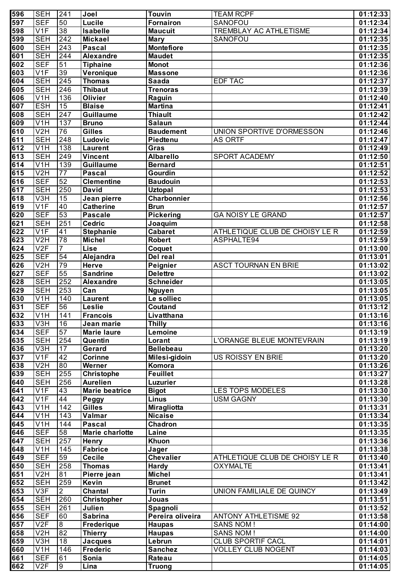| 596              | <b>SEH</b>                | 241              | Joel                   | <b>Touvin</b>      | <b>TEAM RCPF</b>               | 01:12:33 |
|------------------|---------------------------|------------------|------------------------|--------------------|--------------------------------|----------|
| 597              | <b>SEF</b>                | 50               | Lucile                 | <b>Fornairon</b>   | <b>SANOFOU</b>                 | 01:12:34 |
| 598              | V1F                       | 38               | <b>Isabelle</b>        | <b>Maucuit</b>     | TREMBLAY AC ATHLETISME         | 01:12:34 |
| 599              | <b>SEH</b>                | 242              | <b>Mickael</b>         | <b>Mary</b>        | SANOFOU                        | 01:12:35 |
| 600              | <b>SEH</b>                | 243              | <b>Pascal</b>          | <b>Montefiore</b>  |                                | 01:12:35 |
| 601              | <b>SEH</b>                | 244              | Alexandre              | <b>Maudet</b>      |                                | 01:12:35 |
| 602              | <b>SEF</b>                | 51               | <b>Tiphaine</b>        | <b>Monot</b>       |                                | 01:12:36 |
| 603              | V1F                       | 39               | Veronique              | <b>Massone</b>     |                                | 01:12:36 |
| 604              | <b>SEH</b>                | 245              | <b>Thomas</b>          | <b>Saada</b>       | <b>EDF TAC</b>                 | 01:12:37 |
| 605              | <b>SEH</b>                | 246              | <b>Thibaut</b>         | <b>Trenoras</b>    |                                | 01:12:39 |
| 606              | $\overline{\mathsf{V1H}}$ | 136              | Olivier                | Raguin             |                                | 01:12:40 |
| 607              | <b>ESH</b>                | 15               | <b>Blaise</b>          | <b>Martina</b>     |                                | 01:12:41 |
| 608              | <b>SEH</b>                | 247              | <b>Guillaume</b>       | <b>Thiault</b>     |                                | 01:12:42 |
| 609              | $\overline{V1H}$          | 137              | <b>Bruno</b>           | <b>Salaun</b>      |                                | 01:12:44 |
| 610              | V2H                       | 76               | Gilles                 | <b>Baudement</b>   | UNION SPORTIVE D'ORMESSON      | 01:12:46 |
| 611              | <b>SEH</b>                | $\overline{248}$ | Ludovic                | Piedtenu           | <b>AS ORTF</b>                 | 01:12:47 |
| 612              | V1H                       | 138              | <b>Laurent</b>         | Gras               |                                | 01:12:49 |
| 613              | <b>SEH</b>                | 249              | Vincent                | <b>Albarello</b>   | <b>SPORT ACADEMY</b>           | 01:12:50 |
| 614              | $\overline{\text{V1H}}$   | 139              | <b>Guillaume</b>       | <b>Bernard</b>     |                                | 01:12:51 |
| 615              | V2H                       | $\overline{77}$  | <b>Pascal</b>          | Gourdin            |                                | 01:12:52 |
| 616              | <b>SEF</b>                | 52               | <b>Clementine</b>      | <b>Baudouin</b>    |                                | 01:12:53 |
| $\overline{617}$ | <b>SEH</b>                | 250              | <b>David</b>           | <b>Uztopal</b>     |                                | 01:12:53 |
| 618              | $\overline{V3H}$          | $\overline{15}$  | Jean pierre            | Charbonnier        |                                | 01:12:56 |
| 619              | V1F                       | 40               | <b>Catherine</b>       | <b>Brun</b>        |                                | 01:12:57 |
| 620              | <b>SEF</b>                | 53               | <b>Pascale</b>         | <b>Pickering</b>   | <b>GA NOISY LE GRAND</b>       | 01:12:57 |
| $\overline{621}$ | <b>SEH</b>                | 251              | Cedric                 | Joaquim            |                                | 01:12:58 |
| 622              | V1F                       | $\overline{41}$  | <b>Stephanie</b>       | <b>Cabaret</b>     | ATHLETIQUE CLUB DE CHOISY LE R | 01:12:59 |
| 623              | V2H                       | 78               | <b>Michel</b>          | <b>Robert</b>      | ASPHALTE94                     | 01:12:59 |
| 624              | V2F                       | $\overline{7}$   | <b>Lise</b>            | Coquet             |                                | 01:13:00 |
| 625              | <b>SEF</b>                | 54               | Alejandra              | Del real           |                                | 01:13:01 |
| 626              | V2H                       | 79               | <b>Herve</b>           | Peignier           | <b>ASCT TOURNAN EN BRIE</b>    | 01:13:02 |
| 627              | <b>SEF</b>                | 55               | <b>Sandrine</b>        | <b>Delettre</b>    |                                | 01:13:02 |
| 628              | <b>SEH</b>                | 252              | Alexandre              | Schneider          |                                | 01:13:05 |
| 629              | <b>SEH</b>                | 253              | Can                    | <b>Nguyen</b>      |                                | 01:13:05 |
| 630              | V1H                       | 140              | <b>Laurent</b>         | Le solliec         |                                | 01:13:05 |
| 631              | <b>SEF</b>                | 56               | <b>Leslie</b>          | Coutand            |                                | 01:13:12 |
| 632              | V1H                       | 141              | <b>Francois</b>        | Livatthana         |                                | 01:13:16 |
| $\overline{633}$ | V3H                       | 16               | Jean marie             | <b>Thilly</b>      |                                | 01:13:16 |
| 634              | <b>SEF</b>                | 57               | <b>Marie laure</b>     | Lemoine            |                                | 01:13:19 |
| 635              | <b>SEH</b>                | 254              | Quentin                | Lorant             | L'ORANGE BLEUE MONTEVRAIN      | 01:13:19 |
| 636              | $\overline{\text{V3H}}$   | 17               | Gerard                 | <b>Bellebeau</b>   |                                | 01:13:20 |
| 637              | V1F                       | 42               | <b>Corinne</b>         |                    | <b>US ROISSY EN BRIE</b>       | 01:13:20 |
| 638              | V2H                       | $\overline{80}$  | Werner                 | Milesi-gidoin      |                                | 01:13:26 |
|                  |                           |                  |                        | Komora             |                                |          |
| 639              | <b>SEH</b>                | 255              | <b>Christophe</b>      | <b>Feuillet</b>    |                                | 01:13:27 |
| 640              | <b>SEH</b>                | 256              | <b>Aurelien</b>        | <b>Luzurier</b>    |                                | 01:13:28 |
| 641              | V1F                       | 43               | <b>Marie beatrice</b>  | <b>Bigot</b>       | <b>LES TOPS MODELES</b>        | 01:13:30 |
| 642              | V1F                       | 44               | Peggy                  | <b>Linus</b>       | <b>USM GAGNY</b>               | 01:13:30 |
| 643              | V1H                       | 142              | <b>Gilles</b>          | <b>Miragliotta</b> |                                | 01:13:31 |
| 644              | V1H                       | 143              | Valmar                 | <b>Nicaise</b>     |                                | 01:13:34 |
| 645              | V1H                       | 144              | <b>Pascal</b>          | Chadron            |                                | 01:13:35 |
| 646              | <b>SEF</b>                | 58               | <b>Marie charlotte</b> | Laine              |                                | 01:13:35 |
| 647              | <b>SEH</b>                | 257              | <b>Henry</b>           | Khuon              |                                | 01:13:36 |
| 648              | V <sub>1</sub> H          | 145              | <b>Fabrice</b>         | Jager              |                                | 01:13:38 |
| 649              | <b>SEF</b>                | 59               | <b>Cecile</b>          | <b>Chevalier</b>   | ATHLETIQUE CLUB DE CHOISY LE R | 01:13:40 |
| 650              | <b>SEH</b>                | 258              | <b>Thomas</b>          | Hardy              | <b>OXYMALTE</b>                | 01:13:41 |
| 651              | V <sub>2</sub> H          | $\overline{81}$  | Pierre jean            | <b>Michel</b>      |                                | 01:13:41 |
| 652              | <b>SEH</b>                | 259              | Kevin                  | <b>Brunet</b>      |                                | 01:13:42 |
| 653              | V3F                       | $\overline{2}$   | <b>Chantal</b>         | <b>Turin</b>       | UNION FAMILIALE DE QUINCY      | 01:13:49 |
| 654              | <b>SEH</b>                | 260              | <b>Christopher</b>     | Jouas              |                                | 01:13:51 |
| 655              | <b>SEH</b>                | 261              | Julien                 | Spagnoli           |                                | 01:13:52 |
| 656              | <b>SEF</b>                | 60               | <b>Sabrina</b>         | Pereira oliveira   | <b>ANTONY ATHLETISME 92</b>    | 01:13:58 |
| 657              | V2F                       | $\overline{8}$   | <b>Frederique</b>      | <b>Haupas</b>      | <b>SANS NOM!</b>               | 01:14:00 |
| 658              | V <sub>2</sub> H          | 82               | <b>Thierry</b>         | <b>Haupas</b>      | <b>SANS NOM!</b>               | 01:14:00 |
| 659              | V3H                       | $\overline{18}$  | <b>Jacques</b>         | Lebrun             | CLUB SPORTIF CACL              | 01:14:01 |
| 660              | V <sub>1</sub> H          | 146              | <b>Frederic</b>        | <b>Sanchez</b>     | <b>VOLLEY CLUB NOGENT</b>      | 01:14:03 |
| 661              | <b>SEF</b>                | 61               | Sonia                  | Rateau             |                                | 01:14:05 |
| 662              | V2F                       | $\overline{9}$   | Lina                   | <b>Truong</b>      |                                | 01:14:05 |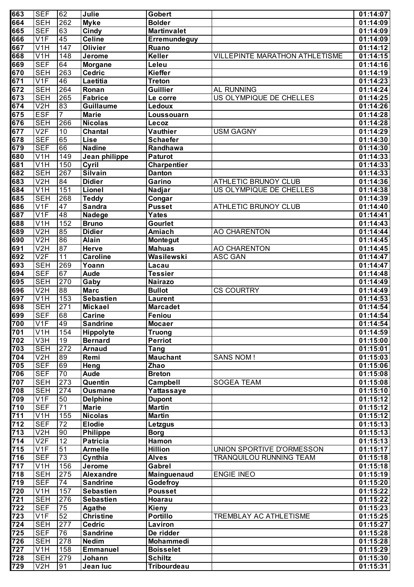| 663              | <b>SEF</b>                | 62               | Julie            | <b>Gobert</b>      |                                | 01:14:07 |
|------------------|---------------------------|------------------|------------------|--------------------|--------------------------------|----------|
| 664              | <b>SEH</b>                | 262              | <b>Myke</b>      | <b>Bolder</b>      |                                | 01:14:09 |
| 665              | <b>SEF</b>                | 63               | Cindy            | <b>Martinvalet</b> |                                | 01:14:09 |
| 666              | V <sub>1F</sub>           | 45               | <b>Celine</b>    | Erremundeguy       |                                | 01:14:09 |
| 667              | V <sub>1</sub> H          | 147              | <b>Olivier</b>   | Ruano              |                                | 01:14:12 |
| 668              | V1H                       | 148              | Jerome           | Keller             | VILLEPINTE MARATHON ATHLETISME | 01:14:15 |
| 669              | <b>SEF</b>                | 64               | <b>Morgane</b>   | Leleu              |                                | 01:14:16 |
| 670              | <b>SEH</b>                | 263              | <b>Cedric</b>    | <b>Kieffer</b>     |                                | 01:14:19 |
| 671              | V <sub>1F</sub>           | 46               | Laetitia         | <b>Treton</b>      |                                | 01:14:23 |
| 672              | <b>SEH</b>                | 264              | Ronan            | <b>Guillier</b>    | AL RUNNING                     | 01:14:24 |
| 673              | <b>SEH</b>                | 265              | <b>Fabrice</b>   | Le corre           | US OLYMPIQUE DE CHELLES        | 01:14:25 |
| 674              | V <sub>2</sub> H          | 83               | <b>Guillaume</b> | Ledoux             |                                | 01:14:26 |
| 675              | <b>ESF</b>                | $\overline{7}$   | <b>Marie</b>     | Loussouarn         |                                | 01:14:28 |
| 676              | <b>SEH</b>                | 266              | <b>Nicolas</b>   | Lecoz              |                                | 01:14:28 |
| 677              | V2F                       | 10               | <b>Chantal</b>   | Vauthier           | <b>USM GAGNY</b>               | 01:14:29 |
| 678              | <b>SEF</b>                | 65               | <b>Lise</b>      | <b>Schaefer</b>    |                                | 01:14:30 |
| 679              | <b>SEF</b>                | 66               | <b>Nadine</b>    | Randhawa           |                                | 01:14:30 |
| 680              | V <sub>1</sub> H          | 149              | Jean philippe    | <b>Paturot</b>     |                                | 01:14:33 |
| 681              | V1H                       | 150              | Cyril            | <b>Charpentier</b> |                                | 01:14:33 |
| 682              | <b>SEH</b>                | 267              | <b>Silvain</b>   | <b>Danton</b>      |                                | 01:14:33 |
| 683              | V <sub>2</sub> H          | 84               | <b>Didier</b>    | Garino             | ATHLETIC BRUNOY CLUB           | 01:14:36 |
| 684              | V <sub>1</sub> H          | 151              | Lionel           | Nadjar             | US OLYMPIQUE DE CHELLES        | 01:14:38 |
| 685              | <b>SEH</b>                | 268              | <b>Teddy</b>     | Congar             |                                | 01:14:39 |
| 686              | V <sub>1F</sub>           | $\overline{47}$  | <b>Sandra</b>    | <b>Pusset</b>      | <b>ATHLETIC BRUNOY CLUB</b>    | 01:14:40 |
| 687              | V <sub>1F</sub>           | 48               | Nadege           | <b>Yates</b>       |                                | 01:14:41 |
| 688              | V <sub>1</sub> H          | 152              | <b>Bruno</b>     | Gourlet            |                                | 01:14:43 |
| 689              | V2H                       | 85               | <b>Didier</b>    | Amiach             | <b>AO CHARENTON</b>            | 01:14:44 |
| 690              | V <sub>2</sub> H          | 86               | <b>Alain</b>     | <b>Montegut</b>    |                                | 01:14:45 |
| 691              | V <sub>2</sub> H          | 87               | <b>Herve</b>     | <b>Mahuas</b>      | <b>AO CHARENTON</b>            | 01:14:45 |
| 692              | V2F                       | $\overline{11}$  | <b>Caroline</b>  | Wasilewski         | <b>ASC GAN</b>                 | 01:14:47 |
| 693              | <b>SEH</b>                | 269              | Yoann            | Lacau              |                                | 01:14:47 |
| 694              | $\overline{\mathsf{SEF}}$ | 67               | <b>Aude</b>      | <b>Tessier</b>     |                                | 01:14:48 |
| 695              | <b>SEH</b>                | 270              | Gaby             | <b>Nairazo</b>     |                                | 01:14:49 |
| 696              | V <sub>2</sub> H          | 88               | <b>Marc</b>      | <b>Bullot</b>      | <b>CS COURTRY</b>              | 01:14:49 |
| 697              | $\overline{\text{V1H}}$   | 153              | <b>Sebastien</b> | Laurent            |                                | 01:14:53 |
| 698              | <b>SEH</b>                | 271              | <b>Mickael</b>   | <b>Marcadet</b>    |                                | 01:14:54 |
| 699              | <b>SEF</b>                | 68               | Carine           | Feniou             |                                | 01:14:54 |
| 700              | V1F                       | 49               | <b>Sandrine</b>  | <b>Mocaer</b>      |                                | 01:14:54 |
| 701              | V <sub>1</sub> H          | 154              | Hippolyte        | <b>Truong</b>      |                                | 01:14:59 |
| 702              | V3H                       | $\overline{19}$  | <b>Bernard</b>   | <b>Perriot</b>     |                                | 01:15:00 |
| 703              | <b>SEH</b>                | $\overline{272}$ | <b>Arnaud</b>    | Tang               |                                | 01:15:01 |
| 704              | V <sub>2</sub> H          | 89               | Remi             | <b>Mauchant</b>    | <b>SANS NOM!</b>               | 01:15:03 |
| 705              | <b>SEF</b>                | 69               | <b>Heng</b>      | <b>Zhao</b>        |                                | 01:15:06 |
| 706              | <b>SEF</b>                | 70               | <b>Aude</b>      | <b>Breton</b>      |                                | 01:15:08 |
| 707              | <b>SEH</b>                | $\overline{273}$ | Quentin          | <b>Campbell</b>    | <b>SOGEA TEAM</b>              | 01:15:08 |
| 708              | <b>SEH</b>                | $\overline{274}$ | <b>Ousmane</b>   | Yattassaye         |                                | 01:15:10 |
| 709              | V1F                       | 50               | <b>Delphine</b>  | <b>Dupont</b>      |                                | 01:15:12 |
| 710              | <b>SEF</b>                | $\overline{71}$  | <b>Marie</b>     | <b>Martin</b>      |                                | 01:15:12 |
| $\overline{711}$ | V <sub>1</sub> H          | 155              | <b>Nicolas</b>   | <b>Martin</b>      |                                | 01:15:12 |
| 712              | <b>SEF</b>                | $\overline{72}$  | <b>Elodie</b>    |                    |                                |          |
|                  | V <sub>2</sub> H          | 90               |                  | <b>Letzgus</b>     |                                | 01:15:13 |
| 713              |                           |                  | <b>Philippe</b>  | <b>Borg</b>        |                                | 01:15:13 |
| 714              | V2F                       | $\overline{12}$  | <b>Patricia</b>  | Hamon              |                                | 01:15:13 |
| 715              | V <sub>1F</sub>           | $\overline{51}$  | <b>Armelle</b>   | <b>Hillion</b>     | UNION SPORTIVE D'ORMESSON      | 01:15:17 |
| 716              | <b>SEF</b>                | $\overline{73}$  | Cynthia          | <b>Alves</b>       | TRANQUILOU RUNNING TEAM        | 01:15:18 |
| 717              | V <sub>1</sub> H          | 156              | Jerome           | Gabrel             |                                | 01:15:18 |
| 718              | <b>SEH</b>                | 275              | <b>Alexandre</b> | Mainguenaud        | <b>ENGIE INEO</b>              | 01:15:19 |
| 719              | <b>SEF</b>                | 74               | <b>Sandrine</b>  | Godefroy           |                                | 01:15:20 |
| 720              | V <sub>1</sub> H          | 157              | <b>Sebastien</b> | <b>Pousset</b>     |                                | 01:15:22 |
| 721              | <b>SEH</b>                | 276              | <b>Sebastien</b> | Hoarau             |                                | 01:15:22 |
| 722              | <b>SEF</b>                | 75               | <b>Agathe</b>    | Kieny              |                                | 01:15:23 |
| 723              | V <sub>1F</sub>           | 52               | <b>Christine</b> | <b>Portillo</b>    | TREMBLAY AC ATHLETISME         | 01:15:25 |
| 724              | <b>SEH</b>                | 277              | <b>Cedric</b>    | Laviron            |                                | 01:15:27 |
| 725              | <b>SEF</b>                | 76               | <b>Sandrine</b>  | De ridder          |                                | 01:15:28 |
| 726              | <b>SEH</b>                | 278              | <b>Nedim</b>     | Mohammedi          |                                | 01:15:28 |
| 727              | V <sub>1</sub> H          | 158              | <b>Emmanuel</b>  | <b>Boisselet</b>   |                                | 01:15:29 |
| 728              | <b>SEH</b>                | 279              | Johann           | <b>Schiltz</b>     |                                | 01:15:30 |
| 729              | V2H                       | 91               | Jean luc         | <b>Tribourdeau</b> |                                | 01:15:31 |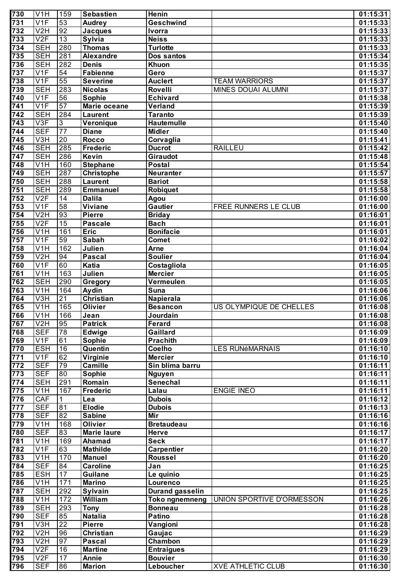| 730              | V <sub>1</sub> H               | 159                   | <b>Sebastien</b>                  | Henin                        |                                            | 01:15:31             |
|------------------|--------------------------------|-----------------------|-----------------------------------|------------------------------|--------------------------------------------|----------------------|
| $\overline{731}$ | V <sub>1F</sub>                | 53                    | <b>Audrey</b>                     | Geschwind                    |                                            | 01:15:33             |
| 732              | V <sub>2</sub> H               | 92                    | <b>Jacques</b>                    | <b>Ivorra</b>                |                                            | 01:15:33             |
| 733              | V2F                            | $\overline{13}$       | <b>Sylvia</b>                     | <b>Neiss</b>                 |                                            | 01:15:33             |
| 734              | <b>SEH</b>                     | 280                   | <b>Thomas</b>                     | <b>Turlotte</b>              |                                            | 01:15:33             |
| 735              | <b>SEH</b>                     | 281                   | <b>Alexandre</b>                  | Dos santos                   |                                            | 01:15:34             |
| 736              | <b>SEH</b>                     | 282                   | <b>Denis</b>                      | Khuon                        |                                            | 01:15:35             |
| 737              | V <sub>1F</sub>                | 54                    | <b>Fabienne</b>                   | Gero                         |                                            | 01:15:37             |
| 738<br>739       | V <sub>1F</sub><br><b>SEH</b>  | 55<br>283             | <b>Severine</b><br><b>Nicolas</b> | <b>Auclert</b><br>Rovelli    | <b>TEAM WARRIORS</b><br>MINES DOUAI ALUMNI | 01:15:37<br>01:15:37 |
| 740              | V1F                            | 56                    | Sophie                            | <b>Echivard</b>              |                                            | 01:15:38             |
| $\overline{741}$ | V <sub>1F</sub>                | 57                    | Marie oceane                      | Verland                      |                                            | 01:15:39             |
| 742              | <b>SEH</b>                     | 284                   | <b>Laurent</b>                    | <b>Taranto</b>               |                                            | 01:15:39             |
| 743              | V3F                            | $\overline{3}$        | Veronique                         | <b>Hautemulle</b>            |                                            | 01:15:40             |
| 744              | <b>SEF</b>                     | $\overline{77}$       | <b>Diane</b>                      | <b>Midler</b>                |                                            | 01:15:40             |
| $\overline{745}$ | V3H                            | $\overline{20}$       | <b>Rocco</b>                      | Corvaglia                    |                                            | 01:15:41             |
| $\overline{746}$ | <b>SEH</b>                     | 285                   | <b>Frederic</b>                   | <b>Ducrot</b>                | <b>RAILLEU</b>                             | 01:15:42             |
| 747              | <b>SEH</b>                     | 286                   | Kevin                             | Giraudot                     |                                            | 01:15:48             |
| 748              | V <sub>1</sub> H               | 160                   | <b>Stephane</b>                   | Postal                       |                                            | 01:15:54             |
| 749              | <b>SEH</b>                     | 287                   | Christophe                        | Neuranter                    |                                            | 01:15:57             |
| 750              | <b>SEH</b>                     | 288                   | <b>Laurent</b>                    | <b>Bariot</b>                |                                            | 01:15:58             |
| 751              | <b>SEH</b>                     | 289                   | <b>Emmanuel</b>                   | <b>Robiquet</b>              |                                            | 01:15:58             |
| 752              | V2F                            | $\overline{14}$       | <b>Dalila</b>                     | Agou                         |                                            | 01:16:00             |
| 753              | V <sub>1F</sub>                | $\overline{58}$       | <b>Viviane</b>                    | <b>Gautier</b>               | FREE RUNNERS LE CLUB                       | 01:16:00             |
| 754<br>755       | V <sub>2</sub> H<br>V2F        | 93<br>$\overline{15}$ | <b>Pierre</b><br><b>Pascale</b>   | <b>Briday</b><br><b>Bach</b> |                                            | 01:16:01<br>01:16:01 |
| 756              | V <sub>1</sub> H               | 161                   | <b>Eric</b>                       | <b>Bonifacie</b>             |                                            | 01:16:01             |
| 757              | V <sub>1F</sub>                | 59                    | Sabah                             | <b>Comet</b>                 |                                            | 01:16:02             |
| 758              | V <sub>1</sub> H               | 162                   | Julien                            | <b>Arne</b>                  |                                            | 01:16:04             |
| 759              | V2H                            | 94                    | <b>Pascal</b>                     | <b>Soulier</b>               |                                            | 01:16:04             |
| 760              | V1F                            | 60                    | Katia                             | Costagliola                  |                                            | 01:16:05             |
| 761              | V <sub>1</sub> H               | 163                   | Julien                            | <b>Mercier</b>               |                                            | 01:16:05             |
| 762              | <b>SEH</b>                     | 290                   | Gregory                           | Vermeulen                    |                                            | 01:16:05             |
| 763              | V <sub>1</sub> H               | 164                   | Aydin                             | Suna                         |                                            | 01:16:06             |
| 764              | $\overline{\text{V3H}}$        | 21                    | <b>Christian</b>                  | Napierala                    |                                            | 01:16:06             |
| 765              | $\overline{\text{V1H}}$        | 165                   | <b>Olivier</b>                    | <b>Besancon</b>              | US OLYMPIQUE DE CHELLES                    | 01:16:08             |
| 766              | $\overline{\text{V1H}}$        | 166                   | Jean                              | Jourdain                     |                                            | 01:16:08             |
| 767              | V2H                            | 95                    | <b>Patrick</b>                    | <b>Ferard</b>                |                                            | 01:16:08             |
| 768              | <b>SEF</b>                     | 78                    | Edwige                            | Gaillard                     |                                            | 01:16:09             |
| 769<br>770       | V1F<br><b>ESH</b>              | 61<br>16              | <b>Sophie</b><br>Quentin          | <b>Prachith</b><br>Coelho    | <b>LES RUNéMARNAIS</b>                     | 01:16:09<br>01:16:10 |
| 771              | V1F                            | 62                    | Virginie                          | <b>Mercier</b>               |                                            | 01:16:10             |
| 772              | <b>SEF</b>                     | 79                    | <b>Camille</b>                    | Sin blima barru              |                                            | 01:16:11             |
| 773              | <b>SEF</b>                     | 80                    | Sophie                            | <b>Nguyen</b>                |                                            | 01:16:11             |
| 774              | <b>SEH</b>                     | 291                   | Romain                            | <b>Senechal</b>              |                                            | 01:16:11             |
| 775              | V <sub>1</sub> H               | 167                   | Frederic                          | Lalau                        | <b>ENGIE INEO</b>                          | 01:16:11             |
| 776              | <b>CAF</b>                     | 1                     | Lea                               | <b>Dubois</b>                |                                            | 01:16:12             |
| 777              | <b>SEF</b>                     | 81                    | <b>Elodie</b>                     | <b>Dubois</b>                |                                            | 01:16:13             |
| 778              | <b>SEF</b>                     | 82                    | <b>Sabine</b>                     | Mir                          |                                            | 01:16:16             |
| 779              | V <sub>1</sub> H               | 168                   | <b>Olivier</b>                    | <b>Bretaudeau</b>            |                                            | 01:16:16             |
| 780              | <b>SEF</b>                     | 83                    | <b>Marie laure</b>                | <b>Herve</b>                 |                                            | 01:16:17             |
| 781              | V <sub>1</sub> H               | 169                   | Ahamad                            | <b>Seck</b>                  |                                            | 01:16:17             |
| 782              | V <sub>1F</sub>                | 63                    | <b>Mathilde</b>                   | <b>Carpentier</b>            |                                            | 01:16:20             |
| 783              | V <sub>1</sub> H               | 170                   | <b>Manuel</b>                     | Roussel                      |                                            | 01:16:20             |
| 784              | <b>SEF</b>                     | 84                    | <b>Caroline</b>                   | Jan                          |                                            | 01:16:25             |
| 785<br>786       | <b>ESH</b><br>V <sub>1</sub> H | 17<br>171             | <b>Guilane</b><br><b>Marino</b>   | Le quinio<br>Lourenco        |                                            | 01:16:25<br>01:16:25 |
| 787              | <b>SEH</b>                     | 292                   | Sylvain                           | <b>Durand gasselin</b>       |                                            | 01:16:25             |
| 788              | V <sub>1</sub> H               | 172                   | William                           | <b>Toko ngnemneng</b>        | UNION SPORTIVE D'ORMESSON                  | 01:16:26             |
| 789              | <b>SEH</b>                     | 293                   | <b>Tony</b>                       | <b>Bonneau</b>               |                                            | 01:16:28             |
| 790              | <b>SEF</b>                     | 85                    | <b>Natalia</b>                    | <b>Patino</b>                |                                            | 01:16:28             |
| 791              | V3H                            | 22                    | <b>Pierre</b>                     | Vangioni                     |                                            | 01:16:28             |
| 792              | V <sub>2</sub> H               | 96                    | Christian                         | Gaujac                       |                                            | 01:16:29             |
| 793              | V <sub>2</sub> H               | 97                    | <b>Pascal</b>                     | Chambon                      |                                            | 01:16:29             |
| 794              | V2F                            | 16                    | <b>Martine</b>                    | <b>Entraigues</b>            |                                            | 01:16:29             |
| 795              | V2F                            | 17                    | Annie                             | <b>Bouvier</b>               |                                            | 01:16:30             |
| 796              | <b>SEF</b>                     | 86                    | <b>Marion</b>                     | Leboucher                    | <b>XVE ATHLETIC CLUB</b>                   | 01:16:30             |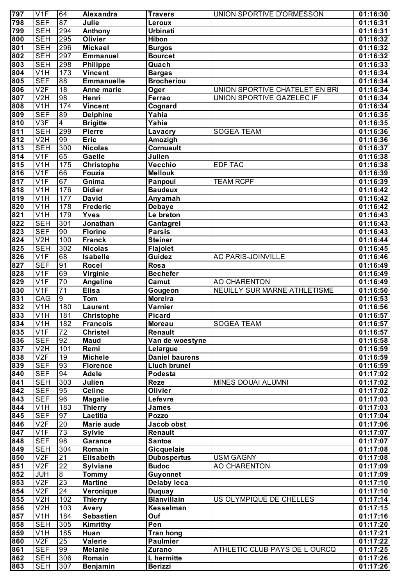| 797              | V1F                       | 64               | Alexandra         | <b>Travers</b>        | UNION SPORTIVE D'ORMESSON        | 01:16:30 |
|------------------|---------------------------|------------------|-------------------|-----------------------|----------------------------------|----------|
| 798              | <b>SEF</b>                | 87               | Julie             | Leroux                |                                  | 01:16:31 |
| 799              | <b>SEH</b>                | 294              | <b>Anthony</b>    | <b>Urbinati</b>       |                                  | 01:16:31 |
| 800              | <b>SEH</b>                | 295              | <b>Olivier</b>    | <b>Hibon</b>          |                                  | 01:16:32 |
| 801              | <b>SEH</b>                | 296              | <b>Mickael</b>    | <b>Burgos</b>         |                                  | 01:16:32 |
| 802              | <b>SEH</b>                | 297              | <b>Emmanuel</b>   | <b>Bourcet</b>        |                                  | 01:16:32 |
| 803              | <b>SEH</b>                | 298              | <b>Philippe</b>   | Quach                 |                                  | 01:16:33 |
| 804              | V <sub>1</sub> H          | 173              | <b>Vincent</b>    | <b>Bargas</b>         |                                  | 01:16:34 |
| 805              | <b>SEF</b>                | 88               | <b>Emmanuelle</b> | <b>Brocheriou</b>     |                                  | 01:16:34 |
| 806              | V2F                       | 18               | Anne marie        | Oger                  | UNION SPORTIVE CHATELET EN BRI   | 01:16:34 |
| 807              | V2H                       | 98               | Henri             | Ferrao                | <b>UNION SPORTIVE GAZELEC IF</b> | 01:16:34 |
| 808              | V <sub>1</sub> H          | 174              | <b>Vincent</b>    | Cognard               |                                  | 01:16:34 |
| 809              | <b>SEF</b>                | 89               | <b>Delphine</b>   | Yahia                 |                                  | 01:16:35 |
| 810              | $\overline{\vee 3F}$      | $\overline{4}$   | <b>Brigitte</b>   | Yahia                 |                                  | 01:16:35 |
| 811              | <b>SEH</b>                | 299              | <b>Pierre</b>     | Lavacry               | <b>SOGEA TEAM</b>                | 01:16:36 |
| 812              | V2H                       | 99               | <b>Eric</b>       | Amozigh               |                                  | 01:16:36 |
| 813              | <b>SEH</b>                | 300              | <b>Nicolas</b>    | Cornuault             |                                  | 01:16:37 |
| 814              | V1F                       | 65               | Gaelle            | Julien                |                                  | 01:16:38 |
| 815              | $\overline{V1H}$          | 175              | <b>Christophe</b> | Vecchio               | <b>EDF TAC</b>                   | 01:16:38 |
| 816              | V1F                       | 66               | Fouzia            | <b>Mellouk</b>        |                                  | 01:16:39 |
| 817              | V1F                       | 67               | Gnima             | Panpoul               | <b>TEAM RCPF</b>                 | 01:16:39 |
| 818              | V <sub>1</sub> H          | 176              | <b>Didier</b>     | <b>Baudeux</b>        |                                  | 01:16:42 |
| 819              | V <sub>1</sub> H          | $\overline{177}$ | <b>David</b>      | Anyamah               |                                  | 01:16:42 |
| 820              | $\overline{\mathsf{V1H}}$ | 178              | <b>Frederic</b>   | <b>Debaye</b>         |                                  | 01:16:42 |
| 821              | $\overline{V1H}$          | 179              | <b>Yves</b>       | Le breton             |                                  | 01:16:43 |
| $\overline{822}$ | <b>SEH</b>                | 301              | Jonathan          |                       |                                  |          |
| 823              | <b>SEF</b>                | 90               |                   | Cantagrel             |                                  | 01:16:43 |
|                  |                           |                  | <b>Florine</b>    | <b>Parsis</b>         |                                  | 01:16:43 |
| 824              | V2H                       | 100              | <b>Franck</b>     | <b>Steiner</b>        |                                  | 01:16:44 |
| 825              | <b>SEH</b>                | 302              | <b>Nicolas</b>    | <b>Flajolet</b>       |                                  | 01:16:45 |
| 826              | V1F                       | 68               | Isabelle          | Guidez                | <b>AC PARIS-JOINVILLE</b>        | 01:16:46 |
| $\overline{827}$ | <b>SEF</b>                | 91               | <b>Rocel</b>      | Rosa                  |                                  | 01:16:49 |
| 828              | V1F                       | 69               | Virginie          | <b>Bechefer</b>       |                                  | 01:16:49 |
| 829              | V1F                       | 70               | Angeline          | Camut                 | <b>AO CHARENTON</b>              | 01:16:49 |
| 830              | V1F                       | $\overline{71}$  | <b>Elisa</b>      | Gougeon               | NEUILLY SUR MARNE ATHLETISME     | 01:16:50 |
| 831              | CAG                       | $\overline{9}$   | <b>Tom</b>        | <b>Moreira</b>        |                                  | 01:16:53 |
| 832              | $\overline{V1H}$          | 180              | <b>Laurent</b>    | Varnier               |                                  | 01:16:56 |
| 833              | $\overline{V1H}$          | 181              | Christophe        | <b>Picard</b>         |                                  | 01:16:57 |
| 834              | V1H                       | 182              | Francois          | <b>Moreau</b>         | <b>SOGEA TEAM</b>                | 01:16:57 |
| 835              | $\overline{\mathsf{V1F}}$ | $\overline{72}$  | Christel          | Renault               |                                  | 01:16:57 |
| 836              | <b>SEF</b>                | 92               | <b>Maud</b>       | Van de woestyne       |                                  | 01:16:58 |
| 837              | V2H                       | 101              | Remi              | Lelargue              |                                  | 01:16:59 |
| 838              | $\overline{V2F}$          | $\overline{19}$  | <b>Michele</b>    | <b>Daniel baurens</b> |                                  | 01:16:59 |
| 839              | <b>SEF</b>                | 93               | <b>Florence</b>   | <b>Lluch brunel</b>   |                                  | 01:16:59 |
| 840              | <b>SEF</b>                | 94               | Adele             | Podesta               |                                  | 01:17:02 |
| 841              | <b>SEH</b>                | 303              | Julien            | <b>Reze</b>           | MINES DOUAI ALUMNI               | 01:17:02 |
| 842              | <b>SEF</b>                | 95               | <b>Celine</b>     | <b>Olivier</b>        |                                  | 01:17:02 |
| 843              | <b>SEF</b>                | 96               | <b>Magalie</b>    | Lefevre               |                                  | 01:17:03 |
| 844              | V1H                       | 183              | <b>Thierry</b>    | <b>James</b>          |                                  | 01:17:03 |
| 845              | <b>SEF</b>                | 97               | Laetitia          | Pozzo                 |                                  | 01:17:04 |
| 846              | V2F                       | 20               | <b>Marie aude</b> | Jacob obst            |                                  | 01:17:06 |
| 847              | V1F                       | 73               | <b>Sylvie</b>     | Renault               |                                  | 01:17:07 |
| 848              | <b>SEF</b>                | 98               | Garance           | <b>Santos</b>         |                                  | 01:17:07 |
| 849              | <b>SEH</b>                | 304              | Romain            | <b>Gicquelais</b>     |                                  | 01:17:08 |
| 850              | V2F                       | $\overline{21}$  | <b>Elisabeth</b>  | <b>Dubospertus</b>    | <b>USM GAGNY</b>                 |          |
| 851              | V2F                       | $\overline{22}$  |                   | <b>Budoc</b>          | <b>AO CHARENTON</b>              | 01:17:08 |
| 852              | <b>JUH</b>                | $\infty$         | <b>Sylviane</b>   |                       |                                  | 01:17:09 |
|                  | V2F                       | 23               | <b>Tommy</b>      | Guyonnet              |                                  | 01:17:09 |
| 853              |                           |                  | <b>Martine</b>    | <b>Delaby leca</b>    |                                  | 01:17:10 |
| 854              | V2F                       | 24               | Veronique         | <b>Duquay</b>         |                                  | 01:17:10 |
| 855              | V2H                       | $\overline{102}$ | <b>Thierry</b>    | <b>Blanvillain</b>    | US OLYMPIQUE DE CHELLES          | 01:17:14 |
| 856              | V <sub>2</sub> H          | 103              | Avery             | Kesselman             |                                  | 01:17:15 |
| 857              | V <sub>1</sub> H          | 184              | <b>Sebastien</b>  | Ouf                   |                                  | 01:17:16 |
| 858              | <b>SEH</b>                | 305              | Kimrithy          | Pen                   |                                  | 01:17:20 |
| 859              | V <sub>1</sub> H          | 185              | Huan              | <b>Tran hong</b>      |                                  | 01:17:21 |
| 860              | V2F                       | 25               | <b>Valerie</b>    | <b>Paulmier</b>       |                                  | 01:17:22 |
| 861              | <b>SEF</b>                | 99               | <b>Melanie</b>    | Zurano                | ATHLETIC CLUB PAYS DE L OURCQ    | 01:17:25 |
| 862              | <b>SEH</b>                | 306              | Romain            | L hermitte            |                                  | 01:17:26 |
| 863              | <b>SEH</b>                | 307              | Benjamin          | <b>Berizzi</b>        |                                  | 01:17:26 |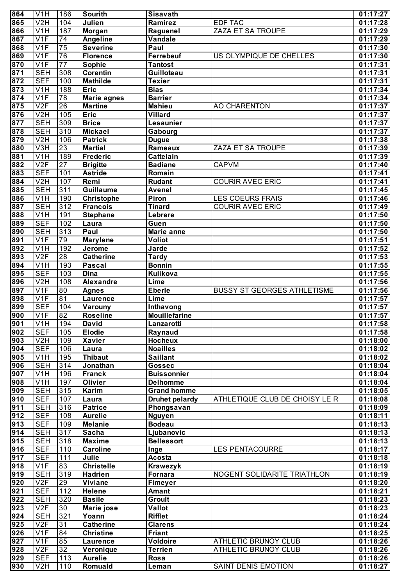| 864                                  | V <sub>1</sub> H                    | 186                    | Sourith                          | Sisavath                       |                                    | 01:17:27              |
|--------------------------------------|-------------------------------------|------------------------|----------------------------------|--------------------------------|------------------------------------|-----------------------|
| 865                                  | V <sub>2</sub> H                    | 104                    | Julien                           | Ramirez                        | <b>EDF TAC</b>                     | 01:17:28              |
| 866                                  | V <sub>1</sub> H                    | 187                    | Morgan                           | Raguenel                       | ZAZA ET SA TROUPE                  | 01:17:29              |
| 867                                  | V <sub>1F</sub>                     | $\overline{74}$        | <b>Angeline</b>                  | Vandale                        |                                    | 01:17:29              |
| 868                                  | V <sub>1F</sub>                     | $\overline{75}$        | <b>Severine</b>                  | Paul                           |                                    | 01:17:30              |
| 869                                  | V <sub>1F</sub>                     | $\overline{76}$        | Florence                         | Ferrebeuf                      | US OLYMPIQUE DE CHELLES            | 01:17:30              |
| 870                                  | V <sub>1F</sub>                     | $\overline{77}$        | Sophie                           | <b>Tantost</b>                 |                                    | 01:17:31              |
| 871                                  | <b>SEH</b>                          | 308                    | <b>Corentin</b>                  | Guilloteau                     |                                    | 01:17:31              |
| 872                                  | <b>SEF</b>                          | 100                    | <b>Mathilde</b>                  | Texier                         |                                    | 01:17:31              |
| 873                                  | V <sub>1</sub> H                    | 188                    | Eric                             | <b>Bias</b>                    |                                    | 01:17:34              |
| 874                                  | V <sub>1F</sub>                     | $\overline{78}$        | <b>Marie agnes</b>               | <b>Barrier</b>                 |                                    | 01:17:34              |
| 875<br>876                           | V2F<br>V <sub>2</sub> H             | $\overline{26}$<br>105 | <b>Martine</b><br>Eric           | <b>Mahieu</b><br>Villard       | <b>AO CHARENTON</b>                | 01:17:37              |
| 877                                  | <b>SEH</b>                          | 309                    | <b>Brice</b>                     | Lesaunier                      |                                    | 01:17:37<br>01:17:37  |
| 878                                  | <b>SEH</b>                          | 310                    | <b>Mickael</b>                   | Gabourg                        |                                    | 01:17:37              |
| 879                                  | V <sub>2</sub> H                    | 106                    | <b>Patrick</b>                   | <b>Dugue</b>                   |                                    | 01:17:38              |
| 880                                  | $\overline{\text{V3H}}$             | 23                     | <b>Martial</b>                   | Rameaux                        | ZAZA ET SA TROUPE                  | 01:17:39              |
| 881                                  | V <sub>1</sub> H                    | 189                    | <b>Frederic</b>                  | Cattelain                      |                                    | 01:17:39              |
| 882                                  | V2F                                 | $\overline{27}$        | <b>Brigitte</b>                  | <b>Badiane</b>                 | <b>CAPVM</b>                       | 01:17:40              |
| 883                                  | <b>SEF</b>                          | 101                    | Astride                          | Romain                         |                                    | 01:17:41              |
| 884                                  | V2H                                 | 107                    | Remi                             | <b>Rudant</b>                  | <b>COURIR AVEC ERIC</b>            | 01:17:41              |
| 885                                  | <b>SEH</b>                          | 311                    | <b>Guillaume</b>                 | Avenel                         |                                    | 01:17:45              |
| 886                                  | V <sub>1</sub> H                    | 190                    | <b>Christophe</b>                | Piron                          | <b>LES COEURS FRAIS</b>            | 01:17:46              |
| 887                                  | <b>SEH</b>                          | 312                    | <b>Francois</b>                  | <b>Tinard</b>                  | <b>COURIR AVEC ERIC</b>            | 01:17:49              |
| 888                                  | V <sub>1</sub> H                    | 191                    | <b>Stephane</b>                  | Lebrere                        |                                    | 01:17:50              |
| 889                                  | <b>SEF</b>                          | 102                    | Laura                            | Guen                           |                                    | 01:17:50              |
| 890                                  | <b>SEH</b>                          | 313                    | Paul                             | Marie anne                     |                                    | 01:17:50              |
| 891                                  | V <sub>1F</sub>                     | 79                     | <b>Marylene</b>                  | Voliot                         |                                    | 01:17:51              |
| 892                                  | V <sub>1</sub> H                    | 192                    | Jerome                           | Jarde                          |                                    | 01:17:52              |
| 893                                  | V2F                                 | $\overline{28}$        | <b>Catherine</b>                 | <b>Tardy</b>                   |                                    | $\overline{0}1:17:53$ |
| 894                                  | V <sub>1</sub> H                    | 193                    | <b>Pascal</b>                    | <b>Bonnin</b>                  |                                    | 01:17:55              |
| 895                                  | <b>SEF</b>                          | 103                    | <b>Dina</b>                      | Kulikova                       |                                    | 01:17:55              |
| 896<br>897                           | V <sub>2</sub> H<br>V <sub>1F</sub> | 108<br>80              | <b>Alexandre</b><br><b>Agnes</b> | Lime<br><b>Eberle</b>          | <b>BUSSY ST GEORGES ATHLETISME</b> | 01:17:56<br>01:17:56  |
| 898                                  | V1F                                 | 81                     | Laurence                         | Lime                           |                                    | 01:17:57              |
| 899                                  | <b>SEF</b>                          | 104                    | Varouny                          | Inthavong                      |                                    | 01:17:57              |
| 900                                  | $\overline{\text{V1F}}$             | 82                     | <b>Roseline</b>                  | <b>Mouillefarine</b>           |                                    | 01:17:57              |
| 901                                  | V1H                                 | 194                    | <b>David</b>                     | Lanzarotti                     |                                    | 01:17:58              |
| 902                                  | <b>SEF</b>                          | 105                    | <b>Elodie</b>                    | Raynaud                        |                                    | 01:17:58              |
| $\overline{903}$                     | V2H                                 | 109                    | <b>Xavier</b>                    | <b>Hocheux</b>                 |                                    | 01:18:00              |
| 904                                  | <b>SEF</b>                          | 106                    | Laura                            | <b>Noailles</b>                |                                    | 01:18:02              |
| 905                                  | $\overline{\text{V1H}}$             | 195                    | <b>Thibaut</b>                   | <b>Saillant</b>                |                                    | 01:18:02              |
| 906                                  | <b>SEH</b>                          | 314                    | Jonathan                         | <b>Gossec</b>                  |                                    | 01:18:04              |
| 907                                  | $\overline{\text{V1H}}$             | 196                    | <b>Franck</b>                    | <b>Buissonnier</b>             |                                    | 01:18:04              |
| 908                                  | $\overline{\text{V1H}}$             | 197                    | Olivier                          | <b>Delhomme</b>                |                                    | 01:18:04              |
| 909                                  | <b>SEH</b>                          | 315                    | Karim                            | <b>Grand homme</b>             |                                    | 01:18:05              |
| $\overline{910}$                     | <b>SEF</b>                          | 107                    | Laura                            | <b>Druhet pelardy</b>          | ATHLETIQUE CLUB DE CHOISY LE R     | 01:18:08              |
| $\overline{911}$                     | <b>SEH</b>                          | 316                    | <b>Patrice</b>                   | Phongsavan                     |                                    | 01:18:09              |
| $\overline{912}$                     | <b>SEF</b><br><b>SEF</b>            | 108                    | <b>Aurelie</b>                   | <b>Nguyen</b><br><b>Bodeau</b> |                                    | 01:18:11              |
| $\overline{913}$<br>$\overline{914}$ | <b>SEH</b>                          | 109<br>317             | <b>Melanie</b><br>Sacha          | Ljubanovic                     |                                    | 01:18:13<br>01:18:13  |
| 915                                  | <b>SEH</b>                          | 318                    | <b>Maxime</b>                    | <b>Bellessort</b>              |                                    | 01:18:13              |
| 916                                  | <b>SEF</b>                          | 110                    | <b>Caroline</b>                  | Inge                           | <b>LES PENTACOURRE</b>             | 01:18:17              |
| 917                                  | <b>SEF</b>                          | 111                    | Julie                            | Acosta                         |                                    | 01:18:18              |
| 918                                  | V1F                                 | 83                     | <b>Christelle</b>                | Krawezyk                       |                                    | 01:18:19              |
| 919                                  | <b>SEH</b>                          | 319                    | <b>Hadrien</b>                   | Fornara                        | NOGENT SOLIDARITE TRIATHLON        | 01:18:19              |
| 920                                  | V2F                                 | 29                     | <b>Viviane</b>                   | Fimeyer                        |                                    | 01:18:20              |
| 921                                  | <b>SEF</b>                          | 112                    | Helene                           | <b>Amant</b>                   |                                    | 01:18:21              |
| 922                                  | <b>SEH</b>                          | 320                    | <b>Basile</b>                    | <b>Groult</b>                  |                                    | 01:18:23              |
| 923                                  | V2F                                 | 30                     | Marie jose                       | Vallot                         |                                    | 01:18:23              |
| 924                                  | <b>SEH</b>                          | 321                    | Yoann                            | <b>Rifflet</b>                 |                                    | 01:18:24              |
| 925                                  | V2F                                 | 31                     | <b>Catherine</b>                 | <b>Clarens</b>                 |                                    | 01:18:24              |
| 926                                  | V1F                                 | 84                     | <b>Christine</b>                 | <b>Friant</b>                  |                                    | 01:18:25              |
| 927                                  | V1F                                 | 85                     | Laurence                         | <b>Voldoire</b>                | ATHLETIC BRUNOY CLUB               | 01:18:26              |
| 928                                  | V2F                                 | $\overline{32}$        | Veronique                        | <b>Terrien</b>                 | ATHLETIC BRUNOY CLUB               | 01:18:26              |
| 929                                  | <b>SEF</b>                          | 113                    | <b>Aurelie</b>                   | <b>Rosa</b>                    |                                    | 01:18:26              |
| 930                                  | V2H                                 | 110                    | Romuald                          | Leman                          | SAINT DENIS EMOTION                | 01:18:27              |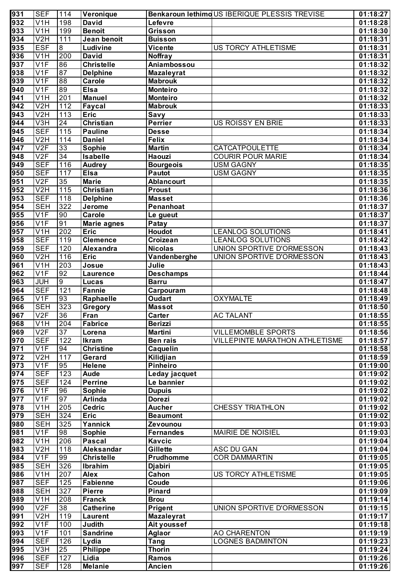| 931              | <b>SEF</b>                | 114              | Veronique         |                    | Benkaroun lethimoUS IBERIQUE PLESSIS TREVISE | 01:18:27 |
|------------------|---------------------------|------------------|-------------------|--------------------|----------------------------------------------|----------|
| 932              | V1H                       | 198              | <b>David</b>      | Lefevre            |                                              | 01:18:28 |
| 933              | V1H                       | 199              | <b>Benoit</b>     | Grisson            |                                              | 01:18:30 |
| 934              | V2H                       | 111              | Jean benoit       | <b>Buisson</b>     |                                              | 01:18:31 |
| $\overline{935}$ | <b>ESF</b>                | $\infty$         | Ludivine          | <b>Vicente</b>     | US TORCY ATHLETISME                          | 01:18:31 |
| $\overline{936}$ | V1H                       | 200              | <b>David</b>      | <b>Noffray</b>     |                                              | 01:18:31 |
| $\overline{937}$ | V1F                       | 86               | <b>Christelle</b> | Aniambossou        |                                              | 01:18:32 |
| $\overline{938}$ | V1F                       | 87               | <b>Delphine</b>   | <b>Mazaleyrat</b>  |                                              | 01:18:32 |
| 939              | V1F                       | 88               | Carole            | <b>Mabrouk</b>     |                                              | 01:18:32 |
| $\overline{940}$ | V1F                       | 89               | <b>Elsa</b>       | <b>Monteiro</b>    |                                              | 01:18:32 |
| 941              | V <sub>1</sub> H          | 201              | <b>Manuel</b>     | <b>Monteiro</b>    |                                              | 01:18:32 |
| $\overline{942}$ | V2H                       | 112              | Faycal            | <b>Mabrouk</b>     |                                              | 01:18:33 |
| 943              | V2H                       | $\overline{113}$ | <b>Eric</b>       | Savy               |                                              | 01:18:33 |
| 944              | $\overline{\text{V3H}}$   | 24               | <b>Christian</b>  | Perrier            | US ROISSY EN BRIE                            | 01:18:33 |
| $\overline{945}$ | <b>SEF</b>                | 115              | <b>Pauline</b>    | <b>Desse</b>       |                                              | 01:18:34 |
| $\overline{946}$ | V2H                       | 114              | <b>Daniel</b>     | <b>Felix</b>       |                                              | 01:18:34 |
| $\overline{947}$ | V2F                       | 33               | <b>Sophie</b>     | <b>Martin</b>      | <b>CATCATPOULETTE</b>                        | 01:18:34 |
| $\overline{948}$ | V2F                       | 34               | <b>Isabelle</b>   | <b>Haouzi</b>      | <b>COURIR POUR MARIE</b>                     | 01:18:34 |
| 949              | <b>SEF</b>                | 116              | <b>Audrey</b>     | <b>Bourgeois</b>   | <b>USM GAGNY</b>                             | 01:18:35 |
| $\overline{950}$ | <b>SEF</b>                | 117              | <b>Elsa</b>       | <b>Pautot</b>      | <b>USM GAGNY</b>                             | 01:18:35 |
| $\overline{951}$ | V2F                       | $\overline{35}$  | <b>Marie</b>      | <b>Ablancourt</b>  |                                              | 01:18:35 |
| 952              | V2H                       | 115              | <b>Christian</b>  | <b>Proust</b>      |                                              | 01:18:36 |
| $\overline{953}$ | <b>SEF</b>                | 118              | <b>Delphine</b>   | <b>Masset</b>      |                                              | 01:18:36 |
| 954              | <b>SEH</b>                | 322              | Jerome            | Penanhoat          |                                              | 01:18:37 |
| 955              | V1F                       | 90               | Carole            | Le gueut           |                                              | 01:18:37 |
| 956              | V1F                       | 91               | Marie agnes       | Patay              |                                              | 01:18:37 |
| 957              | $\overline{\mathsf{V1H}}$ | 202              | Eric              | Houdot             | <b>LEANLOG SOLUTIONS</b>                     | 01:18:41 |
| $\overline{958}$ | <b>SEF</b>                | 119              | <b>Clemence</b>   | Croizean           | <b>LEANLOG SOLUTIONS</b>                     | 01:18:42 |
| 959              | <b>SEF</b>                | 120              | Alexandra         | <b>Nicolas</b>     | UNION SPORTIVE D'ORMESSON                    | 01:18:43 |
| 960              | V2H                       | 116              | <b>Eric</b>       | Vandenberghe       | UNION SPORTIVE D'ORMESSON                    | 01:18:43 |
| $\overline{961}$ | $\overline{V1H}$          | $\overline{203}$ | Josue             | Julie              |                                              | 01:18:43 |
| 962              | V1F                       | 92               | <b>Laurence</b>   | <b>Deschamps</b>   |                                              | 01:18:44 |
| 963              | <b>JUH</b>                | $\overline{9}$   | Lucas             | <b>Barru</b>       |                                              | 01:18:47 |
| 964              | <b>SEF</b>                | 121              | Fannie            | Carpouram          |                                              | 01:18:48 |
| 965              | V1F                       | 93               | Raphaelle         | <b>Oudart</b>      | <b>OXYMALTE</b>                              | 01:18:49 |
| 966              | <b>SEH</b>                | 323              | Gregory           | <b>Massot</b>      |                                              | 01:18:50 |
| 967              | V2F                       | $\overline{36}$  | Fran              | Carter             | <b>AC TALANT</b>                             | 01:18:55 |
| 968              | V1H                       | 204              | Fabrice           | <b>Berizzi</b>     |                                              | 01:18:55 |
| 969              | V2F                       | 37               | Lorena            | <b>Martini</b>     | <b>VILLEMOMBLE SPORTS</b>                    | 01:18:56 |
| $\overline{970}$ | <b>SEF</b>                | 122              | <b>Ikram</b>      | <b>Ben rais</b>    | <b>VILLEPINTE MARATHON ATHLETISME</b>        | 01:18:57 |
| $\overline{971}$ | V1F                       | 94               | <b>Christine</b>  | Caquelin           |                                              | 01:18:58 |
| $\overline{972}$ | V2H                       | 117              | Gerard            | Kilidjian          |                                              | 01:18:59 |
| 973              | V1F                       | 95               | <b>Helene</b>     | <b>Pinheiro</b>    |                                              | 01:19:00 |
| 974              | <b>SEF</b>                | 123              | <b>Aude</b>       | Leday jacquet      |                                              | 01:19:02 |
| $\overline{975}$ | <b>SEF</b>                | 124              | <b>Perrine</b>    | Le bannier         |                                              | 01:19:02 |
| $\overline{976}$ | V1F                       | 96               | <b>Sophie</b>     | <b>Dupuis</b>      |                                              | 01:19:02 |
| $\overline{977}$ | V1F                       | 97               | <b>Arlinda</b>    | <b>Dorezi</b>      |                                              | 01:19:02 |
| $\overline{978}$ | $\overline{\text{V1H}}$   | 205              | <b>Cedric</b>     | <b>Aucher</b>      | <b>CHESSY TRIATHLON</b>                      | 01:19:02 |
| $\overline{979}$ | <b>SEH</b>                | 324              | <b>Eric</b>       | <b>Beaumont</b>    |                                              | 01:19:02 |
| 980              | <b>SEH</b>                | 325              | Yannick           | Zevounou           |                                              | 01:19:03 |
| 981              | V1F                       | 98               | <b>Sophie</b>     | <b>Fernandes</b>   | <b>MAIRIE DE NOISIEL</b>                     | 01:19:03 |
| 982              | V <sub>1</sub> H          | 206              | <b>Pascal</b>     | Kavcic             |                                              | 01:19:04 |
| 983              | V <sub>2</sub> H          | 118              | Aleksandar        | Gillette           | ASC DU GAN                                   | 01:19:04 |
| 984              | V1F                       | 99               | <b>Christelle</b> | Prudhomme          | <b>COR DAMMARTIN</b>                         | 01:19:05 |
| 985              | <b>SEH</b>                | 326              | Ibrahim           | <b>Djabiri</b>     |                                              | 01:19:05 |
| 986              | V <sub>1</sub> H          | 207              | <b>Alex</b>       | Cahon              | US TORCY ATHLETISME                          | 01:19:05 |
| 987              | <b>SEF</b>                | 125              | <b>Fabienne</b>   | Coude              |                                              | 01:19:06 |
| 988              | <b>SEH</b>                | 327              | <b>Pierre</b>     | <b>Pinard</b>      |                                              | 01:19:09 |
| 989              | V <sub>1</sub> H          | 208              | <b>Franck</b>     | <b>Brou</b>        |                                              | 01:19:14 |
| 990              | V2F                       | 38               | <b>Catherine</b>  | Prigent            | UNION SPORTIVE D'ORMESSON                    | 01:19:15 |
| 991              | V <sub>2</sub> H          | 119              | <b>Laurent</b>    | <b>Mazaleyrat</b>  |                                              | 01:19:17 |
| 992              | V <sub>1F</sub>           | 100              | Judith            | Ait youssef        |                                              | 01:19:18 |
| 993              | V1F                       | 101              | <b>Sandrine</b>   | <b>Aglaor</b>      | AO CHARENTON                                 | 01:19:19 |
| 994              | <b>SEF</b>                | 126              | Lydia             | $\overline{T}$ ang | <b>LOGNES BADMINTON</b>                      | 01:19:23 |
| 995              | V3H                       | $\overline{25}$  | <b>Philippe</b>   | <b>Thorin</b>      |                                              | 01:19:24 |
| 996              | <b>SEF</b>                | 127              | Lidia             | <b>Ramos</b>       |                                              | 01:19:26 |
| 997              | <b>SEF</b>                | 128              | <b>Melanie</b>    | <b>Ancien</b>      |                                              | 01:19:26 |
|                  |                           |                  |                   |                    |                                              |          |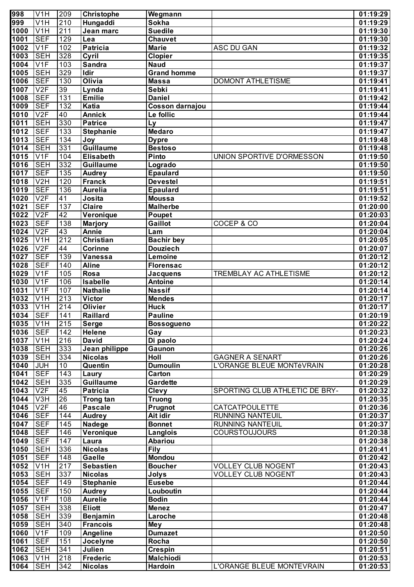| 998               | V <sub>1</sub> H          | 209              | <b>Christophe</b>       | Wegmann            |                                | 01:19:29 |
|-------------------|---------------------------|------------------|-------------------------|--------------------|--------------------------------|----------|
| 999               | V <sub>1</sub> H          | 210              | Hungaddi                | Sokha              |                                | 01:19:29 |
| 1000              | V <sub>1</sub> H          | $\overline{211}$ | Jean marc               | <b>Suedile</b>     |                                | 01:19:30 |
| 1001              | <b>SEF</b>                | 129              | Lea                     | Chauvet            |                                | 01:19:30 |
| 1002              | V1F                       | 102              | <b>Patricia</b>         | <b>Marie</b>       | ASC DU GAN                     | 01:19:32 |
| 1003              | <b>SEH</b>                | 328              | Cyril                   | <b>Clopier</b>     |                                | 01:19:35 |
| 1004              | V1F                       | 103              | <b>Sandra</b>           | <b>Naud</b>        |                                | 01:19:37 |
| 1005              | <b>SEH</b>                | 329              | Idir                    | <b>Grand homme</b> |                                | 01:19:37 |
| 1006              | <b>SEF</b>                | 130              | Olivia                  | <b>Massa</b>       | <b>DOMONT ATHLETISME</b>       | 01:19:41 |
| 1007              | V2F                       | 39               | Lynda                   | Sebki              |                                | 01:19:41 |
| 1008              | <b>SEF</b>                | $\overline{131}$ | <b>Emilie</b>           | <b>Daniel</b>      |                                | 01:19:42 |
| 1009              | <b>SEF</b>                | 132              | Katia                   | Cosson darnajou    |                                | 01:19:44 |
| $10\overline{10}$ | V2F                       | 40               | <b>Annick</b>           | Le follic          |                                | 01:19:44 |
| 1011              | <b>SEH</b>                | 330              | <b>Patrice</b>          | Ly                 |                                | 01:19:47 |
| 1012              | <b>SEF</b>                | $\overline{133}$ | <b>Stephanie</b>        | <b>Medaro</b>      |                                | 01:19:47 |
| 1013              | <b>SEF</b>                | 134              | Joy                     | <b>Dypre</b>       |                                | 01:19:48 |
| $10\overline{14}$ | <b>SEH</b>                | 331              | <b>Guillaume</b>        | <b>Bestoso</b>     |                                | 01:19:48 |
| 1015              | V1F                       | 104              | <b>Elisabeth</b>        | Pinto              | UNION SPORTIVE D'ORMESSON      | 01:19:50 |
| 1016              | <b>SEH</b>                | 332              | <b>Guillaume</b>        | Logrado            |                                | 01:19:50 |
| 1017              | <b>SEF</b>                | $\overline{135}$ | <b>Audrey</b>           | <b>Epaulard</b>    |                                | 01:19:50 |
| 1018              | V <sub>2</sub> H          | 120              | <b>Franck</b>           | <b>Devestel</b>    |                                | 01:19:51 |
| 1019              | <b>SEF</b>                | 136              | <b>Aurelia</b>          | <b>Epaulard</b>    |                                | 01:19:51 |
| 1020              | V2F                       | 41               | Josita                  | <b>Moussa</b>      |                                | 01:19:52 |
| 1021              | <b>SEF</b>                | 137              | <b>Claire</b>           | <b>Malherbe</b>    |                                | 01:20:00 |
| 1022              | V2F                       | 42               | Veronique               | Poupet             |                                | 01:20:03 |
| 1023              | <b>SEF</b>                | 138              | <b>Marjory</b>          | Gaillot            | COCEP & CO                     | 01:20:04 |
| 1024              | V2F                       | 43               | <b>Annie</b>            | Lam                |                                | 01:20:04 |
| 1025              | V <sub>1</sub> H          | 212              | <b>Christian</b>        | <b>Bachir bey</b>  |                                | 01:20:05 |
| 1026              | V2F                       | 44               | <b>Corinne</b>          | <b>Douziech</b>    |                                | 01:20:07 |
| 1027              | <b>SEF</b>                | 139              | <b>Vanessa</b>          | Lemoine            |                                | 01:20:12 |
| 1028              | $\overline{\mathsf{SEF}}$ | 140              | <b>Aline</b>            | <b>Florensac</b>   |                                | 01:20:12 |
| 1029              | V <sub>1F</sub>           | 105              | Rosa                    | <b>Jacquens</b>    | TREMBLAY AC ATHLETISME         | 01:20:12 |
| 1030              | V <sub>1F</sub>           | 106              | Isabelle                | <b>Antoine</b>     |                                | 01:20:14 |
| 1031              | V <sub>1</sub> F          | 107              | <b>Nathalie</b>         | <b>Nassif</b>      |                                | 01:20:14 |
| 1032              | $\overline{\text{V1H}}$   | 213              | <b>Victor</b>           | <b>Mendes</b>      |                                | 01:20:17 |
| 1033              | $\overline{\text{V1H}}$   | $\overline{214}$ | <b>Olivier</b>          | <b>Huck</b>        |                                | 01:20:17 |
| 1034              | <b>SEF</b>                | 141              | Raillard                | <b>Pauline</b>     |                                | 01:20:19 |
| 1035              | V1H                       | 215              | <b>Serge</b>            | Bossogueno         |                                | 01:20:22 |
| 1036              | <b>SEF</b>                | 142              | Helene                  | Gay                |                                | 01:20:23 |
| 1037              | V <sub>1</sub> H          | 216              | <b>David</b>            | Di paolo           |                                | 01:20:24 |
| 1038              | <b>SEH</b>                | 333              | Jean philippe           | Gaunon             |                                | 01:20:26 |
| 1039              | <b>SEH</b>                | 334              | <b>Nicolas</b>          | Holl               | <b>GAGNER A SENART</b>         | 01:20:26 |
| 1040              | <b>JUH</b>                | 10               | Quentin                 | <b>Dumoulin</b>    | L'ORANGE BLEUE MONTéVRAIN      | 01:20:28 |
| 1041              | <b>SEF</b>                | $\overline{143}$ | Laury                   | Carton             |                                | 01:20:29 |
| 1042              | <b>SEH</b>                | 335              | <b>Guillaume</b>        | Gardette           |                                | 01:20:29 |
| 1043              | V2F                       | 45               | <b>Patricia</b>         | <b>Clevy</b>       | SPORTING CLUB ATHLETIC DE BRY- | 01:20:32 |
| 1044              | V <sub>3</sub> H          | $\overline{26}$  | Trong tan               | <b>Truong</b>      |                                | 01:20:35 |
| 1045              | V2F                       | 46               | <b>Pascale</b>          | Prugnot            | <b>CATCATPOULETTE</b>          | 01:20:36 |
| 1046              | <b>SEF</b>                | 144              | Audrey                  | Ait idir           | <b>RUNNING NANTEUIL</b>        | 01:20:37 |
| 1047              | <b>SEF</b>                | 145              | Nadege                  | <b>Bonnet</b>      | RUNNING NANTEUIL               | 01:20:37 |
| 1048              | <b>SEF</b>                | 146              | Veronique               | Langlois           | <b>COURSTOUJOURS</b>           | 01:20:38 |
| 1049              | <b>SEF</b>                | 147              |                         | <b>Abariou</b>     |                                | 01:20:38 |
| 1050              | <b>SEH</b>                | 336              | Laura<br><b>Nicolas</b> | <b>Fily</b>        |                                | 01:20:41 |
|                   | <b>SEF</b>                |                  |                         | <b>Mondou</b>      |                                |          |
| 1051              |                           | 148              | Gaelle                  |                    |                                | 01:20:42 |
| 1052              | V <sub>1</sub> H          | 217              | <b>Sebastien</b>        | <b>Boucher</b>     | <b>VOLLEY CLUB NOGENT</b>      | 01:20:43 |
| 1053              | <b>SEH</b>                | 337              | <b>Nicolas</b>          | <b>Jolys</b>       | <b>VOLLEY CLUB NOGENT</b>      | 01:20:43 |
| 1054              | SEF                       | 149              | <b>Stephanie</b>        | <b>Eusebe</b>      |                                | 01:20:44 |
| 1055              | <b>SEF</b>                | 150              | <b>Audrey</b>           | Louboutin          |                                | 01:20:44 |
| 1056              | V <sub>1F</sub>           | 108              | <b>Aurelie</b>          | <b>Bodin</b>       |                                | 01:20:44 |
| 1057              | <b>SEH</b>                | 338              | <b>Eliott</b>           | <b>Menez</b>       |                                | 01:20:47 |
| 1058              | <b>SEH</b>                | 339              | <b>Benjamin</b>         | Laroche            |                                | 01:20:48 |
| 1059              | <b>SEH</b>                | 340              | <b>Francois</b>         | <b>Mey</b>         |                                | 01:20:48 |
| 1060              | V <sub>1F</sub>           | 109              | Angeline                | <b>Dumazet</b>     |                                | 01:20:50 |
| 1061              | <b>SEF</b>                | 151              | Jocelyne                | Rocha              |                                | 01:20:50 |
| 1062              | <b>SEH</b>                | 341              | Julien                  | <b>Crespin</b>     |                                | 01:20:51 |
| 1063              | V <sub>1</sub> H          | 218              | <b>Frederic</b>         | <b>Malchiodi</b>   |                                | 01:20:53 |
| 1064              | <b>SEH</b>                | 342              | <b>Nicolas</b>          | Hardoin            | L'ORANGE BLEUE MONTEVRAIN      | 01:20:53 |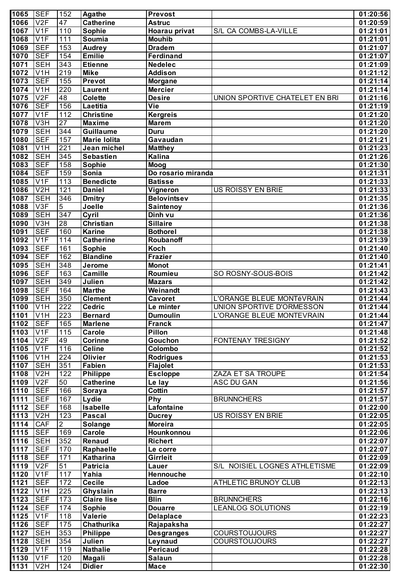| 47<br>V2F<br><b>Catherine</b><br>1066<br><b>Astruc</b><br>110<br>1067<br>V <sub>1F</sub><br><b>Sophie</b><br>Hoarau privat<br>S/L CA COMBS-LA-VILLE<br>1068<br>V <sub>1F</sub><br>111<br>Soumia<br><b>Mouhib</b><br>153<br>1069<br><b>SEF</b><br><b>Audrey</b><br><b>Dradem</b><br><b>SEF</b><br>154<br>1070<br><b>Emilie</b><br><b>Ferdinand</b><br>343<br>1071<br><b>SEH</b><br><b>Etienne</b><br><b>Nedelec</b><br>219<br>1072<br>V <sub>1</sub> H<br><b>Mike</b><br><b>Addison</b><br>155<br>1073<br><b>SEF</b><br>Prevot<br><b>Morgane</b><br>220<br>1074<br>V <sub>1</sub> H<br><b>Mercier</b><br><b>Laurent</b><br>V2F<br>48<br>1075<br>Colette<br><b>Desire</b><br>UNION SPORTIVE CHATELET EN BRI<br>156<br>$10\overline{76}$<br><b>SEF</b><br>Vie<br>Laetitia<br>1077<br>V1F<br>112<br><b>Christine</b><br><b>Kergreis</b><br>$\overline{27}$<br>V3H<br>1078<br><b>Maxime</b><br><b>Marem</b><br>344<br>1079<br><b>SEH</b><br><b>Guillaume</b><br><b>Duru</b><br><b>SEF</b><br>157<br>1080<br>Gavaudan<br><b>Marie Iolita</b><br>221<br>1081<br>V <sub>1</sub> H<br>Jean michel<br><b>Matthey</b><br><b>SEH</b><br>345<br>1082<br>Kalina<br><b>Sebastien</b><br><b>SEF</b><br>158<br>1083<br>Moog<br>Sophie<br>159<br>1084<br><b>SEF</b><br>Sonia<br>Do rosario miranda<br>113<br>1085<br>V1F<br><b>Benedicte</b><br><b>Batisse</b><br>121<br>1086<br>V <sub>2</sub> H<br><b>Daniel</b><br>Vigneron<br>US ROISSY EN BRIE<br>01:21:33<br><b>SEH</b><br>346<br>1087<br><b>Dmitry</b><br><b>Belovintsev</b><br>5<br>1088<br>V3F<br>Joelle<br><b>Saintenoy</b><br>01:21:36<br>347<br>1089<br><b>SEH</b><br>Cyril<br>Dinh vu<br>01:21:36<br>$\overline{28}$<br>1090<br>V3H<br><b>Christian</b><br><b>Sillaire</b><br>01:21:38<br><b>SEF</b><br>160<br>1091<br><b>Karine</b><br><b>Bothorel</b><br>01:21:38<br>1092<br>V1F<br>114<br><b>Catherine</b><br>Roubanoff<br>01:21:39<br>161<br>1093<br><b>SEF</b><br>Sophie<br>Koch<br>01:21:40<br>162<br>1094<br><b>SEF</b><br><b>Blandine</b><br><b>Frazier</b><br>01:21:40<br>348<br>1095<br><b>SEH</b><br>Jerome<br><b>Monot</b><br>01:21:41<br>163<br>1096<br><b>SEF</b><br><b>Camille</b><br>Roumieu<br>SO ROSNY-SOUS-BOIS<br>01:21:42<br>349<br>1097<br><b>SEH</b><br>Julien<br><b>Mazars</b><br>01:21:42<br>1098<br><b>SEF</b><br>164<br><b>Marthe</b><br>Weinandt<br>01:21:43<br>350<br><b>SEH</b><br>1099<br>L'ORANGE BLEUE MONTéVRAIN<br>01:21:44<br><b>Clement</b><br><b>Cavoret</b><br>222<br>1100<br>$\overline{\text{V1H}}$<br>UNION SPORTIVE D'ORMESSON<br><b>Cedric</b><br>01:21:44<br>Le minter<br>V1H<br>223<br>1101<br>L'ORANGE BLEUE MONTEVRAIN<br><b>Bernard</b><br><b>Dumoulin</b><br>01:21:44<br><b>SEF</b><br>165<br>1102<br>01:21:47<br><b>Marlene</b><br>Franck<br>1103<br>V <sub>1F</sub><br>115<br>Pillon<br><b>Carole</b><br>01:21:48<br>1104<br>V2F<br>49<br>Corinne<br>Gouchon<br>01:21:52<br>FONTENAY TRESIGNY<br>1105<br>116<br>V <sub>1F</sub><br><b>Celine</b><br>Colombo<br>01:21:52<br>1106<br>$\overline{224}$<br>V <sub>1</sub> H<br><b>Olivier</b><br><b>Rodrigues</b><br>01:21:53<br><b>SEH</b><br>351<br><b>Flajolet</b><br>1107<br>Fabien<br>01:21:53<br>1108<br>V2H<br>122<br><b>Philippe</b><br><b>Escloppe</b><br>ZAZA ET SA TROUPE<br>01:21:54<br>1109<br>V2F<br>50<br><b>Catherine</b><br>01:21:56<br>Le lay<br>ASC DU GAN<br>1110<br><b>SEF</b><br><b>Cottin</b><br>166<br>01:21:57<br>Soraya<br><b>SEF</b><br>1111<br>167<br>Lydie<br>Phy<br>01:21:57<br><b>BRUNNCHERS</b><br><b>SEF</b><br><b>Isabelle</b><br>Lafontaine<br>1112<br>168<br>01:22:00<br>1113<br>123<br>V <sub>2</sub> H<br><b>Pascal</b><br>01:22:05<br><b>Ducrey</b><br>US ROISSY EN BRIE<br>$\overline{2}$<br><b>CAF</b><br>1114<br>Solange<br><b>Moreira</b><br>01:22:05<br><b>SEF</b><br><b>Carole</b><br>1115<br>169<br>Hounkonnou<br>01:22:06<br><b>SEH</b><br>352<br><b>Renaud</b><br>1116<br><b>Richert</b><br>01:22:07<br>1117<br><b>SEF</b><br>170<br>Raphaelle<br>01:22:07<br>Le corre<br>1118<br><b>SEF</b><br>Katharina<br>Girrleit<br>171<br>01:22:09<br>51<br>1119<br>V2F<br><b>Patricia</b><br>S/L NOISIEL LOGNES ATHLETISME<br>01:22:09<br>Lauer<br>1120<br>V <sub>1F</sub><br>117<br>Yahia<br>Hennouche<br>01:22:10<br>1121<br><b>SEF</b><br>172<br><b>Cecile</b><br>ATHLETIC BRUNOY CLUB<br>01:22:13<br>Ladoe<br>1122<br>225<br>Ghyslain<br>V <sub>1</sub> H<br><b>Barre</b><br>01:22:13<br><b>SEF</b><br><b>Claire lise</b><br><b>Blin</b><br>1123<br>173<br>01:22:16<br><b>BRUNNCHERS</b><br><b>SEF</b><br>1124<br>174<br>Sophie<br>01:22:19<br><b>Douarre</b><br><b>LEANLOG SOLUTIONS</b><br>118<br>Valerie<br>1125<br>V <sub>1</sub> F<br>01:22:23<br><b>Delaplace</b><br>1126<br><b>SEF</b><br>175<br>Chathurika<br>Rajapaksha<br><b>SEH</b><br>353<br>1127<br><b>Philippe</b><br><b>Desgranges</b><br><b>COURSTOUJOURS</b><br><b>SEH</b><br>354<br>1128<br>Julien<br>Leynaud<br><b>COURSTOUJOURS</b><br><b>Pericaud</b><br>1129<br>V <sub>1</sub> F<br>119<br><b>Nathalie</b><br>120<br>1130<br>V1F<br><b>Salaun</b><br>Magali | 1065 | <b>SEF</b>       | 152 | <b>Agathe</b> | Prevost     | 01:20:56 |
|-------------------------------------------------------------------------------------------------------------------------------------------------------------------------------------------------------------------------------------------------------------------------------------------------------------------------------------------------------------------------------------------------------------------------------------------------------------------------------------------------------------------------------------------------------------------------------------------------------------------------------------------------------------------------------------------------------------------------------------------------------------------------------------------------------------------------------------------------------------------------------------------------------------------------------------------------------------------------------------------------------------------------------------------------------------------------------------------------------------------------------------------------------------------------------------------------------------------------------------------------------------------------------------------------------------------------------------------------------------------------------------------------------------------------------------------------------------------------------------------------------------------------------------------------------------------------------------------------------------------------------------------------------------------------------------------------------------------------------------------------------------------------------------------------------------------------------------------------------------------------------------------------------------------------------------------------------------------------------------------------------------------------------------------------------------------------------------------------------------------------------------------------------------------------------------------------------------------------------------------------------------------------------------------------------------------------------------------------------------------------------------------------------------------------------------------------------------------------------------------------------------------------------------------------------------------------------------------------------------------------------------------------------------------------------------------------------------------------------------------------------------------------------------------------------------------------------------------------------------------------------------------------------------------------------------------------------------------------------------------------------------------------------------------------------------------------------------------------------------------------------------------------------------------------------------------------------------------------------------------------------------------------------------------------------------------------------------------------------------------------------------------------------------------------------------------------------------------------------------------------------------------------------------------------------------------------------------------------------------------------------------------------------------------------------------------------------------------------------------------------------------------------------------------------------------------------------------------------------------------------------------------------------------------------------------------------------------------------------------------------------------------------------------------------------------------------------------------------------------------------------------------------------------------------------------------------------------------------------------------------------------------------------------------------------------------------------------------------------------------------------------------------------------------------------------------------------------------------------------------------------------------------------------------------------------------------------------------------------------------------------------------------------------------------------------------------------------------------------------------------------------------------------------------------------------------------------------------------------------------------------------------------------------------------------------------------------------------------------------------------------------------------|------|------------------|-----|---------------|-------------|----------|
|                                                                                                                                                                                                                                                                                                                                                                                                                                                                                                                                                                                                                                                                                                                                                                                                                                                                                                                                                                                                                                                                                                                                                                                                                                                                                                                                                                                                                                                                                                                                                                                                                                                                                                                                                                                                                                                                                                                                                                                                                                                                                                                                                                                                                                                                                                                                                                                                                                                                                                                                                                                                                                                                                                                                                                                                                                                                                                                                                                                                                                                                                                                                                                                                                                                                                                                                                                                                                                                                                                                                                                                                                                                                                                                                                                                                                                                                                                                                                                                                                                                                                                                                                                                                                                                                                                                                                                                                                                                                                                                                                                                                                                                                                                                                                                                                                                                                                                                                                                                                                         |      |                  |     |               |             | 01:20:59 |
|                                                                                                                                                                                                                                                                                                                                                                                                                                                                                                                                                                                                                                                                                                                                                                                                                                                                                                                                                                                                                                                                                                                                                                                                                                                                                                                                                                                                                                                                                                                                                                                                                                                                                                                                                                                                                                                                                                                                                                                                                                                                                                                                                                                                                                                                                                                                                                                                                                                                                                                                                                                                                                                                                                                                                                                                                                                                                                                                                                                                                                                                                                                                                                                                                                                                                                                                                                                                                                                                                                                                                                                                                                                                                                                                                                                                                                                                                                                                                                                                                                                                                                                                                                                                                                                                                                                                                                                                                                                                                                                                                                                                                                                                                                                                                                                                                                                                                                                                                                                                                         |      |                  |     |               |             | 01:21:01 |
|                                                                                                                                                                                                                                                                                                                                                                                                                                                                                                                                                                                                                                                                                                                                                                                                                                                                                                                                                                                                                                                                                                                                                                                                                                                                                                                                                                                                                                                                                                                                                                                                                                                                                                                                                                                                                                                                                                                                                                                                                                                                                                                                                                                                                                                                                                                                                                                                                                                                                                                                                                                                                                                                                                                                                                                                                                                                                                                                                                                                                                                                                                                                                                                                                                                                                                                                                                                                                                                                                                                                                                                                                                                                                                                                                                                                                                                                                                                                                                                                                                                                                                                                                                                                                                                                                                                                                                                                                                                                                                                                                                                                                                                                                                                                                                                                                                                                                                                                                                                                                         |      |                  |     |               |             | 01:21:01 |
|                                                                                                                                                                                                                                                                                                                                                                                                                                                                                                                                                                                                                                                                                                                                                                                                                                                                                                                                                                                                                                                                                                                                                                                                                                                                                                                                                                                                                                                                                                                                                                                                                                                                                                                                                                                                                                                                                                                                                                                                                                                                                                                                                                                                                                                                                                                                                                                                                                                                                                                                                                                                                                                                                                                                                                                                                                                                                                                                                                                                                                                                                                                                                                                                                                                                                                                                                                                                                                                                                                                                                                                                                                                                                                                                                                                                                                                                                                                                                                                                                                                                                                                                                                                                                                                                                                                                                                                                                                                                                                                                                                                                                                                                                                                                                                                                                                                                                                                                                                                                                         |      |                  |     |               |             | 01:21:07 |
|                                                                                                                                                                                                                                                                                                                                                                                                                                                                                                                                                                                                                                                                                                                                                                                                                                                                                                                                                                                                                                                                                                                                                                                                                                                                                                                                                                                                                                                                                                                                                                                                                                                                                                                                                                                                                                                                                                                                                                                                                                                                                                                                                                                                                                                                                                                                                                                                                                                                                                                                                                                                                                                                                                                                                                                                                                                                                                                                                                                                                                                                                                                                                                                                                                                                                                                                                                                                                                                                                                                                                                                                                                                                                                                                                                                                                                                                                                                                                                                                                                                                                                                                                                                                                                                                                                                                                                                                                                                                                                                                                                                                                                                                                                                                                                                                                                                                                                                                                                                                                         |      |                  |     |               |             | 01:21:07 |
|                                                                                                                                                                                                                                                                                                                                                                                                                                                                                                                                                                                                                                                                                                                                                                                                                                                                                                                                                                                                                                                                                                                                                                                                                                                                                                                                                                                                                                                                                                                                                                                                                                                                                                                                                                                                                                                                                                                                                                                                                                                                                                                                                                                                                                                                                                                                                                                                                                                                                                                                                                                                                                                                                                                                                                                                                                                                                                                                                                                                                                                                                                                                                                                                                                                                                                                                                                                                                                                                                                                                                                                                                                                                                                                                                                                                                                                                                                                                                                                                                                                                                                                                                                                                                                                                                                                                                                                                                                                                                                                                                                                                                                                                                                                                                                                                                                                                                                                                                                                                                         |      |                  |     |               |             | 01:21:09 |
|                                                                                                                                                                                                                                                                                                                                                                                                                                                                                                                                                                                                                                                                                                                                                                                                                                                                                                                                                                                                                                                                                                                                                                                                                                                                                                                                                                                                                                                                                                                                                                                                                                                                                                                                                                                                                                                                                                                                                                                                                                                                                                                                                                                                                                                                                                                                                                                                                                                                                                                                                                                                                                                                                                                                                                                                                                                                                                                                                                                                                                                                                                                                                                                                                                                                                                                                                                                                                                                                                                                                                                                                                                                                                                                                                                                                                                                                                                                                                                                                                                                                                                                                                                                                                                                                                                                                                                                                                                                                                                                                                                                                                                                                                                                                                                                                                                                                                                                                                                                                                         |      |                  |     |               |             | 01:21:12 |
|                                                                                                                                                                                                                                                                                                                                                                                                                                                                                                                                                                                                                                                                                                                                                                                                                                                                                                                                                                                                                                                                                                                                                                                                                                                                                                                                                                                                                                                                                                                                                                                                                                                                                                                                                                                                                                                                                                                                                                                                                                                                                                                                                                                                                                                                                                                                                                                                                                                                                                                                                                                                                                                                                                                                                                                                                                                                                                                                                                                                                                                                                                                                                                                                                                                                                                                                                                                                                                                                                                                                                                                                                                                                                                                                                                                                                                                                                                                                                                                                                                                                                                                                                                                                                                                                                                                                                                                                                                                                                                                                                                                                                                                                                                                                                                                                                                                                                                                                                                                                                         |      |                  |     |               |             | 01:21:14 |
|                                                                                                                                                                                                                                                                                                                                                                                                                                                                                                                                                                                                                                                                                                                                                                                                                                                                                                                                                                                                                                                                                                                                                                                                                                                                                                                                                                                                                                                                                                                                                                                                                                                                                                                                                                                                                                                                                                                                                                                                                                                                                                                                                                                                                                                                                                                                                                                                                                                                                                                                                                                                                                                                                                                                                                                                                                                                                                                                                                                                                                                                                                                                                                                                                                                                                                                                                                                                                                                                                                                                                                                                                                                                                                                                                                                                                                                                                                                                                                                                                                                                                                                                                                                                                                                                                                                                                                                                                                                                                                                                                                                                                                                                                                                                                                                                                                                                                                                                                                                                                         |      |                  |     |               |             | 01:21:14 |
|                                                                                                                                                                                                                                                                                                                                                                                                                                                                                                                                                                                                                                                                                                                                                                                                                                                                                                                                                                                                                                                                                                                                                                                                                                                                                                                                                                                                                                                                                                                                                                                                                                                                                                                                                                                                                                                                                                                                                                                                                                                                                                                                                                                                                                                                                                                                                                                                                                                                                                                                                                                                                                                                                                                                                                                                                                                                                                                                                                                                                                                                                                                                                                                                                                                                                                                                                                                                                                                                                                                                                                                                                                                                                                                                                                                                                                                                                                                                                                                                                                                                                                                                                                                                                                                                                                                                                                                                                                                                                                                                                                                                                                                                                                                                                                                                                                                                                                                                                                                                                         |      |                  |     |               |             | 01:21:16 |
|                                                                                                                                                                                                                                                                                                                                                                                                                                                                                                                                                                                                                                                                                                                                                                                                                                                                                                                                                                                                                                                                                                                                                                                                                                                                                                                                                                                                                                                                                                                                                                                                                                                                                                                                                                                                                                                                                                                                                                                                                                                                                                                                                                                                                                                                                                                                                                                                                                                                                                                                                                                                                                                                                                                                                                                                                                                                                                                                                                                                                                                                                                                                                                                                                                                                                                                                                                                                                                                                                                                                                                                                                                                                                                                                                                                                                                                                                                                                                                                                                                                                                                                                                                                                                                                                                                                                                                                                                                                                                                                                                                                                                                                                                                                                                                                                                                                                                                                                                                                                                         |      |                  |     |               |             | 01:21:19 |
|                                                                                                                                                                                                                                                                                                                                                                                                                                                                                                                                                                                                                                                                                                                                                                                                                                                                                                                                                                                                                                                                                                                                                                                                                                                                                                                                                                                                                                                                                                                                                                                                                                                                                                                                                                                                                                                                                                                                                                                                                                                                                                                                                                                                                                                                                                                                                                                                                                                                                                                                                                                                                                                                                                                                                                                                                                                                                                                                                                                                                                                                                                                                                                                                                                                                                                                                                                                                                                                                                                                                                                                                                                                                                                                                                                                                                                                                                                                                                                                                                                                                                                                                                                                                                                                                                                                                                                                                                                                                                                                                                                                                                                                                                                                                                                                                                                                                                                                                                                                                                         |      |                  |     |               |             | 01:21:20 |
|                                                                                                                                                                                                                                                                                                                                                                                                                                                                                                                                                                                                                                                                                                                                                                                                                                                                                                                                                                                                                                                                                                                                                                                                                                                                                                                                                                                                                                                                                                                                                                                                                                                                                                                                                                                                                                                                                                                                                                                                                                                                                                                                                                                                                                                                                                                                                                                                                                                                                                                                                                                                                                                                                                                                                                                                                                                                                                                                                                                                                                                                                                                                                                                                                                                                                                                                                                                                                                                                                                                                                                                                                                                                                                                                                                                                                                                                                                                                                                                                                                                                                                                                                                                                                                                                                                                                                                                                                                                                                                                                                                                                                                                                                                                                                                                                                                                                                                                                                                                                                         |      |                  |     |               |             | 01:21:20 |
|                                                                                                                                                                                                                                                                                                                                                                                                                                                                                                                                                                                                                                                                                                                                                                                                                                                                                                                                                                                                                                                                                                                                                                                                                                                                                                                                                                                                                                                                                                                                                                                                                                                                                                                                                                                                                                                                                                                                                                                                                                                                                                                                                                                                                                                                                                                                                                                                                                                                                                                                                                                                                                                                                                                                                                                                                                                                                                                                                                                                                                                                                                                                                                                                                                                                                                                                                                                                                                                                                                                                                                                                                                                                                                                                                                                                                                                                                                                                                                                                                                                                                                                                                                                                                                                                                                                                                                                                                                                                                                                                                                                                                                                                                                                                                                                                                                                                                                                                                                                                                         |      |                  |     |               |             | 01:21:20 |
|                                                                                                                                                                                                                                                                                                                                                                                                                                                                                                                                                                                                                                                                                                                                                                                                                                                                                                                                                                                                                                                                                                                                                                                                                                                                                                                                                                                                                                                                                                                                                                                                                                                                                                                                                                                                                                                                                                                                                                                                                                                                                                                                                                                                                                                                                                                                                                                                                                                                                                                                                                                                                                                                                                                                                                                                                                                                                                                                                                                                                                                                                                                                                                                                                                                                                                                                                                                                                                                                                                                                                                                                                                                                                                                                                                                                                                                                                                                                                                                                                                                                                                                                                                                                                                                                                                                                                                                                                                                                                                                                                                                                                                                                                                                                                                                                                                                                                                                                                                                                                         |      |                  |     |               |             | 01:21:21 |
|                                                                                                                                                                                                                                                                                                                                                                                                                                                                                                                                                                                                                                                                                                                                                                                                                                                                                                                                                                                                                                                                                                                                                                                                                                                                                                                                                                                                                                                                                                                                                                                                                                                                                                                                                                                                                                                                                                                                                                                                                                                                                                                                                                                                                                                                                                                                                                                                                                                                                                                                                                                                                                                                                                                                                                                                                                                                                                                                                                                                                                                                                                                                                                                                                                                                                                                                                                                                                                                                                                                                                                                                                                                                                                                                                                                                                                                                                                                                                                                                                                                                                                                                                                                                                                                                                                                                                                                                                                                                                                                                                                                                                                                                                                                                                                                                                                                                                                                                                                                                                         |      |                  |     |               |             | 01:21:23 |
|                                                                                                                                                                                                                                                                                                                                                                                                                                                                                                                                                                                                                                                                                                                                                                                                                                                                                                                                                                                                                                                                                                                                                                                                                                                                                                                                                                                                                                                                                                                                                                                                                                                                                                                                                                                                                                                                                                                                                                                                                                                                                                                                                                                                                                                                                                                                                                                                                                                                                                                                                                                                                                                                                                                                                                                                                                                                                                                                                                                                                                                                                                                                                                                                                                                                                                                                                                                                                                                                                                                                                                                                                                                                                                                                                                                                                                                                                                                                                                                                                                                                                                                                                                                                                                                                                                                                                                                                                                                                                                                                                                                                                                                                                                                                                                                                                                                                                                                                                                                                                         |      |                  |     |               |             | 01:21:26 |
|                                                                                                                                                                                                                                                                                                                                                                                                                                                                                                                                                                                                                                                                                                                                                                                                                                                                                                                                                                                                                                                                                                                                                                                                                                                                                                                                                                                                                                                                                                                                                                                                                                                                                                                                                                                                                                                                                                                                                                                                                                                                                                                                                                                                                                                                                                                                                                                                                                                                                                                                                                                                                                                                                                                                                                                                                                                                                                                                                                                                                                                                                                                                                                                                                                                                                                                                                                                                                                                                                                                                                                                                                                                                                                                                                                                                                                                                                                                                                                                                                                                                                                                                                                                                                                                                                                                                                                                                                                                                                                                                                                                                                                                                                                                                                                                                                                                                                                                                                                                                                         |      |                  |     |               |             | 01:21:30 |
|                                                                                                                                                                                                                                                                                                                                                                                                                                                                                                                                                                                                                                                                                                                                                                                                                                                                                                                                                                                                                                                                                                                                                                                                                                                                                                                                                                                                                                                                                                                                                                                                                                                                                                                                                                                                                                                                                                                                                                                                                                                                                                                                                                                                                                                                                                                                                                                                                                                                                                                                                                                                                                                                                                                                                                                                                                                                                                                                                                                                                                                                                                                                                                                                                                                                                                                                                                                                                                                                                                                                                                                                                                                                                                                                                                                                                                                                                                                                                                                                                                                                                                                                                                                                                                                                                                                                                                                                                                                                                                                                                                                                                                                                                                                                                                                                                                                                                                                                                                                                                         |      |                  |     |               |             | 01:21:31 |
|                                                                                                                                                                                                                                                                                                                                                                                                                                                                                                                                                                                                                                                                                                                                                                                                                                                                                                                                                                                                                                                                                                                                                                                                                                                                                                                                                                                                                                                                                                                                                                                                                                                                                                                                                                                                                                                                                                                                                                                                                                                                                                                                                                                                                                                                                                                                                                                                                                                                                                                                                                                                                                                                                                                                                                                                                                                                                                                                                                                                                                                                                                                                                                                                                                                                                                                                                                                                                                                                                                                                                                                                                                                                                                                                                                                                                                                                                                                                                                                                                                                                                                                                                                                                                                                                                                                                                                                                                                                                                                                                                                                                                                                                                                                                                                                                                                                                                                                                                                                                                         |      |                  |     |               |             | 01:21:33 |
|                                                                                                                                                                                                                                                                                                                                                                                                                                                                                                                                                                                                                                                                                                                                                                                                                                                                                                                                                                                                                                                                                                                                                                                                                                                                                                                                                                                                                                                                                                                                                                                                                                                                                                                                                                                                                                                                                                                                                                                                                                                                                                                                                                                                                                                                                                                                                                                                                                                                                                                                                                                                                                                                                                                                                                                                                                                                                                                                                                                                                                                                                                                                                                                                                                                                                                                                                                                                                                                                                                                                                                                                                                                                                                                                                                                                                                                                                                                                                                                                                                                                                                                                                                                                                                                                                                                                                                                                                                                                                                                                                                                                                                                                                                                                                                                                                                                                                                                                                                                                                         |      |                  |     |               |             |          |
|                                                                                                                                                                                                                                                                                                                                                                                                                                                                                                                                                                                                                                                                                                                                                                                                                                                                                                                                                                                                                                                                                                                                                                                                                                                                                                                                                                                                                                                                                                                                                                                                                                                                                                                                                                                                                                                                                                                                                                                                                                                                                                                                                                                                                                                                                                                                                                                                                                                                                                                                                                                                                                                                                                                                                                                                                                                                                                                                                                                                                                                                                                                                                                                                                                                                                                                                                                                                                                                                                                                                                                                                                                                                                                                                                                                                                                                                                                                                                                                                                                                                                                                                                                                                                                                                                                                                                                                                                                                                                                                                                                                                                                                                                                                                                                                                                                                                                                                                                                                                                         |      |                  |     |               |             | 01:21:35 |
|                                                                                                                                                                                                                                                                                                                                                                                                                                                                                                                                                                                                                                                                                                                                                                                                                                                                                                                                                                                                                                                                                                                                                                                                                                                                                                                                                                                                                                                                                                                                                                                                                                                                                                                                                                                                                                                                                                                                                                                                                                                                                                                                                                                                                                                                                                                                                                                                                                                                                                                                                                                                                                                                                                                                                                                                                                                                                                                                                                                                                                                                                                                                                                                                                                                                                                                                                                                                                                                                                                                                                                                                                                                                                                                                                                                                                                                                                                                                                                                                                                                                                                                                                                                                                                                                                                                                                                                                                                                                                                                                                                                                                                                                                                                                                                                                                                                                                                                                                                                                                         |      |                  |     |               |             |          |
|                                                                                                                                                                                                                                                                                                                                                                                                                                                                                                                                                                                                                                                                                                                                                                                                                                                                                                                                                                                                                                                                                                                                                                                                                                                                                                                                                                                                                                                                                                                                                                                                                                                                                                                                                                                                                                                                                                                                                                                                                                                                                                                                                                                                                                                                                                                                                                                                                                                                                                                                                                                                                                                                                                                                                                                                                                                                                                                                                                                                                                                                                                                                                                                                                                                                                                                                                                                                                                                                                                                                                                                                                                                                                                                                                                                                                                                                                                                                                                                                                                                                                                                                                                                                                                                                                                                                                                                                                                                                                                                                                                                                                                                                                                                                                                                                                                                                                                                                                                                                                         |      |                  |     |               |             |          |
|                                                                                                                                                                                                                                                                                                                                                                                                                                                                                                                                                                                                                                                                                                                                                                                                                                                                                                                                                                                                                                                                                                                                                                                                                                                                                                                                                                                                                                                                                                                                                                                                                                                                                                                                                                                                                                                                                                                                                                                                                                                                                                                                                                                                                                                                                                                                                                                                                                                                                                                                                                                                                                                                                                                                                                                                                                                                                                                                                                                                                                                                                                                                                                                                                                                                                                                                                                                                                                                                                                                                                                                                                                                                                                                                                                                                                                                                                                                                                                                                                                                                                                                                                                                                                                                                                                                                                                                                                                                                                                                                                                                                                                                                                                                                                                                                                                                                                                                                                                                                                         |      |                  |     |               |             |          |
|                                                                                                                                                                                                                                                                                                                                                                                                                                                                                                                                                                                                                                                                                                                                                                                                                                                                                                                                                                                                                                                                                                                                                                                                                                                                                                                                                                                                                                                                                                                                                                                                                                                                                                                                                                                                                                                                                                                                                                                                                                                                                                                                                                                                                                                                                                                                                                                                                                                                                                                                                                                                                                                                                                                                                                                                                                                                                                                                                                                                                                                                                                                                                                                                                                                                                                                                                                                                                                                                                                                                                                                                                                                                                                                                                                                                                                                                                                                                                                                                                                                                                                                                                                                                                                                                                                                                                                                                                                                                                                                                                                                                                                                                                                                                                                                                                                                                                                                                                                                                                         |      |                  |     |               |             |          |
|                                                                                                                                                                                                                                                                                                                                                                                                                                                                                                                                                                                                                                                                                                                                                                                                                                                                                                                                                                                                                                                                                                                                                                                                                                                                                                                                                                                                                                                                                                                                                                                                                                                                                                                                                                                                                                                                                                                                                                                                                                                                                                                                                                                                                                                                                                                                                                                                                                                                                                                                                                                                                                                                                                                                                                                                                                                                                                                                                                                                                                                                                                                                                                                                                                                                                                                                                                                                                                                                                                                                                                                                                                                                                                                                                                                                                                                                                                                                                                                                                                                                                                                                                                                                                                                                                                                                                                                                                                                                                                                                                                                                                                                                                                                                                                                                                                                                                                                                                                                                                         |      |                  |     |               |             |          |
|                                                                                                                                                                                                                                                                                                                                                                                                                                                                                                                                                                                                                                                                                                                                                                                                                                                                                                                                                                                                                                                                                                                                                                                                                                                                                                                                                                                                                                                                                                                                                                                                                                                                                                                                                                                                                                                                                                                                                                                                                                                                                                                                                                                                                                                                                                                                                                                                                                                                                                                                                                                                                                                                                                                                                                                                                                                                                                                                                                                                                                                                                                                                                                                                                                                                                                                                                                                                                                                                                                                                                                                                                                                                                                                                                                                                                                                                                                                                                                                                                                                                                                                                                                                                                                                                                                                                                                                                                                                                                                                                                                                                                                                                                                                                                                                                                                                                                                                                                                                                                         |      |                  |     |               |             |          |
|                                                                                                                                                                                                                                                                                                                                                                                                                                                                                                                                                                                                                                                                                                                                                                                                                                                                                                                                                                                                                                                                                                                                                                                                                                                                                                                                                                                                                                                                                                                                                                                                                                                                                                                                                                                                                                                                                                                                                                                                                                                                                                                                                                                                                                                                                                                                                                                                                                                                                                                                                                                                                                                                                                                                                                                                                                                                                                                                                                                                                                                                                                                                                                                                                                                                                                                                                                                                                                                                                                                                                                                                                                                                                                                                                                                                                                                                                                                                                                                                                                                                                                                                                                                                                                                                                                                                                                                                                                                                                                                                                                                                                                                                                                                                                                                                                                                                                                                                                                                                                         |      |                  |     |               |             |          |
|                                                                                                                                                                                                                                                                                                                                                                                                                                                                                                                                                                                                                                                                                                                                                                                                                                                                                                                                                                                                                                                                                                                                                                                                                                                                                                                                                                                                                                                                                                                                                                                                                                                                                                                                                                                                                                                                                                                                                                                                                                                                                                                                                                                                                                                                                                                                                                                                                                                                                                                                                                                                                                                                                                                                                                                                                                                                                                                                                                                                                                                                                                                                                                                                                                                                                                                                                                                                                                                                                                                                                                                                                                                                                                                                                                                                                                                                                                                                                                                                                                                                                                                                                                                                                                                                                                                                                                                                                                                                                                                                                                                                                                                                                                                                                                                                                                                                                                                                                                                                                         |      |                  |     |               |             |          |
|                                                                                                                                                                                                                                                                                                                                                                                                                                                                                                                                                                                                                                                                                                                                                                                                                                                                                                                                                                                                                                                                                                                                                                                                                                                                                                                                                                                                                                                                                                                                                                                                                                                                                                                                                                                                                                                                                                                                                                                                                                                                                                                                                                                                                                                                                                                                                                                                                                                                                                                                                                                                                                                                                                                                                                                                                                                                                                                                                                                                                                                                                                                                                                                                                                                                                                                                                                                                                                                                                                                                                                                                                                                                                                                                                                                                                                                                                                                                                                                                                                                                                                                                                                                                                                                                                                                                                                                                                                                                                                                                                                                                                                                                                                                                                                                                                                                                                                                                                                                                                         |      |                  |     |               |             |          |
|                                                                                                                                                                                                                                                                                                                                                                                                                                                                                                                                                                                                                                                                                                                                                                                                                                                                                                                                                                                                                                                                                                                                                                                                                                                                                                                                                                                                                                                                                                                                                                                                                                                                                                                                                                                                                                                                                                                                                                                                                                                                                                                                                                                                                                                                                                                                                                                                                                                                                                                                                                                                                                                                                                                                                                                                                                                                                                                                                                                                                                                                                                                                                                                                                                                                                                                                                                                                                                                                                                                                                                                                                                                                                                                                                                                                                                                                                                                                                                                                                                                                                                                                                                                                                                                                                                                                                                                                                                                                                                                                                                                                                                                                                                                                                                                                                                                                                                                                                                                                                         |      |                  |     |               |             |          |
|                                                                                                                                                                                                                                                                                                                                                                                                                                                                                                                                                                                                                                                                                                                                                                                                                                                                                                                                                                                                                                                                                                                                                                                                                                                                                                                                                                                                                                                                                                                                                                                                                                                                                                                                                                                                                                                                                                                                                                                                                                                                                                                                                                                                                                                                                                                                                                                                                                                                                                                                                                                                                                                                                                                                                                                                                                                                                                                                                                                                                                                                                                                                                                                                                                                                                                                                                                                                                                                                                                                                                                                                                                                                                                                                                                                                                                                                                                                                                                                                                                                                                                                                                                                                                                                                                                                                                                                                                                                                                                                                                                                                                                                                                                                                                                                                                                                                                                                                                                                                                         |      |                  |     |               |             |          |
|                                                                                                                                                                                                                                                                                                                                                                                                                                                                                                                                                                                                                                                                                                                                                                                                                                                                                                                                                                                                                                                                                                                                                                                                                                                                                                                                                                                                                                                                                                                                                                                                                                                                                                                                                                                                                                                                                                                                                                                                                                                                                                                                                                                                                                                                                                                                                                                                                                                                                                                                                                                                                                                                                                                                                                                                                                                                                                                                                                                                                                                                                                                                                                                                                                                                                                                                                                                                                                                                                                                                                                                                                                                                                                                                                                                                                                                                                                                                                                                                                                                                                                                                                                                                                                                                                                                                                                                                                                                                                                                                                                                                                                                                                                                                                                                                                                                                                                                                                                                                                         |      |                  |     |               |             |          |
|                                                                                                                                                                                                                                                                                                                                                                                                                                                                                                                                                                                                                                                                                                                                                                                                                                                                                                                                                                                                                                                                                                                                                                                                                                                                                                                                                                                                                                                                                                                                                                                                                                                                                                                                                                                                                                                                                                                                                                                                                                                                                                                                                                                                                                                                                                                                                                                                                                                                                                                                                                                                                                                                                                                                                                                                                                                                                                                                                                                                                                                                                                                                                                                                                                                                                                                                                                                                                                                                                                                                                                                                                                                                                                                                                                                                                                                                                                                                                                                                                                                                                                                                                                                                                                                                                                                                                                                                                                                                                                                                                                                                                                                                                                                                                                                                                                                                                                                                                                                                                         |      |                  |     |               |             |          |
|                                                                                                                                                                                                                                                                                                                                                                                                                                                                                                                                                                                                                                                                                                                                                                                                                                                                                                                                                                                                                                                                                                                                                                                                                                                                                                                                                                                                                                                                                                                                                                                                                                                                                                                                                                                                                                                                                                                                                                                                                                                                                                                                                                                                                                                                                                                                                                                                                                                                                                                                                                                                                                                                                                                                                                                                                                                                                                                                                                                                                                                                                                                                                                                                                                                                                                                                                                                                                                                                                                                                                                                                                                                                                                                                                                                                                                                                                                                                                                                                                                                                                                                                                                                                                                                                                                                                                                                                                                                                                                                                                                                                                                                                                                                                                                                                                                                                                                                                                                                                                         |      |                  |     |               |             |          |
|                                                                                                                                                                                                                                                                                                                                                                                                                                                                                                                                                                                                                                                                                                                                                                                                                                                                                                                                                                                                                                                                                                                                                                                                                                                                                                                                                                                                                                                                                                                                                                                                                                                                                                                                                                                                                                                                                                                                                                                                                                                                                                                                                                                                                                                                                                                                                                                                                                                                                                                                                                                                                                                                                                                                                                                                                                                                                                                                                                                                                                                                                                                                                                                                                                                                                                                                                                                                                                                                                                                                                                                                                                                                                                                                                                                                                                                                                                                                                                                                                                                                                                                                                                                                                                                                                                                                                                                                                                                                                                                                                                                                                                                                                                                                                                                                                                                                                                                                                                                                                         |      |                  |     |               |             |          |
|                                                                                                                                                                                                                                                                                                                                                                                                                                                                                                                                                                                                                                                                                                                                                                                                                                                                                                                                                                                                                                                                                                                                                                                                                                                                                                                                                                                                                                                                                                                                                                                                                                                                                                                                                                                                                                                                                                                                                                                                                                                                                                                                                                                                                                                                                                                                                                                                                                                                                                                                                                                                                                                                                                                                                                                                                                                                                                                                                                                                                                                                                                                                                                                                                                                                                                                                                                                                                                                                                                                                                                                                                                                                                                                                                                                                                                                                                                                                                                                                                                                                                                                                                                                                                                                                                                                                                                                                                                                                                                                                                                                                                                                                                                                                                                                                                                                                                                                                                                                                                         |      |                  |     |               |             |          |
|                                                                                                                                                                                                                                                                                                                                                                                                                                                                                                                                                                                                                                                                                                                                                                                                                                                                                                                                                                                                                                                                                                                                                                                                                                                                                                                                                                                                                                                                                                                                                                                                                                                                                                                                                                                                                                                                                                                                                                                                                                                                                                                                                                                                                                                                                                                                                                                                                                                                                                                                                                                                                                                                                                                                                                                                                                                                                                                                                                                                                                                                                                                                                                                                                                                                                                                                                                                                                                                                                                                                                                                                                                                                                                                                                                                                                                                                                                                                                                                                                                                                                                                                                                                                                                                                                                                                                                                                                                                                                                                                                                                                                                                                                                                                                                                                                                                                                                                                                                                                                         |      |                  |     |               |             |          |
|                                                                                                                                                                                                                                                                                                                                                                                                                                                                                                                                                                                                                                                                                                                                                                                                                                                                                                                                                                                                                                                                                                                                                                                                                                                                                                                                                                                                                                                                                                                                                                                                                                                                                                                                                                                                                                                                                                                                                                                                                                                                                                                                                                                                                                                                                                                                                                                                                                                                                                                                                                                                                                                                                                                                                                                                                                                                                                                                                                                                                                                                                                                                                                                                                                                                                                                                                                                                                                                                                                                                                                                                                                                                                                                                                                                                                                                                                                                                                                                                                                                                                                                                                                                                                                                                                                                                                                                                                                                                                                                                                                                                                                                                                                                                                                                                                                                                                                                                                                                                                         |      |                  |     |               |             |          |
|                                                                                                                                                                                                                                                                                                                                                                                                                                                                                                                                                                                                                                                                                                                                                                                                                                                                                                                                                                                                                                                                                                                                                                                                                                                                                                                                                                                                                                                                                                                                                                                                                                                                                                                                                                                                                                                                                                                                                                                                                                                                                                                                                                                                                                                                                                                                                                                                                                                                                                                                                                                                                                                                                                                                                                                                                                                                                                                                                                                                                                                                                                                                                                                                                                                                                                                                                                                                                                                                                                                                                                                                                                                                                                                                                                                                                                                                                                                                                                                                                                                                                                                                                                                                                                                                                                                                                                                                                                                                                                                                                                                                                                                                                                                                                                                                                                                                                                                                                                                                                         |      |                  |     |               |             |          |
|                                                                                                                                                                                                                                                                                                                                                                                                                                                                                                                                                                                                                                                                                                                                                                                                                                                                                                                                                                                                                                                                                                                                                                                                                                                                                                                                                                                                                                                                                                                                                                                                                                                                                                                                                                                                                                                                                                                                                                                                                                                                                                                                                                                                                                                                                                                                                                                                                                                                                                                                                                                                                                                                                                                                                                                                                                                                                                                                                                                                                                                                                                                                                                                                                                                                                                                                                                                                                                                                                                                                                                                                                                                                                                                                                                                                                                                                                                                                                                                                                                                                                                                                                                                                                                                                                                                                                                                                                                                                                                                                                                                                                                                                                                                                                                                                                                                                                                                                                                                                                         |      |                  |     |               |             |          |
|                                                                                                                                                                                                                                                                                                                                                                                                                                                                                                                                                                                                                                                                                                                                                                                                                                                                                                                                                                                                                                                                                                                                                                                                                                                                                                                                                                                                                                                                                                                                                                                                                                                                                                                                                                                                                                                                                                                                                                                                                                                                                                                                                                                                                                                                                                                                                                                                                                                                                                                                                                                                                                                                                                                                                                                                                                                                                                                                                                                                                                                                                                                                                                                                                                                                                                                                                                                                                                                                                                                                                                                                                                                                                                                                                                                                                                                                                                                                                                                                                                                                                                                                                                                                                                                                                                                                                                                                                                                                                                                                                                                                                                                                                                                                                                                                                                                                                                                                                                                                                         |      |                  |     |               |             |          |
|                                                                                                                                                                                                                                                                                                                                                                                                                                                                                                                                                                                                                                                                                                                                                                                                                                                                                                                                                                                                                                                                                                                                                                                                                                                                                                                                                                                                                                                                                                                                                                                                                                                                                                                                                                                                                                                                                                                                                                                                                                                                                                                                                                                                                                                                                                                                                                                                                                                                                                                                                                                                                                                                                                                                                                                                                                                                                                                                                                                                                                                                                                                                                                                                                                                                                                                                                                                                                                                                                                                                                                                                                                                                                                                                                                                                                                                                                                                                                                                                                                                                                                                                                                                                                                                                                                                                                                                                                                                                                                                                                                                                                                                                                                                                                                                                                                                                                                                                                                                                                         |      |                  |     |               |             |          |
|                                                                                                                                                                                                                                                                                                                                                                                                                                                                                                                                                                                                                                                                                                                                                                                                                                                                                                                                                                                                                                                                                                                                                                                                                                                                                                                                                                                                                                                                                                                                                                                                                                                                                                                                                                                                                                                                                                                                                                                                                                                                                                                                                                                                                                                                                                                                                                                                                                                                                                                                                                                                                                                                                                                                                                                                                                                                                                                                                                                                                                                                                                                                                                                                                                                                                                                                                                                                                                                                                                                                                                                                                                                                                                                                                                                                                                                                                                                                                                                                                                                                                                                                                                                                                                                                                                                                                                                                                                                                                                                                                                                                                                                                                                                                                                                                                                                                                                                                                                                                                         |      |                  |     |               |             |          |
|                                                                                                                                                                                                                                                                                                                                                                                                                                                                                                                                                                                                                                                                                                                                                                                                                                                                                                                                                                                                                                                                                                                                                                                                                                                                                                                                                                                                                                                                                                                                                                                                                                                                                                                                                                                                                                                                                                                                                                                                                                                                                                                                                                                                                                                                                                                                                                                                                                                                                                                                                                                                                                                                                                                                                                                                                                                                                                                                                                                                                                                                                                                                                                                                                                                                                                                                                                                                                                                                                                                                                                                                                                                                                                                                                                                                                                                                                                                                                                                                                                                                                                                                                                                                                                                                                                                                                                                                                                                                                                                                                                                                                                                                                                                                                                                                                                                                                                                                                                                                                         |      |                  |     |               |             |          |
|                                                                                                                                                                                                                                                                                                                                                                                                                                                                                                                                                                                                                                                                                                                                                                                                                                                                                                                                                                                                                                                                                                                                                                                                                                                                                                                                                                                                                                                                                                                                                                                                                                                                                                                                                                                                                                                                                                                                                                                                                                                                                                                                                                                                                                                                                                                                                                                                                                                                                                                                                                                                                                                                                                                                                                                                                                                                                                                                                                                                                                                                                                                                                                                                                                                                                                                                                                                                                                                                                                                                                                                                                                                                                                                                                                                                                                                                                                                                                                                                                                                                                                                                                                                                                                                                                                                                                                                                                                                                                                                                                                                                                                                                                                                                                                                                                                                                                                                                                                                                                         |      |                  |     |               |             |          |
|                                                                                                                                                                                                                                                                                                                                                                                                                                                                                                                                                                                                                                                                                                                                                                                                                                                                                                                                                                                                                                                                                                                                                                                                                                                                                                                                                                                                                                                                                                                                                                                                                                                                                                                                                                                                                                                                                                                                                                                                                                                                                                                                                                                                                                                                                                                                                                                                                                                                                                                                                                                                                                                                                                                                                                                                                                                                                                                                                                                                                                                                                                                                                                                                                                                                                                                                                                                                                                                                                                                                                                                                                                                                                                                                                                                                                                                                                                                                                                                                                                                                                                                                                                                                                                                                                                                                                                                                                                                                                                                                                                                                                                                                                                                                                                                                                                                                                                                                                                                                                         |      |                  |     |               |             |          |
|                                                                                                                                                                                                                                                                                                                                                                                                                                                                                                                                                                                                                                                                                                                                                                                                                                                                                                                                                                                                                                                                                                                                                                                                                                                                                                                                                                                                                                                                                                                                                                                                                                                                                                                                                                                                                                                                                                                                                                                                                                                                                                                                                                                                                                                                                                                                                                                                                                                                                                                                                                                                                                                                                                                                                                                                                                                                                                                                                                                                                                                                                                                                                                                                                                                                                                                                                                                                                                                                                                                                                                                                                                                                                                                                                                                                                                                                                                                                                                                                                                                                                                                                                                                                                                                                                                                                                                                                                                                                                                                                                                                                                                                                                                                                                                                                                                                                                                                                                                                                                         |      |                  |     |               |             |          |
|                                                                                                                                                                                                                                                                                                                                                                                                                                                                                                                                                                                                                                                                                                                                                                                                                                                                                                                                                                                                                                                                                                                                                                                                                                                                                                                                                                                                                                                                                                                                                                                                                                                                                                                                                                                                                                                                                                                                                                                                                                                                                                                                                                                                                                                                                                                                                                                                                                                                                                                                                                                                                                                                                                                                                                                                                                                                                                                                                                                                                                                                                                                                                                                                                                                                                                                                                                                                                                                                                                                                                                                                                                                                                                                                                                                                                                                                                                                                                                                                                                                                                                                                                                                                                                                                                                                                                                                                                                                                                                                                                                                                                                                                                                                                                                                                                                                                                                                                                                                                                         |      |                  |     |               |             |          |
|                                                                                                                                                                                                                                                                                                                                                                                                                                                                                                                                                                                                                                                                                                                                                                                                                                                                                                                                                                                                                                                                                                                                                                                                                                                                                                                                                                                                                                                                                                                                                                                                                                                                                                                                                                                                                                                                                                                                                                                                                                                                                                                                                                                                                                                                                                                                                                                                                                                                                                                                                                                                                                                                                                                                                                                                                                                                                                                                                                                                                                                                                                                                                                                                                                                                                                                                                                                                                                                                                                                                                                                                                                                                                                                                                                                                                                                                                                                                                                                                                                                                                                                                                                                                                                                                                                                                                                                                                                                                                                                                                                                                                                                                                                                                                                                                                                                                                                                                                                                                                         |      |                  |     |               |             |          |
|                                                                                                                                                                                                                                                                                                                                                                                                                                                                                                                                                                                                                                                                                                                                                                                                                                                                                                                                                                                                                                                                                                                                                                                                                                                                                                                                                                                                                                                                                                                                                                                                                                                                                                                                                                                                                                                                                                                                                                                                                                                                                                                                                                                                                                                                                                                                                                                                                                                                                                                                                                                                                                                                                                                                                                                                                                                                                                                                                                                                                                                                                                                                                                                                                                                                                                                                                                                                                                                                                                                                                                                                                                                                                                                                                                                                                                                                                                                                                                                                                                                                                                                                                                                                                                                                                                                                                                                                                                                                                                                                                                                                                                                                                                                                                                                                                                                                                                                                                                                                                         |      |                  |     |               |             |          |
|                                                                                                                                                                                                                                                                                                                                                                                                                                                                                                                                                                                                                                                                                                                                                                                                                                                                                                                                                                                                                                                                                                                                                                                                                                                                                                                                                                                                                                                                                                                                                                                                                                                                                                                                                                                                                                                                                                                                                                                                                                                                                                                                                                                                                                                                                                                                                                                                                                                                                                                                                                                                                                                                                                                                                                                                                                                                                                                                                                                                                                                                                                                                                                                                                                                                                                                                                                                                                                                                                                                                                                                                                                                                                                                                                                                                                                                                                                                                                                                                                                                                                                                                                                                                                                                                                                                                                                                                                                                                                                                                                                                                                                                                                                                                                                                                                                                                                                                                                                                                                         |      |                  |     |               |             |          |
|                                                                                                                                                                                                                                                                                                                                                                                                                                                                                                                                                                                                                                                                                                                                                                                                                                                                                                                                                                                                                                                                                                                                                                                                                                                                                                                                                                                                                                                                                                                                                                                                                                                                                                                                                                                                                                                                                                                                                                                                                                                                                                                                                                                                                                                                                                                                                                                                                                                                                                                                                                                                                                                                                                                                                                                                                                                                                                                                                                                                                                                                                                                                                                                                                                                                                                                                                                                                                                                                                                                                                                                                                                                                                                                                                                                                                                                                                                                                                                                                                                                                                                                                                                                                                                                                                                                                                                                                                                                                                                                                                                                                                                                                                                                                                                                                                                                                                                                                                                                                                         |      |                  |     |               |             |          |
|                                                                                                                                                                                                                                                                                                                                                                                                                                                                                                                                                                                                                                                                                                                                                                                                                                                                                                                                                                                                                                                                                                                                                                                                                                                                                                                                                                                                                                                                                                                                                                                                                                                                                                                                                                                                                                                                                                                                                                                                                                                                                                                                                                                                                                                                                                                                                                                                                                                                                                                                                                                                                                                                                                                                                                                                                                                                                                                                                                                                                                                                                                                                                                                                                                                                                                                                                                                                                                                                                                                                                                                                                                                                                                                                                                                                                                                                                                                                                                                                                                                                                                                                                                                                                                                                                                                                                                                                                                                                                                                                                                                                                                                                                                                                                                                                                                                                                                                                                                                                                         |      |                  |     |               |             |          |
|                                                                                                                                                                                                                                                                                                                                                                                                                                                                                                                                                                                                                                                                                                                                                                                                                                                                                                                                                                                                                                                                                                                                                                                                                                                                                                                                                                                                                                                                                                                                                                                                                                                                                                                                                                                                                                                                                                                                                                                                                                                                                                                                                                                                                                                                                                                                                                                                                                                                                                                                                                                                                                                                                                                                                                                                                                                                                                                                                                                                                                                                                                                                                                                                                                                                                                                                                                                                                                                                                                                                                                                                                                                                                                                                                                                                                                                                                                                                                                                                                                                                                                                                                                                                                                                                                                                                                                                                                                                                                                                                                                                                                                                                                                                                                                                                                                                                                                                                                                                                                         |      |                  |     |               |             |          |
|                                                                                                                                                                                                                                                                                                                                                                                                                                                                                                                                                                                                                                                                                                                                                                                                                                                                                                                                                                                                                                                                                                                                                                                                                                                                                                                                                                                                                                                                                                                                                                                                                                                                                                                                                                                                                                                                                                                                                                                                                                                                                                                                                                                                                                                                                                                                                                                                                                                                                                                                                                                                                                                                                                                                                                                                                                                                                                                                                                                                                                                                                                                                                                                                                                                                                                                                                                                                                                                                                                                                                                                                                                                                                                                                                                                                                                                                                                                                                                                                                                                                                                                                                                                                                                                                                                                                                                                                                                                                                                                                                                                                                                                                                                                                                                                                                                                                                                                                                                                                                         |      |                  |     |               |             |          |
|                                                                                                                                                                                                                                                                                                                                                                                                                                                                                                                                                                                                                                                                                                                                                                                                                                                                                                                                                                                                                                                                                                                                                                                                                                                                                                                                                                                                                                                                                                                                                                                                                                                                                                                                                                                                                                                                                                                                                                                                                                                                                                                                                                                                                                                                                                                                                                                                                                                                                                                                                                                                                                                                                                                                                                                                                                                                                                                                                                                                                                                                                                                                                                                                                                                                                                                                                                                                                                                                                                                                                                                                                                                                                                                                                                                                                                                                                                                                                                                                                                                                                                                                                                                                                                                                                                                                                                                                                                                                                                                                                                                                                                                                                                                                                                                                                                                                                                                                                                                                                         |      |                  |     |               |             |          |
|                                                                                                                                                                                                                                                                                                                                                                                                                                                                                                                                                                                                                                                                                                                                                                                                                                                                                                                                                                                                                                                                                                                                                                                                                                                                                                                                                                                                                                                                                                                                                                                                                                                                                                                                                                                                                                                                                                                                                                                                                                                                                                                                                                                                                                                                                                                                                                                                                                                                                                                                                                                                                                                                                                                                                                                                                                                                                                                                                                                                                                                                                                                                                                                                                                                                                                                                                                                                                                                                                                                                                                                                                                                                                                                                                                                                                                                                                                                                                                                                                                                                                                                                                                                                                                                                                                                                                                                                                                                                                                                                                                                                                                                                                                                                                                                                                                                                                                                                                                                                                         |      |                  |     |               |             |          |
|                                                                                                                                                                                                                                                                                                                                                                                                                                                                                                                                                                                                                                                                                                                                                                                                                                                                                                                                                                                                                                                                                                                                                                                                                                                                                                                                                                                                                                                                                                                                                                                                                                                                                                                                                                                                                                                                                                                                                                                                                                                                                                                                                                                                                                                                                                                                                                                                                                                                                                                                                                                                                                                                                                                                                                                                                                                                                                                                                                                                                                                                                                                                                                                                                                                                                                                                                                                                                                                                                                                                                                                                                                                                                                                                                                                                                                                                                                                                                                                                                                                                                                                                                                                                                                                                                                                                                                                                                                                                                                                                                                                                                                                                                                                                                                                                                                                                                                                                                                                                                         |      |                  |     |               |             | 01:22:27 |
|                                                                                                                                                                                                                                                                                                                                                                                                                                                                                                                                                                                                                                                                                                                                                                                                                                                                                                                                                                                                                                                                                                                                                                                                                                                                                                                                                                                                                                                                                                                                                                                                                                                                                                                                                                                                                                                                                                                                                                                                                                                                                                                                                                                                                                                                                                                                                                                                                                                                                                                                                                                                                                                                                                                                                                                                                                                                                                                                                                                                                                                                                                                                                                                                                                                                                                                                                                                                                                                                                                                                                                                                                                                                                                                                                                                                                                                                                                                                                                                                                                                                                                                                                                                                                                                                                                                                                                                                                                                                                                                                                                                                                                                                                                                                                                                                                                                                                                                                                                                                                         |      |                  |     |               |             | 01:22:27 |
|                                                                                                                                                                                                                                                                                                                                                                                                                                                                                                                                                                                                                                                                                                                                                                                                                                                                                                                                                                                                                                                                                                                                                                                                                                                                                                                                                                                                                                                                                                                                                                                                                                                                                                                                                                                                                                                                                                                                                                                                                                                                                                                                                                                                                                                                                                                                                                                                                                                                                                                                                                                                                                                                                                                                                                                                                                                                                                                                                                                                                                                                                                                                                                                                                                                                                                                                                                                                                                                                                                                                                                                                                                                                                                                                                                                                                                                                                                                                                                                                                                                                                                                                                                                                                                                                                                                                                                                                                                                                                                                                                                                                                                                                                                                                                                                                                                                                                                                                                                                                                         |      |                  |     |               |             | 01:22:27 |
|                                                                                                                                                                                                                                                                                                                                                                                                                                                                                                                                                                                                                                                                                                                                                                                                                                                                                                                                                                                                                                                                                                                                                                                                                                                                                                                                                                                                                                                                                                                                                                                                                                                                                                                                                                                                                                                                                                                                                                                                                                                                                                                                                                                                                                                                                                                                                                                                                                                                                                                                                                                                                                                                                                                                                                                                                                                                                                                                                                                                                                                                                                                                                                                                                                                                                                                                                                                                                                                                                                                                                                                                                                                                                                                                                                                                                                                                                                                                                                                                                                                                                                                                                                                                                                                                                                                                                                                                                                                                                                                                                                                                                                                                                                                                                                                                                                                                                                                                                                                                                         |      |                  |     |               |             | 01:22:28 |
|                                                                                                                                                                                                                                                                                                                                                                                                                                                                                                                                                                                                                                                                                                                                                                                                                                                                                                                                                                                                                                                                                                                                                                                                                                                                                                                                                                                                                                                                                                                                                                                                                                                                                                                                                                                                                                                                                                                                                                                                                                                                                                                                                                                                                                                                                                                                                                                                                                                                                                                                                                                                                                                                                                                                                                                                                                                                                                                                                                                                                                                                                                                                                                                                                                                                                                                                                                                                                                                                                                                                                                                                                                                                                                                                                                                                                                                                                                                                                                                                                                                                                                                                                                                                                                                                                                                                                                                                                                                                                                                                                                                                                                                                                                                                                                                                                                                                                                                                                                                                                         |      |                  |     |               |             | 01:22:28 |
|                                                                                                                                                                                                                                                                                                                                                                                                                                                                                                                                                                                                                                                                                                                                                                                                                                                                                                                                                                                                                                                                                                                                                                                                                                                                                                                                                                                                                                                                                                                                                                                                                                                                                                                                                                                                                                                                                                                                                                                                                                                                                                                                                                                                                                                                                                                                                                                                                                                                                                                                                                                                                                                                                                                                                                                                                                                                                                                                                                                                                                                                                                                                                                                                                                                                                                                                                                                                                                                                                                                                                                                                                                                                                                                                                                                                                                                                                                                                                                                                                                                                                                                                                                                                                                                                                                                                                                                                                                                                                                                                                                                                                                                                                                                                                                                                                                                                                                                                                                                                                         | 1131 | V <sub>2</sub> H | 124 | <b>Didier</b> | <b>Mace</b> | 01:22:30 |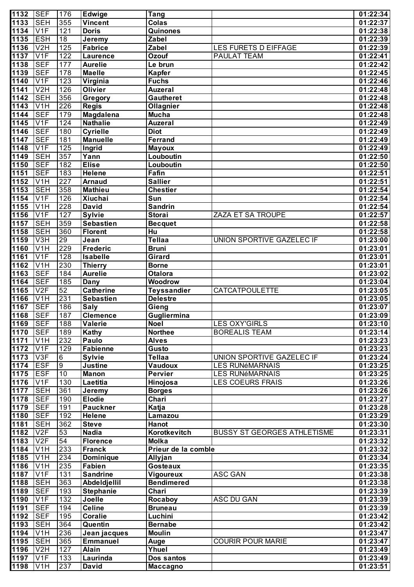| 1132         | <b>SEF</b>                           | 176             | <b>Edwige</b>                     | <b>Tang</b>                  |                                    | 01:22:34              |
|--------------|--------------------------------------|-----------------|-----------------------------------|------------------------------|------------------------------------|-----------------------|
| 1133         | <b>SEH</b>                           | 355             | <b>Vincent</b>                    | <b>Colas</b>                 |                                    | 01:22:37              |
| 1134         | V1F                                  | 121             | <b>Doris</b>                      | Quinones                     |                                    | 01:22:38              |
| 1135         | <b>ESH</b>                           | $\overline{18}$ | Jeremy                            | Zabel                        |                                    | 01:22:39              |
| 1136         | V2H                                  | 125             | <b>Fabrice</b>                    | Zabel                        | LES FURETS D EIFFAGE               | 01:22:39              |
| 1137         | V1F                                  | 122             | <b>Laurence</b>                   | Ozouf                        | <b>PAULAT TEAM</b>                 | 01:22:41              |
| 1138         | <b>SEF</b>                           | 177             | <b>Aurelie</b>                    | Le brun                      |                                    | 01:22:42              |
| 1139         | <b>SEF</b>                           | 178             | <b>Maelle</b>                     | <b>Kapfer</b>                |                                    | 01:22:45              |
| 1140         | V1F                                  | 123             | Virginia                          | <b>Fuchs</b>                 |                                    | 01:22:46              |
| 1141         | V2H                                  | 126             | <b>Olivier</b>                    | <b>Auzeral</b>               |                                    | 01:22:48              |
| 1142         | <b>SEH</b>                           | 356             | Gregory                           | <b>Gautheret</b>             |                                    | 01:22:48              |
| 1143         | V1H                                  | 226             | <b>Regis</b>                      | Ollagnier                    |                                    | 01:22:48              |
| 1144         | <b>SEF</b>                           | 179             | Magdalena                         | <b>Mucha</b>                 |                                    | 01:22:48              |
| 1145         | V1F                                  | 124             | <b>Nathalie</b>                   | <b>Auzeral</b>               |                                    | 01:22:49              |
| 1146         | <b>SEF</b>                           | 180             | <b>Cyrielle</b>                   | <b>Diot</b>                  |                                    | 01:22:49              |
| 1147         | <b>SEF</b>                           | 181             | <b>Manuelle</b>                   | <b>Ferrand</b>               |                                    | 01:22:49              |
| 1148         | V1F                                  | 125             | Ingrid                            | <b>Mayoux</b>                |                                    | 01:22:49              |
| 1149         | <b>SEH</b>                           | 357             | Yann                              | Louboutin                    |                                    | 01:22:50              |
| 1150         | <b>SEF</b>                           | 182             | <b>Elise</b>                      | Louboutin                    |                                    | 01:22:50              |
| 1151         | <b>SEF</b>                           | 183             | <b>Helene</b>                     | Fafin                        |                                    | 01:22:51              |
| 1152         | V1H                                  | 227             | <b>Arnaud</b>                     | <b>Sallier</b>               |                                    | 01:22:51              |
| 1153         | <b>SEH</b>                           | 358             | <b>Mathieu</b>                    | <b>Chestier</b>              |                                    | 01:22:54              |
| 1154         | V1F                                  | 126             | Xiuchai                           | Sun                          |                                    | 01:22:54              |
| 1155         | V1H                                  | 228             | <b>David</b>                      | <b>Sandrin</b>               |                                    | 01:22:54              |
| 1156         | V1F                                  | 127             | <b>Sylvie</b>                     | <b>Storai</b>                | ZAZA ET SA TROUPE                  | 01:22:57              |
| 1157         | <b>SEH</b>                           | 359             | <b>Sebastien</b>                  | <b>Becquet</b>               |                                    | 01:22:58              |
| 1158         | <b>SEH</b>                           | 360             | <b>Florent</b>                    | Hu                           |                                    | 01:22:58              |
| 1159         | V3H                                  | 29              | Jean                              | <b>Tellaa</b>                | UNION SPORTIVE GAZELEC IF          | 01:23:00              |
| 1160         | V1H                                  | 229             | <b>Frederic</b>                   | <b>Bruni</b>                 |                                    | 01:23:01              |
| 1161         | V1F                                  | 128             | <b>Isabelle</b>                   | Girard                       |                                    | 01:23:01              |
| 1162         | V1H                                  | 230             | <b>Thierry</b>                    | <b>Borne</b>                 |                                    | 01:23:01              |
| 1163         | <b>SEF</b>                           | 184             | <b>Aurelie</b>                    | <b>Otalora</b>               |                                    | 01:23:02              |
| 1164         | <b>SEF</b>                           | 185             | <b>Dany</b>                       | <b>Woodrow</b>               |                                    | 01:23:04              |
| 1165         | V2F                                  | 52              | <b>Catherine</b>                  | <b>Teyssandier</b>           | <b>CATCATPOULETTE</b>              | 01:23:05              |
| 1166         | V1H                                  | 231             | <b>Sebastien</b>                  | <b>Delestre</b>              |                                    | 01:23:05              |
| 1167         | <b>SEF</b>                           | 186             | <b>Saly</b>                       | Gieng                        |                                    | 01:23:07              |
| 1168         | <b>SEF</b>                           | 187             | <b>Clemence</b>                   | Gugliermina                  |                                    | 01:23:09              |
| 1169         | <b>I</b> SEF                         | 188             | <b>Valerie</b>                    | <b>Noel</b>                  | LES OXY'GIRLS                      | 01:23:10              |
| 1170         | <b>SEF</b>                           | 189             | Kathy                             | <b>Northee</b>               | <b>BOREALIS TEAM</b>               | 01:23:14              |
| 1171         | V <sub>1</sub> H                     | 232             | Paulo                             | <b>Alves</b>                 |                                    | 01:23:23              |
| 1172         | V1F                                  | 129             | <b>Fabienne</b>                   | <b>Gusto</b>                 |                                    | 01:23:23              |
| 1173         | V3F                                  | 6               | <b>Sylvie</b>                     | <b>Tellaa</b>                | UNION SPORTIVE GAZELEC IF          | 01:23:24              |
| 1174         | <b>ESF</b>                           | $\overline{9}$  | <b>Justine</b>                    | Vaudoux                      | <b>LES RUNéMARNAIS</b>             | 01:23:25              |
| 1175         | <b>ESF</b>                           | 10              | <b>Manon</b>                      | <b>Pervier</b>               | <b>LES RUNéMARNAIS</b>             | 01:23:25              |
| 1176         | V1F                                  | 130             | Laetitia                          | Hinojosa                     | <b>LES COEURS FRAIS</b>            | 01:23:26              |
| 1177         | <b>SEH</b><br><b>SEF</b>             | 361             | Jeremy                            | <b>Borges</b>                |                                    | 01:23:26              |
| 1178         |                                      | 190             | <b>Elodie</b><br><b>Pauckner</b>  | Chari                        |                                    | 01:23:27              |
| 1179         | <b>SEF</b><br><b>SEF</b>             | 191             |                                   | Katja                        |                                    | 01:23:28              |
| 1180         |                                      | 192             | <b>Helene</b>                     | Lamazou                      |                                    | 01:23:29              |
| 1181         | <b>SEH</b><br>V2F                    | 362             | <b>Steve</b><br><b>Nadia</b>      | Hanot                        |                                    | 01:23:30              |
| 1182         |                                      | 53<br>54        |                                   | Korotkevitch<br><b>Molka</b> | <b>BUSSY ST GEORGES ATHLETISME</b> | 01:23:31              |
| 1183         | V2F                                  | 233             | <b>Florence</b><br><b>Franck</b>  | Prieur de la comble          |                                    | 01:23:32<br>01:23:32  |
| 1184         | V <sub>1</sub> H                     |                 |                                   |                              |                                    | 01:23:34              |
| 1185         | V <sub>1</sub> H                     | 234<br>235      | <b>Dominique</b><br><b>Fabien</b> | Allyjan<br><b>Gosteaux</b>   |                                    |                       |
| 1186<br>1187 | V <sub>1</sub> H<br>V <sub>1</sub> F | 131             | <b>Sandrine</b>                   | Vigoureux                    | <b>ASC GAN</b>                     | 01:23:35<br>01:23:38  |
| 1188         | <b>SEH</b>                           | 363             | Abdeldjellil                      | <b>Bendimered</b>            |                                    | 01:23:38              |
| 1189         | <b>SEF</b>                           | 193             | <b>Stephanie</b>                  | Chari                        |                                    | 01:23:39              |
| 1190         | V <sub>1F</sub>                      | 132             | Joelle                            | Rocaboy                      | <b>ASC DU GAN</b>                  | 01:23:39              |
| 1191         | <b>SEF</b>                           | 194             | <b>Celine</b>                     | <b>Bruneau</b>               |                                    | 01:23:39              |
| 1192         | <b>SEF</b>                           | 195             | <b>Coralie</b>                    | Luchini                      |                                    | $\overline{01:23:42}$ |
| 1193         | <b>SEH</b>                           | 364             | Quentin                           | <b>Bernabe</b>               |                                    | 01:23:42              |
| 1194         | V <sub>1</sub> H                     | 236             | Jean jacques                      | <b>Moulin</b>                |                                    | 01:23:47              |
| 1195         | <b>SEH</b>                           | 365             | <b>Emmanuel</b>                   | Auge                         | <b>COURIR POUR MARIE</b>           | 01:23:47              |
| 1196         | V <sub>2</sub> H                     | 127             | <b>Alain</b>                      | Yhuel                        |                                    | 01:23:49              |
| 1197         | V1F                                  | 133             | Laurinda                          | Dos santos                   |                                    | 01:23:49              |
| 1198         | V <sub>1</sub> H                     | 237             | <b>David</b>                      | <b>Maccagno</b>              |                                    | 01:23:51              |
|              |                                      |                 |                                   |                              |                                    |                       |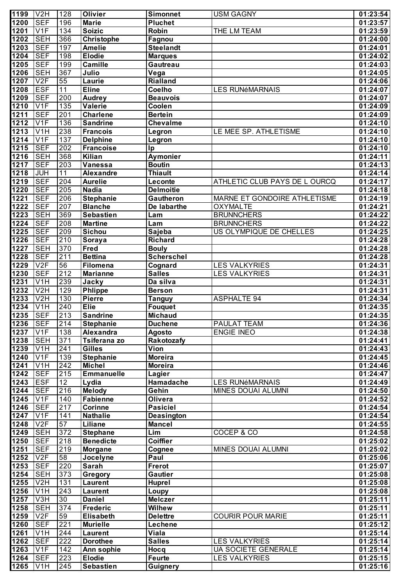| 1199              | V <sub>2</sub> H         | 128              | Olivier                             | <b>Simonnet</b>      | <b>USM GAGNY</b>              | 01:23:54              |
|-------------------|--------------------------|------------------|-------------------------------------|----------------------|-------------------------------|-----------------------|
| 1200              | <b>SEF</b>               | 196              | <b>Marie</b>                        | <b>Pluchet</b>       |                               | 01:23:57              |
| 1201              | V1F                      | $\overline{134}$ | <b>Soizic</b>                       | Robin                | THE LM TEAM                   | 01:23:59              |
| 1202              | <b>SEH</b>               | 366              | <b>Christophe</b>                   | Fagnou               |                               | 01:24:00              |
| 1203              | <b>SEF</b>               | 197              | <b>Amelie</b>                       | <b>Steelandt</b>     |                               | 01:24:01              |
| 1204              | <b>SEF</b>               | 198              | <b>Elodie</b>                       | <b>Marques</b>       |                               | 01:24:02              |
| 1205              | <b>SEF</b>               | 199              | <b>Camille</b>                      | Gautreau             |                               | 01:24:03              |
| $\overline{1206}$ | <b>SEH</b>               | 367              | Julio                               | Vega                 |                               | 01:24:05              |
| 1207              | V2F                      | 55               | Laurie                              | <b>Rialland</b>      |                               | 01:24:06              |
| 1208              | <b>ESF</b>               | $\overline{11}$  | <b>Eline</b>                        | <b>Coelho</b>        | <b>LES RUNéMARNAIS</b>        | 01:24:07              |
| 1209              | <b>SEF</b>               | 200              | <b>Audrey</b>                       | <b>Beauvois</b>      |                               | 01:24:07              |
| 1210              | V1F                      | $\overline{135}$ | <b>Valerie</b>                      | Coolen               |                               | 01:24:09              |
| 1211              | <b>SEF</b>               | 201              | <b>Charlene</b>                     | <b>Bertein</b>       |                               | 01:24:09              |
| 1212              | V1F                      | 136              | <b>Sandrine</b>                     | <b>Chevalme</b>      |                               | 01:24:10              |
| 1213              | V1H                      | 238              | <b>Francois</b>                     | Legron               | LE MEE SP. ATHLETISME         | 01:24:10              |
| 1214              | V1F                      | $\overline{137}$ | <b>Delphine</b>                     | Legron               |                               | 01:24:10              |
| 1215              | <b>SEF</b>               | 202              | <b>Francoise</b>                    | Ip                   |                               | 01:24:10              |
| 1216              | <b>SEH</b>               | 368              | <b>Kilian</b>                       | Aymonier             |                               | 01:24:11              |
| 1217              | <b>SEF</b>               | 203              | Vanessa                             | <b>Boutin</b>        |                               | 01:24:13              |
| 1218              | <b>JUH</b>               | 11               | <b>Alexandre</b>                    | <b>Thiault</b>       |                               | 01:24:14              |
| 1219              | <b>SEF</b>               | 204              | <b>Aurelie</b>                      | Leconte              | ATHLETIC CLUB PAYS DE L OURCQ | 01:24:17              |
| $\overline{1220}$ | <b>SEF</b>               | 205              | <b>Nadia</b>                        | <b>Delmoitie</b>     |                               | 01:24:18              |
| $\overline{122}1$ | <b>SEF</b>               | 206              | <b>Stephanie</b>                    | Gautheron            | MARNE ET GONDOIRE ATHLETISME  | 01:24:19              |
| 1222              | <b>SEF</b>               | 207              | <b>Blanche</b>                      | De labarthe          | <b>OXYMALTE</b>               | 01:24:21              |
| 1223              | <b>SEH</b>               | 369              | <b>Sebastien</b>                    | Lam                  | <b>BRUNNCHERS</b>             | 01:24:22              |
| 1224              | <b>SEF</b>               | 208              | <b>Martine</b>                      | Lam                  | <b>BRUNNCHERS</b>             | 01:24:22              |
| 1225              | <b>SEF</b>               | 209              | <b>Sichou</b>                       | Sajeba               | US OLYMPIQUE DE CHELLES       | 01:24:25              |
| $\frac{1}{1226}$  | <b>SEF</b>               | 210              | Soraya                              | <b>Richard</b>       |                               | 01:24:28              |
| 1227              | <b>SEH</b>               | 370              | Fred                                | <b>Bouly</b>         |                               | 01:24:28              |
| 1228              | <b>SEF</b>               | 211              | <b>Bettina</b>                      | <b>Scherschel</b>    |                               | 01:24:28              |
| 1229              | V2F                      | 56               | Filomena                            | Cognard              | <b>LES VALKYRIES</b>          | 01:24:31              |
| $\overline{1230}$ | <b>SEF</b>               | 212              | <b>Marianne</b>                     | <b>Salles</b>        | LES VALKYRIES                 | 01:24:31              |
| 1231              | V1H                      | 239              | Jacky                               | Da silva             |                               | 01:24:31              |
| 1232              | V2H                      | 129              | <b>Phlippe</b>                      | <b>Berson</b>        |                               | 01:24:31              |
| 1233              | V2H                      | 130              | <b>Pierre</b>                       | <b>Tanguy</b>        | <b>ASPHALTE 94</b>            | 01:24:34              |
| 1234              | V1H                      | 240              | <b>Elie</b>                         | <b>Fouquet</b>       |                               | 01:24:35              |
| 1235              | <b>SEF</b>               | 213              | <b>Sandrine</b>                     | <b>Michaud</b>       |                               | 01:24:35              |
| 1236 SEF          |                          | 214              | <b>Stephanie</b>                    | <b>Duchene</b>       | <b>PAULAT TEAM</b>            | 01:24:36              |
| 1237              | V1F                      | 138              | Alexandra                           | Agosto               | <b>ENGIE INEO</b>             | 01:24:38              |
| 1238              | <b>SEH</b>               | 371              | Tsiferana zo                        | Rakotozafy           |                               | 01:24:41              |
| 1239              | V <sub>1</sub> H         | 241              | <b>Gilles</b>                       | Vion                 |                               | $01:\overline{24:43}$ |
| 1240              | V1F                      | 139              | <b>Stephanie</b>                    | <b>Moreira</b>       |                               | 01:24:45              |
| 1241              | V <sub>1</sub> H         | $\overline{242}$ | <b>Michel</b>                       | <b>Moreira</b>       |                               | 01:24:46              |
| 1242              | <b>SEF</b>               | 215              | <b>Emmanuelle</b>                   | Lagier               |                               | 01:24:47              |
| 1243              | <b>ESF</b>               | 12               | Lydia                               | Hamadache            | <b>LES RUNéMARNAIS</b>        | 01:24:49              |
| 1244              | <b>SEF</b>               | 216              | <b>Melody</b>                       | Gehin                | <b>MINES DOUAI ALUMNI</b>     | 01:24:50              |
| 1245<br>1246      | V1F                      | 140              | <b>Fabienne</b>                     | <b>Olivera</b>       |                               | 01:24:52              |
|                   | <b>SEF</b>               | $\overline{217}$ | <b>Corinne</b>                      | <b>Pasiciel</b>      |                               | 01:24:54              |
| 1247<br>1248      | V1F<br>V2F               | 141<br>57        | <b>Nathalie</b><br>Liliane          | <b>Deasington</b>    |                               | 01:24:54              |
| 1249              | <b>SEH</b>               | 372              |                                     | <b>Mancel</b><br>Lim | COCEP & CO                    | 01:24:55<br>01:24:58  |
| 1250              | <b>SEF</b>               | 218              | <b>Stephane</b><br><b>Benedicte</b> | <b>Coiffier</b>      |                               |                       |
|                   | <b>SEF</b>               | 219              | <b>Morgane</b>                      |                      |                               | 01:25:02              |
| 1251              | V2F                      |                  |                                     | Cognee<br>Paul       | MINES DOUAI ALUMNI            | 01:25:02              |
| 1252              |                          | 58               | Jocelyne<br><b>Sarah</b>            | Frerot               |                               | 01:25:06              |
| 1253              | <b>SEF</b><br><b>SEH</b> | 220              |                                     | <b>Gautier</b>       |                               | 01:25:07              |
| 1254<br>1255      | V <sub>2</sub> H         | 373<br>131       | Gregory<br>Laurent                  | Huprel               |                               | 01:25:08<br>01:25:08  |
| 1256              | V <sub>1</sub> H         | 243              | Laurent                             | Loupy                |                               | 01:25:08              |
| 1257              | V <sub>3</sub> H         | 30               | <b>Daniel</b>                       | <b>Melczer</b>       |                               | 01:25:11              |
| 1258              | <b>SEH</b>               | 374              | <b>Frederic</b>                     | <b>Wilhew</b>        |                               | 01:25:11              |
| 1259              | V2F                      | 59               | <b>Elisabeth</b>                    | <b>Delettre</b>      | <b>COURIR POUR MARIE</b>      | 01:25:11              |
| 1260              | <b>SEF</b>               | 221              | <b>Murielle</b>                     | Lechene              |                               | 01:25:12              |
| 1261              | $\overline{V}$ 1H        | 244              | Laurent                             | Viala                |                               | 01:25:14              |
| 1262              | <b>SEF</b>               | 222              | <b>Dorothee</b>                     | <b>Salles</b>        | <b>LES VALKYRIES</b>          | 01:25:14              |
| 1263              | V1F                      | 142              | Ann sophie                          | Hocq                 | <b>UA SOCIETE GENERALE</b>    | 01:25:14              |
| 1264              | <b>SEF</b>               | 223              | <b>Elodie</b>                       | <b>Feurte</b>        | <b>LES VALKYRIES</b>          | 01:25:15              |
| 1265              | V <sub>1</sub> H         | 245              | <b>Sebastien</b>                    |                      |                               | 01:25:16              |
|                   |                          |                  |                                     | <b>Guignery</b>      |                               |                       |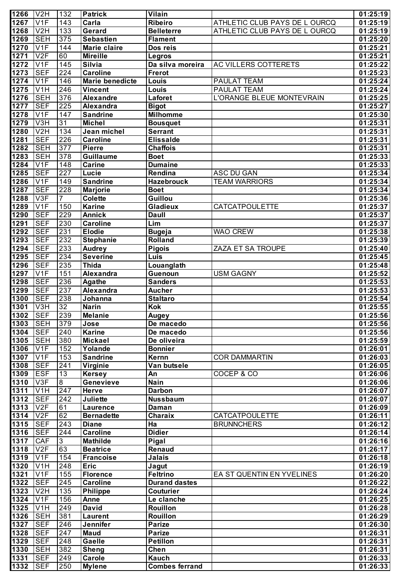| 1266         | V <sub>2</sub> H              | 132              | <b>Patrick</b>                    | Vilain                       |                               | 01:25:19             |
|--------------|-------------------------------|------------------|-----------------------------------|------------------------------|-------------------------------|----------------------|
| 1267         | V1F                           | 143              | Carla                             | Ribeiro                      | ATHLETIC CLUB PAYS DE L OURCQ | 01:25:19             |
| 1268         | V <sub>2</sub> H              | 133              | Gerard                            | <b>Belleterre</b>            | ATHLETIC CLUB PAYS DE L OURCQ | 01:25:19             |
| 1269         | <b>SEH</b>                    | 375              | <b>Sebastien</b>                  | <b>Flament</b>               |                               | 01:25:20             |
| 1270         | V1F                           | 144              | <b>Marie claire</b>               | Dos reis                     |                               | 01:25:21             |
| 1271         | V2F                           | 60               | <b>Mireille</b>                   | Legros                       |                               | 01:25:21             |
| $1272$       | V1F                           | $\overline{145}$ | <b>Silvia</b>                     | Da silva moreira             | AC VILLERS COTTERETS          | 01:25:22             |
| 1273         | <b>SEF</b>                    | 224              | <b>Caroline</b>                   | <b>Frerot</b>                |                               | 01:25:23             |
| 1274         | V1F                           | 146              | <b>Marie benedicte</b>            | Louis                        | PAULAT TEAM                   | 01:25:24             |
| 1275         | V1H                           | 246              | <b>Vincent</b>                    | Louis                        | PAULAT TEAM                   | 01:25:24             |
| 1276         | <b>SEH</b>                    | 376              | <b>Alexandre</b>                  | Laforet                      | L'ORANGE BLEUE MONTEVRAIN     | 01:25:25             |
| 1277         | <b>SEF</b>                    | 225              | Alexandra                         | <b>Bigot</b>                 |                               | 01:25:27             |
| 1278         | V1F                           | 147              | <b>Sandrine</b>                   | <b>Milhomme</b>              |                               | 01:25:30             |
| 1279         | V3H                           | $\overline{31}$  | <b>Michel</b>                     | <b>Bousquet</b>              |                               | 01:25:31             |
| 1280         | V2H                           | 134              | Jean michel                       | <b>Serrant</b>               |                               | 01:25:31             |
| 1281         | <b>SEF</b>                    | 226              | <b>Caroline</b>                   | <b>Elissalde</b>             |                               | 01:25:31             |
| 1282         | <b>SEH</b>                    | 377              | Pierre<br><b>Guillaume</b>        | <b>Chaffois</b>              |                               | 01:25:31             |
| 1283         | <b>SEH</b>                    | 378              | <b>Carine</b>                     | <b>Boet</b>                  |                               | 01:25:33             |
| 1284         | V1F                           | 148              |                                   | <b>Dumaine</b>               |                               | 01:25:33             |
| 1285<br>1286 | <b>SEF</b><br>V <sub>1F</sub> | 227<br>149       | Lucie<br><b>Sandrine</b>          | Rendina<br><b>Hazebrouck</b> | ASC DU GAN                    | 01:25:34             |
| 1287         | <b>SEF</b>                    | 228              |                                   | <b>Boet</b>                  | <b>TEAM WARRIORS</b>          | 01:25:34             |
| 1288         | V3F                           | 7                | <b>Marjorie</b><br><b>Colette</b> | Guillou                      |                               | 01:25:34<br>01:25:36 |
| 1289         | V1F                           | 150              | <b>Karine</b>                     | <b>Gladieux</b>              | <b>CATCATPOULETTE</b>         | 01:25:37             |
| 1290         | <b>SEF</b>                    | 229              | <b>Annick</b>                     | <b>Daull</b>                 |                               | 01:25:37             |
| 1291         | <b>SEF</b>                    | 230              | <b>Caroline</b>                   | Lim                          |                               | 01:25:37             |
| 1292         | <b>SEF</b>                    | 231              | <b>Elodie</b>                     | <b>Bugeja</b>                | <b>WAO CREW</b>               | 01:25:38             |
| 1293         | <b>SEF</b>                    | 232              | <b>Stephanie</b>                  | <b>Rolland</b>               |                               | 01:25:39             |
| 1294         | <b>SEF</b>                    | 233              | <b>Audrey</b>                     | <b>Pigois</b>                | ZAZA ET SA TROUPE             | 01:25:40             |
| 1295         | <b>SEF</b>                    | 234              | <b>Severine</b>                   | Luis                         |                               | 01:25:45             |
| 1296         | <b>SEF</b>                    | 235              | <b>Thida</b>                      | Louanglath                   |                               | 01:25:48             |
| 1297         | $\overline{V1F}$              | 151              | Alexandra                         | Guenoun                      | <b>USM GAGNY</b>              | 01:25:52             |
| 1298         | <b>SEF</b>                    | 236              | Agathe                            | <b>Sanders</b>               |                               | 01:25:53             |
| 1299         | <b>SEF</b>                    | 237              | Alexandra                         | <b>Aucher</b>                |                               | 01:25:53             |
| 1300         | <b>SEF</b>                    | 238              | Johanna                           | <b>Staltaro</b>              |                               | 01:25:54             |
| 1301         | $\overline{\text{V3H}}$       | 32               | <b>Narin</b>                      | <b>Kok</b>                   |                               | 01:25:55             |
| 1302         | <b>SEF</b>                    | 239              | <b>Melanie</b>                    | Augey                        |                               | 01:25:56             |
| 1303         | <b>SEH</b>                    | 379              | Jose                              | De macedo                    |                               | 01:25:56             |
| 1304         | <b>SEF</b>                    | 240              | <b>Karine</b>                     | De macedo                    |                               | 01:25:56             |
| 1305         | SEH                           | 380              | <b>Mickael</b>                    | De oliveira                  |                               | 01:25:59             |
| 1306         | V <sub>1F</sub>               | 152              | Yolande                           | <b>Bonnier</b>               |                               | 01:26:01             |
| 1307         | V <sub>1</sub> F              | 153              | <b>Sandrine</b>                   | Kernn                        | <b>COR DAMMARTIN</b>          | 01:26:03             |
| 1308         | <b>SEF</b>                    | $\overline{241}$ | Virginie                          | Van butsele                  |                               | 01:26:05             |
| 1309         | <b>ESF</b>                    | $\overline{13}$  | <b>Kersey</b>                     | An                           | COCEP & CO                    | 01:26:06             |
| 1310         | V3F                           | $\overline{8}$   | Genevieve                         | <b>Nain</b>                  |                               | 01:26:06             |
| 1311         | V <sub>1</sub> H              | 247              | Herve                             | <b>Darbon</b>                |                               | 01:26:07             |
| 1312         | <b>SEF</b>                    | $\overline{242}$ | <b>Juliette</b>                   | <b>Nussbaum</b>              |                               | 01:26:07             |
| 1313         | V2F                           | 61               | Laurence                          | Daman                        |                               | 01:26:09             |
| 1314         | V2F                           | 62               | <b>Bernadette</b>                 | Charaix                      | CATCATPOULETTE                | 01:26:11             |
| 1315         | <b>SEF</b>                    | $\overline{243}$ | <b>Diane</b>                      | Ha                           | <b>BRUNNCHERS</b>             | 01:26:12             |
| 1316         | <b>SEF</b>                    | $\overline{244}$ | <b>Caroline</b>                   | <b>Didier</b>                |                               | 01:26:14             |
| 1317         | <b>CAF</b>                    | 3                | <b>Mathilde</b>                   | Pigal                        |                               | 01:26:16             |
| 1318         | V2F                           | 63               | <b>Beatrice</b>                   | <b>Renaud</b>                |                               | 01:26:17             |
| 1319         | V <sub>1F</sub>               | 154              | <b>Francoise</b>                  | Jalais                       |                               | 01:26:18             |
| 1320         | V <sub>1</sub> H              | 248              | <b>Eric</b>                       | Jagut                        |                               | 01:26:19             |
| 1321         | V1F                           | 155              | <b>Florence</b>                   | <b>Feltrino</b>              | EA ST QUENTIN EN YVELINES     | 01:26:20             |
| 1322         | <b>SEF</b>                    | 245              | <b>Caroline</b>                   | <b>Durand dastes</b>         |                               | 01:26:22             |
| 1323         | V <sub>2</sub> H              | 135              | <b>Philippe</b>                   | <b>Couturier</b>             |                               | 01:26:24             |
| 1324         | V <sub>1</sub> F              | 156              | Anne                              | Le clanche                   |                               | 01:26:25             |
| 1325         | V <sub>1</sub> H              | 249              | <b>David</b>                      | <b>Rouillon</b>              |                               | 01:26:28             |
| 1326         | <b>SEH</b>                    | 381              | <b>Laurent</b>                    | <b>Rouillon</b>              |                               | 01:26:29             |
| 1327         | <b>SEF</b>                    | 246              | Jennifer                          | <b>Parize</b>                |                               | 01:26:30             |
| 1328         | <b>SEF</b>                    | 247              | Maud                              | <b>Parize</b>                |                               | 01:26:31             |
| 1329         | SEF                           | 248              | Gaelle                            | <b>Petillon</b>              |                               | 01:26:31             |
| 1330<br>1331 | <b>SEH</b><br><b>SEF</b>      | 382              | <b>Sheng</b><br>Carole            | Chen<br>Kauch                |                               | 01:26:31             |
|              |                               | 249              |                                   | <b>Combes ferrand</b>        |                               | 01:26:33             |
| 1332         | <b>SEF</b>                    | 250              | <b>Mylene</b>                     |                              |                               | 01:26:33             |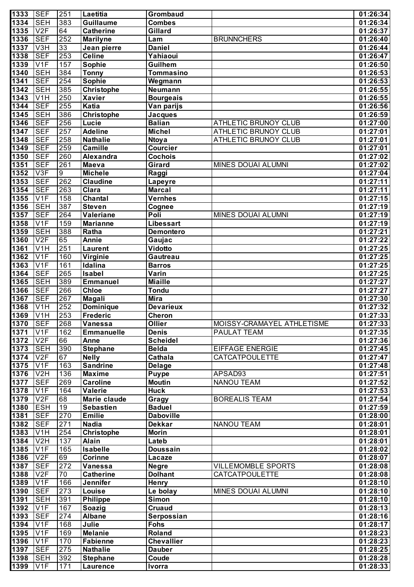| 1333           | <b>SEF</b>                    | 251            | Laetitia                           | <b>Grombaud</b>              |                             | 01:26:34             |
|----------------|-------------------------------|----------------|------------------------------------|------------------------------|-----------------------------|----------------------|
| 1334           | <b>SEH</b>                    | 383            | Guillaume                          | <b>Combes</b>                |                             | 01:26:34             |
| 1335           | V2F                           | 64             | <b>Catherine</b>                   | Gillard                      |                             | 01:26:37             |
| 1336           | <b>SEF</b>                    | 252            | <b>Marilyne</b>                    | Lam                          | <b>BRUNNCHERS</b>           | 01:26:40             |
| 1337           | V3H                           | 33             | Jean pierre                        | <b>Daniel</b>                |                             | 01:26:44             |
| 1338           | <b>SEF</b>                    | 253            | <b>Celine</b>                      | Yahiaoui                     |                             | 01:26:47             |
| 1339           | V1F                           | 157            | Sophie                             | Guilhem                      |                             | 01:26:50             |
| 1340           | <b>SEH</b>                    | 384            | <b>Tonny</b>                       | Tommasino                    |                             | 01:26:53             |
| 1341<br>1342   | <b>SEF</b><br><b>SEH</b>      | 254<br>385     | <b>Sophie</b>                      | Wegmann<br>Neumann           |                             | 01:26:53<br>01:26:55 |
| 1343           | V <sub>1</sub> H              | 250            | <b>Christophe</b><br><b>Xavier</b> | <b>Bourgeais</b>             |                             | 01:26:55             |
| 1344           | <b>SEF</b>                    | 255            | Katia                              | Van parijs                   |                             | 01:26:56             |
| 1345           | <b>SEH</b>                    | 386            | <b>Christophe</b>                  | <b>Jacques</b>               |                             | 01:26:59             |
| 1346           | <b>SEF</b>                    | 256            | Lucie                              | <b>Balian</b>                | ATHLETIC BRUNOY CLUB        | 01:27:00             |
| 1347           | <b>SEF</b>                    | 257            | <b>Adeline</b>                     | <b>Michel</b>                | <b>ATHLETIC BRUNOY CLUB</b> | 01:27:01             |
| 1348           | <b>SEF</b>                    | 258            | <b>Nathalie</b>                    | <b>Ntoya</b>                 | <b>ATHLETIC BRUNOY CLUB</b> | 01:27:01             |
| 1349           | <b>SEF</b>                    | 259            | <b>Camille</b>                     | <b>Courcier</b>              |                             | 01:27:01             |
| 1350           | <b>SEF</b>                    | 260            | Alexandra                          | <b>Cochois</b>               |                             | 01:27:02             |
| 1351           | <b>SEF</b>                    | 261            | <b>Maeva</b>                       | <b>Girard</b>                | MINES DOUAI ALUMNI          | 01:27:02             |
| $1352$         | V3F                           | $\overline{9}$ | <b>Michele</b>                     | Raggi                        |                             | 01:27:04             |
| 1353           | <b>SEF</b>                    | 262            | <b>Claudine</b>                    | Lapeyre                      |                             | 01:27:11             |
| 1354           | <b>SEF</b>                    | 263            | Clara                              | <b>Marcal</b>                |                             | 01:27:11             |
| 1355           | V1F                           | 158            | Chantal                            | Vernhes                      |                             | 01:27:15             |
| $1356$         | <b>SEH</b>                    | 387            | <b>Steven</b>                      | Cognee                       |                             | 01:27:19             |
| 1357           | <b>SEF</b>                    | 264            | Valeriane                          | Poli                         | MINES DOUAI ALUMNI          | 01:27:19             |
| 1358           | V1F                           | 159            | <b>Marianne</b>                    | <b>Libessart</b>             |                             | 01:27:19             |
| $1359$<br>1360 | <b>SEH</b><br>V2F             | 388<br>65      | Ratha<br>Annie                     | <b>Demontero</b>             |                             | 01:27:21             |
| 1361           | V <sub>1</sub> H              | 251            | <b>Laurent</b>                     | Gaujac<br>Vidotto            |                             | 01:27:22<br>01:27:25 |
| $1362$         | V <sub>1F</sub>               | 160            | Virginie                           | Gautreau                     |                             | 01:27:25             |
| $1363$         | V <sub>1F</sub>               | 161            | Idalina                            | <b>Barros</b>                |                             | 01:27:25             |
| 1364           | <b>SEF</b>                    | 265            | <b>Isabel</b>                      | Varin                        |                             | 01:27:25             |
| 1365           | <b>SEH</b>                    | 389            | <b>Emmanuel</b>                    | <b>Miaille</b>               |                             | 01:27:27             |
| 1366           | <b>SEF</b>                    | 266            | <b>Chloe</b>                       | <b>Tondu</b>                 |                             | 01:27:27             |
| 1367           | <b>SEF</b>                    | 267            | Magali                             | <b>Mira</b>                  |                             | 01:27:30             |
| 1368           | $\overline{\text{V1H}}$       | 252            | <b>Dominique</b>                   | <b>Devarieux</b>             |                             | 01:27:32             |
| 1369           | $\overline{\text{V1H}}$       | 253            | Frederic                           | <b>Cheron</b>                |                             | 01:27:33             |
| 1370           | SEF                           | 268            | Vanessa                            | Ollier                       | MOISSY-CRAMAYEL ATHLETISME  | 01:27:33             |
| 1371           | V <sub>1F</sub>               | 162            | <b>Emmanuelle</b>                  | <b>Denis</b>                 | PAULAT TEAM                 | 01:27:35             |
| 1372           | V2F                           | 66             | Anne                               | <b>Scheidel</b>              |                             | 01:27:36             |
| 1373           | <b>SEH</b>                    | 390            | <b>Stephane</b>                    | <b>Belda</b>                 | <b>EIFFAGE ENERGIE</b>      | 01:27:45             |
| 1374           | V2F                           | 67             | <b>Nelly</b>                       | <b>Cathala</b>               | <b>CATCATPOULETTE</b>       | 01:27:47             |
| 1375           | V1F                           | 163            | <b>Sandrine</b>                    | <b>Delage</b>                |                             | 01:27:48             |
| 1376           | V2H                           | 136            | <b>Maxime</b>                      | <b>Puype</b>                 | APSAD93                     | 01:27:51             |
| 1377<br>1378   | <b>SEF</b><br>V1F             | 269<br>164     | <b>Caroline</b><br><b>Valerie</b>  | <b>Moutin</b><br><b>Huck</b> | <b>NANOU TEAM</b>           | 01:27:52<br>01:27:53 |
| 1379           | V2F                           | 68             | <b>Marie claude</b>                | Gragy                        | <b>BOREALIS TEAM</b>        | 01:27:54             |
| 1380           | <b>ESH</b>                    | 19             | <b>Sebastien</b>                   | <b>Baduel</b>                |                             | 01:27:59             |
| 1381           | SEF                           | 270            | <b>Emilie</b>                      | <b>Daboville</b>             |                             | 01:28:00             |
| 1382           | <b>SEF</b>                    | 271            | <b>Nadia</b>                       | <b>Dekkar</b>                | <b>NANOU TEAM</b>           | 01:28:01             |
| 1383           | V1H                           | 254            | Christophe                         | <b>Morin</b>                 |                             | 01:28:01             |
| 1384           | V2H                           | 137            | <b>Alain</b>                       | Lateb                        |                             | 01:28:01             |
| 1385           | V1F                           | 165            | <b>Isabelle</b>                    | <b>Doussain</b>              |                             | 01:28:02             |
| 1386           | V2F                           | 69             | Corinne                            | Lacaze                       |                             | 01:28:07             |
| 1387           | <b>SEF</b>                    | 272            | Vanessa                            | <b>Negre</b>                 | <b>VILLEMOMBLE SPORTS</b>   | 01:28:08             |
| 1388           | V2F                           | 70             | <b>Catherine</b>                   | <b>Dolhant</b>               | <b>CATCATPOULETTE</b>       | 01:28:08             |
| 1389           | V1F                           | 166            | Jennifer                           | Henry                        |                             | 01:28:10             |
| 1390           | <b>SEF</b>                    | 273            | Louise                             | Le bolay                     | MINES DOUAI ALUMNI          | 01:28:10             |
| 1391           | <b>SEH</b>                    | 391            | <b>Philippe</b>                    | <b>Simon</b>                 |                             | 01:28:10             |
| 1392           | V1F                           | 167            | <b>Soazig</b>                      | <b>Cruaud</b>                |                             | 01:28:13             |
| 1393           | <b>SEF</b>                    | 274            | <b>Albane</b>                      | Serpossian                   |                             | 01:28:16             |
| 1394           | V1F                           | 168            | Julie                              | <b>Fohs</b>                  |                             | 01:28:17             |
| 1395<br>1396   | V1F<br>V1F                    | 169<br>170     | <b>Melanie</b><br><b>Fabienne</b>  | Roland<br><b>Chevallier</b>  |                             | 01:28:23<br>01:28:23 |
| 1397           |                               |                |                                    |                              |                             |                      |
|                |                               |                |                                    |                              |                             |                      |
|                | <b>SEF</b>                    | 275            | <b>Nathalie</b>                    | <b>Dauber</b>                |                             | 01:28:25             |
| 1398<br>1399   | <b>SEH</b><br>V <sub>1F</sub> | 392<br>171     | <b>Stephane</b><br><b>Laurence</b> | Coude<br><b>Ivorra</b>       |                             | 01:28:28<br>01:28:33 |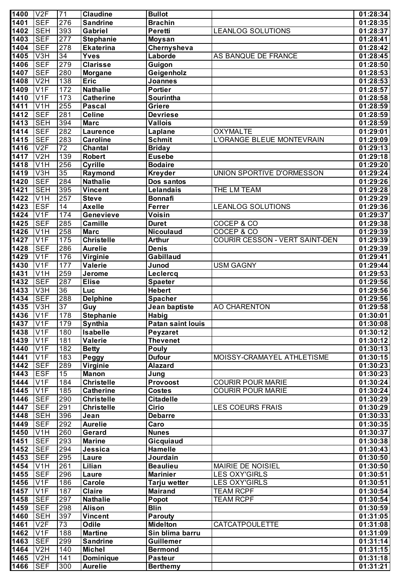| 1400         | V2F                                 | 71              | <b>Claudine</b>                 | <b>Bullot</b>                     |                                | 01:28:34             |
|--------------|-------------------------------------|-----------------|---------------------------------|-----------------------------------|--------------------------------|----------------------|
| 1401         | <b>SEF</b>                          | 276             | <b>Sandrine</b>                 | <b>Brachin</b>                    |                                | 01:28:35             |
| 1402         | <b>SEH</b>                          | 393             | Gabriel                         | Peretti                           | <b>LEANLOG SOLUTIONS</b>       | 01:28:37             |
| 1403         | <b>SEF</b>                          | 277             | <b>Stephanie</b>                | Moysan                            |                                | 01:28:41             |
| 1404         | <b>SEF</b>                          | 278             | <b>Ekaterina</b>                | Chernysheva                       |                                | 01:28:42             |
| 1405         | V3H                                 | $\overline{34}$ | <b>Yves</b>                     | Laborde                           | AS BANQUE DE FRANCE            | 01:28:45             |
| 1406         | <b>SEF</b>                          | 279             | <b>Clarisse</b>                 | Guigon                            |                                | 01:28:50             |
| 1407         | <b>SEF</b>                          | 280             | <b>Morgane</b>                  | Geigenholz                        |                                | 01:28:53             |
| 1408         | V <sub>2</sub> H                    | 138             | Eric                            | Joannes                           |                                | 01:28:53             |
| 1409         | V1F                                 | 172             | <b>Nathalie</b>                 | <b>Portier</b>                    |                                | 01:28:57             |
| 1410         | V <sub>1F</sub>                     | 173             | <b>Catherine</b>                | Sourintha                         |                                | 01:28:58             |
| 1411         | V <sub>1</sub> H                    | 255             | <b>Pascal</b>                   | Griere                            |                                | 01:28:59             |
| 1412<br>1413 | <b>SEF</b><br><b>SEH</b>            | 281<br>394      | <b>Celine</b><br><b>Marc</b>    | <b>Devriese</b><br><b>Vallois</b> |                                | 01:28:59             |
| 1414         | <b>SEF</b>                          | 282             | <b>Laurence</b>                 |                                   | <b>OXYMALTE</b>                | 01:28:59<br>01:29:01 |
| 1415         | <b>SEF</b>                          | 283             | <b>Caroline</b>                 | Laplane<br><b>Schmit</b>          | L'ORANGE BLEUE MONTEVRAIN      | 01:29:09             |
| 1416         | V2F                                 | $\overline{72}$ | <b>Chantal</b>                  | <b>Briday</b>                     |                                | 01:29:13             |
| 1417         | V2H                                 | 139             | <b>Robert</b>                   | <b>Eusebe</b>                     |                                | 01:29:18             |
| 1418         | V <sub>1</sub> H                    | 256             | <b>Cyrille</b>                  | <b>Bodaire</b>                    |                                | 01:29:20             |
| 1419         | V3H                                 | 35              | Raymond                         | <b>Kreyder</b>                    | UNION SPORTIVE D'ORMESSON      | 01:29:24             |
| 1420         | <b>SEF</b>                          | 284             | <b>Nathalie</b>                 | Dos santos                        |                                | 01:29:26             |
| 1421         | <b>SEH</b>                          | 395             | <b>Vincent</b>                  | Lelandais                         | THE LM TEAM                    | 01:29:28             |
| 1422         | V <sub>1</sub> H                    | 257             | <b>Steve</b>                    | <b>Bonnafi</b>                    |                                | 01:29:29             |
| 1423         | <b>ESF</b>                          | $\overline{14}$ | <b>Axelle</b>                   | Ferrer                            | <b>LEANLOG SOLUTIONS</b>       | 01:29:36             |
| 1424         | V <sub>1F</sub>                     | 174             | Genevieve                       | Voisin                            |                                | 01:29:37             |
| 1425         | <b>SEF</b>                          | 285             | Camille                         | <b>Duret</b>                      | COCEP & CO                     | 01:29:38             |
| 1426         | V <sub>1</sub> H                    | 258             | <b>Marc</b>                     | <b>Nicoulaud</b>                  | COCEP & CO                     | 01:29:39             |
| 1427         | V1F                                 | 175             | <b>Christelle</b>               | <b>Arthur</b>                     | COURIR CESSON - VERT SAINT-DEN | 01:29:39             |
| 1428         | <b>SEF</b>                          | 286             | <b>Aurelie</b>                  | <b>Denis</b>                      |                                | 01:29:39             |
| 1429         | V1F                                 | 176             | Virginie                        | Gabillaud                         |                                | 01:29:41             |
| 1430         | V1F                                 | 177             | Valerie                         | Junod                             | <b>USM GAGNY</b>               | 01:29:44             |
| 1431         | V <sub>1</sub> H                    | 259             | Jerome                          | Leclercq                          |                                | 01:29:53             |
| 1432         | <b>SEF</b>                          | 287             | <b>Elise</b>                    | <b>Spaeter</b>                    |                                | 01:29:56             |
| 1433         | V3H                                 | 36              | Luc                             | <b>Hebert</b>                     |                                | 01:29:56             |
| 1434         | <b>SEF</b>                          | 288             | <b>Delphine</b>                 | Spacher                           |                                | 01:29:56             |
| 1435         | $\overline{\text{V3H}}$             | $\overline{37}$ | Guy                             | Jean baptiste                     | <b>AO CHARENTON</b>            | 01:29:58             |
| 1436         | V1F                                 | 178             | <b>Stephanie</b>                | <b>Habig</b>                      |                                | 01:30:01             |
| 1437<br>1438 | V1F                                 | 179             | Synthia                         | <b>Patan saint louis</b>          |                                | 01:30:08             |
| 1439         | V <sub>1F</sub><br>V <sub>1</sub> F | 180<br>181      | <b>Isabelle</b><br>Valerie      | Peyzaret<br><b>Thevenet</b>       |                                | 01:30:12<br>01:30:12 |
| 1440         | V1F                                 | 182             | <b>Betty</b>                    | Pouly                             |                                | 01:30:13             |
| 1441         | V1F                                 | 183             | Peggy                           | <b>Dufour</b>                     | MOISSY-CRAMAYEL ATHLETISME     | 01:30:15             |
| 1442         | <b>SEF</b>                          | 289             | Virginie                        | <b>Alazard</b>                    |                                | 01:30:23             |
| 1443         | <b>ESF</b>                          | 15              | <b>Manon</b>                    | Jung                              |                                | 01:30:23             |
| 1444         | V1F                                 | 184             | <b>Christelle</b>               | Provoost                          | <b>COURIR POUR MARIE</b>       | 01:30:24             |
| 1445         | V <sub>1</sub> F                    | 185             | <b>Catherine</b>                | <b>Costes</b>                     | <b>COURIR POUR MARIE</b>       | 01:30:24             |
| 1446         | <b>SEF</b>                          | 290             | <b>Christelle</b>               | <b>Citadelle</b>                  |                                | 01:30:29             |
| 1447         | <b>SEF</b>                          | 291             | <b>Christelle</b>               | <b>Cirio</b>                      | <b>LES COEURS FRAIS</b>        | 01:30:29             |
| 1448         | <b>SEH</b>                          | 396             | Jean                            | <b>Debarre</b>                    |                                | 01:30:33             |
| 1449         | <b>SEF</b>                          | 292             | <b>Aurelie</b>                  | Caro                              |                                | 01:30:35             |
| 1450         | V <sub>1</sub> H                    | 260             | Gerard                          | <b>Nunes</b>                      |                                | 01:30:37             |
| 1451         | <b>SEF</b>                          | 293             | <b>Marine</b>                   | Gicquiaud                         |                                | 01:30:38             |
| 1452         | <b>SEF</b>                          | 294             | Jessica                         | Hamelle                           |                                | 01:30:43             |
| 1453         | <b>SEF</b>                          | 295             | Laure                           | Jourdain                          |                                | 01:30:50             |
| 1454         | V <sub>1</sub> H                    | 261             | Lilian                          | <b>Beaulieu</b>                   | MAIRIE DE NOISIEL              | 01:30:50             |
| 1455         | <b>SEF</b>                          | 296             | Laure                           | <b>Marinier</b>                   | <b>LES OXY'GIRLS</b>           | 01:30:51             |
| 1456         | V <sub>1F</sub>                     | 186             | Carole                          | Tarju wetter                      | <b>LES OXY'GIRLS</b>           | 01:30:51             |
| 1457         | V <sub>1</sub> F                    | 187             | <b>Claire</b>                   | <b>Mairand</b>                    | <b>TEAM RCPF</b>               | 01:30:54             |
| 1458         | <b>SEF</b>                          | 297             | <b>Nathalie</b>                 | Popot                             | TEAM RCPF                      | 01:30:54             |
| 1459         | <b>SEF</b>                          | 298             | <b>Alison</b><br><b>Vincent</b> | <b>Blin</b>                       |                                | 01:30:59             |
| 1460<br>1461 | <b>SEH</b><br>V2F                   | 397<br>73       | <b>Odile</b>                    | <b>Parouty</b><br><b>Midelton</b> | <b>CATCATPOULETTE</b>          | 01:31:05<br>01:31:08 |
| 1462         | V <sub>1F</sub>                     | 188             | <b>Martine</b>                  | Sin blima barru                   |                                | 01:31:09             |
| 1463         | <b>SEF</b>                          | 299             | <b>Sandrine</b>                 | <b>Guillemer</b>                  |                                | 01:31:14             |
| 1464         | V <sub>2</sub> H                    | 140             | <b>Michel</b>                   | <b>Bermond</b>                    |                                | 01:31:15             |
| 1465         | V2H                                 | 141             | <b>Dominique</b>                | <b>Pasteur</b>                    |                                | 01:31:18             |
| 1466         | <b>SEF</b>                          | 300             | <b>Aurelie</b>                  | <b>Berthemy</b>                   |                                | 01:31:21             |
|              |                                     |                 |                                 |                                   |                                |                      |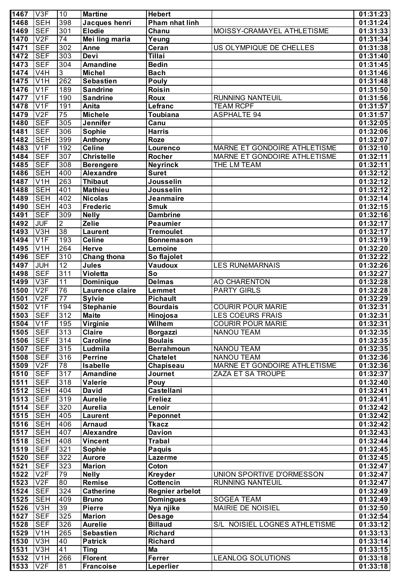| 1467         | V3F                      | 10               | <b>Martine</b>                      | <b>Hebert</b>                      |                                               | 01:31:23              |
|--------------|--------------------------|------------------|-------------------------------------|------------------------------------|-----------------------------------------------|-----------------------|
| 1468         | <b>SEH</b>               | 398              | Jacques henri                       | Pham nhat linh                     |                                               | 01:31:24              |
| 1469         | <b>SEF</b>               | 301              | <b>Elodie</b>                       | Chanu                              | MOISSY-CRAMAYEL ATHLETISME                    | 01:31:33              |
| 1470         | V2F                      | $\overline{74}$  | Mei ling maria                      | Yeung                              |                                               | 01:31:34              |
| 1471         | <b>SEF</b>               | 302              | Anne                                | Ceran                              | US OLYMPIQUE DE CHELLES                       | 01:31:38              |
| 1472         | <b>SEF</b>               | 303              | Devi                                | <b>Tillai</b>                      |                                               | 01:31:40              |
| 1473         | <b>SEF</b>               | 304              | <b>Amandine</b>                     | <b>Bedin</b>                       |                                               | 01:31:45              |
| 1474         | V4H                      | $\overline{3}$   | <b>Michel</b>                       | <b>Bach</b>                        |                                               | 01:31:46              |
| 1475<br>1476 | V1H<br>V1F               | 262              | <b>Sebastien</b><br><b>Sandrine</b> | <b>Pouly</b>                       |                                               | 01:31:48              |
| 1477         | V1F                      | 189<br>190       | <b>Sandrine</b>                     | Roisin<br>Roux                     | <b>RUNNING NANTEUIL</b>                       | 01:31:50<br>01:31:56  |
| 1478         | V1F                      | 191              | Anita                               | Lefranc                            | <b>TEAM RCPF</b>                              | 01:31:57              |
| 1479         | V2F                      | $\overline{75}$  | <b>Michele</b>                      | Toubiana                           | <b>ASPHALTE 94</b>                            | 01:31:57              |
| 1480         | <b>SEF</b>               | 305              | Jennifer                            | Canu                               |                                               | 01:32:05              |
| 1481         | <b>SEF</b>               | 306              | <b>Sophie</b>                       | <b>Harris</b>                      |                                               | 01:32:06              |
| 1482         | <b>SEH</b>               | 399              | Anthony                             | Roze                               |                                               | 01:32:07              |
| 1483         | V1F                      | 192              | <b>Celine</b>                       | Lourenco                           | MARNE ET GONDOIRE ATHLETISME                  | 01:32:10              |
| 1484         | <b>SEF</b>               | $\overline{307}$ | <b>Christelle</b>                   | Rocher                             | MARNE ET GONDOIRE ATHLETISME                  | 01:32:11              |
| 1485         | <b>SEF</b>               | 308              | <b>Berengere</b>                    | <b>Neyrinck</b>                    | THE LM TEAM                                   | 01:32:11              |
| 1486         | <b>SEH</b>               | 400              | <b>Alexandre</b>                    | <b>Suret</b>                       |                                               | 01:32:12              |
| 1487         | V1H                      | 263              | <b>Thibaut</b>                      | Jousselin                          |                                               | 01:32:12              |
| 1488         | <b>SEH</b>               | 401              | <b>Mathieu</b>                      | Jousselin                          |                                               | 01:32:12              |
| 1489         | <b>SEH</b>               | 402              | <b>Nicolas</b>                      | Jeanmaire                          |                                               | 01:32:14              |
| 1490<br>1491 | <b>SEH</b><br><b>SEF</b> | 403<br>309       | <b>Frederic</b>                     | <b>Smuk</b>                        |                                               | 01:32:15              |
| 1492         | <b>JUF</b>               | $\overline{2}$   | <b>Nelly</b><br><b>Zelie</b>        | <b>Dambrine</b><br><b>Peaumier</b> |                                               | 01:32:16<br>01:32:17  |
| 1493         | V3H                      | 38               | Laurent                             | <b>Tremoulet</b>                   |                                               | 01:32:17              |
| 1494         | V1F                      | 193              | <b>Celine</b>                       | <b>Bonnemason</b>                  |                                               | 01:32:19              |
| 1495         | V1H                      | 264              | <b>Herve</b>                        | Lemoine                            |                                               | 01:32:20              |
| 1496         | <b>SEF</b>               | 310              | <b>Chang thona</b>                  | So flajolet                        |                                               | 01:32:22              |
| 1497         | JUH                      | 12               | <b>Jules</b>                        | Vaudoux                            | <b>LES RUNéMARNAIS</b>                        | 01:32:26              |
| 1498         | <b>SEF</b>               | 311              | Violetta                            | So                                 |                                               | 01:32:27              |
| 1499         | V3F                      | 11               | Dominique                           | <b>Delmas</b>                      | <b>AO CHARENTON</b>                           | 01:32:28              |
| 1500         | V2F                      | 76               | Laurence claire                     | Lemmet                             | <b>PARTY GIRLS</b>                            | 01:32:28              |
| 1501         | V2F                      | $\overline{77}$  | <b>Sylvie</b>                       | <b>Pichault</b>                    |                                               | 01:32:29              |
| 1502         | V1F                      | 194              | <b>Stephanie</b>                    | <b>Bourdais</b>                    | <b>COURIR POUR MARIE</b>                      | 01:32:31              |
| 1503         | <b>SEF</b>               | 312              | <b>Maite</b>                        | Hinojosa                           | <b>LES COEURS FRAIS</b>                       | 01:32:31              |
| 1504<br>1505 | V1F<br><b>SEF</b>        | 195<br>313       | <b>Virginie</b>                     | Wilhem                             | <b>COURIR POUR MARIE</b><br><b>NANOU TEAM</b> | 01:32:31              |
| 1506         | <b>SEF</b>               | 314              | <b>Claire</b><br><b>Caroline</b>    | Borgazzi<br><b>Boulais</b>         |                                               | 01:32:35<br>01:32:35  |
| 1507         | <b>SEF</b>               | 315              | Ludmila                             | <b>Berrahmoun</b>                  | <b>NANOU TEAM</b>                             | 01:32:35              |
| 1508         | <b>SEF</b>               | 316              | <b>Perrine</b>                      | <b>Chatelet</b>                    | <b>NANOU TEAM</b>                             | 01:32:36              |
| 1509         | V2F                      | 78               | <b>Isabelle</b>                     | Chapiseau                          | <b>MARNE ET GONDOIRE ATHLETISME</b>           | 01:32:36              |
| 1510         | <b>SEF</b>               | 317              | <b>Amandine</b>                     | Journet                            | <b>ZAZA ET SA TROUPE</b>                      | 01:32:37              |
| 1511         | <b>SEF</b>               | 318              | Valerie                             | Pouy                               |                                               | 01:32:40              |
| 1512         | <b>SEH</b>               | 404              | <b>David</b>                        | <b>Castellani</b>                  |                                               | 01:32:41              |
| 1513         | <b>SEF</b>               | 319              | <b>Aurelie</b>                      | <b>Freliez</b>                     |                                               | 01:32:41              |
| 1514         | <b>SEF</b>               | 320              | <b>Aurelia</b>                      | Lenoir                             |                                               | 01:32:42              |
| 1515         | <b>SEH</b>               | 405              | Laurent                             | Peponnet                           |                                               | 01:32:42              |
| 1516         | $ $ SEH                  | 406              | <b>Arnaud</b>                       | <b>Tkacz</b>                       |                                               | 01:32:42              |
| 1517         | <b>SEH</b>               | 407              | <b>Alexandre</b>                    | <b>Davion</b>                      |                                               | 01:32:43              |
| 1518         | <b>SEH</b>               | 408              | <b>Vincent</b>                      | <b>Trabal</b>                      |                                               | 01:32:44              |
| 1519<br>1520 | <b>SEF</b><br><b>SEF</b> | 321<br>322       | Sophie<br><b>Aurore</b>             | <b>Paquis</b><br>Lazerme           |                                               | 01:32:45<br>01:32:45  |
| 1521         | <b>SEF</b>               | 323              | <b>Marion</b>                       | Coton                              |                                               | 01:32:47              |
| 1522         | V2F                      | 79               | <b>Nelly</b>                        | <b>Kreyder</b>                     | UNION SPORTIVE D'ORMESSON                     | 01:32:47              |
| 1523         | V2F                      | 80               | Remise                              | Cottencin                          | <b>RUNNING NANTEUIL</b>                       | 01:32:47              |
| 1524         | <b>SEF</b>               | 324              | <b>Catherine</b>                    | <b>Regnier arbelot</b>             |                                               | 01:32:49              |
| 1525         | <b>SEH</b>               | 409              | <b>Bruno</b>                        | <b>Domingues</b>                   | <b>SOGEA TEAM</b>                             | 01:32:49              |
| 1526         | V3H                      | 39               | <b>Pierre</b>                       | Nya njike                          | MAIRIE DE NOISIEL                             | 01:32:50              |
| 1527         | <b>SEF</b>               | 325              | <b>Marion</b>                       | <b>Desage</b>                      |                                               | 01:32:54              |
| 1528         | <b>SEF</b>               | 326              | <b>Aurelie</b>                      | <b>Billaud</b>                     | S/L NOISIEL LOGNES ATHLETISME                 | 01:33:12              |
| 1529         | V1H                      | 265              | <b>Sebastien</b>                    | <b>Richard</b>                     |                                               | 01:33:13              |
| 1530         | V3H                      | 40               | <b>Patrick</b>                      | <b>Richard</b>                     |                                               | 01:33:14              |
| 1531         | V3H                      | 41               | <b>Ting</b>                         | Ma                                 |                                               | 01:33:15              |
| 1532         | V1H                      | 266              | <b>Florent</b>                      | <b>Ferrer</b>                      | <b>LEANLOG SOLUTIONS</b>                      | 01:33:18              |
| 1533         | V2F                      | 81               | <b>Francoise</b>                    | Leperlier                          |                                               | $\overline{0}1:33:18$ |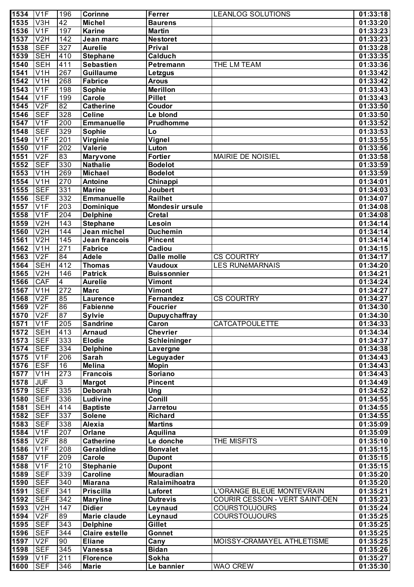| 1534 | V1F                       | 196                     | <b>Corinne</b>    | Ferrer                 | <b>LEANLOG SOLUTIONS</b>       | 01:33:18 |
|------|---------------------------|-------------------------|-------------------|------------------------|--------------------------------|----------|
| 1535 | V3H                       | $\overline{42}$         | <b>Michel</b>     | <b>Baurens</b>         |                                | 01:33:20 |
| 1536 | V1F                       | 197                     | <b>Karine</b>     | <b>Martin</b>          |                                | 01:33:23 |
|      |                           |                         |                   |                        |                                |          |
| 1537 | V2H                       | 142                     | Jean marc         | <b>Nestoret</b>        |                                | 01:33:23 |
| 1538 | <b>SEF</b>                | 327                     | <b>Aurelie</b>    | Prival                 |                                | 01:33:28 |
| 1539 | <b>SEH</b>                | 410                     | <b>Stephane</b>   | Calduch                |                                | 01:33:35 |
| 1540 | <b>SEH</b>                | 411                     | <b>Sebastien</b>  | Petremann              | THE LM TEAM                    | 01:33:36 |
| 1541 | V1H                       | 267                     | <b>Guillaume</b>  | Letzgus                |                                | 01:33:42 |
| 1542 | V1H                       | 268                     | <b>Fabrice</b>    | <b>Arous</b>           |                                | 01:33:42 |
| 1543 | V1F                       | 198                     | <b>Sophie</b>     | <b>Merillon</b>        |                                | 01:33:43 |
| 1544 | V1F                       | 199                     | <b>Carole</b>     | <b>Pillet</b>          |                                | 01:33:43 |
| 1545 | V2F                       | 82                      | <b>Catherine</b>  | Coudor                 |                                | 01:33:50 |
|      |                           |                         |                   |                        |                                |          |
| 1546 | <b>SEF</b>                | 328                     | <b>Celine</b>     | Le blond               |                                | 01:33:50 |
| 1547 | V1F                       | 200                     | <b>Emmanuelle</b> | Prudhomme              |                                | 01:33:52 |
| 1548 | <b>SEF</b>                | 329                     | Sophie            | Lo                     |                                | 01:33:53 |
| 1549 | V1F                       | 201                     | Virginie          | Vignel                 |                                | 01:33:55 |
| 1550 | V1F                       | 202                     | <b>Valerie</b>    | Luton                  |                                | 01:33:56 |
| 1551 | V2F                       | 83                      | <b>Maryvone</b>   | <b>Fortier</b>         | MAIRIE DE NOISIEL              | 01:33:58 |
| 1552 | <b>SEF</b>                | 330                     | <b>Nathalie</b>   | <b>Bodelot</b>         |                                | 01:33:59 |
| 1553 | V1H                       | 269                     | <b>Michael</b>    | <b>Bodelot</b>         |                                | 01:33:59 |
| 1554 | $\overline{V1H}$          | 270                     | <b>Antoine</b>    | Chinappi               |                                | 01:34:01 |
|      | <b>SEF</b>                |                         |                   |                        |                                |          |
| 1555 |                           | 331                     | <b>Marine</b>     | Joubert                |                                | 01:34:03 |
| 1556 | <b>SEF</b>                | 332                     | <b>Emmanuelle</b> | Railhet                |                                | 01:34:07 |
| 1557 | V1F                       | 203                     | Dominique         | <b>Mondesir ursule</b> |                                | 01:34:08 |
| 1558 | V1F                       | 204                     | <b>Delphine</b>   | <b>Cretal</b>          |                                | 01:34:08 |
| 1559 | V2H                       | $\overline{143}$        | <b>Stephane</b>   | Lesoin                 |                                | 01:34:14 |
| 1560 | V2H                       | 144                     | Jean michel       | <b>Duchemin</b>        |                                | 01:34:14 |
| 1561 | V2H                       | $\overline{145}$        | Jean francois     | <b>Pincent</b>         |                                | 01:34:14 |
| 1562 | $\overline{\text{V1H}}$   | 271                     | <b>Fabrice</b>    | Cadiou                 |                                | 01:34:15 |
| 1563 | V2F                       | 84                      | <b>Adele</b>      | <b>Dalle molle</b>     | <b>CS COURTRY</b>              | 01:34:17 |
| 1564 | <b>SEH</b>                | 412                     | <b>Thomas</b>     | <b>Vaudoux</b>         |                                |          |
|      |                           |                         |                   |                        | <b>LES RUNÉMARNAIS</b>         | 01:34:20 |
| 1565 | V2H                       | 146                     | <b>Patrick</b>    | <b>Buissonnier</b>     |                                | 01:34:21 |
| 1566 | <b>CAF</b>                | $\overline{\mathbf{4}}$ | <b>Aurelie</b>    | Vimont                 |                                | 01:34:24 |
| 1567 | $\overline{\mathsf{V1H}}$ | 272                     | <b>Marc</b>       | Vimont                 |                                | 01:34:27 |
| 1568 | V2F                       | 85                      | <b>Laurence</b>   | Fernandez              | <b>CS COURTRY</b>              | 01:34:27 |
| 1569 | V2F                       | 86                      | <b>Fabienne</b>   | <b>Foucrier</b>        |                                | 01:34:30 |
| 1570 | V2F                       | 87                      | <b>Sylvie</b>     | <b>Dupuychaffray</b>   |                                | 01:34:30 |
| 1571 | IV <sub>1</sub> F         | 205                     | <b>Sandrine</b>   | Caron                  | CATCATPOULETTE                 | 01:34:33 |
| 1572 | <b>SEH</b>                | 413                     | <b>Arnaud</b>     | <b>Chevrier</b>        |                                | 01:34:34 |
| 1573 | <b>SEF</b>                | 333                     | <b>Elodie</b>     | Schleininger           |                                | 01:34:37 |
|      |                           |                         |                   |                        |                                |          |
| 1574 | <b>SEF</b>                | 334                     | <b>Delphine</b>   | Lavergne               |                                | 01:34:38 |
| 1575 | V1F                       | 206                     | <b>Sarah</b>      | Leguyader              |                                | 01:34:43 |
| 1576 | <b>ESF</b>                | $\overline{16}$         | <b>Melina</b>     | <b>Mopin</b>           |                                | 01:34:43 |
| 1577 | V1H                       | 273                     | <b>Francois</b>   | Soriano                |                                | 01:34:43 |
| 1578 | <b>JUF</b>                | 3                       | <b>Margot</b>     | <b>Pincent</b>         |                                | 01:34:49 |
| 1579 | <b>SEF</b>                | 335                     | <b>Deborah</b>    | <b>Ung</b>             |                                | 01:34:52 |
| 1580 | <b>SEF</b>                | 336                     | Ludivine          | Conill                 |                                | 01:34:55 |
| 1581 | <b>SEH</b>                | 414                     | <b>Baptiste</b>   | <b>Jarretou</b>        |                                | 01:34:55 |
| 1582 | <b>SEF</b>                | 337                     | <b>Solene</b>     | <b>Richard</b>         |                                | 01:34:55 |
| 1583 | <b>SEF</b>                | 338                     | Alexia            | <b>Martins</b>         |                                | 01:35:09 |
| 1584 | V1F                       | 207                     |                   |                        |                                |          |
|      |                           |                         | Orlane            | Aquilina               |                                | 01:35:09 |
| 1585 | V2F                       | 88                      | <b>Catherine</b>  | Le donche              | THE MISFITS                    | 01:35:10 |
| 1586 | V1F                       | 208                     | Geraldine         | <b>Bonvalet</b>        |                                | 01:35:15 |
| 1587 | V1F                       | 209                     | Carole            | <b>Dupont</b>          |                                | 01:35:15 |
| 1588 | V1F                       | 210                     | <b>Stephanie</b>  | <b>Dupont</b>          |                                | 01:35:15 |
| 1589 | <b>SEF</b>                | 339                     | <b>Caroline</b>   | Mouradian              |                                | 01:35:20 |
| 1590 | <b>SEF</b>                | 340                     | <b>Miarana</b>    | Ralaimihoatra          |                                | 01:35:20 |
| 1591 | <b>SEF</b>                | 341                     | <b>Priscilla</b>  | Laforet                | L'ORANGE BLEUE MONTEVRAIN      | 01:35:21 |
| 1592 | <b>SEF</b>                | 342                     | <b>Maryline</b>   | <b>Dutrevis</b>        | COURIR CESSON - VERT SAINT-DEN | 01:35:23 |
| 1593 | V <sub>2</sub> H          | 147                     | <b>Didier</b>     | Leynaud                | <b>COURSTOUJOURS</b>           | 01:35:24 |
| 1594 | V2F                       | 89                      | Marie claude      |                        | <b>COURSTOUJOURS</b>           | 01:35:25 |
|      |                           |                         |                   | Leynaud                |                                |          |
| 1595 | <b>SEF</b>                | 343                     | <b>Delphine</b>   | Gillet                 |                                | 01:35:25 |
| 1596 | <b>SEF</b>                | 344                     | Claire estelle    | Gonnet                 |                                | 01:35:25 |
| 1597 | V2F                       | 90                      | <b>Eliane</b>     | Cany                   | MOISSY-CRAMAYEL ATHLETISME     | 01:35:25 |
| 1598 | <b>SEF</b>                | 345                     | <b>Vanessa</b>    | <b>Bidan</b>           |                                | 01:35:26 |
| 1599 | V1F                       | 211                     | <b>Florence</b>   | <b>Sokha</b>           |                                | 01:35:27 |
| 1600 | <b>SEF</b>                | 346                     | <b>Marie</b>      | Le bannier             | <b>WAO CREW</b>                | 01:35:30 |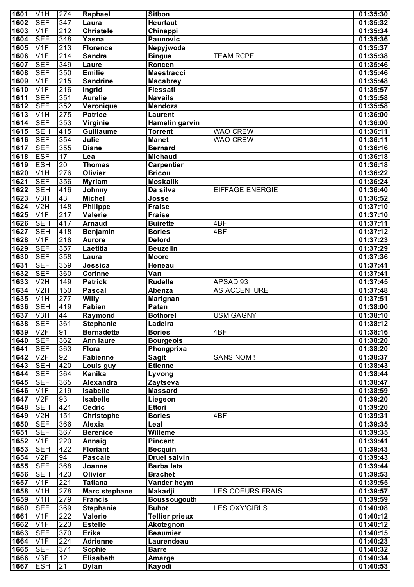| 1601         | V <sub>1</sub> H          | 274              | Raphael                       | <b>Sitbon</b>                     |                         | 01:35:30             |
|--------------|---------------------------|------------------|-------------------------------|-----------------------------------|-------------------------|----------------------|
| 1602         | $\overline{\mathsf{SEF}}$ | 347              | Laura                         | <b>Heurtaut</b>                   |                         | 01:35:32             |
| 1603         | V1F                       | $\overline{212}$ | <b>Christele</b>              | Chinappi                          |                         | 01:35:34             |
| 1604         | <b>SEF</b>                | 348              | $\overline{Y}$ asna           | Paunovic                          |                         | 01:35:36             |
| 1605         | V1F                       | $\overline{213}$ | <b>Florence</b>               | Nepyjwoda                         |                         | 01:35:37             |
| 1606         | V1F                       | $\overline{214}$ | <b>Sandra</b>                 | <b>Bingue</b>                     | <b>TEAM RCPF</b>        | 01:35:38             |
| 1607         | <b>SEF</b>                | 349              | Laure                         | Roncen                            |                         | 01:35:46             |
| 1608         | <b>SEF</b>                | 350              | <b>Emilie</b>                 | <b>Maestracci</b>                 |                         | 01:35:46             |
| 1609         | V1F                       | $\overline{215}$ | <b>Sandrine</b>               | <b>Macabrey</b>                   |                         | 01:35:48             |
| 1610         | V1F                       | 216              | Ingrid                        | Flessati                          |                         | 01:35:57             |
| 1611         | <b>SEF</b>                | 351              | <b>Aurelie</b>                | <b>Navails</b>                    |                         | 01:35:58             |
| 1612         | <b>SEF</b><br>V1H         | 352              | Veronique                     | Mendoza                           |                         | 01:35:58             |
| 1613<br>1614 | <b>SEF</b>                | 275<br>353       | <b>Patrice</b><br>Virginie    | <b>Laurent</b><br>Hamelin garvin  |                         | 01:36:00<br>01:36:00 |
| 1615         | <b>SEH</b>                | 415              | <b>Guillaume</b>              | <b>Torrent</b>                    | <b>WAO CREW</b>         | 01:36:11             |
| 1616         | <b>SEF</b>                | 354              | Julie                         | <b>Manet</b>                      | <b>WAO CREW</b>         | 01:36:11             |
| 1617         | <b>SEF</b>                | 355              | <b>Diane</b>                  | <b>Bernard</b>                    |                         | 01:36:16             |
| 1618         | <b>ESF</b>                | $\overline{17}$  | Lea                           | <b>Michaud</b>                    |                         | 01:36:18             |
| 1619         | <b>ESH</b>                | 20               | <b>Thomas</b>                 | <b>Carpentier</b>                 |                         | 01:36:18             |
| 1620         | $\overline{\mathsf{V1H}}$ | 276              | <b>Olivier</b>                | <b>Bricou</b>                     |                         | 01:36:22             |
| 1621         | <b>SEF</b>                | 356              | <b>Myriam</b>                 | <b>Moskalik</b>                   |                         | 01:36:24             |
| 1622         | <b>SEH</b>                | 416              | Johnny                        | Da silva                          | <b>EIFFAGE ENERGIE</b>  | 01:36:40             |
| 1623         | V3H                       | 43               | <b>Michel</b>                 | Josse                             |                         | 01:36:52             |
| 1624         | V2H                       | 148              | <b>Philippe</b>               | <b>Fraise</b>                     |                         | 01:37:10             |
| 1625         | V1F                       | $\overline{217}$ | <b>Valerie</b>                | <b>Fraise</b>                     |                         | 01:37:10             |
| 1626         | <b>SEH</b>                | 417              | <b>Arnaud</b>                 | <b>Buirette</b>                   | 4BF                     | 01:37:11             |
| 1627         | <b>SEH</b>                | 418              | Benjamin                      | <b>Bories</b>                     | 4BF                     | 01:37:12             |
| 1628         | V1F                       | 218              | <b>Aurore</b>                 | <b>Delord</b>                     |                         | 01:37:23             |
| 1629         | <b>SEF</b>                | 357              | Laetitia                      | <b>Beuzelin</b>                   |                         | 01:37:29             |
| 1630         | <b>SEF</b>                | 358              | Laura                         | <b>Moore</b>                      |                         | 01:37:36             |
| 1631         | <b>SEF</b>                | 359              | Jessica                       | Heneau                            |                         | 01:37:41             |
| 1632         | <b>SEF</b>                | 360              | <b>Corinne</b>                | $\overline{Var}$                  |                         | 01:37:41             |
| 1633<br>1634 | V2H<br>V2H                | 149              | <b>Patrick</b>                | <b>Rudelle</b>                    | APSAD 93                | 01:37:45             |
| 1635         | $\overline{\text{V1H}}$   | 150<br>277       | <b>Pascal</b><br><b>Willy</b> | Abenza<br><b>Marignan</b>         | <b>AS ACCENTURE</b>     | 01:37:48<br>01:37:51 |
| 1636         | <b>SEH</b>                | 419              | <b>Fabien</b>                 | Patan                             |                         | 01:38:00             |
| 1637         | $\overline{\text{V3H}}$   | 44               | Raymond                       | <b>Bothorel</b>                   | <b>USM GAGNY</b>        | 01:38:10             |
| 1638         | <b>SEF</b>                | 361              | Stephanie                     | Ladeira                           |                         | 01:38:12             |
| 1639         | V2F                       | 91               | <b>Bernadette</b>             | <b>Bories</b>                     | 4BF                     | 01:38:16             |
| 1640         | <b>SEF</b>                | 362              | <b>Ann laure</b>              | <b>Bourgeois</b>                  |                         | 01:38:20             |
| 1641         | <b>SEF</b>                | 363              | <b>Flora</b>                  | Phongprixa                        |                         | 01:38:20             |
| 1642         | V2F                       | $\overline{92}$  | <b>Fabienne</b>               | <b>Sagit</b>                      | <b>SANS NOM!</b>        | 01:38:37             |
| 1643         | <b>SEH</b>                | 420              | Louis guy                     | <b>Etienne</b>                    |                         | 01:38:43             |
| 1644         | <b>SEF</b>                | 364              | Kanika                        | Lyvong                            |                         | 01:38:44             |
| 1645         | <b>SEF</b>                | 365              | Alexandra                     | Zaytseva                          |                         | 01:38:47             |
| 1646         | V1F                       | $\overline{219}$ | <b>Isabelle</b>               | <b>Massard</b>                    |                         | 01:38:59             |
| 1647         | V2F                       | $\overline{93}$  | Isabelle                      | Liegeon                           |                         | 01:39:20             |
| 1648         | <b>SEH</b>                | 421              | <b>Cedric</b>                 | <b>Ettori</b>                     |                         | 01:39:20             |
| 1649         | V2H                       | 151              | <b>Christophe</b>             | <b>Bories</b>                     | 4BF                     | 01:39:31             |
| 1650         | <b>SEF</b>                | 366              | Alexia                        | Leal                              |                         | 01:39:35             |
| 1651         | <b>SEF</b>                | 367              | <b>Berenice</b>               | <b>Willeme</b>                    |                         | 01:39:35             |
| 1652         | V <sub>1F</sub>           | 220              | Annaig                        | <b>Pincent</b>                    |                         | 01:39:41             |
| 1653         | <b>SEH</b>                | 422              | <b>Floriant</b>               | <b>Becquin</b>                    |                         | 01:39:43             |
| 1654<br>1655 | V2F<br><b>SEF</b>         | 94<br>368        | <b>Pascale</b><br>Joanne      | <b>Druel salvin</b><br>Barba lata |                         | 01:39:43<br>01:39:44 |
| 1656         | <b>SEH</b>                | 423              | <b>Olivier</b>                | <b>Brachet</b>                    |                         | 01:39:53             |
| 1657         | V <sub>1F</sub>           | 221              | <b>Tatiana</b>                | Vander heym                       |                         | 01:39:55             |
| 1658         | V1H                       | 278              | Marc stephane                 | Makadji                           | <b>LES COEURS FRAIS</b> | 01:39:57             |
| 1659         | V <sub>1</sub> H          | 279              | <b>Francis</b>                | <b>Boussougouth</b>               |                         | 01:39:59             |
| 1660         | <b>SEF</b>                | 369              | <b>Stephanie</b>              | <b>Buhot</b>                      | <b>LES OXY'GIRLS</b>    | 01:40:08             |
| 1661         | V <sub>1F</sub>           | 222              | <b>Valerie</b>                | <b>Tellier prieux</b>             |                         | 01:40:12             |
| 1662         | V <sub>1F</sub>           | 223              | <b>Estelle</b>                | Akotegnon                         |                         | 01:40:12             |
| 1663         | <b>SEF</b>                | 370              | <b>Erika</b>                  | <b>Beaumier</b>                   |                         | 01:40:15             |
| 1664         | V <sub>1F</sub>           | 224              | <b>Adrienne</b>               | Laurendeau                        |                         | 01:40:23             |
| 1665         | <b>SEF</b>                | 371              | Sophie                        | <b>Barre</b>                      |                         | 01:40:32             |
| 1666         | V3F                       | 12               | <b>Elisabeth</b>              | Amarge                            |                         | 01:40:34             |
| 1667         | <b>ESH</b>                | 21               | <b>Dylan</b>                  | Kayodi                            |                         | 01:40:53             |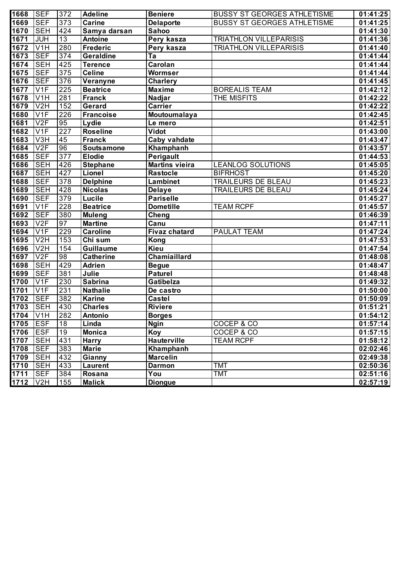| 1668     | <b>SEF</b>       | 372             | <b>Adeline</b>    | <b>Beniere</b>        | <b>BUSSY ST GEORGES ATHLETISME</b> | 01:41:25 |
|----------|------------------|-----------------|-------------------|-----------------------|------------------------------------|----------|
| 1669     | <b>SEF</b>       | 373             | <b>Carine</b>     | <b>Delaporte</b>      | <b>BUSSY ST GEORGES ATHLETISME</b> | 01:41:25 |
| 1670     | <b>SEH</b>       | 424             | Samya darsan      | Sahoo                 |                                    | 01:41:30 |
| 1671     | <b>JUH</b>       | 13              | <b>Antoine</b>    | Pery kasza            | <b>TRIATHLON VILLEPARISIS</b>      | 01:41:36 |
| 1672     | V <sub>1</sub> H | 280             | <b>Frederic</b>   | Pery kasza            | <b>TRIATHLON VILLEPARISIS</b>      | 01:41:40 |
| 1673     | <b>SEF</b>       | 374             | Geraldine         | Ta                    |                                    | 01:41:44 |
| 1674     | <b>SEH</b>       | 425             | <b>Terence</b>    | Carolan               |                                    | 01:41:44 |
| 1675     | <b>SEF</b>       | 375             | <b>Celine</b>     | Wormser               |                                    | 01:41:44 |
| 1676     | <b>SEF</b>       | 376             | Veranyne          | <b>Charlery</b>       |                                    | 01:41:45 |
| 1677     | V1F              | 225             | <b>Beatrice</b>   | <b>Maxime</b>         | <b>BOREALIS TEAM</b>               | 01:42:12 |
| 1678     | V <sub>1</sub> H | 281             | <b>Franck</b>     | Nadjar                | THE MISFITS                        | 01:42:22 |
| 1679     | V2H              | 152             | Gerard            | <b>Carrier</b>        |                                    | 01:42:22 |
| 1680     | V <sub>1F</sub>  | 226             | <b>Francoise</b>  | Moutoumalaya          |                                    | 01:42:45 |
| 1681     | V2F              | 95              | Lydie             | Le mero               |                                    | 01:42:51 |
| 1682     | V <sub>1F</sub>  | 227             | <b>Roseline</b>   | Vidot                 |                                    | 01:43:00 |
| 1683     | V3H              | 45              | Franck            | Caby vahdate          |                                    | 01:43:47 |
| 1684     | V2F              | 96              | <b>Soutsamone</b> | Khamphanh             |                                    | 01:43:57 |
| 1685     | <b>SEF</b>       | 377             | <b>Elodie</b>     | Perigault             |                                    | 01:44:53 |
| 1686     | <b>SEH</b>       | 426             | <b>Stephane</b>   | <b>Martins vieira</b> | <b>LEANLOG SOLUTIONS</b>           | 01:45:05 |
| 1687     | <b>SEH</b>       | 427             | Lionel            | Rastocle              | <b>BIFRHOST</b>                    | 01:45:20 |
| 1688     | <b>SEF</b>       | 378             | <b>Delphine</b>   | <b>Lambinet</b>       | <b>TRAILEURS DE BLEAU</b>          | 01:45:23 |
| 1689     | <b>SEH</b>       | 428             | <b>Nicolas</b>    | <b>Delaye</b>         | TRAILEURS DE BLEAU                 | 01:45:24 |
| 1690     | <b>SEF</b>       | 379             | Lucile            | <b>Pariselle</b>      |                                    | 01:45:27 |
| 1691     | V <sub>1F</sub>  | 228             | <b>Beatrice</b>   | <b>Dometille</b>      | <b>TEAM RCPF</b>                   | 01:45:57 |
| 1692     | <b>SEF</b>       | 380             | <b>Muleng</b>     | Cheng                 |                                    | 01:46:39 |
| 1693     | V2F              | 97              | <b>Martine</b>    | Canu                  |                                    | 01:47:11 |
| 1694     | V <sub>1F</sub>  | 229             | <b>Caroline</b>   | <b>Fivaz chatard</b>  | PAULAT TEAM                        | 01:47:24 |
| 1695     | V <sub>2</sub> H | 153             | Chi sum           | Kong                  |                                    | 01:47:53 |
| 1696     | V <sub>2</sub> H | 154             | Guillaume         | <b>Kieu</b>           |                                    | 01:47:54 |
| 1697     | V2F              | 98              | <b>Catherine</b>  | Chamiaillard          |                                    | 01:48:08 |
| 1698     | <b>SEH</b>       | 429             | <b>Adrien</b>     | <b>Begue</b>          |                                    | 01:48:47 |
| 1699     | <b>SEF</b>       | 381             | Julie             | <b>Paturel</b>        |                                    | 01:48:48 |
| 1700     | V <sub>1F</sub>  | 230             | <b>Sabrina</b>    | Gatibelza             |                                    | 01:49:32 |
| 1701     | V <sub>1F</sub>  | 231             | <b>Nathalie</b>   | De castro             |                                    | 01:50:00 |
| 1702     | <b>SEF</b>       | 382             | <b>Karine</b>     | <b>Castel</b>         |                                    | 01:50:09 |
| 1703     | <b>SEH</b>       | 430             | <b>Charles</b>    | <b>Riviere</b>        |                                    | 01:51:21 |
| 1704     | V1H              | 282             | <b>Antonio</b>    | <b>Borges</b>         |                                    | 01:54:12 |
| 1705 ESF |                  | 18              | Linda             | <b>Ngin</b>           | COCEP & CO                         | 01:57:14 |
| 1706     | <b>IESF</b>      | $\overline{19}$ | <b>Monica</b>     | Koy                   | COCEP & CO                         | 01:57:15 |
| 1707     | <b>SEH</b>       | 431             | <b>Harry</b>      | <b>Hauterville</b>    | <b>TEAM RCPF</b>                   | 01:58:12 |
| 1708     | <b>SEF</b>       | 383             | <b>Marie</b>      | Khamphanh             |                                    | 02:02:46 |
| 1709     | <b>SEH</b>       | 432             | Gianny            | <b>Marcelin</b>       |                                    | 02:49:38 |
| 1710     | <b>SEH</b>       | 433             | Laurent           | <b>Darmon</b>         | <b>TMT</b>                         | 02:50:36 |
| 1711     | <b>SEF</b>       | 384             | Rosana            | You                   | <b>TMT</b>                         | 02:51:16 |
| 1712     | V2H              | 155             | <b>Malick</b>     | <b>Diongue</b>        |                                    | 02:57:19 |
|          |                  |                 |                   |                       |                                    |          |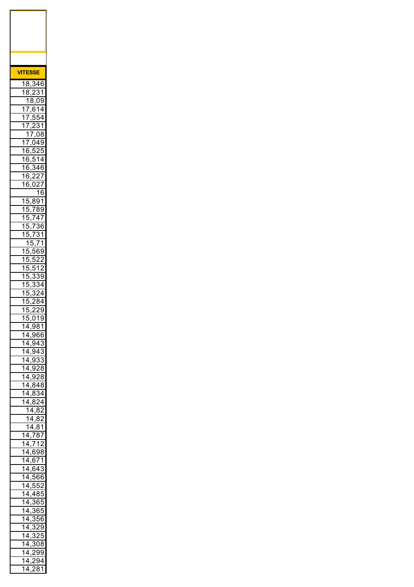| VIT    |                              | <b>ESSE</b>                              |                               |                               |
|--------|------------------------------|------------------------------------------|-------------------------------|-------------------------------|
| 1      | ۶<br>S                       |                                          | 346                           |                               |
| 1      | $\overline{\mathbf{S}}$<br>ξ |                                          |                               | 31                            |
| 1      | 1                            | ξ<br>S<br>ì.                             | C                             | 9<br>$\frac{1}{4}$            |
| 1      | <u>7</u><br>$\overline{1}$   | ,6<br>ŗ<br>5<br>,                        | 54                            |                               |
| 1      | 7                            | ,                                        |                               | 31                            |
|        | 1                            | I<br>,                                   | 0٤                            | 3                             |
| 1<br>1 | 7<br>ł<br>j                  | (<br>,<br>,'<br>J                        | 149<br>C                      | 5                             |
| 1      | ł<br>j                       | $\cdot$<br>; .                           | 1                             | $\overline{4}$                |
| 1      | ł<br>j                       | S<br>,,                                  | 46                            |                               |
| 1      | ł<br>j                       | ,                                        | ì                             | $\overline{I}$                |
| 1      | ł<br>j                       | $\mathfrak{c}$<br>)                      | $\overline{\phantom{0}}$<br>1 | $\overline{1}$<br>6           |
| 1      | 5                            | ξ<br>,                                   | 391                           |                               |
| 1      | ŗ<br>)                       | 7,                                       | }'                            | 89                            |
| 1      | ć<br>)                       | $\overline{I}$<br>,                      | 47                            |                               |
| 1<br>1 | ŗ<br>)<br>ŗ<br>)             | $\overline{1}$<br>,<br>I                 |                               | 36<br>31                      |
|        | 1                            | ,<br>ŗ<br>)                              | $7^{\circ}$                   | 1                             |
| 1      | ŗ<br>١                       | ŗ<br>J                                   | 56                            | $\overline{\textbf{59}}$      |
| 1      | ŗ<br>)                       | ŗ<br>١<br>,<br>ŗ                         | $\overline{\phantom{0}}$      | 2                             |
| 1<br>1 | ŗ<br>)<br>ŗ<br>)             | ï.<br>,                                  | 1<br>š.                       | ,<br>89                       |
| 1      | ŗ<br>)                       | ,<br>ξ<br>,                              |                               | $\frac{3}{4}$                 |
| 1      | ŗ<br>)                       | S<br>, ,                                 | $\overline{ }$                | į<br>$\overline{\phantom{a}}$ |
| 1      | ŗ<br>)                       | )<br>,                                   | ξ<br>ξ                        | 4                             |
| 1<br>1 | Ę<br>)<br>5                  | )<br>,<br>0                              | ì<br>í<br>1                   | $\overline{9}$<br>9           |
| 1      | 4                            | ,<br>,9                                  | ξ                             | 31                            |
|        |                              | <u>14,966</u>                            |                               |                               |
|        |                              | <u>14,943</u>                            |                               |                               |
|        |                              | 14,943<br><u>14,933</u>                  |                               | 3                             |
|        |                              | 14,928                                   |                               |                               |
| 1      |                              | 4,928                                    |                               |                               |
|        |                              | 14,848                                   |                               |                               |
| 1      |                              | 14,834<br>4,824                          |                               |                               |
|        |                              | 14,82                                    |                               |                               |
|        |                              | 14,82                                    |                               |                               |
|        | í                            | 14,81                                    |                               |                               |
|        |                              | 14,787<br>$14,7\overline{12}$            |                               |                               |
|        |                              | <u>14,698</u>                            |                               |                               |
|        |                              | 14,671                                   |                               |                               |
|        |                              | 14,643                                   |                               |                               |
|        |                              | $14,\overline{566}$<br>14,552            |                               |                               |
|        |                              | <u>14,485</u>                            |                               |                               |
|        |                              | $14,\overline{365}$                      |                               |                               |
|        |                              | <u>14,365</u>                            |                               |                               |
|        |                              | $\frac{14,356}{ }$<br>$\frac{14,329}{ }$ |                               |                               |
|        | $\frac{14.3}{ }$             |                                          | $\overline{25}$               |                               |
|        | $14, \frac{1}{2}$            |                                          | 308                           |                               |
|        |                              | <u>14,299</u>                            |                               |                               |
|        |                              | 14,294                                   |                               |                               |
|        | $\overline{14}$              |                                          | $\overline{2}81$              |                               |

 $\mathsf{r}$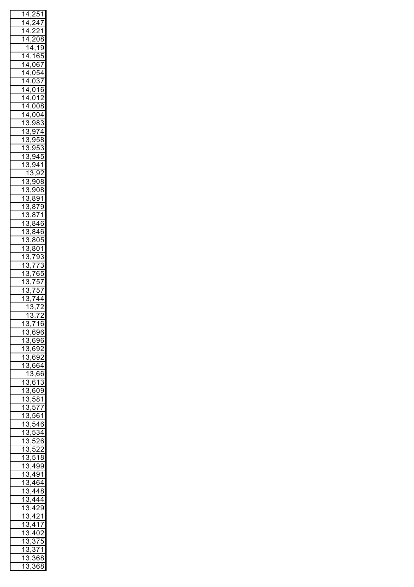| 1                       | 4                         |                     |                          | ,251             |                                    |
|-------------------------|---------------------------|---------------------|--------------------------|------------------|------------------------------------|
| 1                       | 4                         |                     |                          | , 24             | 7                                  |
| 1                       | 4                         |                     |                          | ,221             |                                    |
| .<br>1                  | 4                         | ,                   |                          | $\frac{208}{ }$  |                                    |
|                         | $\overline{1}$            |                     | 4,                       | 19               |                                    |
| $\mathbf{1}$            | 4                         |                     |                          |                  |                                    |
| $\overline{1}$          |                           |                     |                          | ,165             | $\overline{\mathbf{z}}$            |
|                         | $\overline{4}$            |                     |                          | <u>,067</u>      |                                    |
| $\overline{1}$          | 4                         |                     |                          | ,054             |                                    |
| .<br>1                  | 4                         |                     |                          | ,037             |                                    |
| $\overline{1}$          | $\overline{4}$            |                     | ,01                      |                  | 6                                  |
| .<br>1                  | $\overline{4}$            |                     |                          | ,012             |                                    |
| .<br>1                  | $\overline{4}$            |                     |                          | ,008             |                                    |
| $\mathbf{1}$            | 4                         |                     |                          | ,004             |                                    |
| $\mathbf{1}$            | $\overline{3}$            |                     |                          | ,983             | 3                                  |
| .<br>1                  | 3                         |                     |                          | ,974             |                                    |
| $\overline{1}$          |                           |                     |                          |                  |                                    |
|                         | $\ddot{\phantom{0}}$<br>3 |                     |                          | <u>,958</u>      |                                    |
| 1                       | $\ddot{\phantom{0}}$<br>3 |                     |                          | ,953             | 3                                  |
| $\overline{1}$          | 3                         | ,                   |                          | $94\overline{5}$ |                                    |
| $\overline{\mathbf{1}}$ | 3                         | ,                   |                          | $\frac{941}{9}$  |                                    |
|                         | $\overline{1}$            |                     | 3                        | 92               |                                    |
| $\mathbf{1}$            | $\overline{3}$            | <u>Ş</u>            |                          | 908              |                                    |
| $\overline{1}$          | 3                         | $\overline{ }$      |                          | 908              |                                    |
| $\mathbf{1}$            | $\overline{3}$            | <u>ع.</u>           |                          | $\overline{391}$ |                                    |
| .<br>1                  | 3                         |                     |                          | $\frac{1}{2}$    |                                    |
| .<br>1                  | 3                         | <u>ع.</u>           | 3                        | $\overline{71}$  |                                    |
| .<br>1                  |                           | <u>ع.</u>           |                          |                  |                                    |
|                         | 3                         | <u>ع,</u>           |                          | 346              |                                    |
| .<br>1                  | 3                         | <u>ع.</u>           |                          | 346              | j                                  |
| $\mathbf{1}$            | 3                         |                     | غ.<br>-                  | 305              |                                    |
| .<br>1                  | 3                         | ,                   |                          | 801              |                                    |
| $\overline{1}$          | 3                         |                     |                          | <u>,793</u>      | 3                                  |
| $\mathbf{1}$            | 3                         |                     |                          | ,77              | $\ddot{\cdot}$<br>3                |
| $\mathbf{1}$            | 3                         |                     | ,76                      |                  | šķ<br>$\overline{\mathbf{z}}$      |
| $\overline{1}$          | 3                         | ,                   | 7                        | 57               |                                    |
|                         |                           |                     |                          |                  |                                    |
|                         |                           |                     |                          |                  |                                    |
| $\overline{\mathbf{1}}$ | 3                         | ,                   | $\overline{\mathcal{I}}$ | ŗ                | $\overline{1}$                     |
| $\overline{\mathbf{1}}$ | 3                         | ,                   | $\overline{\mathcal{I}}$ | $\overline{4}$   |                                    |
|                         | $\overline{1}$            | Ì                   | ,<br>$\mathbf{S}$        |                  | $\overline{72}$                    |
|                         | l                         | 7                   | J                        | 7                | 2                                  |
| 1                       | 3                         | ı                   | $\prime$                 | 1                | 4<br>6                             |
| 1                       | ś                         |                     | ì<br>$,\epsilon$         | i                | 36<br>j                            |
| 1                       | 3                         |                     | ì                        | ļ                | 76<br>j                            |
| 1                       | 3                         | $\mathfrak{h}$<br>, | ì<br>t                   | ŗ                | 12                                 |
| 1                       | S                         |                     | ì<br>ł                   | ŗ<br>J           | $\overline{2}$                     |
| 1                       | Ŝ                         | ,                   | ł<br>šŀ                  | j                | 4                                  |
|                         |                           | ,                   |                          | ł                | ì<br>šf                            |
|                         | 1                         |                     | 3                        |                  |                                    |
| 1                       | วิ                        | ,                   | j<br>f                   | 1                | 3                                  |
| 1                       | 3                         | ,                   | f                        | 609              |                                    |
| .<br>1                  | ξ                         | ,                   | ŗ                        | 58               | 1                                  |
| 1                       | ξ                         | ,                   | ŗ<br>J                   | 7                | $\overline{7}$                     |
| 1                       | ξ                         | ,                   | ŗ<br>56                  | j                | 1                                  |
| 1                       | ξ                         | ,                   | ŗ                        | 4                | 6                                  |
| 1                       | ś                         | ,                   | ŗ                        | ì                | $\frac{34}{3}$                     |
| 1                       | }                         | ,                   | ŗ                        |                  | 26<br>j                            |
| 1                       | S                         |                     | ŗ                        |                  | ,                                  |
|                         | S                         | J                   | ŗ<br>)                   | 1                | $\overline{\phantom{a}}$<br>Ŝ<br>ξ |
| 1                       | S                         | ,                   | 4                        | Š                | ١Š<br>J                            |
| 1                       |                           |                     |                          |                  |                                    |
| 1                       | S                         |                     | 49                       |                  | 91                                 |
| 1                       | S                         |                     | 46                       |                  | ì4                                 |
| 1                       | S                         |                     |                          |                  | ξ<br>3                             |
| 1                       | S                         |                     |                          |                  | 4                                  |
| 1                       | S                         |                     |                          |                  | Ă                                  |
| $\overline{\mathbf{1}}$ | S                         |                     |                          | ,                | $\overline{\mathbf{1}}$            |
| 1                       | S                         |                     |                          | 11               |                                    |
|                         | S                         |                     |                          | 402              | $\overline{1}$<br>)                |
| 1                       | S                         |                     |                          |                  | ļ                                  |
| 1                       |                           |                     |                          | 37               |                                    |
| $\overline{\mathbf{1}}$ | S                         |                     | S                        | 7                | 1                                  |
| 1<br>$\mathbf 1$        | S<br>ξ                    |                     | S<br>}                   | 6<br>6           | S<br>ξ<br>ξ<br>S                   |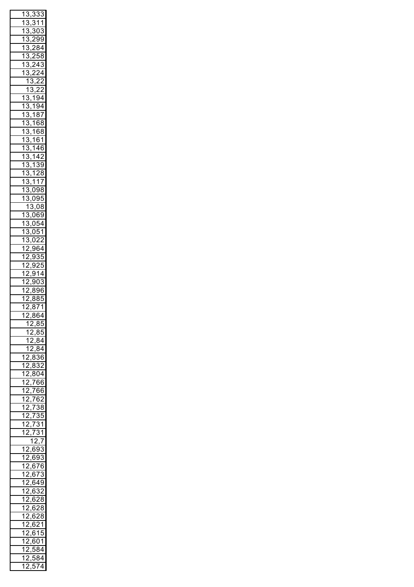| 1                                                  | 3                             | í<br>,                              | ş.                            | š.<br>3             |
|----------------------------------------------------|-------------------------------|-------------------------------------|-------------------------------|---------------------|
| 7                                                  | 3                             |                                     | ś<br>$\overline{1}$           | $\overline{1}$      |
| $\overline{1}$                                     | 3                             | ,<br>$\cdot$                        | $\overline{303}$              |                     |
| .<br>1                                             | 3                             |                                     | 299                           |                     |
|                                                    |                               | ,                                   |                               |                     |
| 1                                                  | 3                             | ,                                   | $\overline{28}$               | $\frac{3}{4}$       |
| 1                                                  | 3                             | ,                                   | 258                           | 3                   |
| 1                                                  | 3                             | ,                                   | $\overline{24}$               | 3<br>í              |
| .<br>1                                             | ś<br>3                        | ,                                   | <u>224</u>                    |                     |
|                                                    | 1                             | $\overline{\mathbf{3}}$             |                               | $\overline{22}$     |
|                                                    | $\mathbf{1}$                  | $\ddot{\cdot}$                      | 3,22                          |                     |
| $\mathbf{1}$                                       |                               |                                     |                               |                     |
|                                                    | $\overline{3}$                | $\overline{ }$                      | <u>194</u>                    |                     |
| $\overline{1}$                                     | 3                             | $\overline{1}$<br>,                 | $\overline{94}$               |                     |
| $\overline{1}$                                     | 3                             | $\overline{1}$<br>ı                 | ξ                             | $\frac{37}{2}$      |
| $\mathbf{1}$                                       | 3                             | $\overline{1}$<br>,                 | 68                            |                     |
| $\mathbf{1}$                                       | 3                             | $\overline{1}$                      | 68                            |                     |
| $\mathbf{1}$                                       | 3                             | ,<br>$\overline{1}$                 | 61                            |                     |
| $\mathbf{1}$                                       | 3                             | ,<br>$\overline{1}$                 | $\overline{46}$               |                     |
|                                                    |                               | ,                                   |                               |                     |
| $\mathbf{1}$                                       | 3                             | $\overline{1}$<br>,                 |                               | $\overline{42}$     |
| 1                                                  | 3                             | $\overline{1}$<br>,                 | $\ddot{\phantom{0}}$          | $\overline{39}$     |
| .<br>1                                             | 3                             | $\overline{1}$<br>,                 |                               | 28                  |
| 1                                                  | 3                             | $\overline{1}$<br>,                 |                               | 17                  |
| 1                                                  | 3                             |                                     | $,\overline{098}$             | 3                   |
| $\overline{\mathbf{1}}$                            | 3                             |                                     | 095                           |                     |
|                                                    |                               | ,                                   |                               |                     |
|                                                    | $\mathbf{1}$                  |                                     | ,08                           | 3                   |
| 7                                                  | $\overline{3}$                | $\frac{3,0}{00}$                    |                               | $\overline{39}$     |
| $\overline{1}$                                     | 3                             |                                     | ,054                          |                     |
| 1                                                  | $\overline{\mathbf{3}}$       |                                     | ,05                           | $\overline{1}$      |
| $\overline{1}$                                     | $\overline{\mathbf{3}}$       |                                     | ,022                          |                     |
| 1                                                  | $\overline{2}$                | $\overline{.96}$                    |                               | $\overline{54}$     |
| $\overline{1}$                                     |                               |                                     | $\bar{9}$                     | 35                  |
|                                                    | $\overline{2}$                | ,                                   |                               |                     |
| $\overline{1}$                                     | $\overline{2}$                | ,                                   | 925                           |                     |
| 1                                                  | $\overline{2}$                | Š<br>,                              | $\overline{3}$                | 4                   |
| $\overline{\mathbf{1}}$                            | $\overline{2}$                | Š                                   |                               |                     |
|                                                    |                               |                                     | 9ľ                            | $\mathfrak{c}$<br>3 |
|                                                    |                               | ı                                   | Š                             |                     |
| $\overline{1}$                                     | $\overline{2}$                | ξ<br>,                              | 3                             | θ<br>j              |
| $\overline{1}$                                     | $\overline{c}$                | $\frac{1}{2}$                       | $\overline{\mathbf{3}}$<br>3  | Ē                   |
| $\overline{1}$                                     | $\overline{2}$                | ξ<br>,                              | $\overline{7}$<br>3           | $\overline{1}$      |
| 4                                                  | 2                             | 8<br>,                              | $\overline{6}$                | $\overline{4}$      |
|                                                    | 1                             |                                     | $\frac{2,85}{ }$              |                     |
|                                                    | 1                             | ,                                   | 8Ī<br>,                       | ١                   |
|                                                    | 1                             | ,                                   | ,                             | 84                  |
|                                                    | 1                             | $\cdot$<br>$\overline{\phantom{a}}$ | ٤                             | 34                  |
|                                                    | ł<br>$\overline{\phantom{0}}$ | ٤                                   | ,<br>ŗ<br>S                   | 36                  |
| 1                                                  |                               | ,                                   |                               |                     |
| .<br>1                                             | $\overline{\phantom{0}}$      | 8<br>,                              | $\ddot{\cdot}$                | $\overline{32}$     |
| .<br>1                                             | ᠈                             | ,                                   | $80\overline{4}$              |                     |
| 1                                                  | ,                             | ,                                   | 76                            | šЕ<br>ì             |
| 1                                                  | ,                             | ,                                   | 76                            | ١f<br>ì             |
| .<br>1                                             | ,                             | ,                                   | 76<br>ì                       | $\overline{2}$      |
| 1                                                  | ,                             |                                     |                               | $\overline{38}$     |
|                                                    | ᠈                             | $\overline{7}$<br>,                 |                               | $\overline{35}$     |
| .<br>1                                             | ᠈                             | $\overline{7}$<br>,                 |                               |                     |
| 1                                                  |                               | $\overline{7}$<br>,                 | 3                             | 1                   |
| .<br>1                                             | )                             | $\overline{7}$<br>,                 | 3                             | 1                   |
|                                                    |                               | 1                                   | $\overline{\phantom{0}}$<br>, | 7                   |
| 1                                                  |                               | $\mathcal{A}$                       | ).<br>š\$                     | 3                   |
| $\overline{1}$                                     | ,                             |                                     | 393                           | ś                   |
|                                                    | )                             | ,6                                  |                               | j                   |
| $\overline{\mathbf{1}}$                            | ,                             | 6,                                  | 76                            |                     |
| $\overline{\mathbf{1}}$                            |                               | 6,                                  | 73                            | 3                   |
| 1                                                  | ,                             | 6<br>,                              | 49ء                           | ϡ                   |
| 1                                                  | ,                             | ,6                                  | 3<br>j                        | $\overline{c}$      |
| 1                                                  | )                             | ,6                                  | j                             | Ŝ<br>28             |
| 1                                                  | )                             |                                     | j                             | 28<br>3             |
| 1                                                  | )                             | ,6                                  | j                             | 3<br>28             |
|                                                    | ,                             | ,6                                  | 2                             |                     |
| 1                                                  |                               | 6<br>,                              | j                             | 1                   |
| 1                                                  | ,                             | ł<br>,                              | 315                           | )                   |
| $\overline{\mathbf{1}}$                            | ,                             | ł<br>,                              | 5C                            | )1                  |
| $\overline{\mathbf{1}}$                            | ,                             | ŗ<br>J                              | 58                            | 34                  |
| $\overline{\mathbf{1}}$<br>$\overline{\mathbf{1}}$ | ,                             | ŗ                                   | 58                            | 34<br>74            |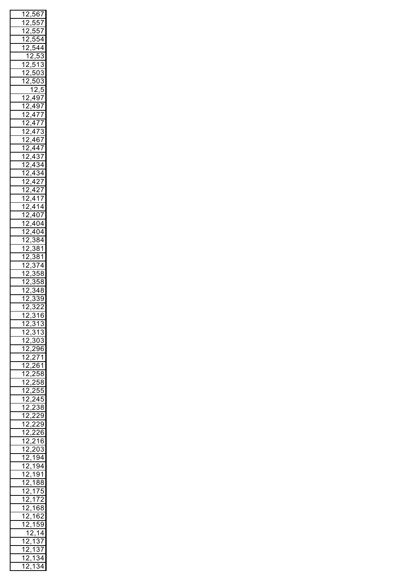| .<br>1                           | $\overline{2}$                                                        | ,      | ť                                        | $\frac{567}{2}$         |                            |
|----------------------------------|-----------------------------------------------------------------------|--------|------------------------------------------|-------------------------|----------------------------|
| $\overline{1}$                   | $\overline{2}$                                                        | ,      | 5!                                       |                         | $\frac{1}{2}$              |
| 1                                | $\overline{2}$                                                        | ,      |                                          | $\frac{557}{557}$       |                            |
| $\overline{\mathbf{1}}$          | $\overline{2}$                                                        | ,      |                                          | $\frac{1}{554}$         |                            |
| $\overline{\mathbf{1}}$          | $\overline{2}$                                                        | ,      |                                          |                         | $\overline{4}$             |
|                                  | $\overline{1}$                                                        |        | $\frac{54}{2,5}$<br>$\frac{2}{\sqrt{2}}$ | $\overline{5}$          | $\overline{\cdot}$<br>3    |
| $\overline{1}$                   | $\overline{2}$                                                        |        | 5                                        | $\overline{\mathbf{1}}$ | $\overline{\cdot}$<br>š    |
| 1                                | $\overline{2}$                                                        |        | ,503                                     |                         | S                          |
| $\overline{1}$                   | $\overline{2}$                                                        | ,      |                                          |                         | ļ                          |
|                                  |                                                                       |        | $\frac{1}{12,5}$                         |                         | 5                          |
| 7                                | $\overline{2}$                                                        |        | ,497                                     |                         |                            |
| 1                                | $\overline{2}$                                                        | ,      | 497                                      |                         |                            |
| $\overline{1}$                   | $\overline{2}$                                                        | ,      | $\frac{477}{177}$                        |                         |                            |
| $\overline{1}$                   | $\overline{2}$                                                        | ,      | $\frac{477}{170}$                        |                         |                            |
|                                  | $\overline{2}$                                                        | ,      | 473                                      |                         |                            |
|                                  | $\overline{2}$                                                        | ,      | 46                                       |                         | $\frac{1}{2}$              |
|                                  | $\overline{2}$                                                        | ,      | 447                                      |                         |                            |
|                                  |                                                                       | ,      |                                          |                         |                            |
|                                  |                                                                       | ,      | $\frac{437}{434}$<br>$\frac{434}{427}$   |                         |                            |
|                                  |                                                                       | ,      |                                          |                         |                            |
|                                  |                                                                       | ,      |                                          |                         |                            |
|                                  |                                                                       | ,      | $\overline{4}$                           | $\overline{27}$         |                            |
|                                  | $\frac{2}{2}$ $\frac{2}{2}$ $\frac{2}{2}$ $\frac{2}{2}$ $\frac{2}{2}$ | ,      | $\overline{4}$                           | $\overline{1}$          | $\overline{I}$             |
|                                  |                                                                       |        | $\overline{4}$                           | 14                      |                            |
|                                  |                                                                       | ,<br>, | 407                                      |                         |                            |
|                                  |                                                                       |        | 404                                      |                         |                            |
|                                  |                                                                       | ,      |                                          |                         |                            |
|                                  |                                                                       | ,      | 404<br>384                               |                         |                            |
|                                  |                                                                       | ,      | $\overline{\cdot}$                       | $\overline{\mathbf{3}}$ | $\overline{\frac{31}{5}}$  |
|                                  | $\overline{2}$                                                        | ,      | $\overline{\cdot}$<br>3                  | $\overline{81}$         |                            |
|                                  | $\overline{2}$                                                        | ,      | $\overline{\cdot}$<br>3                  | 74                      |                            |
|                                  | $\overline{2}$                                                        | ,      | $\overline{\cdot}$<br>3                  | $\overline{56}$         | 3                          |
|                                  | $\overline{2}$                                                        | ,      | 3                                        | $\overline{56}$         | Ş                          |
|                                  |                                                                       | ,      |                                          |                         | Ş                          |
|                                  | $\overline{2}$                                                        | ,      | 3                                        | $\overline{34}$         | ş                          |
| $\overline{1}$<br>$\overline{1}$ | $\frac{2}{2}$                                                         | ı      | ₹<br>ļ                                   | $\frac{3}{2}$           | $\frac{9}{2}$              |
|                                  |                                                                       |        |                                          |                         |                            |
|                                  |                                                                       | ,      | $\overline{\cdot}$                       |                         |                            |
| 1                                | $\overline{2}$                                                        | ,      | $\overline{3}$<br>1                      | $\overline{\mathbf{1}}$ | 6                          |
| 1                                | 2<br>$\cdot$                                                          |        | $\overline{,31}$                         |                         | $\overline{3}$             |
| 1                                | $\overline{2}$                                                        |        | , 31                                     |                         | 3                          |
| 1                                | $\overline{2}$                                                        |        | , 303                                    |                         |                            |
| ì                                | $\overline{2}$                                                        |        | ,296                                     |                         |                            |
| ì                                | $\overline{2}$                                                        |        | ,271                                     |                         |                            |
| ì                                | $\overline{2}$                                                        |        | ,261                                     |                         |                            |
| 1                                | $\overline{2}$                                                        |        | $\frac{258}{2}$                          |                         |                            |
| 1                                | $\overline{2}$                                                        |        | $\frac{258}{2}$                          |                         |                            |
| 1                                | $\overline{2}$                                                        |        | $\frac{255}{255}$                        |                         |                            |
| 1                                | $\overline{2}$                                                        |        | $\frac{1}{24}$                           |                         | $\overline{5}$             |
| 1                                | $\overline{2}$                                                        |        | $\overline{2}$                           | $\overline{38}$         |                            |
| 1                                | $\overline{2}$                                                        |        | $\overline{2}$                           | 29                      |                            |
| $\overline{1}$                   | $\overline{2}$                                                        |        | $\frac{229}{2}$                          |                         |                            |
| $\overline{1}$                   | $\overline{2}$                                                        |        | $\frac{226}{ }$                          |                         |                            |
| $\overline{\mathbf{1}}$          | $\overline{2}$                                                        | ,      | $\overline{a}$                           | 216                     |                            |
| $\overline{\mathbf{1}}$          | $\overline{2}$                                                        | 1      | 203                                      |                         |                            |
| $\overline{\mathbf{1}}$          | $\overline{2}$                                                        |        | <u>,194</u>                              |                         |                            |
| 1                                | $\overline{2}$                                                        | ı      |                                          | 194                     |                            |
| 1                                | $\overline{2}$                                                        | J      |                                          | 191                     |                            |
| 1                                | $\overline{2}$                                                        | J      | 18                                       |                         | 38                         |
| 1                                | $\overline{2}$                                                        | J      |                                          | 175                     |                            |
| 1                                | $\overline{2}$                                                        | J      | 1                                        | 72                      |                            |
| 1                                | $\overline{2}$                                                        | J      | 1                                        | 6                       | ś<br>s٤                    |
| 1                                | $\overline{2}$                                                        | ı      |                                          | 162                     |                            |
| 1                                | $\overline{c}$                                                        | ,      | 1                                        | 59                      |                            |
|                                  | $\overline{\mathbf{1}}$                                               |        | <sup>)</sup> .                           | $\overline{1}$          | 4                          |
| 1                                | ᠈                                                                     |        | 1                                        |                         | $\overline{\overline{37}}$ |
| 1                                | ,                                                                     |        | 1                                        |                         | $\overline{37}$            |
| 1<br>1                           | ,                                                                     |        | 1<br>1                                   | í                       | $\overline{3}$ 4<br>34     |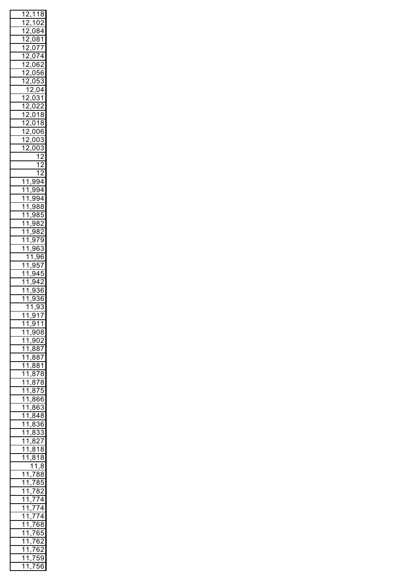| 1                       | $\overline{2}$          | , |                                               | $\overline{118}$             |                                         |
|-------------------------|-------------------------|---|-----------------------------------------------|------------------------------|-----------------------------------------|
| $\overline{1}$          | $\overline{2}$          |   |                                               | 102                          |                                         |
| $\overline{1}$          | $\overline{2}$          | , | ,084                                          |                              |                                         |
| $\overline{1}$          |                         |   |                                               |                              |                                         |
|                         | $\overline{2}$          |   | ,081                                          |                              |                                         |
| $\overline{1}$          | $\overline{2}$          |   |                                               |                              |                                         |
| 7                       | $\overline{2}$          |   |                                               |                              |                                         |
| $\overline{1}$          | $\overline{2}$          |   |                                               |                              |                                         |
| $\overline{1}$          | $\overline{2}$          |   |                                               |                              |                                         |
|                         |                         |   |                                               |                              |                                         |
| $\overline{1}$          | $\overline{2}$          |   | ,053                                          |                              | 3                                       |
|                         |                         |   |                                               |                              |                                         |
| $\overline{1}$          | $\frac{12,04}{2,031}$   |   | $\frac{,031}{,022}$                           |                              |                                         |
| $\overline{1}$          | $\overline{2}$          |   |                                               |                              |                                         |
| $\overline{1}$          |                         |   |                                               |                              |                                         |
|                         | $\overline{2}$          |   | $\frac{1018}{0.018}$<br>$\frac{0.018}{0.006}$ |                              |                                         |
| $\overline{1}$          | $\overline{2}$          |   |                                               |                              |                                         |
| $\overline{1}$          | $\overline{2}$          |   |                                               |                              |                                         |
| $\overline{1}$          | $\overline{2}$          |   | ,003                                          |                              |                                         |
| $\overline{1}$          | $\overline{2}$          |   |                                               |                              |                                         |
|                         |                         |   |                                               |                              |                                         |
|                         |                         |   |                                               |                              | $\frac{,000}{,003}$<br>$\frac{12}{,02}$ |
|                         |                         |   |                                               |                              |                                         |
|                         |                         |   |                                               |                              | $\overline{12}$                         |
| 1                       | 1                       |   | ,994                                          |                              |                                         |
| $\overline{1}$          | $\overline{1}$          |   |                                               | 994                          |                                         |
| $\overline{1}$          |                         | , |                                               |                              |                                         |
|                         | $\frac{1}{2}$           |   | <u>,994</u>                                   |                              |                                         |
| $\overline{1}$          | $\overline{1}$          |   | $,\underline{988}$                            |                              |                                         |
| $\overline{1}$          | $\overline{1}$          |   | $,\underline{985}$                            |                              |                                         |
| $\overline{1}$          | $\overline{1}$          |   |                                               |                              |                                         |
| $\overline{1}$          | $\overline{1}$          |   | ,982<br>,982                                  |                              |                                         |
| .<br>1                  |                         |   |                                               |                              |                                         |
|                         | $\overline{1}$          |   | <u>,979</u>                                   |                              |                                         |
| $\overline{\mathbf{1}}$ | $\overline{1}$          | , | 963                                           |                              |                                         |
|                         | $\frac{1}{1}$           |   | $\frac{1}{1,96}$<br>,957                      |                              |                                         |
| $\overline{1}$          |                         |   |                                               |                              |                                         |
|                         |                         |   |                                               |                              |                                         |
| $\frac{1}{1}$           | $\overline{1}$          |   | ,945                                          |                              |                                         |
|                         |                         | , | 942                                           |                              |                                         |
| $\overline{1}$          | $\frac{1}{1}$           |   | $\overline{9}$                                | $\ddot{\phantom{0}}$         | $\overline{36}$                         |
| $\overline{\mathbf{1}}$ | $\overline{1}$          | , | $\overline{9}$                                | 36                           | ć                                       |
|                         | $\overline{1}$          |   | :<br>$\overline{1}$                           | g                            | Ī<br>3                                  |
| 1                       | $\overline{1}$          |   | ζ.                                            | $\overline{\mathbf{1}}$      | 7                                       |
|                         |                         | , |                                               |                              | I                                       |
| 1                       | $\overline{1}$          | , | 91                                            |                              | 1                                       |
| 1                       | $\overline{1}$          | , |                                               | 908                          |                                         |
| $\overline{1}$          | $\overline{\mathbf{1}}$ | , |                                               | $\frac{902}{ }$              |                                         |
| $\overline{1}$          | $\overline{\mathbf{1}}$ |   | ś<br>$\mathcal{S},$                           | ξ                            | $\overline{37}$                         |
|                         | $\overline{1}$          |   | ś                                             |                              |                                         |
| $\overline{1}$          |                         |   | $\mathcal{S},$                                |                              | 87                                      |
| $\overline{1}$          | $\overline{1}$          |   | 3<br>$\mathcal{S},$                           | $\overline{81}$              |                                         |
| $\overline{1}$          | $\overline{1}$          |   | 3<br>$\mathcal{S},$                           | 78                           |                                         |
| $\overline{1}$          | $\overline{1}$          |   | ,8                                            | 7                            | $\overline{8}$                          |
| $\overline{1}$          | $\overline{1}$          |   | $,\bar{8}$                                    | 7                            | 5                                       |
|                         | $\overline{1}$          |   |                                               |                              |                                         |
| $\overline{1}$          |                         |   | ,866                                          |                              |                                         |
| $\overline{1}$          | $\overline{1}$          |   | $\mathcal{S},$                                | $\overline{\overline{36}}$   | $\overline{3}$                          |
| $\overline{1}$          | $\overline{1}$          |   | ś<br>$\mathcal{S},$                           | $\overline{4}$               | 8                                       |
| $\overline{1}$          | $\overline{1}$          |   | ś<br>$\mathcal{S},$                           | $\overline{36}$              |                                         |
| $\overline{1}$          | $\overline{1}$          |   | $\overline{8}$                                | $\overline{3}$               | $\overline{3}$                          |
|                         |                         |   |                                               |                              |                                         |
| $\overline{1}$          | $\overline{\mathbf{1}}$ | , | ξ<br>ś                                        | $\overline{27}$              |                                         |
| 1                       | $\overline{\mathbf{1}}$ |   | ξ<br>Ŝ                                        | $\overline{1}$               | ś<br>ξ                                  |
| $\overline{\mathbf{1}}$ | í<br>1                  | , | ξ<br>Š                                        | $\overline{\mathbf{1}}$      | 3<br>ξ                                  |
|                         |                         |   | $\overline{1}$                                | $\overline{\mathbf{1}}$<br>, | 3<br>٤                                  |
| 1                       | 1                       |   | $\overline{7}$                                | ξ<br>ξ                       | ś<br>ξ                                  |
|                         |                         |   |                                               |                              |                                         |
| 1                       | 1                       |   | $,\overline{7}$                               | ś<br>ξ                       | į<br>5                                  |
| 1                       | $\overline{\mathbf{1}}$ |   | $,\overline{7}$                               | ٤                            | $\overline{32}$                         |
| $\overline{1}$          | $\overline{\mathbf{1}}$ |   | $,\overline{77}$                              |                              | $\overline{4}$                          |
| $\overline{1}$          | $\overline{\mathbf{1}}$ |   | $\overline{7}$                                | 7                            | 4                                       |
|                         |                         |   |                                               |                              |                                         |
| $\overline{1}$          | $\overline{\mathbf{1}}$ |   | ,7                                            | 7                            | 4                                       |
| $\overline{1}$          | $\overline{\mathbf{1}}$ |   | 7                                             | ì<br>ł                       | 8                                       |
| $\overline{1}$          | $\overline{\mathbf{1}}$ |   | 76                                            |                              | ŗ<br>5                                  |
| 1                       | 1                       |   | 7                                             | ł                            | $\overline{c}$                          |
|                         |                         |   |                                               |                              |                                         |
| 1                       | 1                       |   | $\overline{7}$                                | ł                            | ,                                       |
| 1                       | 1                       |   |                                               | ŗ                            | ì                                       |
| 1                       | 1                       |   | $\overline{7}$                                | ļ                            | 6<br>ì                                  |
|                         |                         |   |                                               |                              |                                         |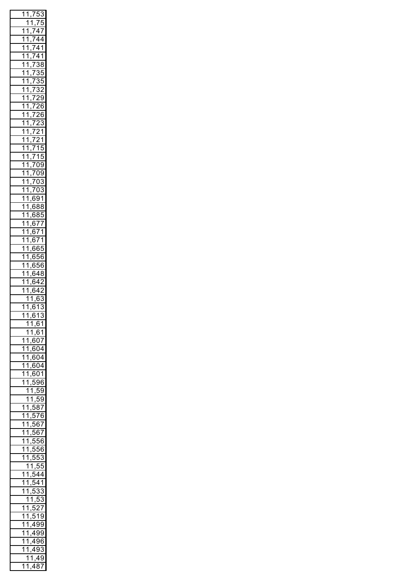| $\mathbf{1}$            | .<br>1                  | $\overline{I}$<br>,                                                                                 | $\ddot{\cdot}$<br>5                                    | $\ddot{\cdot}$<br>3                       |
|-------------------------|-------------------------|-----------------------------------------------------------------------------------------------------|--------------------------------------------------------|-------------------------------------------|
|                         | 1                       | <u>1</u>                                                                                            | $\overline{7}$                                         | $\overline{5}$                            |
| $\mathbf{1}$            | $\overline{1}$          | ,<br>$\overline{1}$                                                                                 | $\overline{4}$                                         | $\overline{7}$                            |
| 1                       |                         | $\overline{7}$<br>,                                                                                 |                                                        | $\overline{4}$                            |
|                         |                         | $\frac{7}{5}$<br>,                                                                                  | $\frac{4}{4}$                                          | $\overline{1}$                            |
|                         |                         | $\overline{7}$<br>į                                                                                 | $\frac{4}{1}$                                          |                                           |
|                         |                         | į                                                                                                   |                                                        | $\frac{11}{88}$                           |
|                         |                         |                                                                                                     |                                                        |                                           |
|                         |                         | ,                                                                                                   |                                                        | 5                                         |
|                         |                         | ,                                                                                                   |                                                        |                                           |
|                         |                         | ,                                                                                                   |                                                        | $\frac{2}{9}$                             |
|                         |                         | $\frac{1}{73}$ $\frac{73}{73}$ $\frac{73}{72}$ $\frac{72}{72}$ $\frac{72}{72}$ $\frac{72}{71}$<br>, |                                                        |                                           |
|                         |                         | ,                                                                                                   |                                                        | $\overline{\mathbf{6}}$<br>5              |
|                         |                         | ,                                                                                                   |                                                        | $\epsilon$<br>ć                           |
|                         |                         | ,                                                                                                   |                                                        | $\ddot{\cdot}$<br>$\overline{\mathbf{S}}$ |
|                         |                         | ,                                                                                                   |                                                        | $\overline{1}$                            |
|                         |                         | ,                                                                                                   |                                                        |                                           |
|                         |                         | ,                                                                                                   |                                                        | $\frac{1}{5}$                             |
|                         |                         | 715<br>709<br>709<br>703<br>703<br>,                                                                |                                                        |                                           |
|                         |                         | ,                                                                                                   |                                                        |                                           |
|                         |                         | ,                                                                                                   |                                                        |                                           |
|                         |                         | ,                                                                                                   |                                                        |                                           |
|                         |                         | ,                                                                                                   |                                                        |                                           |
|                         |                         | 6                                                                                                   | $\ddot{\mathbf{S}}$                                    |                                           |
|                         |                         | ,<br>$\overline{6}$                                                                                 | $\overline{\xi}$                                       | $\frac{1}{38}$                            |
|                         |                         | ,<br>$\overline{6}$                                                                                 |                                                        |                                           |
|                         |                         | ,                                                                                                   | $\{$                                                   |                                           |
|                         |                         | $\overline{6}$<br>,                                                                                 | $\frac{77}{71}$<br>$\frac{71}{65}$                     |                                           |
|                         |                         | $\overline{6}$<br>,                                                                                 |                                                        |                                           |
|                         |                         | ć<br>$\epsilon$<br>,                                                                                |                                                        |                                           |
|                         |                         | $\epsilon$<br>ć<br>,                                                                                | (                                                      |                                           |
|                         |                         | ć<br>$\epsilon$<br>,                                                                                | $\overline{\overline{\overline{6}}}$<br>$\ddot{\cdot}$ | j                                         |
|                         |                         | ì<br>6<br>,                                                                                         | ļ<br>$\overline{5}$                                    | 5<br>$\epsilon$                           |
|                         |                         | ć<br>$\epsilon$<br>,                                                                                | $\overline{4}$                                         | $\overline{\mathbf{S}}$<br>Ş              |
|                         |                         | ć<br>$\epsilon$                                                                                     | $\overline{4}$                                         | $\overline{2}$                            |
| $\overline{\mathbf{1}}$ |                         | ,<br>,<br>6                                                                                         | $\overline{4}$                                         | ,                                         |
|                         |                         |                                                                                                     |                                                        |                                           |
|                         |                         |                                                                                                     | 7                                                      |                                           |
|                         | $\overline{1}$          | ;<br>;                                                                                              | 5                                                      | $\overline{\cdot}$<br>3                   |
| $\overline{1}$          | $\overline{1}$          | $\frac{1}{1}$<br>$\dot{ }$                                                                          | $\overline{1}$                                         | $\frac{1}{2}$<br>$\overline{\mathbf{S}}$  |
|                         | $\overline{1}$          | 61<br>,                                                                                             |                                                        | $\overline{\mathbf{S}}$<br>١              |
|                         | 1                       | 1                                                                                                   | , 61                                                   |                                           |
|                         | 1                       | 1                                                                                                   | ,61                                                    |                                           |
| 1                       | 1                       | $\overline{6}$                                                                                      | $\frac{1}{07}$                                         |                                           |
| 1                       | 1                       | ,604                                                                                                |                                                        |                                           |
| 1                       | $\overline{\mathbf{1}}$ | ,604                                                                                                |                                                        |                                           |
| 1                       | $\overline{\mathbf{1}}$ | ,604                                                                                                |                                                        |                                           |
| ì                       | $\overline{\mathbf{1}}$ | ,601                                                                                                |                                                        |                                           |
| 1                       | $\overline{1}$          | 596<br>į                                                                                            |                                                        |                                           |
|                         | $\overline{\mathbf{1}}$ | 1,<br>ı                                                                                             | 59                                                     |                                           |
|                         | $\overline{\mathbf{1}}$ | 1,<br>,                                                                                             | $\overline{59}$                                        |                                           |
| 1                       | 1                       | ,587<br>,                                                                                           |                                                        |                                           |
| 1                       | 1                       |                                                                                                     | 576                                                    |                                           |
| 1                       | $\overline{\mathbf{1}}$ | ı                                                                                                   |                                                        |                                           |
| 1                       | $\overline{1}$          | ı                                                                                                   | 567                                                    |                                           |
|                         |                         | ,                                                                                                   | 567<br>$\frac{1}{556}$                                 |                                           |
| $\overline{1}$          | $\overline{\mathbf{1}}$ | $\overline{\phantom{a}}$                                                                            |                                                        |                                           |
| 1                       | $\overline{\mathbf{1}}$ | $\overline{ }$<br>ŗ                                                                                 | $\frac{1}{556}$                                        |                                           |
| 1                       | 1                       | ,                                                                                                   | $\frac{5}{3}$                                          |                                           |
|                         | 1                       | 1,                                                                                                  | 55                                                     |                                           |
| 1                       | 1                       | .544<br>,                                                                                           |                                                        |                                           |
| 1                       | 1                       |                                                                                                     | 541                                                    |                                           |
| .<br>1                  | 1                       | $\overline{\phantom{a}}$<br>Ë<br>,                                                                  | $\overline{33}$                                        |                                           |
|                         | 1                       | 1                                                                                                   | $\overline{53}$                                        |                                           |
| 1                       | 1                       | $\overline{\mathbf{5}}$<br>,                                                                        | $\overline{27}$                                        |                                           |
| 1                       | 1                       | ,                                                                                                   | $\overline{519}$                                       |                                           |
| 1                       | 1                       | 499                                                                                                 |                                                        |                                           |
| 1                       | 1                       | 499                                                                                                 |                                                        |                                           |
| 1                       | 1                       | 496                                                                                                 |                                                        |                                           |
| 1                       | 1                       | 493                                                                                                 |                                                        |                                           |
|                         | 1                       |                                                                                                     | 49                                                     |                                           |
| 1                       | Í<br>1                  | <u>1</u> ,<br>487                                                                                   |                                                        |                                           |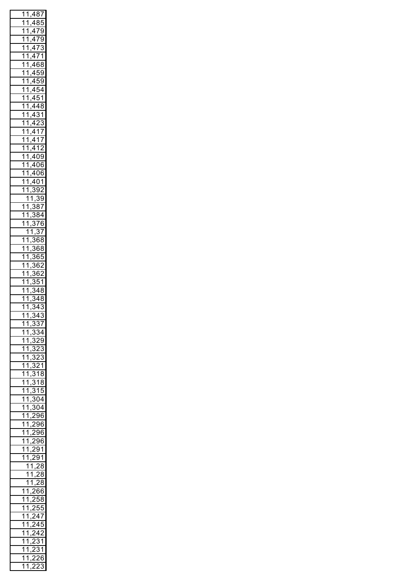| 1                       | $\overline{1}$          | ,487                               |                    |                                               |
|-------------------------|-------------------------|------------------------------------|--------------------|-----------------------------------------------|
| 7                       | 1                       | 485<br>,                           |                    |                                               |
| $\overline{1}$          | $\overline{\mathbf{1}}$ | $\frac{479}{175}$<br>,             |                    |                                               |
| $\overline{1}$          | 7                       | $\frac{479}{ }$<br>,               |                    |                                               |
| 7                       | $\overline{1}$          | $\overline{473}$<br>,              |                    | 3                                             |
| 7                       | $\overline{1}$          | $\frac{471}{1}$<br>,               |                    |                                               |
| $\mathbf{1}$            | $\overline{1}$          | $\overline{468}$<br>,              |                    |                                               |
| $\mathbf{1}$            | $\overline{1}$          | $\frac{459}{1}$<br>,               |                    |                                               |
| $\mathbf{1}$            | $\overline{1}$          | $\sqrt{459}$<br>,                  |                    |                                               |
| $\mathbf{1}$            | $\overline{1}$          | ,454                               |                    |                                               |
| $\mathbf{1}$            | $\overline{1}$          | <u>,451</u>                        |                    |                                               |
| $\overline{\mathbf{1}}$ | $\overline{1}$          | ,448                               |                    |                                               |
| $\overline{\mathbf{1}}$ | $\overline{1}$          | ,431                               |                    |                                               |
| $\overline{\mathbf{1}}$ | $\overline{1}$          | ,423                               |                    |                                               |
| $\overline{\mathbf{1}}$ | $\overline{1}$          | ,417                               |                    |                                               |
| 1                       | $\overline{1}$          | $\overline{A}$                     | 17                 |                                               |
| 1                       | $\overline{1}$          | 412<br>,                           |                    |                                               |
| $\overline{1}$          | $\overline{1}$          | $\frac{409}{ }$<br>,               |                    |                                               |
| $\overline{1}$          | $\overline{1}$          | $\overline{406}$<br>,              |                    | ì                                             |
| $\overline{1}$          | $\overline{1}$          | $\overline{406}$<br>,              |                    |                                               |
| $\overline{1}$          | 1                       | ,                                  |                    |                                               |
| $\overline{\mathbf{1}}$ | $\overline{1}$          | 401<br>392<br>$\overline{\cdot}$   |                    |                                               |
|                         | $\overline{1}$          | ,                                  | $\overline{\cdot}$ | $\overline{39}$                               |
| $\mathbf{1}$            | $\overline{1}$          | $\frac{1}{2}$                      | $\frac{1}{87}$     |                                               |
| $\overline{1}$          | $\overline{1}$          |                                    | $\frac{1}{884}$    |                                               |
| $\overline{\mathbf{1}}$ | $\overline{\mathbf{1}}$ | $\frac{1}{2}$<br>3                 | $\overline{76}$    |                                               |
|                         | $\overline{1}$          |                                    | .<br>`,            | $\overline{37}$                               |
| 1                       | $\overline{1}$          | $\frac{1}{2}$                      | $86\overline{8}$   |                                               |
| $\overline{1}$          | $\overline{1}$          | $\frac{1}{2}$                      | $\overline{368}$   |                                               |
| $\overline{1}$          | $\overline{\mathbf{1}}$ | $\frac{1}{2}$                      | $\overline{365}$   |                                               |
| $\mathbf{1}$            | $\overline{1}$          | $\frac{1}{2}$                      | $\frac{862}{5}$    |                                               |
| $\overline{1}$          | $\overline{1}$          | $\frac{1}{2}$                      | 862                |                                               |
|                         | $\overline{1}$          | ,                                  | ξĘ                 | $\overline{51}$                               |
| $\frac{1}{1}$           | $\overline{1}$          | $\overline{\cdot}$                 | $\frac{1}{48}$     | 3                                             |
| $\overline{1}$          | $\overline{1}$          | $\overline{\cdot}$                 | $\overline{34}$    | 3<br>ξ                                        |
| $\overline{1}$          | $\overline{1}$          | 34<br>j                            |                    | $\overline{\cdot}$<br>$\overline{\mathbf{3}}$ |
| 1                       | $\overline{1}$          | 5<br>)<br>,                        | 4                  | $\overline{3}$                                |
| 1                       | 1                       | $\overline{3}$                     | 3                  | 7                                             |
| 1                       | $\overline{1}$          | $\ddot{\cdot}$<br>ξ                |                    | $\overline{34}$                               |
| $\overline{\mathbf{1}}$ | $\overline{1}$          | $\frac{7}{2}$<br>ξ                 | $\overline{29}$    |                                               |
| $\overline{1}$          | $\overline{1}$          | $\frac{7}{2}$<br>ξ                 | 23                 |                                               |
| $\overline{1}$          | 1                       | $\tilde{\zeta}$<br>ξ               | 23                 |                                               |
| $\overline{1}$          | $\overline{1}$          | $\overline{3}$                     | $\overline{21}$    |                                               |
| $\overline{1}$          | $\overline{1}$          | $\overline{3}$                     | 1                  | 8                                             |
| $\overline{1}$          | $\overline{1}$          | $\overline{3}$                     | 7                  | 8                                             |
| $\overline{1}$          | $\overline{1}$          | $\overline{3}$                     | $\overline{15}$    |                                               |
| $\overline{\mathbf{1}}$ | $\overline{1}$          | ,304                               |                    |                                               |
| $\overline{\mathbf{1}}$ | $\overline{1}$          | , 304                              |                    |                                               |
| $\overline{1}$          | $\overline{1}$          | , 296                              |                    |                                               |
| $\overline{1}$          | $\overline{1}$          | ,296                               |                    |                                               |
| $\overline{1}$          | $\overline{1}$          | ,296                               |                    |                                               |
| $\overline{1}$          | $\overline{\mathbf{1}}$ | ļ,<br>$\overline{c}$               | 96                 |                                               |
| 1                       | $\overline{\mathbf{1}}$ | $\overline{\cdot}$<br>ì            | 91                 |                                               |
| 1                       | 1                       | $\overline{\phantom{a}}$<br>,<br>, | $\overline{91}$    |                                               |
|                         | $\overline{\mathbf{1}}$ | $\overline{1}$                     | $\overline{28}$    |                                               |
|                         | $\overline{\mathbf{1}}$ | 1                                  |                    | $\overline{\mathbf{S}}$<br>3                  |
|                         | $\overline{\mathbf{1}}$ | $\overline{1}$                     | )                  | 3<br>ξ                                        |
| 1                       | 1                       | í<br>ï                             | 6                  | 6                                             |
| 1                       | 1                       | )<br>,                             | ť                  | .<br>}3<br>ś                                  |
| 1                       | 1                       | ,                                  | 55                 | 5                                             |
| 1                       | $\overline{\mathbf{1}}$ |                                    | 47                 |                                               |
| 1                       | 1                       |                                    | 4Ī                 | 5                                             |
| 1                       | 1                       |                                    | 42                 |                                               |
| 1                       | 1                       |                                    | ŝ                  | 31                                            |
| 1                       | 1                       |                                    |                    | 31                                            |
| 1                       | 1                       |                                    |                    | 26<br>j                                       |
| 1                       | 1                       |                                    | )<br>-             | 3<br>€                                        |
|                         |                         |                                    |                    |                                               |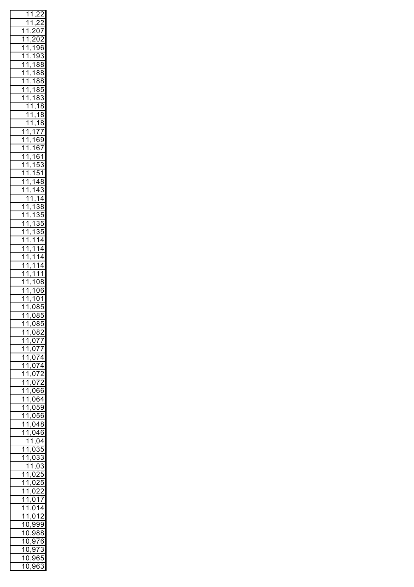|                                 | .<br>1                  | $\overline{\mathbf{1}}$                    | ,                                         | ź<br>$\overline{ }$       |
|---------------------------------|-------------------------|--------------------------------------------|-------------------------------------------|---------------------------|
|                                 | 7                       | $\overline{1}$                             |                                           |                           |
|                                 |                         |                                            | $\overline{\phantom{a}}$                  | $\overline{ }$            |
| .<br>1                          | 7                       | ,                                          | (                                         | $\overline{7}$            |
| .<br>1                          | $\overline{\mathbf{1}}$ | ʻ<br>,                                     | $\overline{C}$<br>(                       | $\overline{ }$            |
| 1                               | $\overline{1}$          | $\overline{1}$                             | Ś                                         | эć<br>ì                   |
| $\overline{1}$                  | $\overline{1}$          | ,<br>$\overline{1}$                        |                                           |                           |
|                                 |                         | ,                                          | Ś<br>)                                    | ŝ<br>3                    |
| $\overline{1}$                  | $\overline{1}$          | $\overline{1}$<br>,                        | ξ<br>š                                    | ξ<br>3                    |
| $\overline{1}$                  | $\overline{1}$          | $\overline{1}$<br>,                        | š<br>ξ                                    | ξ<br>ş                    |
| $\overline{1}$                  | $\overline{1}$          | $\overline{1}$                             | š<br>ξ                                    | ξ<br>3                    |
| $\overline{1}$                  | $\overline{1}$          | $\frac{1}{1}$                              |                                           |                           |
|                                 |                         |                                            | š<br>ξ                                    | ŗ<br>5                    |
| 7                               | $\overline{1}$          | $\frac{1}{1}$<br>$\frac{1}{1}$             | ξ<br>3                                    | $\ddot{\cdot}$<br>3       |
|                                 | $\overline{1}$          |                                            | $\overline{1}$                            | ξ<br>3                    |
|                                 | $\frac{1}{1}$           | $\overline{1}$                             | $\overline{1}$                            | ξ<br>ş                    |
|                                 | $\overline{1}$          | ,                                          |                                           |                           |
|                                 |                         | ,                                          | $\overline{1}$                            | 3<br>Ş                    |
| .<br>1                          | $\overline{1}$          | $\frac{1}{1}$<br>$\frac{1}{2}$             | $\overline{7}$                            | $\overline{7}$            |
| .<br>1                          | $\overline{\mathbf{1}}$ | $\overline{1}$                             | 65                                        | þ                         |
| $\overline{\mathbf{1}}$         | $\overline{\mathbf{1}}$ | $\frac{1}{1}$                              | $\overline{6}$                            | 7                         |
| $\overline{1}$                  | $\overline{1}$          | $\overline{1}$                             |                                           | $\overline{1}$            |
|                                 |                         | ,                                          | $\overline{6}$                            |                           |
| $\overline{1}$                  | $\overline{1}$          | $\overline{1}$<br>,                        | 5                                         | $\frac{3}{1}$             |
| $\overline{1}$                  | $\overline{1}$          | $\overline{1}$<br>,                        | ŗ<br>5                                    |                           |
| $\overline{\mathbf{1}}$         | $\overline{1}$          | $\overline{1}$                             | 4                                         | $\overline{8}$            |
|                                 | $\overline{1}$          |                                            | $\overline{4}$                            |                           |
| $\overline{1}$                  |                         | <u>1, 1</u><br><u>1, 1</u><br>1, 1         |                                           | Ĵ<br>3                    |
|                                 | $\overline{1}$          |                                            | $\overline{1}$                            | 4                         |
| $\mathbf{1}$                    | $\overline{1}$          |                                            |                                           | ξ<br>3                    |
| $\overline{1}$                  | $\overline{1}$          | $\overline{1}$                             |                                           | ŗ<br>5                    |
| $\overline{1}$                  | $\overline{\mathbf{1}}$ | ,<br>$\overline{1}$                        |                                           |                           |
|                                 |                         | ,                                          | $\frac{3}{3}$ $\frac{3}{3}$ $\frac{3}{1}$ | ť<br>,                    |
| $\overline{1}$                  | $\overline{1}$          | $\overline{1}$<br>,                        |                                           | $\ddot{\cdot}$<br>Ć       |
| $\overline{1}$                  | $\overline{1}$          | $\overline{1}$<br>,                        |                                           | 4                         |
| $\overline{1}$                  | $\overline{1}$          | $\overline{1}$                             | $\overline{1}$                            | $\overline{4}$            |
| $\overline{1}$                  | $\overline{1}$          | ,<br>$\overline{1}$                        |                                           |                           |
|                                 |                         | ,                                          | $\frac{1}{1}$                             | $\overline{4}$            |
| $\overline{1}$                  | $\overline{1}$          | $\overline{1}$<br>,                        |                                           | 4                         |
| $\overline{1}$                  | $\overline{1}$          | $\overline{1}$                             | $\overline{\mathbf{1}}$                   | $\overline{\mathbf{1}}$   |
| $\overline{\mathbf{1}}$         | $\overline{1}$          | ,<br>$\overline{1}$                        | $\overline{08}$                           |                           |
|                                 |                         | ,                                          |                                           |                           |
| $\overline{1}$                  | $\overline{1}$          | $\overline{1}$<br>,                        | O                                         | $\overline{5}$            |
| $\overline{1}$                  | $\overline{1}$          | $\overline{1}$<br>,                        | $\overline{\mathcal{C}}$<br>$\mathbf{)}$  | 1                         |
| $\overline{\mathbf{1}}$         | 1                       | $\overline{0}$                             | ξ                                         | $\overline{\overline{5}}$ |
| $\overline{1}$                  | $\overline{1}$          | ,085                                       |                                           |                           |
|                                 |                         | ı                                          |                                           |                           |
| 1                               | $\overline{1}$          | ,085                                       |                                           |                           |
| 1                               | $\overline{1}$          | ,082                                       |                                           |                           |
|                                 |                         |                                            |                                           |                           |
|                                 |                         |                                            |                                           |                           |
| $\overline{1}$                  | $\overline{1}$          |                                            |                                           | $\frac{7}{5}$             |
| $\overline{1}$                  | $\overline{1}$          | $\frac{1}{0.077}$<br>$\frac{0.077}{0.077}$ |                                           |                           |
| $\overline{1}$                  | $\overline{1}$          | ,074                                       |                                           |                           |
|                                 | $\overline{1}$          |                                            |                                           |                           |
| $\overline{1}$                  |                         |                                            |                                           |                           |
| $\overline{1}$                  | $\overline{1}$          | $\frac{074}{072}$                          |                                           |                           |
| $\overline{1}$                  | $\overline{1}$          | ,072                                       |                                           |                           |
| $\overline{1}$                  | $\overline{1}$          | $\frac{0.066}{0.066}$                      |                                           |                           |
|                                 | $\overline{1}$          |                                            |                                           |                           |
| $\overline{1}$                  |                         | $\frac{0.064}{0.064}$                      |                                           |                           |
| $\overline{1}$                  | $\overline{1}$          | ,059                                       |                                           |                           |
| $\overline{1}$                  | $\overline{1}$          | $\frac{0.056}{1}$                          |                                           |                           |
| $\overline{1}$                  | $\overline{1}$          | ,048                                       |                                           |                           |
|                                 |                         |                                            |                                           |                           |
| $\overline{1}$                  | $\overline{1}$          | $\frac{0.046}{0.06}$                       |                                           |                           |
|                                 | $\frac{1}{2}$           | $\overline{1}$                             | , 04                                      |                           |
| 1                               | $\frac{1}{2}$           | , 03                                       |                                           | $\frac{1}{35}$            |
| 1                               | $\overline{1}$          | ,033                                       |                                           | 3                         |
|                                 |                         |                                            |                                           |                           |
|                                 | $\overline{1}$          | $\frac{1}{1,03}$                           |                                           |                           |
| 1                               | $\overline{1}$          | ,025                                       |                                           |                           |
| $\overline{1}$                  | $\frac{1}{1}$           | ,025                                       |                                           |                           |
| $\overline{1}$                  | $\overline{1}$          |                                            |                                           |                           |
|                                 |                         | ,022                                       |                                           |                           |
| $\overline{1}$                  | $\overline{1}$          | ,017                                       |                                           |                           |
| $\overline{1}$                  | $\overline{1}$          | ,014                                       |                                           |                           |
| $\overline{1}$                  | $\overline{1}$          | ,012                                       |                                           |                           |
|                                 |                         |                                            |                                           |                           |
|                                 | $\overline{10}$         | <u>,999</u>                                |                                           |                           |
|                                 | $\overline{10}$         | ,                                          | 988                                       |                           |
|                                 | $\overline{10}$         | ,                                          | 976                                       |                           |
|                                 | $\overline{10}$         | ,                                          | 973                                       | 3                         |
|                                 | 0                       | 96                                         |                                           | 55                        |
| $\frac{1}{2}$<br>$\overline{1}$ | )                       | ,963                                       |                                           | 3                         |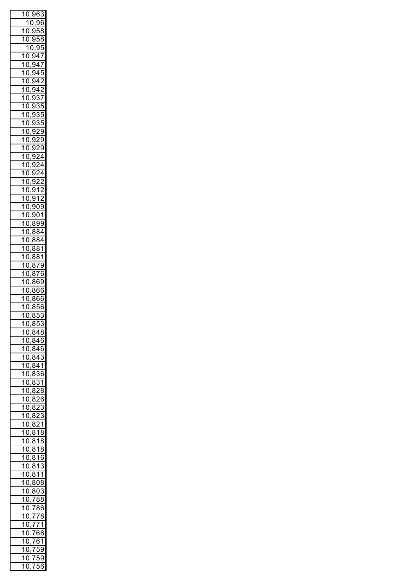| ้า                      |                                                   | 0,96                                                                                                                                                                                                                                                                                                                                    |                 | 3               |
|-------------------------|---------------------------------------------------|-----------------------------------------------------------------------------------------------------------------------------------------------------------------------------------------------------------------------------------------------------------------------------------------------------------------------------------------|-----------------|-----------------|
|                         |                                                   | 10,96                                                                                                                                                                                                                                                                                                                                   |                 |                 |
|                         |                                                   | 10,958                                                                                                                                                                                                                                                                                                                                  |                 |                 |
| .<br>1                  |                                                   | 0,958                                                                                                                                                                                                                                                                                                                                   |                 |                 |
|                         |                                                   | 10,95                                                                                                                                                                                                                                                                                                                                   |                 |                 |
|                         |                                                   |                                                                                                                                                                                                                                                                                                                                         |                 |                 |
|                         |                                                   | 10,947                                                                                                                                                                                                                                                                                                                                  |                 |                 |
| $\mathbf{1}$            | $\overline{0}$                                    | $\frac{94}{7}$<br>,                                                                                                                                                                                                                                                                                                                     |                 |                 |
| .<br>1                  |                                                   |                                                                                                                                                                                                                                                                                                                                         |                 |                 |
| .<br>1                  |                                                   |                                                                                                                                                                                                                                                                                                                                         |                 |                 |
| .<br>1                  |                                                   |                                                                                                                                                                                                                                                                                                                                         |                 |                 |
| 1                       |                                                   |                                                                                                                                                                                                                                                                                                                                         |                 |                 |
| 1                       |                                                   |                                                                                                                                                                                                                                                                                                                                         |                 |                 |
| 1                       |                                                   |                                                                                                                                                                                                                                                                                                                                         |                 |                 |
| 1                       |                                                   |                                                                                                                                                                                                                                                                                                                                         |                 |                 |
| 1                       |                                                   |                                                                                                                                                                                                                                                                                                                                         |                 |                 |
|                         |                                                   |                                                                                                                                                                                                                                                                                                                                         |                 |                 |
| 1                       |                                                   |                                                                                                                                                                                                                                                                                                                                         |                 |                 |
| 1                       |                                                   |                                                                                                                                                                                                                                                                                                                                         |                 |                 |
| 1                       |                                                   |                                                                                                                                                                                                                                                                                                                                         |                 |                 |
| 1                       |                                                   |                                                                                                                                                                                                                                                                                                                                         |                 |                 |
| 1                       |                                                   |                                                                                                                                                                                                                                                                                                                                         |                 |                 |
| 1                       |                                                   |                                                                                                                                                                                                                                                                                                                                         |                 |                 |
| 1                       |                                                   | $\frac{0.945}{0.945}$<br>0.942<br>0.942<br>0.937<br>0.937<br>0.935<br>0.935<br>0.935<br>0.929<br>0.929<br>0.922<br>0.922<br>0.922<br>0.922<br>0.922<br>0.922<br>0.922<br>0.922<br>0.922<br>0.922<br>0.922<br>0.922<br>0.922<br>0.922<br>0.922<br>0.922<br>0.922<br>0.922<br>0.922<br>0.922<br>0.922<br>0.922<br>0.922<br>0.922<br>0.922 |                 |                 |
| 1                       |                                                   |                                                                                                                                                                                                                                                                                                                                         |                 |                 |
| 1                       |                                                   |                                                                                                                                                                                                                                                                                                                                         |                 |                 |
|                         |                                                   |                                                                                                                                                                                                                                                                                                                                         |                 |                 |
| 1                       |                                                   |                                                                                                                                                                                                                                                                                                                                         |                 |                 |
| 1                       |                                                   |                                                                                                                                                                                                                                                                                                                                         |                 |                 |
| 1                       |                                                   |                                                                                                                                                                                                                                                                                                                                         |                 |                 |
| 1                       |                                                   |                                                                                                                                                                                                                                                                                                                                         |                 |                 |
| 1                       |                                                   |                                                                                                                                                                                                                                                                                                                                         |                 |                 |
| .<br>1                  |                                                   |                                                                                                                                                                                                                                                                                                                                         |                 |                 |
| .<br>1                  |                                                   |                                                                                                                                                                                                                                                                                                                                         |                 |                 |
| $\overline{1}$          |                                                   |                                                                                                                                                                                                                                                                                                                                         |                 |                 |
| 1                       |                                                   |                                                                                                                                                                                                                                                                                                                                         |                 |                 |
|                         |                                                   |                                                                                                                                                                                                                                                                                                                                         |                 |                 |
| $\overline{1}$          | $\mathbf 0$                                       | ع.<br>-                                                                                                                                                                                                                                                                                                                                 | 366             | j               |
| $\overline{\mathbf{1}}$ | $\overline{0}$                                    | $,\overline{866}$                                                                                                                                                                                                                                                                                                                       |                 | ì               |
| $\overline{\mathbf{1}}$ | $\overline{0}$                                    | $\overline{8}$                                                                                                                                                                                                                                                                                                                          | 56              | ì               |
| 4<br>ļ                  | $\overline{\phantom{a}}$<br>$\tilde{\mathcal{C}}$ | $\overline{8}$<br>, (                                                                                                                                                                                                                                                                                                                   | $\overline{5}$  | $\overline{3}$  |
| 1                       | 0                                                 | ,853                                                                                                                                                                                                                                                                                                                                    |                 |                 |
| 1                       | 0                                                 | ,848                                                                                                                                                                                                                                                                                                                                    |                 |                 |
| 1                       | 0                                                 | ,846                                                                                                                                                                                                                                                                                                                                    |                 |                 |
| 1                       | 0                                                 | ,846                                                                                                                                                                                                                                                                                                                                    |                 |                 |
| 1                       | 0                                                 | ,84                                                                                                                                                                                                                                                                                                                                     |                 | 3               |
| 1                       |                                                   |                                                                                                                                                                                                                                                                                                                                         |                 |                 |
|                         | 0                                                 | ,841                                                                                                                                                                                                                                                                                                                                    |                 |                 |
| 1                       | 0                                                 | ,8                                                                                                                                                                                                                                                                                                                                      |                 | $\overline{36}$ |
| 1                       | 0                                                 | $,\bar{8}$                                                                                                                                                                                                                                                                                                                              | $\overline{31}$ |                 |
| 1                       | 0                                                 | $,\bar{8}$                                                                                                                                                                                                                                                                                                                              | $\overline{28}$ |                 |
| 1                       | 0                                                 | $,\bar{8}$                                                                                                                                                                                                                                                                                                                              | $\overline{26}$ |                 |
| 1                       | 0                                                 | $,\bar{8}$                                                                                                                                                                                                                                                                                                                              | $\overline{2}$  | $\overline{3}$  |
| 1                       | 0                                                 | $,\bar{8}$                                                                                                                                                                                                                                                                                                                              | $\overline{2}$  | $\overline{3}$  |
| 1                       | 0                                                 | ,8                                                                                                                                                                                                                                                                                                                                      | $\overline{21}$ |                 |
| 1                       | 0                                                 | $,\bar{\mathcal{8}}$                                                                                                                                                                                                                                                                                                                    | 1               | 8               |
| 1                       |                                                   |                                                                                                                                                                                                                                                                                                                                         |                 |                 |
|                         | 0                                                 | 3<br>ξ                                                                                                                                                                                                                                                                                                                                  | $\overline{1}$  | 3<br>ξ          |
| 1                       | 0                                                 | š<br>ξ<br>,                                                                                                                                                                                                                                                                                                                             | 1               | ξ<br>3          |
| 1                       | 0                                                 | ξ<br>3<br>,                                                                                                                                                                                                                                                                                                                             | 1               | 6               |
| 1                       | 0                                                 | ξ<br>3<br>,                                                                                                                                                                                                                                                                                                                             | 1               | í<br>Ŝ          |
| 1                       | 0                                                 | ξ<br>3<br>,                                                                                                                                                                                                                                                                                                                             | 1               | 1               |
| 1                       | 0                                                 | ξ<br>,                                                                                                                                                                                                                                                                                                                                  | 808             |                 |
| 1                       | 0                                                 | ξ                                                                                                                                                                                                                                                                                                                                       | 303             |                 |
| 1                       | 0                                                 | ,<br>$,\overline{78}$                                                                                                                                                                                                                                                                                                                   |                 | 38<br>3         |
| $\mathbf 1$             |                                                   |                                                                                                                                                                                                                                                                                                                                         |                 |                 |
|                         | 0                                                 | $\overline{7}$                                                                                                                                                                                                                                                                                                                          | ξ               | 36              |
| $\mathbf 1$             | 0                                                 | ,                                                                                                                                                                                                                                                                                                                                       | 778             | S               |
| 1                       | 0                                                 | 7<br>,                                                                                                                                                                                                                                                                                                                                  | $7\bar{1}$      |                 |
| 1                       | 0                                                 | 76<br>,                                                                                                                                                                                                                                                                                                                                 |                 | 66              |
| 1                       | 0                                                 | 76<br>,                                                                                                                                                                                                                                                                                                                                 |                 | $\frac{1}{2}$   |
| 1                       | 0                                                 | $\overline{7}$<br>,                                                                                                                                                                                                                                                                                                                     | ŗ               | 59              |
| 1                       | 0                                                 | $\overline{I}$                                                                                                                                                                                                                                                                                                                          | ŗ               | ŗ<br>J          |
| 1                       | ſ<br>)                                            | $\overline{7}$                                                                                                                                                                                                                                                                                                                          | ŗ               | 6<br>j          |
|                         |                                                   |                                                                                                                                                                                                                                                                                                                                         |                 |                 |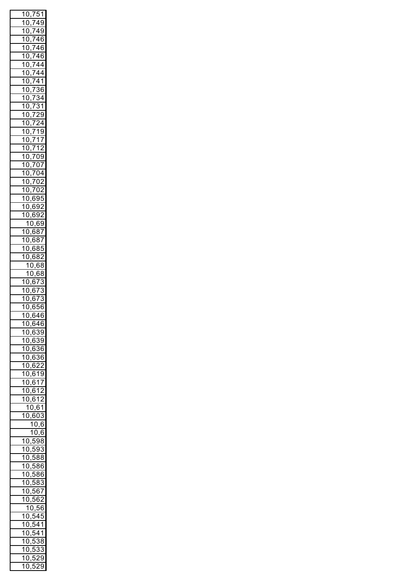|                | 10,751                  |                |                |                   |                          |
|----------------|-------------------------|----------------|----------------|-------------------|--------------------------|
| .<br>1         |                         |                |                |                   |                          |
|                | 0                       |                |                | 749               |                          |
| .<br>1         | 0                       |                |                | ,749              |                          |
| .<br>1         | $\mathbf 0$             | ,              |                | 746               |                          |
| .<br>1         | $\overline{0}$          |                |                | 746               | ć                        |
| .<br>1         | $\overline{0}$          |                |                | 746               |                          |
| .<br>1         |                         | ,              |                |                   |                          |
|                | $\overline{0}$          | ,              |                | $74\overline{4}$  |                          |
| .<br>1         | $\overline{0}$          | ,              |                | $7\overline{44}$  |                          |
| .<br>1         | $\overline{0}$          | ,              |                | 741               |                          |
| .<br>1         | $\overline{0}$          | ,              |                | 736               |                          |
| .<br>1         | $\overline{0}$          |                |                | 734               |                          |
|                |                         | ,              |                |                   |                          |
| .<br>1         | $\overline{0}$          |                |                | ,731              |                          |
| .<br>1         | $\overline{0}$          |                |                | ,729              |                          |
| .<br>1         | $\overline{0}$          | ,72            |                |                   | $\overline{24}$          |
| .<br>1         | $\overline{0}$          |                |                | $\frac{1}{719}$   |                          |
| .<br>1         | $\overline{0}$          |                |                |                   |                          |
|                |                         |                |                | ,71               | $\overline{I}$           |
| .<br>1         | $\overline{0}$          |                |                | $\frac{71}{2}$    | $\overline{\phantom{a}}$ |
| .<br>1         | $\overline{0}$          |                |                | $\frac{709}{7}$   |                          |
| .<br>1         | $\overline{0}$          |                |                | $\frac{2}{707}$   |                          |
| .<br>1         | $\frac{1}{0}$           |                |                | $\frac{704}{7}$   |                          |
| .<br>1         | $\frac{1}{0}$           |                |                |                   |                          |
|                | $\frac{1}{0}$           |                |                | $\frac{1}{702}$   |                          |
| .<br>1         |                         | $\overline{7}$ |                |                   | $\overline{2}$           |
| .<br>1         | $\overline{0}$          | ,69            |                |                   | 95                       |
| .<br>1         | $\frac{8}{0}$           |                |                | ,692              |                          |
| 7              | 0                       |                |                | ,692              |                          |
|                |                         |                |                | 10,69             |                          |
|                |                         |                |                |                   |                          |
|                | 10,687                  |                |                |                   |                          |
| .<br>1         | $\overline{0}$          |                |                | ,687              |                          |
| 1              | $\frac{6}{0,685}$       |                |                |                   |                          |
| 7              | ō                       |                |                | ,682              |                          |
|                |                         |                |                |                   |                          |
|                |                         |                |                | 10,68             |                          |
|                |                         |                |                | 10,68             |                          |
|                | $\frac{10,673}{10,673}$ |                |                |                   |                          |
| 1              | $\overline{0}$          |                |                | <u>,673</u>       |                          |
| 1              | $\overline{0}$          |                |                | ,67               | $\overline{3}$           |
| .<br>1         | $\overline{0}$          |                |                | ,656              |                          |
|                |                         |                |                |                   |                          |
|                | $\frac{10}{10}$         |                |                | 646               |                          |
|                | 10,646                  |                |                |                   |                          |
| 1              | 0                       |                |                | ,639              | J                        |
| 1              | 0                       |                |                | ,639              |                          |
|                | $\mathcal{C}$<br>)      |                |                |                   |                          |
|                |                         |                |                |                   |                          |
| 1              |                         |                |                |                   | ,636                     |
| 1              | $\mathcal{C}$<br>)      |                |                | $\frac{636}{5}$   |                          |
| 1              | $\mathcal{C}$<br>)      |                |                |                   |                          |
|                | $\mathcal{C}$           |                |                | $\frac{622}{5}$   |                          |
| 1              | )                       |                |                | <u>,619</u>       |                          |
| 1              | $\mathcal{C}$<br>)      | $\overline{6}$ |                | $\overline{17}$   |                          |
| 1              | 0                       | $\overline{6}$ |                | 12                |                          |
| 1              | (<br>)                  | j              |                | 612               |                          |
|                | $\overline{1}$          |                |                | $\overline{0,61}$ |                          |
|                | C<br>)                  |                |                |                   |                          |
| 1              |                         |                |                | 603               |                          |
|                |                         |                |                | 10,6              |                          |
|                |                         | $\overline{1}$ |                | $\overline{6}$    |                          |
| $\overline{1}$ | 0                       |                |                | $,\frac{1}{598}$  |                          |
| 1              | 0                       |                |                | 593               |                          |
|                |                         | ,              |                |                   |                          |
| .<br>1         | 0                       | ,              |                | $\overline{588}$  |                          |
| .<br>1         | 0                       | ,              | $\overline{5}$ |                   | 36                       |
| .<br>1         | 0                       | ,              | $\overline{5}$ |                   | 36                       |
| 1              | 0                       |                | $\overline{5}$ |                   |                          |
|                |                         | ,              |                |                   | $\overline{33}$          |
| 1              | 0                       | ,              |                | $\frac{1}{567}$   |                          |
| .<br>1         | C<br>)                  |                |                | $\frac{1}{562}$   |                          |
|                | $\overline{10}$         |                |                | 56                |                          |
| $\overline{1}$ | <u>0,</u>               | ŗ              | J              | 45                |                          |
|                | 0                       | ŗ              |                |                   |                          |
| .<br>1         |                         | ,              |                | 4                 | 1                        |
| 1              | 0                       | ŗ<br>,         |                | 4                 | 1                        |
| 1              | 0                       | ŗ<br>,         | J              |                   | 38                       |
| 1              | 0                       | ŗ<br>,         | J              | ś                 | $\ddot{\cdot}$<br>3      |
| .<br>1         | C<br>)                  | ť              | )              |                   | 29                       |
| ้า             | (<br>)                  | ŗ              |                | $5\overline{29}$  |                          |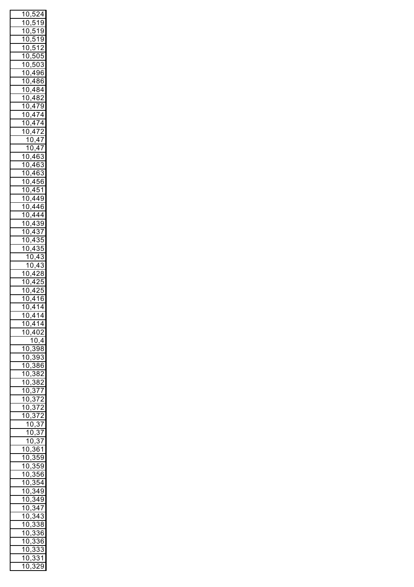|                |                                                                                                                                               | 10,524                                                                                                                                                                          |                             |                              |
|----------------|-----------------------------------------------------------------------------------------------------------------------------------------------|---------------------------------------------------------------------------------------------------------------------------------------------------------------------------------|-----------------------------|------------------------------|
| .<br>1         |                                                                                                                                               |                                                                                                                                                                                 |                             |                              |
|                |                                                                                                                                               | 0,519                                                                                                                                                                           |                             |                              |
|                |                                                                                                                                               |                                                                                                                                                                                 |                             |                              |
|                |                                                                                                                                               |                                                                                                                                                                                 |                             |                              |
|                |                                                                                                                                               |                                                                                                                                                                                 |                             |                              |
|                |                                                                                                                                               |                                                                                                                                                                                 |                             |                              |
|                |                                                                                                                                               |                                                                                                                                                                                 |                             |                              |
|                |                                                                                                                                               |                                                                                                                                                                                 |                             |                              |
|                |                                                                                                                                               |                                                                                                                                                                                 |                             |                              |
|                |                                                                                                                                               |                                                                                                                                                                                 |                             |                              |
|                |                                                                                                                                               |                                                                                                                                                                                 |                             |                              |
|                |                                                                                                                                               |                                                                                                                                                                                 |                             |                              |
|                |                                                                                                                                               |                                                                                                                                                                                 |                             |                              |
|                |                                                                                                                                               | $\frac{10,519}{10,519}$<br>$\frac{10,512}{10,505}$<br>$\frac{10,503}{10,496}$<br>$\frac{10,484}{10,482}$<br>$\frac{10,484}{10,479}$<br>$\frac{1}{1}$ ,479<br>$\frac{1}{1}$ ,474 |                             |                              |
|                |                                                                                                                                               |                                                                                                                                                                                 |                             |                              |
|                | $\frac{15}{10}$                                                                                                                               |                                                                                                                                                                                 |                             |                              |
|                |                                                                                                                                               | $\frac{474}{170}$                                                                                                                                                               |                             |                              |
| 1              |                                                                                                                                               | $\frac{8}{0,472}$                                                                                                                                                               |                             |                              |
|                |                                                                                                                                               | $\frac{10,47}{1}$                                                                                                                                                               |                             |                              |
|                |                                                                                                                                               | 10,47                                                                                                                                                                           |                             |                              |
|                |                                                                                                                                               | 10,463                                                                                                                                                                          |                             |                              |
|                |                                                                                                                                               |                                                                                                                                                                                 |                             |                              |
| .<br>1         |                                                                                                                                               | ,463                                                                                                                                                                            |                             |                              |
| .<br>1         |                                                                                                                                               | ,463                                                                                                                                                                            |                             |                              |
| 1              |                                                                                                                                               | ,456                                                                                                                                                                            |                             |                              |
| 1              |                                                                                                                                               | ,451                                                                                                                                                                            |                             |                              |
|                | $\begin{tabular}{c c c c c c c c} \hline $\circ$ & $\circ$ & $\circ$ \\ \hline $\circ$ & $\circ$ & $\circ$ & $\circ$ \\ \hline \end{tabular}$ |                                                                                                                                                                                 |                             |                              |
| .<br>1         |                                                                                                                                               | ,449                                                                                                                                                                            |                             |                              |
| .<br>1         |                                                                                                                                               | ,446                                                                                                                                                                            |                             |                              |
| .<br>1         |                                                                                                                                               | ,444                                                                                                                                                                            |                             |                              |
| 1              |                                                                                                                                               | ,439                                                                                                                                                                            |                             |                              |
|                | $\frac{15}{10}$                                                                                                                               |                                                                                                                                                                                 |                             |                              |
|                |                                                                                                                                               | ,437                                                                                                                                                                            |                             |                              |
|                | $\frac{15}{10}$                                                                                                                               | <del>,4</del> 35                                                                                                                                                                |                             |                              |
| ้ำ             |                                                                                                                                               | $\frac{6}{0,435}$                                                                                                                                                               |                             |                              |
|                |                                                                                                                                               | 10,43                                                                                                                                                                           |                             |                              |
|                |                                                                                                                                               |                                                                                                                                                                                 |                             |                              |
|                |                                                                                                                                               | 10,43                                                                                                                                                                           |                             |                              |
|                |                                                                                                                                               | 10,4                                                                                                                                                                            | $\frac{2}{8}$               |                              |
| 1              | $\frac{8}{0}$                                                                                                                                 | <u>,425</u>                                                                                                                                                                     |                             |                              |
|                | $\frac{15}{10}$                                                                                                                               | <u>,425</u>                                                                                                                                                                     |                             |                              |
|                |                                                                                                                                               |                                                                                                                                                                                 |                             |                              |
|                |                                                                                                                                               |                                                                                                                                                                                 |                             |                              |
| 1              | $\overline{0}$                                                                                                                                | 416                                                                                                                                                                             |                             |                              |
|                | $\overline{10}$                                                                                                                               | 4                                                                                                                                                                               | $\overline{14}$             |                              |
|                |                                                                                                                                               |                                                                                                                                                                                 |                             |                              |
|                | $\frac{10}{10}$                                                                                                                               |                                                                                                                                                                                 | $\overline{414}$            |                              |
|                |                                                                                                                                               | 10,414                                                                                                                                                                          |                             |                              |
| 1              | (<br>)                                                                                                                                        | 402                                                                                                                                                                             |                             |                              |
|                |                                                                                                                                               | 10,4                                                                                                                                                                            |                             |                              |
|                | $\overline{1}0$                                                                                                                               | $\overline{3}$                                                                                                                                                                  |                             | $\overline{8}$               |
|                |                                                                                                                                               |                                                                                                                                                                                 |                             |                              |
|                | $\overline{10}$                                                                                                                               | $\cdot$                                                                                                                                                                         | $\overline{3}\overline{9}3$ |                              |
|                | $\overline{1}0$                                                                                                                               | $\cdot$                                                                                                                                                                         | 386                         |                              |
|                | $\overline{10}$                                                                                                                               | $\frac{1}{,}382$                                                                                                                                                                |                             |                              |
|                | $\overline{10}$                                                                                                                               |                                                                                                                                                                                 |                             |                              |
|                |                                                                                                                                               | $\frac{1}{,}382$                                                                                                                                                                |                             |                              |
|                |                                                                                                                                               |                                                                                                                                                                                 |                             |                              |
|                |                                                                                                                                               |                                                                                                                                                                                 |                             |                              |
|                |                                                                                                                                               |                                                                                                                                                                                 |                             |                              |
|                |                                                                                                                                               |                                                                                                                                                                                 |                             |                              |
|                |                                                                                                                                               | $\frac{19,392}{10,377}$ $\frac{10,372}{10,372}$ $\frac{10,372}{10,372}$                                                                                                         |                             |                              |
|                |                                                                                                                                               | $\frac{0,0.1}{10,37}$                                                                                                                                                           |                             |                              |
|                |                                                                                                                                               | 10,37                                                                                                                                                                           |                             |                              |
|                |                                                                                                                                               | 10                                                                                                                                                                              | $\frac{1}{2}$               | $\overline{37}$              |
| 1              |                                                                                                                                               |                                                                                                                                                                                 | $\overline{361}$            |                              |
| 1              | $\frac{0}{2}$                                                                                                                                 |                                                                                                                                                                                 | 359                         |                              |
|                | $\frac{0}{2}$                                                                                                                                 |                                                                                                                                                                                 | $\overline{359}$            |                              |
| 1              | 0,                                                                                                                                            |                                                                                                                                                                                 |                             |                              |
| 1              | 0,                                                                                                                                            |                                                                                                                                                                                 | $\overline{356}$            |                              |
| 1              | 0,                                                                                                                                            |                                                                                                                                                                                 | $\frac{1}{354}$             |                              |
| $\overline{1}$ |                                                                                                                                               |                                                                                                                                                                                 | $\frac{1}{2}$               |                              |
|                | 0,3                                                                                                                                           |                                                                                                                                                                                 |                             |                              |
| $\overline{1}$ | 0,3                                                                                                                                           |                                                                                                                                                                                 | $\frac{1}{49}$              |                              |
| $\overline{1}$ | 0,                                                                                                                                            |                                                                                                                                                                                 | $\frac{1}{3}$ 47            |                              |
| $\overline{1}$ |                                                                                                                                               |                                                                                                                                                                                 | $\overline{34}$             | 3                            |
| $\overline{1}$ | 0,                                                                                                                                            |                                                                                                                                                                                 |                             |                              |
|                | 0,<br>0                                                                                                                                       |                                                                                                                                                                                 | 338                         |                              |
| $\overline{1}$ |                                                                                                                                               | $\frac{1}{2}$                                                                                                                                                                   | 336                         |                              |
| 1              | 0                                                                                                                                             | $\cdot$                                                                                                                                                                         | $\overline{\mathbf{3}}$     | 36                           |
|                | $\overline{1}0$                                                                                                                               | $\overline{\mathbf{3}}$                                                                                                                                                         |                             | $\overline{\mathbf{3}}$<br>3 |
| 1              | 0                                                                                                                                             | $\cdot$<br>,                                                                                                                                                                    | š                           | 31                           |
|                | $\overline{1}$<br>)                                                                                                                           |                                                                                                                                                                                 | $\overline{29}$             |                              |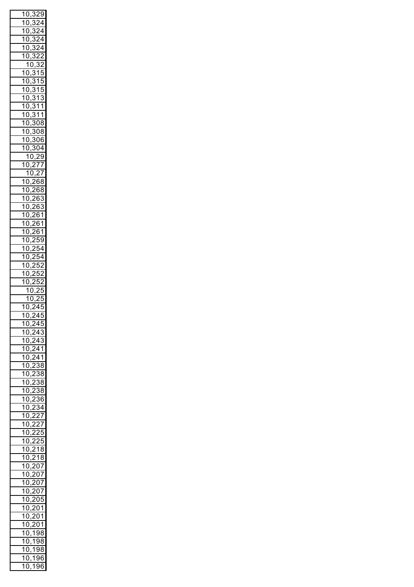| 1              | 0                                             |                | ,329                          |                               |                         |
|----------------|-----------------------------------------------|----------------|-------------------------------|-------------------------------|-------------------------|
| ้ำ             | )                                             |                | 3                             |                               | $\overline{2}$ 4        |
|                | 0                                             |                |                               |                               |                         |
| .<br>1         | (<br>)                                        |                | 3                             |                               | $\overline{24}$         |
| .<br>1         | J<br>(                                        |                | $\overline{3}$                |                               | $\overline{24}$         |
| .<br>1         | )<br>(                                        |                | 3                             |                               | $\overline{24}$         |
| .<br>1         |                                               |                |                               |                               |                         |
|                | 0                                             |                | 3                             |                               | $\overline{2}$          |
|                | $\mathbf{1}$                                  |                | 0,                            | 32                            | )                       |
| 1              | $\overline{0}$                                |                | $\overline{3}$                | $\overline{1}$                | 5                       |
| .<br>1         | )<br>C                                        |                | $\overline{3}$                | $\overline{\mathbf{1}}$       | 5                       |
| .<br>1         | $\mathbf{)}$<br>C                             |                | $\overline{3}$                | $\overline{1}$                | ŗ                       |
|                |                                               |                |                               |                               | 5                       |
| .<br>1         | $\overline{\phantom{a}}$<br>C                 |                | $\overline{3}$                | $\overline{1}$                | 3                       |
| .<br>1         | $\mathbf{)}$<br>C                             |                | $\overline{3}$                | $\overline{1}$                | $\overline{1}$          |
| .<br>1         | )<br>(                                        |                | $\overline{31}$               |                               | $\overline{1}$          |
| .<br>1         |                                               |                |                               |                               |                         |
|                | )<br>(                                        |                | 308                           |                               |                         |
| .<br>1         | $\overline{\phantom{a}}$<br>(                 |                |                               | $\frac{1}{308}$               |                         |
| .<br>1         | $\overline{0}$                                |                |                               | $\frac{1}{306}$               |                         |
| .<br>1         | 0                                             |                |                               | $\frac{1}{304}$               |                         |
|                |                                               |                |                               |                               |                         |
|                | 1 <sub>1</sub>                                |                | .<br>.<br>)                   | $\overline{\phantom{a}}$      | $^{29}$                 |
| .<br>1         | $\overline{0}$                                |                | 0,2<br>10,                    | 77                            |                         |
|                |                                               |                |                               | 2<br>$\overline{\phantom{a}}$ | $\overline{7}$          |
| 1              | $\overline{0}$                                | ,              |                               | 268                           |                         |
| .<br>1         |                                               |                |                               |                               |                         |
|                | $\overline{)}$<br>$\mathcal{L}_{\mathcal{L}}$ |                |                               | $\overline{268}$              |                         |
| .<br>1         | $\mathbf{)}$<br>(                             |                | $\cdot$                       | $\overline{263}$              |                         |
| .<br>1         | $\mathbf{)}$<br>C                             | ,              |                               | $\overline{26}$               | $\overline{3}$          |
| .<br>1         | $\mathbf{)}$<br>C                             |                | $\cdot$                       | $\overline{.6}$               | 1                       |
| .<br>1         |                                               |                |                               |                               |                         |
|                | )<br>C                                        |                | $\cdot$                       | $\overline{.6}$               | $\overline{\mathbf{1}}$ |
| .<br>1         | )<br>C                                        |                | $\cdot$                       | $\overline{.6}$               | 1                       |
| .<br>1         | $\mathbf{)}$<br>C                             |                | $\cdot$<br>$\overline{ }$     | 59                            |                         |
| .<br>1         | )<br>C                                        |                | $\cdot$                       | .54                           |                         |
|                |                                               |                |                               |                               |                         |
| .<br>1         | j<br>C                                        |                | $\cdot$                       | 254                           |                         |
| .<br>1         | )<br>C                                        | ,              |                               | 252                           |                         |
| 1              | $\overline{\phantom{a}}$<br>(                 | ,              |                               | 252                           | )                       |
| .<br>1         | (<br>)                                        |                | ,                             | 5                             | í<br>,                  |
|                |                                               |                |                               |                               |                         |
|                |                                               |                |                               |                               |                         |
|                | $\overline{10}$                               |                |                               |                               | ۱ŗ<br>5                 |
|                | $\overline{1}$                                |                | )                             | )                             | ŗ<br>5                  |
|                |                                               |                | ,                             |                               |                         |
| 1              | $\overline{0}$                                | $\overline{a}$ | $\overline{ }$<br>J           | 4                             | ŗ<br>ć                  |
| 1              | 0,                                            | ŗ              |                               |                               | $\overline{45}$         |
|                | $\overline{1}0,$                              |                | $\frac{245}{2}$               |                               |                         |
|                |                                               |                |                               | $\overline{243}$              |                         |
|                | $\overline{1}0$                               |                | $\overline{\cdot}$            |                               |                         |
|                | 10,2                                          |                |                               | $\overline{243}$              |                         |
|                | $\overline{10}$                               |                | $\overline{\cdot}$            | 241                           |                         |
|                | $\overline{10}$                               |                |                               | $\overline{241}$              |                         |
|                | $\overline{10}$                               |                | $\overline{\frac{7}{2}}$<br>) | $\overline{38}$               |                         |
|                |                                               |                | $\overline{\frac{7}{2}}$<br>) |                               |                         |
|                | $\overline{10}$                               |                | $\frac{7}{2}$                 | $\overline{38}$               |                         |
|                | $\overline{10}$                               |                | $\frac{7}{2}$<br>)            | $\overline{38}$               |                         |
|                | $\overline{10}$                               |                | $\frac{7}{2}$<br>)            | $\overline{38}$               |                         |
|                | $\overline{10}$                               |                |                               | $\overline{36}$               |                         |
|                |                                               |                | $\overline{2}$                |                               |                         |
|                | $\overline{10}$                               |                | $\overline{2}$                | 34                            |                         |
|                | 10,2                                          |                |                               | $\frac{1}{27}$                |                         |
|                | 10,227                                        |                |                               |                               |                         |
|                |                                               |                |                               |                               |                         |
|                | 10,225                                        |                |                               |                               |                         |
|                | 10,225                                        |                |                               |                               |                         |
| $\overline{1}$ | 0,21                                          |                |                               |                               | 8                       |
| $\overline{1}$ |                                               |                |                               |                               |                         |
|                | 0,218<br>0                                    |                |                               |                               |                         |
| $\overline{1}$ |                                               |                | ,207                          |                               |                         |
| $\overline{1}$ | 0                                             |                | ,207                          |                               |                         |
| $\overline{1}$ | 0                                             |                | ,207                          |                               |                         |
| $\overline{1}$ | 0                                             |                |                               |                               |                         |
|                |                                               |                | ,207                          |                               |                         |
| $\overline{1}$ | 0                                             |                | $\frac{1}{205}$               |                               |                         |
| $\overline{1}$ | 0                                             |                | ,201                          |                               |                         |
| $\overline{1}$ | 0                                             |                | ,201                          |                               |                         |
| $\overline{1}$ | 0                                             |                |                               |                               |                         |
|                |                                               | ,              | 201                           |                               |                         |
| $\overline{1}$ | 0                                             | j.             |                               | $\frac{1}{198}$               |                         |
| 1              | 0                                             | ,              | 7                             | 98                            |                         |
|                | $\overline{1}0$                               | ,              |                               | 198                           |                         |
| 1              | 0                                             |                | 1                             | 96                            | ì                       |
| $\mathbf{1}$   | -0<br>)                                       | ,              | , 196                         |                               | ì                       |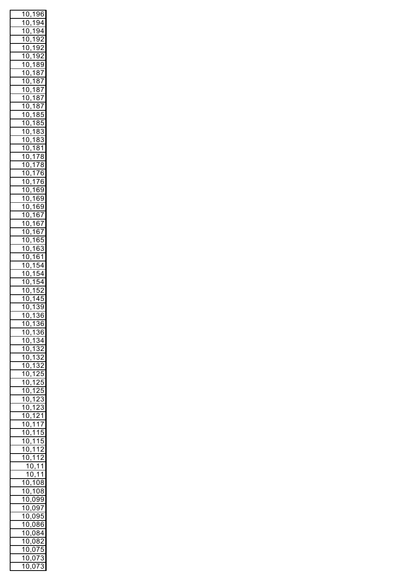| .<br>1                  | 0                              | , | .<br>1                  | 96                        | ì                             |
|-------------------------|--------------------------------|---|-------------------------|---------------------------|-------------------------------|
| .<br>1                  | C<br>)                         | , | 7                       | .<br>94                   |                               |
| .<br>1                  | 0<br>)                         |   | $\overline{\mathbf{1}}$ | $\overline{94}$           |                               |
| .<br>1                  | 0<br>)                         | , | 1                       | 9                         | $\overline{2}$                |
| .<br>1                  | 0<br>)                         | , | 1                       | 9                         | $\overline{2}$                |
| .<br>1                  | $\overline{a}$<br>)            | , | 1                       | $\overline{9}$            | $\overline{2}$                |
| .<br>1                  |                                | , | 1                       |                           |                               |
|                         | $\overline{a}$<br>)            | , |                         | ξ<br>ś                    | 9                             |
| .<br>1                  | $\overline{a}$<br>J            | , | 1                       | ξ<br>ś                    | $\overline{I}$                |
| .<br>1                  | $\overline{a}$<br>J            | , | $\overline{\mathbf{1}}$ | ξ                         | $\overline{\frac{37}{2}}$     |
| .<br>1                  | $\overline{a}$<br>J            | , | $\overline{\mathbf{1}}$ | ξ                         | $\overline{\frac{37}{2}}$     |
| .<br>1                  | $\overline{a}$<br>J            | , | $\overline{\mathbf{1}}$ | ξ                         | $\overline{\mathbf{37}}$      |
| .<br>1                  | $\overline{a}$<br>J            | , | $\overline{\mathbf{1}}$ | ξ<br>ś                    | $\overline{I}$                |
| .<br>1                  | $\overline{a}$<br>J            |   | $\overline{\mathbf{1}}$ | ξ                         | 3ś<br>j                       |
| .<br>1                  | $\overline{a}$<br>J            | , | $\overline{\mathbf{1}}$ | ξ<br>ś                    | ŗ<br>5                        |
| .<br>1                  | $\overline{a}$<br>J            | , | $\overline{\mathbf{1}}$ | ξ<br>ś                    | Í<br>3                        |
| .<br>1                  |                                | , | $\overline{\mathbf{1}}$ |                           |                               |
|                         | $\overline{a}$<br>J            | , |                         | ξ<br>ś                    | $\ddot{\cdot}$<br>3           |
| .<br>1                  | $\overline{a}$<br>J            | , | 1                       | 3<br>ξ                    | $\overline{\mathbf{1}}$       |
| .<br>1                  | $\overline{a}$<br>J            | , | $\overline{\mathbf{1}}$ | $\overline{7}$            | ξ<br>3                        |
| .<br>1                  | $\overline{a}$<br>J            | , | $\overline{\mathbf{1}}$ | $\overline{7}$            | 3<br>ξ                        |
| .<br>1                  | $\overline{a}$<br>J            | , | $\overline{\mathbf{1}}$ | $\overline{7}$            | ì<br>6                        |
| .<br>1                  | $\overline{a}$<br>J            |   | $\overline{\mathbf{1}}$ | $\vec{r}$                 | ì<br>6                        |
| .<br>1                  | $\overline{a}$<br>J            | , | $\overline{\mathbf{1}}$ | ł                         | şç<br>)                       |
| .<br>1                  | $\overline{0}$                 | , | $\overline{\mathbf{1}}$ | в<br>ì                    | 9                             |
| .<br>1                  |                                | , | 7                       |                           |                               |
| .<br>1                  | $\overline{0}$                 | , |                         | 6                         | $\overline{39}$               |
|                         | $\overline{a}$<br>J            | , | 7                       | 6<br>ì                    | $\overline{1}$                |
| .<br>1                  | $\overline{a}$<br>J            | , | .<br>1                  | 6<br>j                    | $\overline{1}$                |
| .<br>1                  | $\overline{a}$<br>)            | , | .<br>1                  | 6<br>ì                    | $\overline{I}$                |
| .<br>1                  | 0<br>)                         | , | .<br>1                  | 6                         | šš<br>5                       |
| .<br>1                  | 0<br>)                         | , | 1                       | 6<br>ì                    | Ŝ                             |
| .<br>1                  | Ó<br>)                         |   | 1                       | 6<br>j                    | 1                             |
| .<br>1                  | Ó<br>)                         | , | 1                       | ŗ                         |                               |
| .<br>1                  | $\overline{\mathcal{L}}$<br>)  | , | 1                       | ŗ                         | 4                             |
| 7                       | $\overline{a}$                 | , | 1                       | ŗ                         |                               |
|                         | )                              | , |                         |                           | 1                             |
| $\overline{1}$          | (<br>)                         | ì | .<br>1                  | ŗ                         |                               |
| $\overline{\mathbf{1}}$ | $\overline{\mathcal{C}}$<br>)  | , | 1                       | Δ                         | ŗ                             |
| $\overline{\mathbf{1}}$ | $\overline{\mathfrak{c}}$<br>) | , | 1                       | $\overline{\cdot}$<br>ś   | Š<br>J                        |
| 1<br>Į                  | $\overline{\mathcal{L}}$<br>J  | , | 1                       | 7                         | $\overline{\mathcal{E}}$<br>5 |
| 1                       | 0                              | , | 1                       | $\overline{3}6$           |                               |
| 1                       | 0                              | , | $\overline{1}$          | 36                        | j                             |
| 1                       | 0                              |   | 1                       | $\overline{34}$           |                               |
| .<br>1                  | 0                              | , | 1                       | 3                         | $\overline{2}$                |
| .<br>1                  | 0                              | , | 1                       | ŗ                         | $\overline{32}$               |
|                         |                                | , |                         | ŗ                         | $\overline{2}$                |
| .<br>1                  | 0                              | , | 1                       | ξ                         |                               |
| .<br>1                  | 0                              | , | 1                       | ł                         | $\overline{5}$                |
| ้า                      | 0                              | , | 1                       | $\ddot{\phantom{0}}$<br>, | ŗ<br>J                        |
| ้า                      | 0                              | , | 1                       | ,                         | ŗ<br>5                        |
| ้า                      | 0                              | , | 1                       | $\mathbf{c}$              | 3                             |
| ้า                      | 0                              | , | 1                       | $\mathbf{c}$              | 3                             |
| 1                       | 0                              |   | 1                       | ؙؚ                        | $\overline{21}$               |
| 1                       | 0                              | , | 1                       | $\overline{1}$            | 7                             |
| 1                       | 0                              | , | 1                       | $\overline{1}$            | 5                             |
| 1                       |                                | , |                         |                           | ŗ                             |
|                         | 0                              | , | 1                       | 1                         | J                             |
| 1                       | 0                              | , | 1                       | 1                         | $\overline{c}$                |
| 1                       | 0,1                            |   |                         | $\overline{1}$            | $\overline{c}$                |
|                         |                                |   | 10,                     | 1                         | 1                             |
|                         |                                |   | 10,                     | 1                         | 1                             |
| 1                       | 0,                             |   |                         | 108                       |                               |
| $\mathbf 1$             | 0,                             |   | 1                       | 08                        |                               |
| .<br>1                  | 0                              |   | ,0                      |                           | 99                            |
| 1                       | 0                              |   | ,0                      |                           | 97                            |
|                         |                                |   |                         |                           |                               |
|                         |                                |   | $0\overline{S}$         |                           | ١ŕ<br>J                       |
| 1                       | 0                              |   |                         |                           |                               |
| 1                       | 0                              |   | $0\overline{6}$         |                           | 36<br>j                       |
| 1                       | 0                              |   | ,08                     |                           | 34                            |
| 1                       | 0                              |   | 08                      |                           | $\overline{32}$               |
|                         | 0                              |   |                         |                           | J                             |
| 1                       | 0                              |   | 075                     |                           | Ŝ                             |
| 1<br>1                  | C<br>)                         |   | 07<br>C<br>)            |                           | ś                             |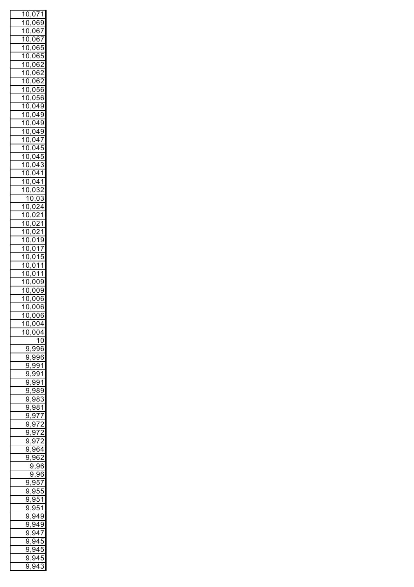|                | 10,071                                                                                                                                                                                                                                                                                         |   |         |                             |                 |
|----------------|------------------------------------------------------------------------------------------------------------------------------------------------------------------------------------------------------------------------------------------------------------------------------------------------|---|---------|-----------------------------|-----------------|
|                |                                                                                                                                                                                                                                                                                                |   |         |                             |                 |
|                |                                                                                                                                                                                                                                                                                                |   |         |                             |                 |
|                |                                                                                                                                                                                                                                                                                                |   |         |                             |                 |
|                |                                                                                                                                                                                                                                                                                                |   |         |                             |                 |
|                |                                                                                                                                                                                                                                                                                                |   |         |                             |                 |
|                |                                                                                                                                                                                                                                                                                                |   |         |                             |                 |
|                |                                                                                                                                                                                                                                                                                                |   |         |                             |                 |
|                |                                                                                                                                                                                                                                                                                                |   |         |                             |                 |
|                |                                                                                                                                                                                                                                                                                                |   |         |                             |                 |
|                |                                                                                                                                                                                                                                                                                                |   |         |                             |                 |
|                |                                                                                                                                                                                                                                                                                                |   |         |                             |                 |
|                |                                                                                                                                                                                                                                                                                                |   |         |                             |                 |
|                |                                                                                                                                                                                                                                                                                                |   |         |                             |                 |
|                |                                                                                                                                                                                                                                                                                                |   |         |                             |                 |
|                |                                                                                                                                                                                                                                                                                                |   |         |                             |                 |
|                |                                                                                                                                                                                                                                                                                                |   |         |                             |                 |
|                |                                                                                                                                                                                                                                                                                                |   |         |                             |                 |
|                |                                                                                                                                                                                                                                                                                                |   |         |                             |                 |
|                |                                                                                                                                                                                                                                                                                                |   |         |                             |                 |
|                |                                                                                                                                                                                                                                                                                                |   |         |                             |                 |
|                |                                                                                                                                                                                                                                                                                                |   |         |                             |                 |
|                |                                                                                                                                                                                                                                                                                                |   |         |                             |                 |
|                |                                                                                                                                                                                                                                                                                                |   |         |                             |                 |
|                |                                                                                                                                                                                                                                                                                                |   |         |                             |                 |
|                |                                                                                                                                                                                                                                                                                                |   |         |                             |                 |
|                |                                                                                                                                                                                                                                                                                                |   |         |                             |                 |
|                |                                                                                                                                                                                                                                                                                                |   |         |                             |                 |
|                |                                                                                                                                                                                                                                                                                                |   |         |                             |                 |
|                |                                                                                                                                                                                                                                                                                                |   |         |                             |                 |
|                |                                                                                                                                                                                                                                                                                                |   |         |                             |                 |
|                |                                                                                                                                                                                                                                                                                                |   |         |                             |                 |
|                |                                                                                                                                                                                                                                                                                                |   |         |                             |                 |
|                |                                                                                                                                                                                                                                                                                                |   |         |                             |                 |
|                |                                                                                                                                                                                                                                                                                                |   |         |                             |                 |
|                |                                                                                                                                                                                                                                                                                                |   |         |                             |                 |
|                |                                                                                                                                                                                                                                                                                                |   |         |                             |                 |
|                | $\frac{10,071}{10,067}$<br>$\frac{10,067}{10,068}$<br>$\frac{10,067}{10,065}$<br>$\frac{10,067}{10,062}$<br>$\frac{10,062}{10,062}$<br>$\frac{10,062}{10,062}$<br>$\frac{10,062}{10,049}$<br>$\frac{10,049}{10,049}$<br>$\frac{10,049}{10,047}$<br>$\frac{10,049}{10,041}$<br>$\frac{10,043}{$ |   |         |                             |                 |
|                | $\frac{1}{10}$                                                                                                                                                                                                                                                                                 |   |         |                             |                 |
|                | $\frac{1}{10}$                                                                                                                                                                                                                                                                                 |   |         | <u>,009</u><br>006,<br>006, |                 |
|                | <u>10,006</u>                                                                                                                                                                                                                                                                                  |   |         |                             |                 |
| $\overline{1}$ | )                                                                                                                                                                                                                                                                                              |   |         | $\frac{1}{0.004}$           |                 |
| 1              | (<br>)                                                                                                                                                                                                                                                                                         |   | )(<br>( |                             | $\frac{1}{2}$   |
|                |                                                                                                                                                                                                                                                                                                |   |         |                             | $\overline{10}$ |
|                | 9                                                                                                                                                                                                                                                                                              |   |         | 996                         |                 |
|                | 9                                                                                                                                                                                                                                                                                              |   | ς       | ---<br>98                   |                 |
|                | Š<br>)                                                                                                                                                                                                                                                                                         |   | ί       | $\overline{991}$            |                 |
|                | $\overline{9}$                                                                                                                                                                                                                                                                                 | , | ί       | 991                         |                 |
|                | $\overline{9}$                                                                                                                                                                                                                                                                                 | , | Ś       | 991                         |                 |
|                |                                                                                                                                                                                                                                                                                                |   |         |                             |                 |
|                | $\overline{9}$                                                                                                                                                                                                                                                                                 |   | ξ       | 989                         |                 |
|                | $\overline{9}$                                                                                                                                                                                                                                                                                 | , | į       | 983                         |                 |
|                | $\overline{9}$                                                                                                                                                                                                                                                                                 | , | į       | $\overline{381}$            |                 |
|                | $\overline{9}$                                                                                                                                                                                                                                                                                 | , | ś       | $\overline{377}$            |                 |
|                | $\overline{9}$                                                                                                                                                                                                                                                                                 | , | į       | $\overline{372}$            |                 |
|                | $\overline{9}$                                                                                                                                                                                                                                                                                 | , | ξ       | 972                         |                 |
|                | ŗ<br>J                                                                                                                                                                                                                                                                                         |   | Š       | $\overline{)72}$            |                 |
|                | ¢<br>J                                                                                                                                                                                                                                                                                         |   |         | 964                         |                 |
|                | Ç<br>J                                                                                                                                                                                                                                                                                         |   | Ś       | $\overline{62}$             |                 |
|                |                                                                                                                                                                                                                                                                                                | Š | €       | ç,                          | 96              |
|                |                                                                                                                                                                                                                                                                                                | ļ | €       | 96                          |                 |
|                | 9                                                                                                                                                                                                                                                                                              |   | Ś       | 957                         |                 |
|                | ŗ<br>J                                                                                                                                                                                                                                                                                         |   | Š       |                             |                 |
|                | ļ<br>J                                                                                                                                                                                                                                                                                         |   |         | $\overline{.}55$            |                 |
|                |                                                                                                                                                                                                                                                                                                |   | Š       | $\overline{.}51$            |                 |
|                | ļ<br>J                                                                                                                                                                                                                                                                                         |   | Š       | 951                         |                 |
|                | ļ<br>J                                                                                                                                                                                                                                                                                         |   | Š       | 949                         |                 |
|                | ļ<br>J                                                                                                                                                                                                                                                                                         |   | Š       | ,<br>149                    |                 |
|                | ļ<br>J                                                                                                                                                                                                                                                                                         |   | Š       | $\overline{3}$ 47           |                 |
|                | ļ<br>J                                                                                                                                                                                                                                                                                         |   | Ś       | 45                          |                 |
|                | ļ<br>J                                                                                                                                                                                                                                                                                         |   | Ś       | 45                          |                 |
|                | Ĭ<br>J<br>Ç                                                                                                                                                                                                                                                                                    |   | ç<br>ŗ  | )4ē<br>43                   | Ć<br>3          |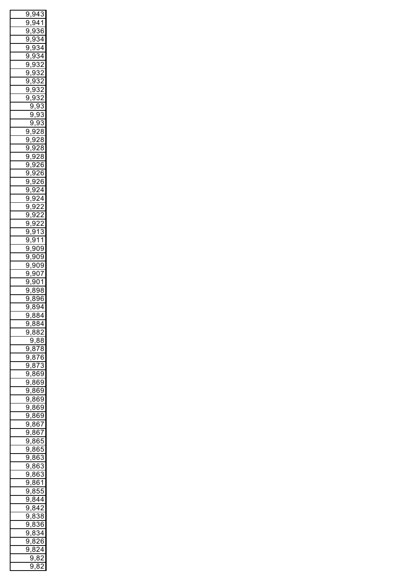|         |        |                | 9,943                                          |                   |
|---------|--------|----------------|------------------------------------------------|-------------------|
| ί<br>J  |        |                | 941                                            |                   |
|         |        |                |                                                |                   |
| ί<br>J  |        | 9              |                                                | 36                |
| ί<br>J  |        | 9              |                                                | 34                |
| ί<br>)  |        | 9              | 3                                              | 4                 |
| ί<br>)  |        | 9              | 3                                              | 4                 |
| ί<br>þ  |        | 9              | 3                                              | 2                 |
|         |        |                |                                                | $\overline{2}$    |
| ί<br>J  |        | 9              | S                                              |                   |
| ί<br>J  |        | ξ<br>Э.        | 3                                              | っ                 |
| ί<br>€  |        | 93             | 3                                              | $\overline{c}$    |
| ŗ<br>J  |        | ί              | 3<br>X                                         | $\overline{c}$    |
|         |        |                |                                                |                   |
|         | ί      | <u>),</u>      | 9                                              | 3                 |
|         |        | 9              | Š<br>Э.                                        | 3                 |
|         | ŗ      | €              | 93                                             | 3                 |
| 9,92    |        |                |                                                | 8                 |
| ί<br>J  |        | Ś<br>J.        | 2                                              | 8                 |
|         |        |                |                                                |                   |
| ۱,<br>ί |        | ξ<br>J.        | $\overline{ }$                                 | 8                 |
| ί<br>)  |        | 9              | $\overline{ }$                                 | 8                 |
| ί<br>)  | ,      | 9              | $\overline{26}$                                | j                 |
| ί<br>)  |        | 9              | $\overline{26}$                                | j                 |
|         | ,      |                |                                                |                   |
| ί<br>)  | ,      | 9              | 2                                              | 6<br>;            |
| ί<br>)  | ,      | 9              | 2                                              | 4                 |
| ί<br>)  | ,      | 9              | 2                                              | 4                 |
| ί<br>)  |        | 9              | 2                                              | $\overline{2}$    |
|         | ,      |                |                                                | $\overline{2}$    |
| ί<br>)  | ,      | 9              | $\overline{\phantom{a}}$                       |                   |
| ί<br>)  | ,      |                | $\frac{9}{2}$                                  |                   |
| ί<br>)  | ,      | 91             |                                                | $\frac{3}{2}$     |
| ί<br>)  | ,      | 91             |                                                | 1                 |
| ί<br>)  |        |                | 909                                            |                   |
|         |        |                |                                                |                   |
| ί<br>)  |        | 90             |                                                | )9                |
| ί<br>)  |        | 90             |                                                | )9                |
| ί<br>)  |        | 90             | )                                              | 7                 |
| ί<br>J  |        | 90             |                                                | )1                |
|         |        |                |                                                |                   |
| ί<br>€  |        | 89             |                                                | 98                |
| Š<br>þ  |        | 89             |                                                | $\overline{6}$    |
| Š<br>J  |        | 89             |                                                | 94                |
| 9,      |        | $\overline{8}$ | 3,                                             | 4                 |
|         |        |                | 9,884                                          |                   |
| ċ       |        |                |                                                |                   |
| J       |        |                | $\frac{882}{5}$                                |                   |
|         |        |                | $\frac{1}{9,88}$                               |                   |
| 9,8     |        |                | $\frac{13}{78}$                                |                   |
|         |        |                | $\frac{9,876}{5}$                              |                   |
|         |        |                | $\frac{9,873}{5}$                              |                   |
|         |        |                |                                                |                   |
|         |        |                | $\frac{9,869}{6}$                              |                   |
|         |        |                | $\frac{1}{9,869}$                              |                   |
|         |        |                | $\frac{1}{9,869}$                              |                   |
|         |        |                | $\frac{1}{9,869}$                              |                   |
|         |        |                |                                                |                   |
|         |        |                |                                                |                   |
|         |        |                |                                                | $\frac{9,869}{2}$ |
|         |        |                |                                                |                   |
|         |        |                | $\frac{9,869}{2}$                              |                   |
|         |        |                | $\frac{0.555}{9,867}$                          |                   |
|         |        |                | $\frac{1}{9,867}$                              |                   |
|         |        |                | 9,865                                          |                   |
|         |        |                | 9,865                                          |                   |
|         |        |                |                                                |                   |
|         |        |                |                                                |                   |
|         |        |                |                                                |                   |
|         |        |                | $\frac{9,863}{9,863}$<br>$\frac{9,863}{9,863}$ |                   |
|         |        |                | 9,861                                          |                   |
|         |        |                | 9,855                                          |                   |
|         |        |                |                                                |                   |
|         |        |                | 9,844                                          |                   |
|         |        |                | 9,842                                          |                   |
|         |        |                | 9,838                                          |                   |
|         |        |                | 9,836                                          |                   |
| ŗ       |        |                |                                                |                   |
| ŗ       |        |                | $\frac{1}{2}$ ,834                             |                   |
|         |        |                | <sup>3,826</sup>                               |                   |
| ŗ<br>J  |        |                | 824                                            |                   |
|         | ς<br>ļ | þ              | 9,82<br>٤.                                     | $\overline{32}$   |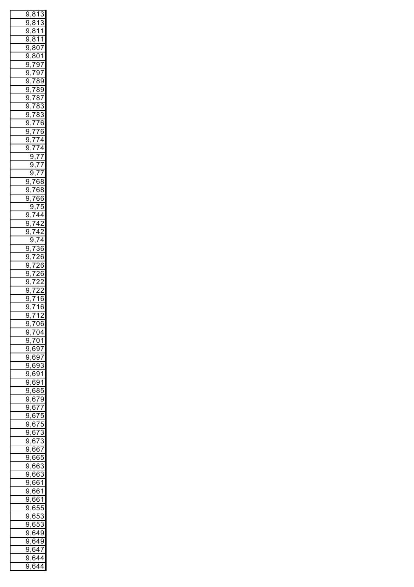| ŗ<br>€                 | $\overline{\xi}$ | 3                           | $\overline{1}$  | J<br>3                       |
|------------------------|------------------|-----------------------------|-----------------|------------------------------|
| 9                      | ,                | 3<br>ξ                      | $\overline{1}$  | $\overline{3}$               |
| 9                      |                  | 3<br>$\frac{1}{2}$          | $\overline{1}$  | $\frac{1}{1}$                |
| 9                      |                  | 3<br>$\frac{1}{2}$          |                 | 11                           |
| g                      |                  |                             |                 |                              |
|                        |                  | <u>,807</u>                 |                 |                              |
| g                      | ,                | 801                         |                 |                              |
| $\overline{9}$         |                  | ,797                        |                 |                              |
| $\overline{9}$         |                  | ,797                        |                 |                              |
| $\overline{9}$         |                  | ,78                         |                 | $\frac{1}{3}9$               |
| $\overline{9}$         |                  | ,78                         |                 | $\overline{39}$              |
| $\overline{9}$         |                  | ,78                         |                 | $\overline{37}$              |
| $\overline{9}$         |                  | $\overline{78}$             |                 | $\overline{\mathbf{3}}$<br>3 |
| $\overline{9}$         |                  |                             |                 | 3                            |
|                        |                  | ,783                        |                 |                              |
| $\overline{9}$         |                  |                             |                 |                              |
| g                      |                  | <u>,155</u><br>776,<br>777, |                 |                              |
| $\overline{9}$         |                  |                             |                 |                              |
| ļ<br>J                 |                  | ,774                        |                 |                              |
|                        | 9                |                             | ,77             |                              |
|                        | 9                |                             | ,77             |                              |
|                        | $\overline{9}$   |                             | <u>,77</u>      |                              |
|                        |                  |                             |                 |                              |
| $\frac{9,768}{1}$<br>9 |                  | ,768                        |                 |                              |
|                        |                  |                             |                 |                              |
| ŗ<br>J                 |                  | ,766                        |                 |                              |
|                        | 9                |                             | <u>,75</u>      | 5                            |
| 9,744                  |                  |                             |                 |                              |
| 9                      |                  | ,742                        |                 |                              |
| ¢<br>J                 |                  | ,742                        |                 |                              |
|                        | ί                | $\sqrt{3,74}$               |                 |                              |
| 9                      |                  | ,7                          |                 | $\overline{36}$              |
| 9                      |                  |                             | $\overline{26}$ | ì                            |
| 9                      |                  | $,\bar{7}$                  |                 |                              |
|                        |                  | ,726                        |                 | ì                            |
| $\overline{9}$         |                  | <u>,7</u>                   | $\overline{26}$ | ì                            |
| $\overline{9}$         |                  | $\overline{7}$              | $\overline{2}$  | $\overline{2}$               |
| Ś<br>€                 |                  | $\bar{z}$                   | ,               | $\overline{c}$               |
| Š<br>€                 |                  | $\overline{7}$              | $\overline{1}$  | ś<br>6                       |
| ğ                      | ,                | $\overline{7}$              | $\overline{1}$  | ì<br>6                       |
| 7<br>€                 |                  | ,712                        |                 |                              |
| 9                      |                  | ,706                        |                 |                              |
| 9                      |                  | ,704                        |                 |                              |
| 9                      |                  |                             |                 |                              |
|                        |                  | ,701                        |                 |                              |
| 9,697                  |                  |                             |                 |                              |
| ġ                      |                  | <u>,697</u>                 |                 |                              |
| ġ                      |                  | <u>,693</u>                 |                 |                              |
| ġ                      |                  | ,691                        |                 |                              |
| ġ                      |                  | <u>,691</u>                 |                 |                              |
| ġ                      |                  | ,685                        |                 |                              |
| ġ                      |                  | ,679                        |                 |                              |
| 9                      |                  | $\frac{677}{2}$             |                 |                              |
| 9                      |                  | ,675                        |                 |                              |
| 9                      |                  |                             |                 |                              |
|                        |                  | ,675                        |                 |                              |
| 9,673                  |                  |                             |                 |                              |
| 9,673                  |                  |                             |                 |                              |
| 9,667                  |                  |                             |                 |                              |
| $\overline{9,665}$     |                  |                             |                 |                              |
| 9,663                  |                  |                             |                 |                              |
| 9,663                  |                  |                             |                 |                              |
| 9,661                  |                  |                             |                 |                              |
| 9,661                  |                  |                             |                 |                              |
|                        |                  |                             |                 |                              |
| $\overline{9,661}$     |                  |                             |                 |                              |
| <u>9,655</u>           |                  |                             |                 |                              |
| 9,653                  |                  |                             |                 |                              |
| 9,653                  |                  |                             |                 |                              |
| $\overline{9,649}$     |                  |                             |                 |                              |
| 9.                     |                  | <u>,649</u>                 |                 |                              |
|                        |                  |                             |                 |                              |
| ċ<br>ϡ                 |                  |                             |                 |                              |
| Ç<br>ϡ                 |                  |                             | <u>,647</u>     |                              |
| ¢<br>١,                |                  | ,644<br>644                 |                 |                              |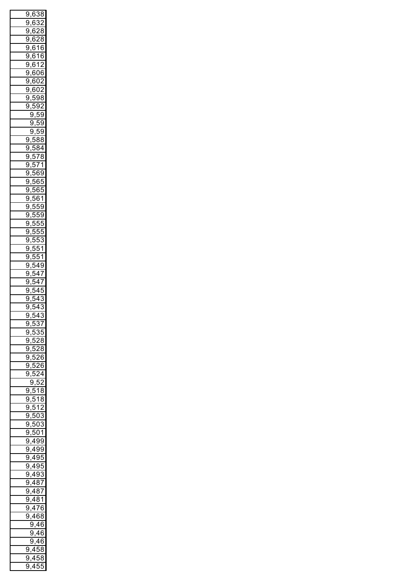| ŗ<br>J         |   |                                                   | ,638                     | Ŝ              |
|----------------|---|---------------------------------------------------|--------------------------|----------------|
| ŗ<br>J         |   | ì<br>в                                            | ŗ<br>Ŝ                   | )              |
|                |   |                                                   |                          |                |
| ŗ<br>J         |   | ì<br>в                                            | ,                        | ξ<br>S         |
| ŗ<br>J         |   | ì<br>ł                                            |                          | S<br>δ         |
| ŗ<br>J         |   | ì<br>ł                                            | 1                        | ŀ<br>j         |
|                |   |                                                   |                          |                |
| ŗ<br>J         |   | ì<br>ł                                            | 1                        | ŀ<br>ì         |
| ŗ<br>J         |   | ì<br>ł                                            | 1                        | ,              |
| ŗ<br>J         |   | ì<br>ł                                            | ſ                        | ć<br>) (       |
|                |   |                                                   |                          | )              |
| ŗ<br>J         |   | ì<br>ŀ                                            | )<br>(                   |                |
| ŗ<br>J         |   | ì<br>ł                                            | )<br>(                   | )              |
| ŗ<br>J         |   | ļ<br>١                                            | Ś<br>)                   | ۶<br>Ŝ         |
| Ç              |   | ļ                                                 |                          | ,              |
| J              |   | j                                                 | i<br>J                   |                |
|                | í | ϡ                                                 | ļ<br>J                   | ί<br>)         |
|                | ŗ | J                                                 | ļ<br>J                   | i<br>)         |
|                | Ç | J                                                 |                          | i<br>)         |
|                |   |                                                   | )                        |                |
| 9              |   | ļ                                                 | 3<br>۱ł                  | Ş<br>S         |
| 9              |   | ļ                                                 | 3<br>; {                 | 4              |
| ċ<br>)         |   | יִ<br>J                                           | I                        | ξ<br>3         |
|                |   |                                                   |                          |                |
| ŗ<br>J         |   | ŗ<br>J                                            | $\overline{\mathcal{E}}$ | 1              |
| ŗ<br>J         |   | יִ<br>J                                           | j<br>f                   | 9              |
| ŗ<br>)         |   | יִ                                                | ì<br>ŀ                   | ŗ<br>)         |
| ŗ<br>)         |   | i                                                 |                          | ļ              |
|                |   |                                                   | ì<br>ĺ                   | )              |
| ŗ<br>)         |   | i                                                 | ł<br>j                   | 1              |
| ŗ<br>)         |   | ļ                                                 | ļ<br>)                   | i<br>١         |
| ŗ<br>)         |   | i<br>j                                            | ļ                        | Ç<br>ì         |
|                |   |                                                   |                          |                |
| ŗ<br>)         |   | i<br>j                                            | l                        | l<br>J         |
| ŗ<br>)         |   | i<br>j                                            |                          | )              |
| ŗ<br>)         |   | i<br>j                                            | J                        | S              |
|                |   |                                                   |                          |                |
| ŗ<br>)         |   | i<br>j                                            | J                        | 1              |
| ŗ<br>)         |   | i                                                 | )                        | 1              |
| ŗ<br>)         |   | ļ                                                 | 1                        | Š<br>€         |
| ŗ              |   | ļ                                                 |                          |                |
| )              |   |                                                   | 1                        | I              |
| ŗ<br>)         |   | ֦֧֧֦֧֦֧֦֧֦֧֢֦֧֦֧֦֧֦֧֦֧֦֧֦֧֦֧֦֧֦֧֧֦֧֧֧֧֧֧֦֧֬֕֓֓֓֓֓ |                          | I              |
| ŗ<br>J         |   | ļ                                                 |                          | ļ              |
| ċ<br>1         |   | ļ                                                 |                          | ξ              |
|                |   |                                                   |                          |                |
| Ç<br>١         |   | ļ                                                 |                          | S              |
| Ó              |   | $\frac{1}{2}$                                     |                          |                |
| 9              | l |                                                   | $\frac{1}{537}$          |                |
| 9              | , |                                                   | 535                      |                |
|                | , |                                                   |                          |                |
| $\overline{9}$ |   |                                                   | 528                      |                |
| 9              | , | $\overline{52}$                                   |                          | $\frac{1}{8}$  |
| $\overline{9}$ |   | 52                                                |                          | $\frac{1}{6}$  |
|                | , |                                                   |                          |                |
| $\overline{9}$ |   | 52                                                |                          | $\frac{1}{6}$  |
| g              |   |                                                   | 524                      |                |
|                |   | 9                                                 | 52                       |                |
| $\overline{9}$ |   | 5                                                 | 1                        | $\overline{8}$ |
|                | , |                                                   |                          |                |
| $\overline{9}$ |   | 5                                                 | 1                        | $\overline{8}$ |
| $\overline{9}$ |   | $\overline{51}$                                   |                          | $\overline{2}$ |
| $\overline{9}$ |   |                                                   | 503                      |                |
| $\overline{9}$ | , |                                                   | 503                      |                |
|                | , |                                                   |                          |                |
| $\overline{9}$ |   |                                                   | $\frac{1}{501}$          |                |
| ŗ              |   | ,49                                               |                          | 99             |
| ŗ<br>J         |   | 49                                                |                          | 99             |
|                |   |                                                   |                          |                |
| ŗ<br>J         |   | 49                                                |                          | $\overline{5}$ |
| ļ<br>J         |   | 49                                                |                          | θś<br>J        |
| ļ<br>J         |   | 49                                                |                          | $\overline{3}$ |
| ļ<br>J         |   | 48                                                |                          |                |
|                |   |                                                   |                          | $rac{37}{7}$   |
| ļ<br>J         |   |                                                   | <u>487</u>               |                |
| ļ<br>J         |   |                                                   | 481                      |                |
| ļ<br>J         |   |                                                   | ,476                     |                |
|                |   |                                                   |                          |                |
| Ç<br>۱         |   |                                                   | ,468                     |                |
|                | Ś |                                                   | ,46                      |                |
|                | ļ |                                                   | 9,46                     | j              |
|                | ļ | J                                                 |                          |                |
|                |   |                                                   | 46                       | j              |
| 9,458          |   |                                                   |                          |                |
| ļ<br>J         |   | Δ                                                 | ŀ                        | 58<br>3        |
| í<br>þ         |   | $\overline{\mathcal{A}}$                          | į                        | 5ť             |
|                |   |                                                   |                          | )              |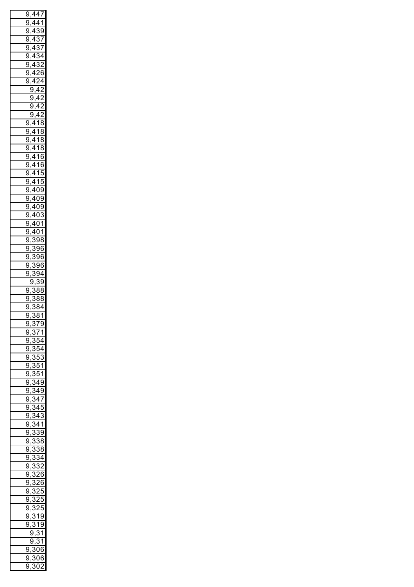|                |                                        | 9,447                                         |                      |                              |
|----------------|----------------------------------------|-----------------------------------------------|----------------------|------------------------------|
| 9              |                                        | $,44\overline{1}$                             |                      |                              |
| 9              |                                        | <u>,439</u>                                   |                      |                              |
| 9              |                                        | ,43                                           |                      | $\frac{37}{2}$               |
| 9              |                                        | ,437                                          |                      |                              |
| g              |                                        |                                               |                      |                              |
|                |                                        | ,434                                          |                      |                              |
| g              |                                        | ,432                                          |                      |                              |
| 9              |                                        | ,426                                          |                      |                              |
| 9              |                                        | ,424                                          |                      |                              |
|                |                                        | 9,42                                          |                      |                              |
|                |                                        | 9                                             | ,42                  |                              |
|                |                                        | 9                                             | ,42                  |                              |
|                |                                        | 9,42                                          |                      |                              |
|                |                                        |                                               |                      |                              |
|                |                                        | 9,418                                         |                      |                              |
| 9              |                                        | ,418                                          |                      |                              |
| 9              |                                        | <u>,418</u>                                   |                      |                              |
| 9              |                                        | ,418                                          |                      |                              |
| 9              |                                        | $\frac{1}{.416}$                              |                      |                              |
| 9              |                                        | $\frac{416}{ }$                               |                      |                              |
| 9              |                                        | <u>,4</u>                                     | 15                   |                              |
| 9              |                                        | ,415                                          |                      |                              |
| 9              |                                        | ,409                                          |                      |                              |
| 9              |                                        |                                               |                      |                              |
|                |                                        | <u>,409</u><br>409,<br>409,                   |                      |                              |
| 9              |                                        |                                               |                      |                              |
| 9              |                                        | ,403                                          |                      |                              |
| 9              |                                        | ,401<br>,401                                  |                      |                              |
| $\overline{9}$ |                                        |                                               |                      |                              |
| g              |                                        | $\overline{\cdot}$                            | $\overline{398}$     |                              |
| g              |                                        | $\overline{\cdot}$                            | $\frac{1}{396}$      |                              |
| 9              |                                        | $\overline{\cdot}$                            | 396                  | ì                            |
| 9              |                                        | $\overline{\cdot}$                            | 396                  |                              |
|                |                                        |                                               |                      | ì                            |
| $\overline{9}$ |                                        |                                               | 394                  |                              |
|                |                                        | 9,                                            | $\ddot{\phantom{0}}$ | 39                           |
| 9,             |                                        |                                               | $\delta$             | 38                           |
| ğ              |                                        | $\overline{\cdot}$<br>$\overline{\mathbf{3}}$ |                      | $\overline{\mathbf{3}}$<br>3 |
| $\overline{9}$ | ,                                      | $\overline{\cdot}$                            | 384                  |                              |
| ī<br>J         | ,                                      | 5                                             | $\overline{381}$     |                              |
| 9              |                                        | $\ddot{\cdot}$                                | $\overline{379}$     |                              |
| Ç<br>€         |                                        | $\cdot$<br>3                                  | $\overline{71}$      |                              |
| 9              |                                        | $\frac{1}{354}$                               |                      |                              |
| 9              |                                        | $\frac{1}{354}$                               |                      |                              |
|                |                                        |                                               |                      |                              |
| 9              |                                        | $,\frac{353}{50}$                             |                      |                              |
| 9              |                                        | $\overline{3}$                                | $\overline{51}$      |                              |
| 9              |                                        | $,\frac{351}{5}$                              |                      |                              |
| 9              |                                        | , 349                                         |                      |                              |
| 9              |                                        | ,349                                          |                      |                              |
| 9              |                                        | $\ddot{\cdot}$                                | $\overline{34}$      | $\overline{7}$               |
| 9              |                                        | $\ddot{\cdot}$                                | $\overline{34}$      | 5                            |
| 9              |                                        |                                               | 34                   | 3                            |
| 9              |                                        | $\ddot{\cdot}$                                |                      |                              |
|                |                                        | , 341                                         |                      |                              |
| 9              |                                        | $\overline{.3}$                               | $\overline{39}$      |                              |
| Ç              | $\overline{\mathfrak{z}}$              | ś                                             |                      | 38                           |
| Ç<br>ϡ         | .<br>ا                                 | Ŝ                                             | í                    | 38<br>3                      |
| Ç<br>ϡ         | .<br>ا                                 | Ŝ                                             | í                    | 34                           |
| Ç<br>ϡ         | .<br>ا                                 | Ŝ                                             |                      | $\overline{2}$               |
| Ç<br>ϡ         | .<br>ا                                 | Ŝ                                             | ؽ                    | 26<br>ì                      |
| Ç<br>ϡ         | .<br>ا                                 | Ŝ                                             |                      | $\overline{6}$               |
| Ç              |                                        | Ŝ                                             |                      | $\overline{.5}$              |
| ϡ              | .<br>ا                                 |                                               |                      |                              |
| Ç<br>ϡ         | .<br>ا                                 | Ŝ                                             |                      | 25<br>5                      |
| Ç              | $\overline{\mathfrak{z},\mathfrak{z}}$ | Ŝ                                             | $\overline{c}$       | ŗ<br>5                       |
| Ç<br>€         | $\cdot$                                |                                               | $\overline{319}$     |                              |
| Ç              | $,\zeta$                               | Ŝ                                             | 19                   | €                            |
|                | ļ                                      | €                                             | , 31                 |                              |
|                | Ç                                      | ϡ                                             |                      | 31                           |
| ç<br>ϡ         |                                        |                                               | 806                  |                              |
| Ç<br>€         |                                        |                                               | 806                  |                              |
|                |                                        |                                               |                      |                              |
| i<br>ì         |                                        |                                               | 802                  | 2                            |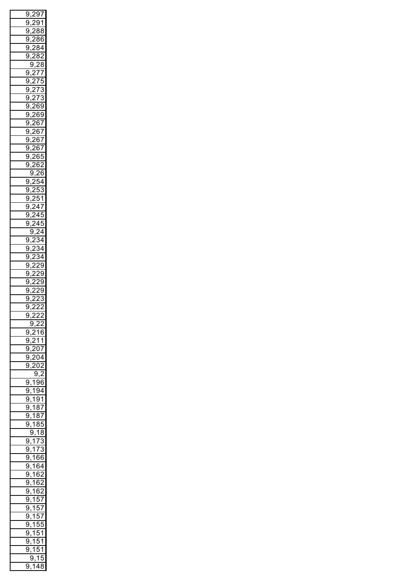| 9      | ,,                  |         | .97              |                          |
|--------|---------------------|---------|------------------|--------------------------|
| ļ<br>J |                     | Ă       |                  | 91                       |
| ļ<br>J |                     | ,       |                  | 88                       |
|        |                     |         |                  |                          |
| ļ<br>J |                     | ,       |                  | 86                       |
| ŗ<br>J |                     | ,       | 84               |                          |
| Ç<br>J |                     | ,       | 8                | ؙؚ<br>,                  |
|        | i<br>J              |         | ź                | $^{28}$                  |
|        |                     | $\cdot$ |                  |                          |
| 9      | $\overline{ }$      |         | $\overline{I}$   | $\prime$                 |
| 9      |                     | ʻ       | 7                | ŗ<br>)                   |
| 9      |                     | ,       | 7                | S                        |
| ç<br>J |                     | ì       | 7                | 3                        |
| ç      |                     |         | 269              |                          |
| J      |                     |         |                  | J                        |
| ç<br>J |                     | ۱       | ss               | J                        |
| ç<br>J |                     |         | 267              |                          |
| 9      |                     |         | 267              |                          |
| 9      |                     |         | 267              |                          |
|        |                     |         |                  |                          |
| ċ<br>J |                     |         | 267              |                          |
| ŗ<br>J |                     |         | 265              | )                        |
| Ç<br>J |                     |         | 26               | ,                        |
|        | <sup>)</sup> ,<br>i | ؚٛ      |                  | $\overline{6}$           |
|        |                     | ,       |                  |                          |
| 9      | $\overline{a}$      |         | ŗ                | 54                       |
| 9      |                     | ņ       | J                | З                        |
| 9      |                     | Į       |                  | 51                       |
| ļ<br>J |                     |         | $\frac{2}{4}$    | I                        |
| ŗ      |                     | ,       |                  |                          |
| J      |                     |         | 45               | )                        |
| Ç<br>J |                     | ,       | 45               | )                        |
|        | ŗ<br>J              |         |                  | 4 (                      |
| 9      | $\overline{a}$      | ,       |                  | 34                       |
|        |                     | ,       |                  |                          |
| 9      |                     |         |                  | 34                       |
| 9      |                     | ,       |                  | 34                       |
| ļ<br>J |                     | ,       | ×                | J                        |
| ŗ<br>J | ,                   | ,       | ×                | J                        |
| ļ<br>J |                     | ,       | ņ                | )                        |
|        |                     |         |                  |                          |
| ŗ<br>J |                     | ,       | οç               | J                        |
| Ç<br>) |                     | ,       | ,                | Ŝ                        |
| í<br>) |                     | ,       | ,                | ,                        |
|        |                     |         |                  | ֦֧֝                      |
|        | l                   | ý,      | 5,               |                          |
|        | ,                   |         |                  |                          |
|        | ļ<br>),             | ؙؚ      | 2í               | ,                        |
| ļ<br>€ | ,                   | ,       |                  | 16                       |
| ļ<br>J | l<br>,              | ,       | 11               |                          |
| Ç<br>J | ı                   |         |                  |                          |
|        | ,                   |         | $\overline{207}$ |                          |
| Ç<br>J | ,                   |         |                  | 204                      |
| ¢<br>) |                     | 20      | $\overline{C}$   | )                        |
|        |                     | ļ       | J                | ,                        |
| ŗ<br>€ | $\overline{1}$      | ļ       |                  | 96                       |
| ļ<br>J | ,                   | ļ       |                  |                          |
|        | ì<br>,              |         |                  | 94                       |
| Ç<br>J | 7<br>,              | ļ       |                  | $\overline{1}$           |
| Ç<br>J | 1<br>,              |         | $\overline{87}$  |                          |
| Ç<br>J | $\overline{1}$<br>, |         | $\overline{8}$ 7 |                          |
| ¢<br>) | 7                   |         | 8Ē               | ١                        |
|        | ,                   |         |                  |                          |
|        | i<br>Э,             |         |                  | 18                       |
| 9      | 1<br>,              |         | $\overline{1}$   | ŗ<br>Š                   |
| 9      | .<br>1<br>,         |         | 7                | Ŝ                        |
| 9      | ້ 1<br>,            | f       | šŀ               | j                        |
| 9      |                     | в       |                  | ì4                       |
|        | <b>i</b><br>,       |         |                  | J                        |
| 9      | .<br>1<br>,         | в       | j                | $\overline{\phantom{a}}$ |
| 9      | .<br>1<br>,         | в       |                  | ř<br>)                   |
| 9      | ້ 1<br>,            | ł       |                  | $\overline{2}$           |
| 9      |                     |         | ŗ                |                          |
|        | 7<br>,              |         |                  | $\frac{1}{2}$            |
| 9      | .<br>1<br>,         |         | t                | $\frac{1}{2}$            |
| 9      | .<br>1<br>,         |         | i                | $\frac{1}{2}$            |
| 9      | .<br>1<br>,         |         | į<br>J           | ļ<br>)                   |
| 9      | 7                   |         | i<br>,           | 1                        |
|        | ,                   |         |                  |                          |
| 9      | 1<br>,              |         | i<br>J           | 1                        |
| ¢<br>J | 7<br>,              |         | 5                | 1                        |
| 9      | i<br>),             |         | 1<br>4           | ť<br>٤<br>Ŝ              |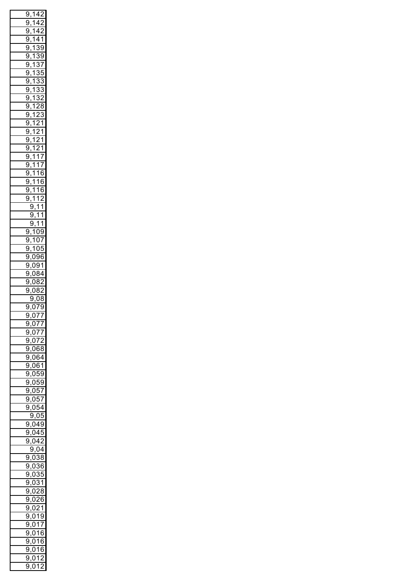| 9                                                                                      | , |                                       |                | $14\overline{2}$        |                                       |
|----------------------------------------------------------------------------------------|---|---------------------------------------|----------------|-------------------------|---------------------------------------|
| ç<br>€                                                                                 |   | 1                                     |                | 4                       | っ                                     |
| ς<br>)                                                                                 |   | .<br>1                                |                | 4                       |                                       |
| Š                                                                                      |   | 7                                     |                | 4                       |                                       |
| þ                                                                                      |   |                                       |                | Ţ                       | 1<br>ſ                                |
| Š<br>þ                                                                                 | , | $\overline{\mathbf{1}}$               |                | Š                       | 9                                     |
| Š<br>)                                                                                 | , | $\overline{1}$                        |                | ē<br>3                  | 9                                     |
| Š<br>€                                                                                 | , | $\overline{1}$                        |                | $\overline{\cdot}$<br>3 | $\overline{I}$                        |
| Š<br>€                                                                                 | , | $\overline{1}$                        |                | ē<br>S                  | ŗ<br>5                                |
| 9                                                                                      |   | $\overline{1}$                        |                | Ś<br>3                  | ៊<br>3                                |
| 9                                                                                      | , | $\overline{\mathbf{1}}$               |                | ā<br>3                  | ā<br>ì                                |
|                                                                                        | , | $\overline{\mathbf{1}}$               |                | $\overline{\cdot}$      | $\overline{2}$                        |
| 9                                                                                      | , |                                       |                | 3                       |                                       |
| 9                                                                                      | , | $\overline{\mathbf{1}}$               |                | $\overline{2}$          | $\frac{1}{8}$                         |
| 9                                                                                      | , | $\overline{\mathbf{1}}$               |                | $\overline{2}$          | $\overline{3}$                        |
| 9                                                                                      | , | $\overline{1}$                        |                | $\overline{2}$          | $\overline{1}$                        |
| 9                                                                                      | , | $\overline{1}$                        |                | $\overline{2}$          | $\overline{1}$                        |
| 9                                                                                      |   | $\overline{1}$                        |                | $\overline{2}$          | $\overline{1}$                        |
| 9                                                                                      | , | $\overline{1}$                        |                | $\overline{2}$          | $\overline{1}$                        |
|                                                                                        | , |                                       |                |                         |                                       |
| 9                                                                                      |   | $\frac{1}{1}$                         |                | $\overline{1}$          | $\overline{7}$                        |
| 9                                                                                      |   | $\frac{1}{1}$                         |                | $\overline{1}$          | $\overline{7}$                        |
| 9                                                                                      |   | $\frac{1}{1}$                         |                |                         | $\overline{16}$                       |
| 9                                                                                      | , | $\overline{1}$                        |                | $\overline{16}$         | ć                                     |
| 9                                                                                      | , | $\overline{1}$                        |                |                         | $\frac{16}{16}$                       |
| 9                                                                                      |   | $\overline{1}$                        |                |                         | $\overline{12}$                       |
|                                                                                        | , | 5.                                    |                | $\frac{1}{1}$           | $\overline{1}$                        |
|                                                                                        | ς |                                       |                |                         |                                       |
|                                                                                        |   | 9,                                    |                | $\overline{1}$          | $\overline{1}$                        |
|                                                                                        |   |                                       |                | 9,1                     | $\overline{\mathbf{1}}$               |
| 9                                                                                      |   |                                       |                |                         | ,109                                  |
| ς<br>€                                                                                 | , |                                       |                | 107                     |                                       |
| ς<br>þ                                                                                 |   |                                       |                | $\frac{105}{105}$       | 5                                     |
| ί<br>)                                                                                 |   | $\overline{0}$                        |                |                         | 96                                    |
|                                                                                        |   | $\overline{0}$                        |                |                         |                                       |
| Ś<br>)                                                                                 |   |                                       |                | €                       | $\overline{1}$                        |
| Ś<br>)                                                                                 |   | <u>بُ</u>                             |                | $\overline{84}$         |                                       |
| J<br>ļ                                                                                 |   |                                       |                |                         |                                       |
|                                                                                        |   |                                       | $\mathfrak{z}$ | 8                       | $\overline{2}$                        |
| Ç<br>ϡ                                                                                 |   | $\vec{c}$<br>$\overline{\mathcal{L}}$ | $\mathfrak z$  | $\overline{8}$          | $\overline{2}$                        |
|                                                                                        | ¢ |                                       |                |                         |                                       |
|                                                                                        |   | J                                     |                |                         | $\overline{08}$                       |
| g                                                                                      |   | $\tilde{\mathcal{C}}$                 | )              | 7                       | ċ<br>J                                |
| 9,                                                                                     |   |                                       |                |                         | 077                                   |
|                                                                                        |   |                                       |                |                         |                                       |
|                                                                                        |   |                                       |                |                         |                                       |
|                                                                                        |   |                                       |                |                         |                                       |
|                                                                                        |   |                                       |                |                         |                                       |
|                                                                                        |   |                                       |                |                         |                                       |
|                                                                                        |   |                                       |                |                         |                                       |
|                                                                                        |   |                                       |                |                         |                                       |
|                                                                                        |   |                                       |                |                         |                                       |
|                                                                                        |   |                                       |                |                         |                                       |
|                                                                                        |   |                                       |                |                         |                                       |
|                                                                                        |   |                                       |                |                         |                                       |
|                                                                                        |   |                                       |                |                         |                                       |
|                                                                                        |   |                                       |                |                         |                                       |
| 9,077<br>9,077<br>9,072<br>9,068<br>9,064<br>9,069<br>9,059<br>9,057<br>9,057<br>9,057 |   |                                       |                |                         |                                       |
|                                                                                        |   |                                       |                |                         |                                       |
| $\frac{9,049}{9,045}$                                                                  |   |                                       |                |                         |                                       |
| ¢                                                                                      |   |                                       |                |                         | 0,042                                 |
|                                                                                        |   |                                       |                |                         | $\overline{9,04}$                     |
|                                                                                        |   |                                       |                |                         |                                       |
| 9,038                                                                                  |   |                                       |                |                         |                                       |
| $\frac{9,036}{6}$                                                                      |   |                                       |                |                         |                                       |
| Š                                                                                      |   |                                       |                |                         | $\frac{1}{2,035}$                     |
| $\frac{9,031}{6}$                                                                      |   |                                       |                |                         |                                       |
|                                                                                        |   |                                       |                |                         |                                       |
| $\frac{1001}{9,028}$                                                                   |   |                                       |                |                         |                                       |
| $\frac{9,026}{2}$                                                                      |   |                                       |                |                         |                                       |
| $\frac{9,021}{2}$                                                                      |   |                                       |                |                         |                                       |
|                                                                                        |   |                                       |                |                         |                                       |
| $\frac{9,019}{9,017}$                                                                  |   |                                       |                |                         |                                       |
| 9,016                                                                                  |   |                                       |                |                         |                                       |
| Š                                                                                      |   |                                       |                |                         | 0,016                                 |
| Š                                                                                      |   |                                       |                |                         | $\frac{1}{0.016}$                     |
| Š<br>ļ                                                                                 |   |                                       |                | 9,01<br>0,01            | $\overline{2}$<br>2<br>$\overline{ }$ |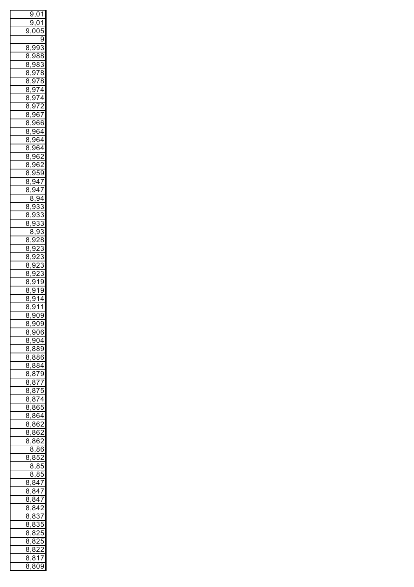|         | 9               |    | <u>01,0</u>              |                         |
|---------|-----------------|----|--------------------------|-------------------------|
|         | 9               |    | ,01                      |                         |
| 9       | l               |    | ) (                      | $\overline{5}$          |
|         |                 |    |                          | $\overline{9}$          |
| 3<br>ξ  |                 |    | <u>,993</u>              | 3                       |
| 3       |                 |    |                          | 988                     |
| ξ       | ,               |    |                          |                         |
| ξ<br>3  | ς<br>,          |    | 8                        | 3                       |
| ξ<br>3  | ί<br>,          |    |                          | $\overline{278}$        |
| ξ<br>3  | Š<br>,          |    | $\overline{378}$         | S                       |
| ξ<br>3  | Š<br>,          |    |                          | $\overline{974}$        |
| ξ<br>3  | Š<br>,          |    |                          | $\overline{974}$        |
| ξ<br>3  | Š<br>,          | €  |                          | $\overline{72}$         |
| ξ<br>3  |                 |    |                          | $\frac{967}{ }$         |
| ξ<br>3  | ,               |    |                          | 966                     |
| ξ<br>3  | ,               |    |                          | 964                     |
| ξ       | ,               |    |                          |                         |
| 3       | ,               |    |                          | 964                     |
| ξ<br>3  | ,               |    |                          | 964                     |
| ξ<br>3  | ,               |    | 96                       | $\overline{2}$          |
| ξ<br>3  | ,               |    | 96                       | $\overline{2}$          |
| ξ<br>3  | í<br>,          |    |                          | 959                     |
| 3<br>ξ  | ,               |    | $\frac{947}{ }$          |                         |
| ξ<br>3  | ć<br>j          |    |                          | $\frac{1}{2}$           |
|         | ξ               | 3, | Ś                        | 94                      |
| 8       | ί<br>,          | €  | 3                        | $\overline{3}$          |
| 3<br>ξ  |                 | 93 | 3                        | $\ddot{\cdot}$<br>3     |
| 3       | ,<br>ć          |    | $\overline{3}$           | 3                       |
|         | ,               |    |                          |                         |
|         | ξ               | 3, | 9                        | 3                       |
| ٤<br>3  | ί<br>,          |    | $\overline{2}$           | S<br>٤                  |
| 3<br>ξ  | í<br>,          | J  | $\overline{c}$           | ļ                       |
| S<br>ξ  | í<br>,          | J  | $\overline{2}$           | 3                       |
| ξ<br>3  | í<br>,          | J  | $\overline{2}$           | 3                       |
| ξ<br>3  | í<br>,          | J  | $\overline{c}$           | 3                       |
| ξ<br>S  | í<br>,          |    | $\overline{3}$           | ς<br>J                  |
| ٤<br>3  | Š<br>,          |    | 91                       | 9                       |
| 8       | Š               | €  | $\overline{1}$           | 4                       |
| 8       | ı<br>ξ          | €  | 1                        | $\overline{\mathbf{1}}$ |
| Ç       | $\frac{3,9}{5}$ |    |                          | υ9                      |
| 8,      |                 |    |                          | $\overline{909}$        |
| 8,      |                 |    |                          | 906                     |
|         |                 |    |                          | 904                     |
| 8,      |                 |    |                          |                         |
|         |                 |    |                          | <u>8,889</u>            |
|         |                 |    |                          | 8,886                   |
|         |                 |    |                          | 8,884                   |
|         |                 |    |                          | 8,879                   |
|         |                 |    |                          | 8,877                   |
|         |                 |    |                          | 8,875                   |
|         |                 |    |                          | <u>8,874</u>            |
|         |                 |    |                          | 8,865                   |
|         |                 |    |                          | 8,864                   |
|         |                 |    |                          | 8,862                   |
|         |                 |    |                          | $8,\overline{862}$      |
|         |                 |    |                          | $8,86\overline{2}$      |
|         |                 |    |                          |                         |
|         |                 |    |                          | 8,86                    |
|         |                 |    |                          |                         |
|         |                 |    | $8,85\overline{2}$       |                         |
|         |                 |    |                          | 8,85                    |
|         |                 |    |                          | 8,85                    |
|         |                 |    | 8,847                    |                         |
|         |                 |    |                          | 8,847                   |
|         |                 |    |                          |                         |
|         |                 |    |                          | 8,847                   |
|         |                 |    |                          | 8,842                   |
|         |                 |    |                          | <u>8,8</u> 37           |
|         |                 |    |                          | <u>8,835</u>            |
|         |                 |    |                          | 8,825                   |
|         |                 |    |                          | 8,825                   |
|         |                 |    | <u>8,82</u>              | $\overline{2}$          |
| 3,<br>٤ |                 |    | 8,817<br>80 <sub>5</sub> | J                       |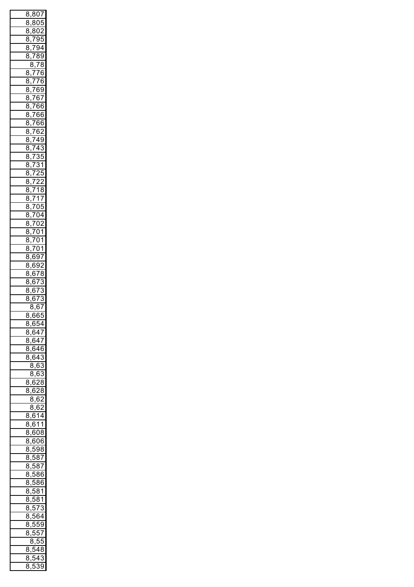|                  |   |                                  | 8,807                                    |                            |
|------------------|---|----------------------------------|------------------------------------------|----------------------------|
|                  |   |                                  | 8,805                                    |                            |
|                  |   |                                  | $\frac{0.533}{8,802}$                    |                            |
|                  |   | $\frac{8,7}{2}$                  |                                          | 95                         |
| 8                |   |                                  | $\frac{794}{ }$                          |                            |
|                  |   |                                  |                                          |                            |
| 8                |   |                                  | ,789                                     |                            |
|                  |   |                                  | $\frac{8,78}{1}$                         |                            |
| 8                |   |                                  | <u>,776</u>                              |                            |
| 8                |   |                                  | $,7\overline{76}$                        |                            |
|                  |   |                                  | 8,769                                    |                            |
| 8                |   |                                  | ,767                                     |                            |
| 8                |   |                                  | <u>,766</u>                              |                            |
|                  |   |                                  |                                          |                            |
|                  |   |                                  | 8,766                                    |                            |
|                  |   |                                  | 8,766                                    |                            |
|                  |   |                                  | 8,762                                    |                            |
|                  |   |                                  | 8,749                                    |                            |
| 8                |   |                                  | ,743                                     |                            |
| 8                |   |                                  | ,735                                     |                            |
| 8                |   |                                  | ,731                                     |                            |
|                  |   |                                  |                                          |                            |
| 8                |   |                                  | $\frac{1}{725}$                          |                            |
| 8                |   |                                  | ,722                                     |                            |
| 8                |   |                                  | ,718                                     |                            |
|                  |   |                                  | 8,717                                    |                            |
|                  |   |                                  | $\frac{8,705}{2}$                        |                            |
|                  |   |                                  | $\frac{8,704}{8,704}$                    |                            |
|                  |   |                                  |                                          |                            |
|                  |   |                                  | $\frac{37}{8,702}$<br>$\frac{52}{8,701}$ |                            |
|                  |   |                                  |                                          |                            |
|                  |   |                                  | $\frac{1}{8,701}$                        |                            |
|                  |   |                                  |                                          |                            |
|                  |   |                                  | <u>3,701</u><br>8,701<br>8,697           |                            |
|                  |   |                                  | 8,692                                    |                            |
|                  |   |                                  | $\frac{8,678}{2,78}$                     |                            |
| 8                |   |                                  | ,673                                     |                            |
| 8                |   |                                  | ,673                                     |                            |
|                  |   |                                  |                                          |                            |
|                  |   |                                  |                                          |                            |
| 3<br>٤           |   |                                  | 673                                      |                            |
|                  |   |                                  | $\overline{8,67}$                        |                            |
|                  |   |                                  |                                          |                            |
| 8,66<br>8        | , |                                  |                                          | $\frac{1}{5}$              |
| ٤                |   |                                  | ,654                                     |                            |
| 3                |   |                                  | $\frac{647}{64}$                         |                            |
| 8                |   |                                  | ,647                                     |                            |
| ٤<br>3           |   |                                  | ,646                                     |                            |
| ٤<br>Ŝ           |   |                                  | 643                                      |                            |
|                  |   | 8                                | ,63                                      |                            |
|                  | ξ | 3                                | $,\overline{6}$                          | $\overline{\overline{3}}$  |
| 8                |   |                                  | $\overline{28}$                          |                            |
| 8                |   | $\overline{6}$<br>$\overline{6}$ |                                          |                            |
|                  |   | $\overline{8}$                   | 28                                       |                            |
|                  |   |                                  | ,62                                      |                            |
|                  | ξ | 3                                | 62                                       |                            |
| 8                |   | ,6<br>j                          | 14                                       |                            |
| 8                |   |                                  | <u>,611</u>                              |                            |
| ξ<br>3           |   |                                  | ,608                                     |                            |
| ξ<br>3           |   | $\overline{\epsilon}$            | $\overline{506}$                         |                            |
| ٤<br>3           |   |                                  |                                          |                            |
| ٤<br>3           |   | $\overline{5}$                   | ,598                                     |                            |
| ٤<br>3           | , | $\overline{5}$                   |                                          | $\overline{37}$            |
|                  | , |                                  |                                          | $\overline{37}$            |
| ٤<br>3           | , | $\overline{5}$                   |                                          | $\overline{36}$            |
| ٤<br>3           | , | $\overline{5}$                   |                                          | $\overline{36}$            |
| ٤<br>3           | , | $\overline{5}$                   |                                          | $\overline{\overline{31}}$ |
| ٤<br>3           | , | $\overline{5}$                   | 3                                        | $\overline{1}$             |
| ٤<br>Ş           | , | 57                               |                                          | $\overline{3}$             |
| ξ<br>}           |   | 56                               |                                          | $\frac{1}{2}$              |
| ٤                | , |                                  |                                          |                            |
| Ş                | , |                                  | $\overline{559}$                         |                            |
| ٤<br>ś           | , |                                  | $\frac{1}{557}$                          |                            |
|                  | ξ | 3,                               | 55                                       | 5                          |
| ξ<br>ξ           | , | ŗ                                | .<br>48                                  | 3                          |
| ٤<br>3<br>٤<br>} | , | ŗ<br>ŗ                           | $\overline{5}$ 4                         | 3<br>3Ś<br>J               |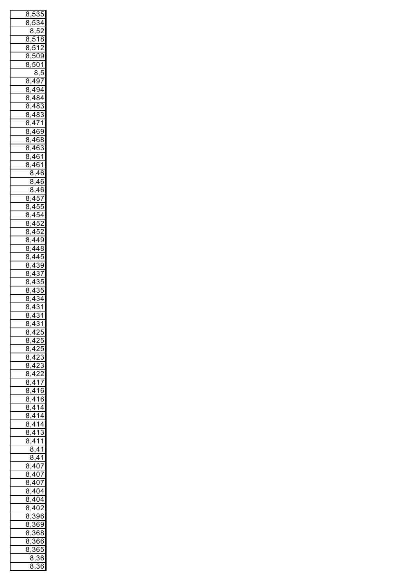|   |                | 8,535                                                       |   |                         |
|---|----------------|-------------------------------------------------------------|---|-------------------------|
|   | 8,             | <u>534</u>                                                  |   |                         |
|   |                | 3,52<br>ξ                                                   |   |                         |
|   | 8              | <u>,518</u>                                                 |   |                         |
|   |                |                                                             |   |                         |
|   | 8              | $,\frac{1}{512}$                                            |   |                         |
|   |                | $\begin{array}{r} 8,509 \\ 8,501 \\ \hline 8,5 \end{array}$ |   |                         |
|   |                |                                                             |   |                         |
|   |                |                                                             |   |                         |
|   |                | 8,497                                                       |   |                         |
|   |                | 8,494                                                       |   |                         |
|   |                | 8,484                                                       |   |                         |
|   |                |                                                             |   |                         |
|   |                | $\frac{8,483}{0,488}$                                       |   |                         |
|   |                | 8,483<br>8,471                                              |   |                         |
|   |                |                                                             |   |                         |
|   |                | 8,469                                                       |   |                         |
|   |                | 8,468                                                       |   |                         |
|   |                |                                                             |   |                         |
|   |                | $\frac{8,463}{8,461}$                                       |   |                         |
|   |                | 8,461                                                       |   |                         |
|   |                |                                                             |   |                         |
|   |                | 8,46                                                        |   |                         |
|   |                | 8,46                                                        |   |                         |
|   |                | 8,46                                                        |   |                         |
|   |                | 8,457                                                       |   |                         |
|   |                | 8,455                                                       |   |                         |
|   |                | 8,454                                                       |   |                         |
|   |                | 8,452                                                       |   |                         |
|   |                |                                                             |   |                         |
|   |                | $\frac{22}{8,452}$                                          |   |                         |
|   |                | 8,449                                                       |   |                         |
|   |                | 8,448                                                       |   |                         |
|   |                | 8,445                                                       |   |                         |
|   |                | 8,439                                                       |   |                         |
|   | 8              | ,4                                                          |   | $\overline{7}$          |
|   | 8              | $\overline{A}$                                              |   | 3š<br>5                 |
|   |                |                                                             |   |                         |
|   | 8              | ,4.                                                         |   | 35                      |
|   | 8              | $\overline{4}$                                              |   | $\overline{34}$         |
|   | $\overline{8}$ | $\sqrt{4}$                                                  | Ŝ | $\overline{1}$          |
| ξ |                | $\frac{3}{43}$                                              |   | $\overline{\mathbf{3}}$ |
|   |                | $\frac{8}{1}$ ,431                                          |   |                         |
|   |                | $\frac{8,425}{5}$                                           |   |                         |
|   | $\overline{8}$ | $\frac{1}{1}$ ,425                                          |   |                         |
|   | $\overline{8}$ | $\frac{1}{1}$ ,425                                          |   |                         |
|   |                |                                                             |   |                         |
|   | $\overline{8}$ | $\frac{1}{1}$ ,423                                          |   |                         |
|   | $\overline{8}$ | $\frac{1}{1}$ ,423                                          |   |                         |
|   | $\overline{8}$ | $\frac{1}{2}$ ,422                                          |   |                         |
|   | $\overline{8}$ |                                                             |   |                         |
|   | $\overline{8}$ | ,417<br>,416                                                |   |                         |
|   | $\overline{8}$ | $\frac{1}{1}$ ,416                                          |   |                         |
|   | $\overline{8}$ | $\frac{1}{14}$                                              |   |                         |
|   |                | $\frac{1}{14}$                                              |   |                         |
|   | $\overline{8}$ |                                                             |   |                         |
|   | $\overline{8}$ | $\frac{1}{,}414$                                            |   |                         |
|   |                | 8,413                                                       |   |                         |
|   | 8              | ,41                                                         |   | $\overline{1}$          |
|   |                | <u>די,</u><br>8,41                                          |   |                         |
|   |                | $\frac{8,41}{8,407}$ $\frac{8,407}{8,407}$                  |   |                         |
|   |                |                                                             |   |                         |
|   |                |                                                             |   |                         |
|   |                |                                                             |   |                         |
|   |                | 8,40                                                        |   | $\overline{2}$          |
|   |                | $\frac{1}{8,404}$                                           |   |                         |
|   |                | $\frac{8,404}{8}$                                           |   |                         |
|   |                | $\frac{3}{8,402}$                                           |   |                         |
|   |                |                                                             |   |                         |
|   |                |                                                             |   |                         |
|   |                |                                                             |   |                         |
|   |                | $\frac{8,396}{8,369}$<br>8,369<br>8,368<br>8,368<br>8,366   |   |                         |
|   |                |                                                             |   |                         |
|   |                |                                                             |   |                         |
|   |                | 8,36                                                        |   |                         |
|   |                | 8,3                                                         |   | 36                      |
|   |                |                                                             |   |                         |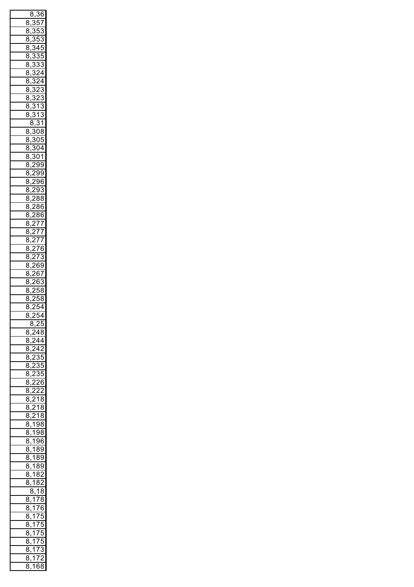|                |   | 8,                  | 36                           |                          |
|----------------|---|---------------------|------------------------------|--------------------------|
| 8              |   | 3                   | ί                            | 57                       |
|                |   |                     |                              |                          |
| 8              |   |                     | $\overline{\mathbf{5}}$<br>ξ | 3                        |
| 8              |   |                     |                              | $\frac{1}{2}$<br>3       |
| 8              |   | S                   | 4                            | ţ<br>)                   |
| 8              |   | ξ                   | ś                            | ŗ<br>5                   |
| 8              |   | ξ                   | 3                            |                          |
|                |   |                     |                              | 3                        |
| 8              |   | S                   | $\overline{c}$               | 4                        |
| 8              |   | S                   | 2                            | 4                        |
| 8              |   | S                   | $\overline{2}$               | $\overline{3}$           |
| 8              |   | ĺ                   |                              | $\overline{3}$           |
|                |   |                     | --<br>323<br>313             |                          |
| 8              |   |                     |                              | 3                        |
| 8              |   |                     | $\frac{1}{31}$               |                          |
|                |   |                     | $\frac{7}{1}$ , 313<br>8,31  |                          |
| 8              |   |                     | $\overline{308}$             |                          |
|                |   |                     |                              | $\overline{5}$           |
| 8              |   | ξ                   | 0                            |                          |
| 8              |   | ξ                   | $\overline{\mathbf{C}}$      | )4                       |
| 8              |   | ś                   | (                            | $\overline{1}$           |
| 8              |   | 2                   | ί                            | 9                        |
| 8              |   | $\overline{2}$      | Ś                            | 99                       |
|                |   |                     |                              |                          |
| 8              |   | $\overline{2}$      |                              | 96<br>ì                  |
| 8              |   | $\overline{2}$      | 93                           | 3                        |
| 8              |   | $\overline{c}$      | 8                            | 3<br>ξ                   |
| 8              |   | $\overline{2}$      | 86                           | έ                        |
|                |   | 冫                   |                              | 86                       |
| 8              |   |                     |                              |                          |
| 8              |   | $\overline{2}$      | $\frac{77}{77}$              |                          |
| 8              |   | $\overline{2}$      |                              |                          |
| 8              |   | $\overline{2}$      |                              | 77                       |
| 8              |   | $\overline{2}$      |                              | $\overline{76}$          |
|                |   |                     |                              |                          |
| 8              |   | $\overline{2}$      |                              | $\frac{1}{73}$           |
| 8              |   | 2                   | 6                            | $\mathbf{59}$            |
| 8              |   | $\overline{2}$      | ĺ                            | 57                       |
| 8              |   | $\overline{c}$      | 6<br>j                       | 3                        |
|                |   | C                   |                              |                          |
| 8              | , |                     | ŗ<br>5                       | 8                        |
| $\overline{8}$ | , | 5                   | ŗ<br>5                       | ξ<br>3                   |
| $\overline{8}$ |   | $\overline{2}$      | ŗ<br>ś                       | $\overline{4}$           |
| ś<br>Σ         |   | $\overline{2!}$     |                              | $\overline{4}$           |
|                | l | 8,                  | $\overline{25}$              |                          |
|                |   |                     | 248                          |                          |
| 8              | , |                     |                              |                          |
| $\overline{8}$ |   |                     | $\frac{5}{244}$              |                          |
| 8              |   |                     | $\frac{1}{242}$              |                          |
| $\frac{1}{8}$  | , | $\overline{2}$      |                              | $\overline{35}$          |
| $\frac{1}{8}$  |   | $\overline{2}$      |                              | $rac{1}{35}$             |
|                | , |                     |                              | $\frac{82}{35}$          |
| $\frac{1}{8}$  | , | $\frac{1}{2}$       |                              |                          |
| $\frac{1}{8}$  | , | $\frac{1}{2}$       | $\frac{55}{26}$              |                          |
| $\frac{1}{8}$  | , | $\frac{1}{2}$       | $rac{2}{2}$                  |                          |
| $\frac{1}{8}$  | , |                     | $\frac{1}{218}$              |                          |
| $\frac{1}{8}$  |   | $\overline{2}$      |                              | $\frac{1}{18}$           |
| $\frac{1}{8}$  | , |                     |                              |                          |
|                | , |                     | $\frac{1}{218}$              |                          |
| $\frac{1}{8}$  | , |                     | $\frac{2}{198}$              |                          |
| $\overline{8}$ | , | $\frac{1}{1}$       | $rac{1}{98}$                 |                          |
| 8              |   | $\overline{1}$      | 96                           |                          |
|                | , | $\overline{1}$      | $\overline{89}$              |                          |
| 8              | , |                     |                              |                          |
| 8              | , | 7                   | $\overline{89}$              |                          |
| 8              | , | 7                   | $\overline{89}$              |                          |
| 8              | , | $\overline{1}$      | 82                           |                          |
| 8              |   | $\overline{1}$      | $\overline{82}$              |                          |
|                |   | $\overleftarrow{8}$ | $\overline{18}$              |                          |
|                |   |                     |                              |                          |
| 8              | , | $\overline{1}$      | $\overline{78}$              |                          |
| 8              | , | $\overline{1}$      | $\overline{76}$              |                          |
| 8              |   | $\overline{1}$      |                              | 75                       |
|                | , | 1                   |                              |                          |
| 8              | , |                     | 75                           | 5                        |
|                | , | $\overline{1}$      | $\overline{75}$              | 5                        |
| 8              |   |                     |                              |                          |
| 8              |   |                     |                              | ;                        |
|                | , | $\overline{1}$      | 75                           |                          |
| 8              | , | $\mathbf{1}$        | 73                           | 3                        |
| 8<br>8         |   | $\overline{1}$      | $\overline{7}$<br>,168       | $\overline{\phantom{a}}$ |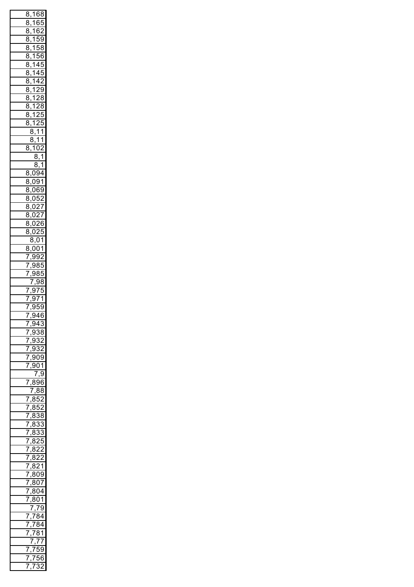| ٤<br>S                   |                | 1      | ł                        | ξ<br>3 |
|--------------------------|----------------|--------|--------------------------|--------|
|                          | ļ              |        |                          | ļ      |
| Į<br>Š                   |                | 1      | ł                        | J      |
| Į<br>S                   |                | 1      | 6                        | )      |
| Į<br>Š                   |                | 1      | ļ                        | )<br>! |
| ٤<br>Š                   |                | 1      | l                        | ۶<br>S |
|                          |                |        |                          |        |
| ٤<br>Š                   |                | 1      | l                        | ì<br>ł |
| ٤<br>S                   |                | 1      |                          | l<br>J |
| ٤<br>S                   |                | 1      |                          | l<br>J |
|                          |                |        |                          |        |
| ٤<br>S                   |                | 1      | 1                        | )      |
| ٤<br>S                   |                | 1      |                          | ļ<br>) |
| ٤<br>S                   |                | 1      |                          | Š<br>٤ |
|                          |                |        | l                        |        |
| ٤<br>S                   |                | 1      |                          | S<br>ξ |
| Š<br>٤                   |                | 1      | l                        | ļ<br>, |
| ٤<br>Š                   |                | 1      |                          | ļ<br>J |
|                          | ξ              | Š      | 1                        | 1      |
|                          |                |        |                          |        |
|                          | ٤              | Š      | 1                        | 1      |
| Ś<br>Ŝ                   |                | 1      | ĺ<br>)                   |        |
|                          |                | Į      | S                        | 1      |
|                          |                |        |                          |        |
|                          |                | ٤      | S                        |        |
| Ś<br>S                   | ï              | (<br>) | ļ<br>1                   |        |
| ξ<br>Š                   |                | )<br>( | )                        | 1      |
| Ś<br>Š                   |                |        |                          | ļ      |
|                          |                | (<br>) | ĺ                        | J      |
| ٤<br>Š                   |                | (<br>) | ļ                        |        |
| Š<br>٤                   |                | (<br>) |                          | j      |
| ٤<br>Š                   |                | (<br>) |                          |        |
|                          |                |        |                          |        |
| Š<br>٤                   |                | (<br>) |                          | ĺ      |
| ٤<br>Š                   |                | (<br>) |                          | ļ      |
|                          | ٤              | S      | ĺ<br>)                   | 1      |
|                          |                |        |                          |        |
| Ś<br>Ì                   | j              | (<br>) | ĺ<br>)                   | 1      |
| Í                        |                | 9<br>) | ļ<br>)                   |        |
| j                        |                | !<br>) | ٤<br>Š                   | ļ      |
|                          |                |        |                          | ļ      |
| l                        |                | ļ<br>) | ξ<br>S                   | )      |
|                          | I              |        | ļ<br>)                   | ξ<br>S |
| I                        |                | !<br>) | I                        | ı<br>J |
| I                        |                | ļ<br>þ | I                        | 1      |
|                          |                |        | l                        |        |
| Ï                        |                | ļ<br>) | ١                        | Ś<br>1 |
|                          |                | ļ<br>֠ | Í                        | ľ      |
| I                        |                | Ś      | )<br>1                   | Š      |
|                          |                | í<br>J |                          | Į<br>S |
| I                        |                |        |                          |        |
| I                        |                | í<br>J |                          |        |
| I                        |                | ļ<br>J |                          |        |
| I                        |                | í<br>J | (<br>)                   | ļ<br>) |
|                          |                |        |                          |        |
| l                        |                | ļ<br>ì | (<br>)                   | 1      |
|                          |                | I      |                          | Ś<br>ì |
|                          |                | ξ      |                          | 6<br>j |
|                          | $\overline{7}$ |        | Ś                        | Į<br>ļ |
|                          |                |        |                          |        |
| I                        |                | ξ<br>S | l                        |        |
| I                        |                | ξ<br>S | l                        |        |
| ı                        |                | ξ      |                          | Į<br>S |
|                          |                | ξ      |                          | S      |
| Ì                        |                |        |                          |        |
| I                        |                | ξ      |                          |        |
| $\overline{\mathcal{E}}$ |                | ξ      |                          | l      |
| $\overline{\mathcal{E}}$ |                | ٤      |                          |        |
|                          |                |        |                          |        |
| $\overline{\mathcal{E}}$ |                | ξ      |                          |        |
| $\overline{\mathcal{E}}$ |                | ξ      |                          | 1      |
| $\overline{\prime}$      |                | ξ<br>S | ſ                        | 9      |
|                          |                | ξ<br>S | ſ                        |        |
| $\overline{I}$           |                |        | )                        | 7      |
| $\prime$                 |                | ξ<br>S | ſ                        | )4     |
| I                        |                | ξ<br>۶ | (<br>)                   | 1      |
|                          |                |        |                          | C<br>ϡ |
|                          |                |        | $\overline{\phantom{a}}$ |        |
| I                        |                | Í      |                          | 4      |
| I                        |                | I      | ł                        |        |
|                          |                |        | ξ                        | 1      |
|                          |                |        |                          |        |
|                          |                |        | $\overline{\phantom{a}}$ | I      |
| I                        |                | Í      |                          | ١<br>¢ |
| I                        |                |        | l                        | ŀ      |
| I                        |                |        | ŗ                        | )      |
|                          |                |        |                          |        |